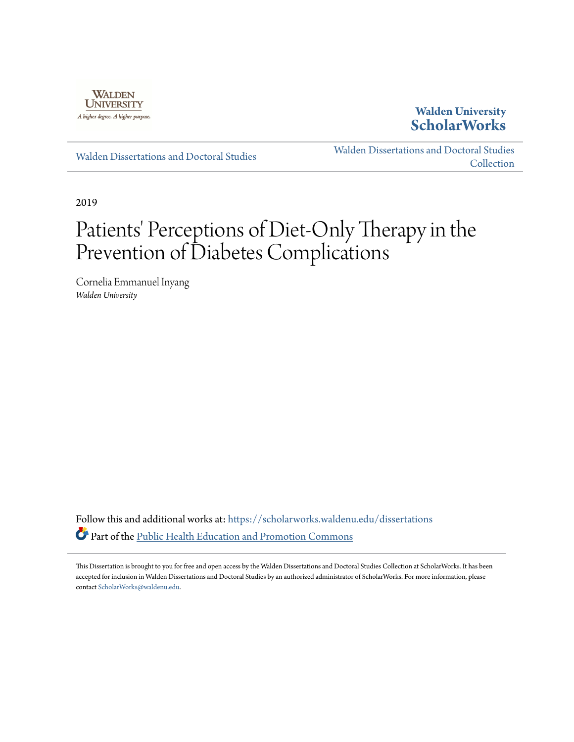

## **Walden University [ScholarWorks](https://scholarworks.waldenu.edu?utm_source=scholarworks.waldenu.edu%2Fdissertations%2F6588&utm_medium=PDF&utm_campaign=PDFCoverPages)**

[Walden Dissertations and Doctoral Studies](https://scholarworks.waldenu.edu/dissertations?utm_source=scholarworks.waldenu.edu%2Fdissertations%2F6588&utm_medium=PDF&utm_campaign=PDFCoverPages)

[Walden Dissertations and Doctoral Studies](https://scholarworks.waldenu.edu/dissanddoc?utm_source=scholarworks.waldenu.edu%2Fdissertations%2F6588&utm_medium=PDF&utm_campaign=PDFCoverPages) [Collection](https://scholarworks.waldenu.edu/dissanddoc?utm_source=scholarworks.waldenu.edu%2Fdissertations%2F6588&utm_medium=PDF&utm_campaign=PDFCoverPages)

2019

# Patients' Perceptions of Diet-Only Therapy in the Prevention of Diabetes Complications

Cornelia Emmanuel Inyang *Walden University*

Follow this and additional works at: [https://scholarworks.waldenu.edu/dissertations](https://scholarworks.waldenu.edu/dissertations?utm_source=scholarworks.waldenu.edu%2Fdissertations%2F6588&utm_medium=PDF&utm_campaign=PDFCoverPages) Part of the [Public Health Education and Promotion Commons](http://network.bepress.com/hgg/discipline/743?utm_source=scholarworks.waldenu.edu%2Fdissertations%2F6588&utm_medium=PDF&utm_campaign=PDFCoverPages)

This Dissertation is brought to you for free and open access by the Walden Dissertations and Doctoral Studies Collection at ScholarWorks. It has been accepted for inclusion in Walden Dissertations and Doctoral Studies by an authorized administrator of ScholarWorks. For more information, please contact [ScholarWorks@waldenu.edu](mailto:ScholarWorks@waldenu.edu).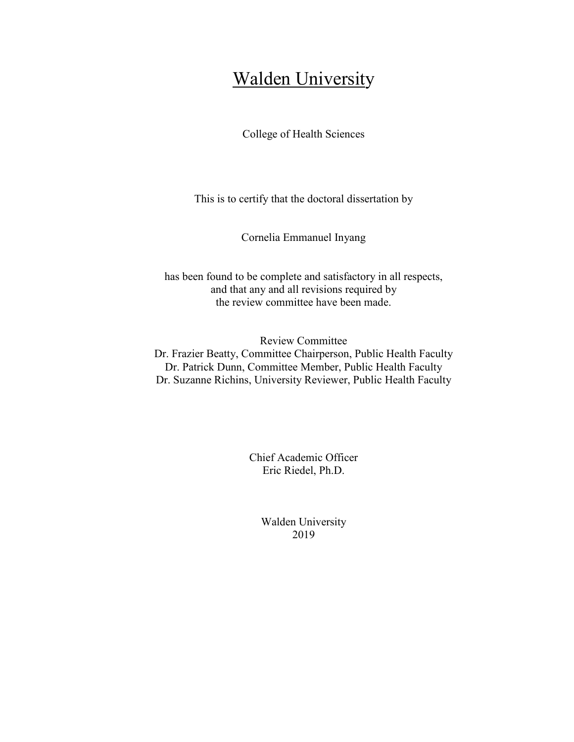## Walden University

College of Health Sciences

This is to certify that the doctoral dissertation by

Cornelia Emmanuel Inyang

has been found to be complete and satisfactory in all respects, and that any and all revisions required by the review committee have been made.

Review Committee Dr. Frazier Beatty, Committee Chairperson, Public Health Faculty Dr. Patrick Dunn, Committee Member, Public Health Faculty Dr. Suzanne Richins, University Reviewer, Public Health Faculty

> Chief Academic Officer Eric Riedel, Ph.D.

> > Walden University 2019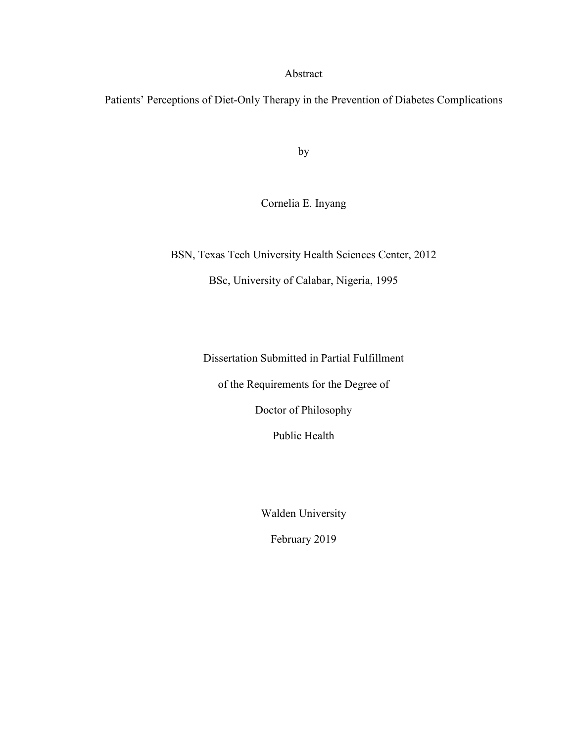#### Abstract

Patients' Perceptions of Diet-Only Therapy in the Prevention of Diabetes Complications

by

Cornelia E. Inyang

BSN, Texas Tech University Health Sciences Center, 2012 BSc, University of Calabar, Nigeria, 1995

Dissertation Submitted in Partial Fulfillment

of the Requirements for the Degree of

Doctor of Philosophy

Public Health

Walden University

February 2019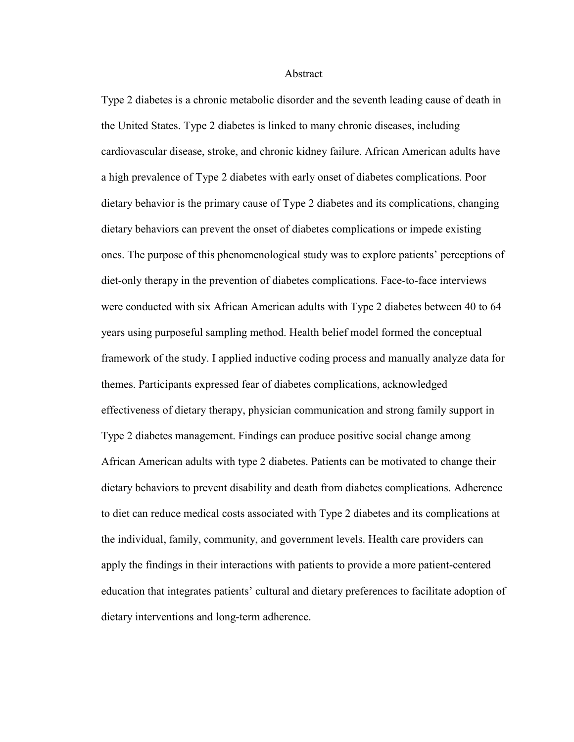#### Abstract

Type 2 diabetes is a chronic metabolic disorder and the seventh leading cause of death in the United States. Type 2 diabetes is linked to many chronic diseases, including cardiovascular disease, stroke, and chronic kidney failure. African American adults have a high prevalence of Type 2 diabetes with early onset of diabetes complications. Poor dietary behavior is the primary cause of Type 2 diabetes and its complications, changing dietary behaviors can prevent the onset of diabetes complications or impede existing ones. The purpose of this phenomenological study was to explore patients' perceptions of diet-only therapy in the prevention of diabetes complications. Face-to-face interviews were conducted with six African American adults with Type 2 diabetes between 40 to 64 years using purposeful sampling method. Health belief model formed the conceptual framework of the study. I applied inductive coding process and manually analyze data for themes. Participants expressed fear of diabetes complications, acknowledged effectiveness of dietary therapy, physician communication and strong family support in Type 2 diabetes management. Findings can produce positive social change among African American adults with type 2 diabetes. Patients can be motivated to change their dietary behaviors to prevent disability and death from diabetes complications. Adherence to diet can reduce medical costs associated with Type 2 diabetes and its complications at the individual, family, community, and government levels. Health care providers can apply the findings in their interactions with patients to provide a more patient-centered education that integrates patients' cultural and dietary preferences to facilitate adoption of dietary interventions and long-term adherence.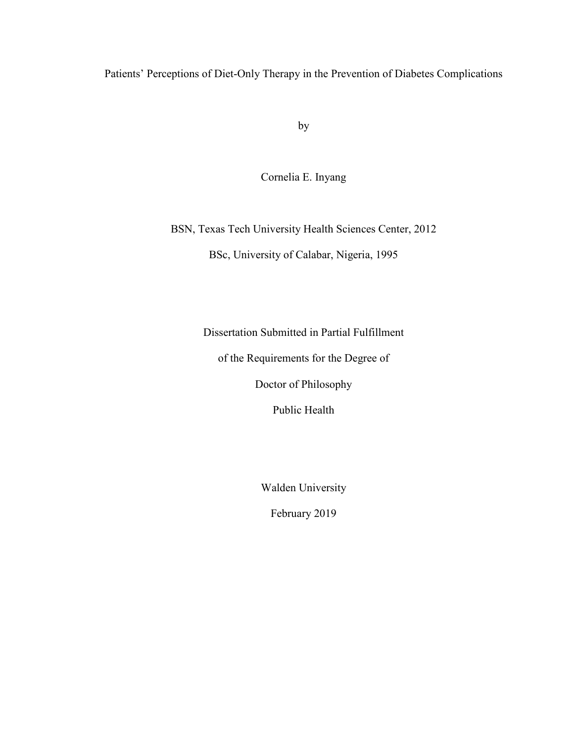Patients' Perceptions of Diet-Only Therapy in the Prevention of Diabetes Complications

by

Cornelia E. Inyang

BSN, Texas Tech University Health Sciences Center, 2012 BSc, University of Calabar, Nigeria, 1995

Dissertation Submitted in Partial Fulfillment

of the Requirements for the Degree of

Doctor of Philosophy

Public Health

Walden University

February 2019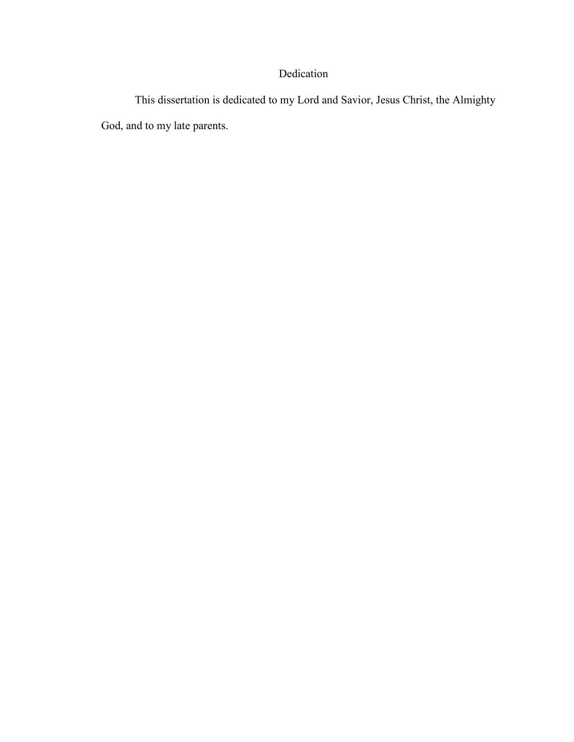## Dedication

 This dissertation is dedicated to my Lord and Savior, Jesus Christ, the Almighty God, and to my late parents.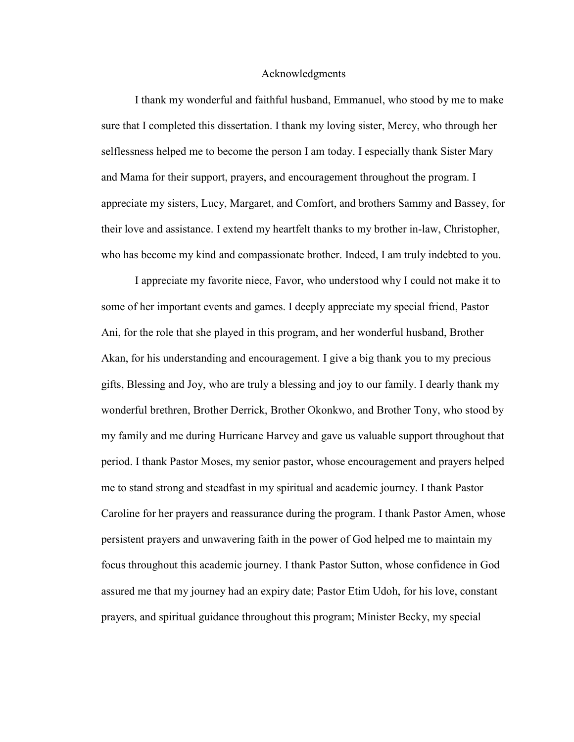#### Acknowledgments

 I thank my wonderful and faithful husband, Emmanuel, who stood by me to make sure that I completed this dissertation. I thank my loving sister, Mercy, who through her selflessness helped me to become the person I am today. I especially thank Sister Mary and Mama for their support, prayers, and encouragement throughout the program. I appreciate my sisters, Lucy, Margaret, and Comfort, and brothers Sammy and Bassey, for their love and assistance. I extend my heartfelt thanks to my brother in-law, Christopher, who has become my kind and compassionate brother. Indeed, I am truly indebted to you.

I appreciate my favorite niece, Favor, who understood why I could not make it to some of her important events and games. I deeply appreciate my special friend, Pastor Ani, for the role that she played in this program, and her wonderful husband, Brother Akan, for his understanding and encouragement. I give a big thank you to my precious gifts, Blessing and Joy, who are truly a blessing and joy to our family. I dearly thank my wonderful brethren, Brother Derrick, Brother Okonkwo, and Brother Tony, who stood by my family and me during Hurricane Harvey and gave us valuable support throughout that period. I thank Pastor Moses, my senior pastor, whose encouragement and prayers helped me to stand strong and steadfast in my spiritual and academic journey. I thank Pastor Caroline for her prayers and reassurance during the program. I thank Pastor Amen, whose persistent prayers and unwavering faith in the power of God helped me to maintain my focus throughout this academic journey. I thank Pastor Sutton, whose confidence in God assured me that my journey had an expiry date; Pastor Etim Udoh, for his love, constant prayers, and spiritual guidance throughout this program; Minister Becky, my special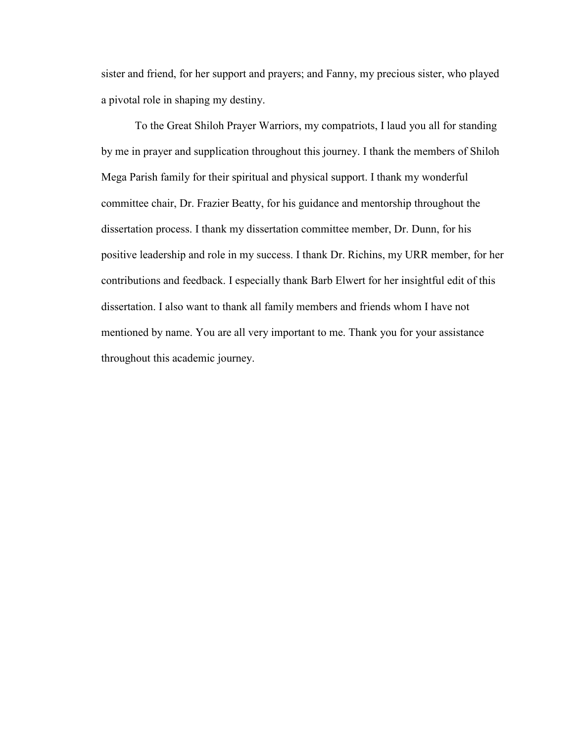sister and friend, for her support and prayers; and Fanny, my precious sister, who played a pivotal role in shaping my destiny.

To the Great Shiloh Prayer Warriors, my compatriots, I laud you all for standing by me in prayer and supplication throughout this journey. I thank the members of Shiloh Mega Parish family for their spiritual and physical support. I thank my wonderful committee chair, Dr. Frazier Beatty, for his guidance and mentorship throughout the dissertation process. I thank my dissertation committee member, Dr. Dunn, for his positive leadership and role in my success. I thank Dr. Richins, my URR member, for her contributions and feedback. I especially thank Barb Elwert for her insightful edit of this dissertation. I also want to thank all family members and friends whom I have not mentioned by name. You are all very important to me. Thank you for your assistance throughout this academic journey.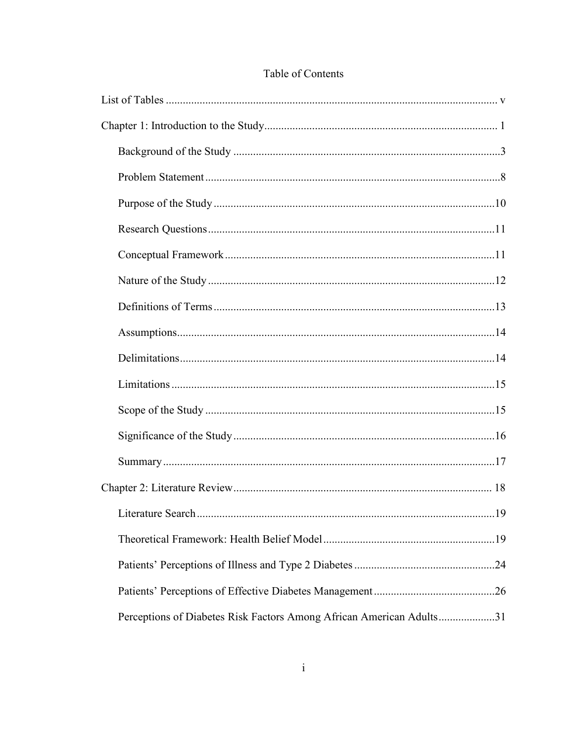| Perceptions of Diabetes Risk Factors Among African American Adults31 |  |
|----------------------------------------------------------------------|--|

### Table of Contents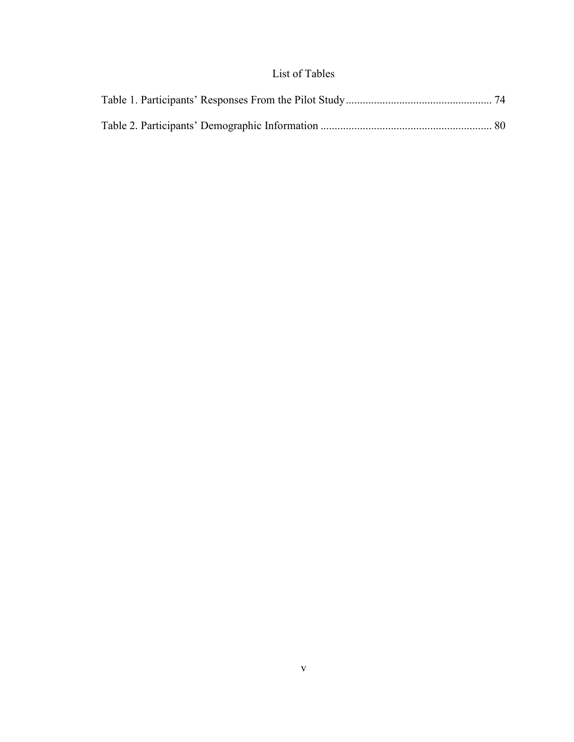## List of Tables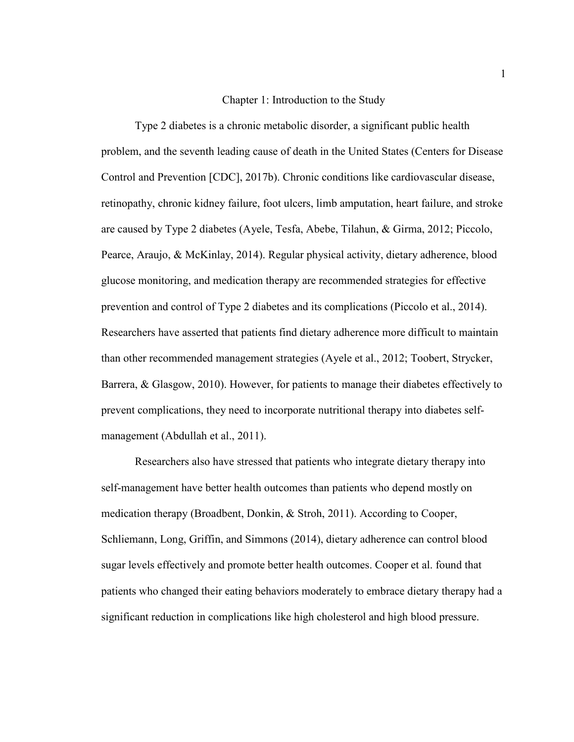#### Chapter 1: Introduction to the Study

Type 2 diabetes is a chronic metabolic disorder, a significant public health problem, and the seventh leading cause of death in the United States (Centers for Disease Control and Prevention [CDC], 2017b). Chronic conditions like cardiovascular disease, retinopathy, chronic kidney failure, foot ulcers, limb amputation, heart failure, and stroke are caused by Type 2 diabetes (Ayele, Tesfa, Abebe, Tilahun, & Girma, 2012; Piccolo, Pearce, Araujo, & McKinlay, 2014). Regular physical activity, dietary adherence, blood glucose monitoring, and medication therapy are recommended strategies for effective prevention and control of Type 2 diabetes and its complications (Piccolo et al., 2014). Researchers have asserted that patients find dietary adherence more difficult to maintain than other recommended management strategies (Ayele et al., 2012; Toobert, Strycker, Barrera, & Glasgow, 2010). However, for patients to manage their diabetes effectively to prevent complications, they need to incorporate nutritional therapy into diabetes selfmanagement (Abdullah et al., 2011).

Researchers also have stressed that patients who integrate dietary therapy into self-management have better health outcomes than patients who depend mostly on medication therapy (Broadbent, Donkin, & Stroh, 2011). According to Cooper, Schliemann, Long, Griffin, and Simmons (2014), dietary adherence can control blood sugar levels effectively and promote better health outcomes. Cooper et al. found that patients who changed their eating behaviors moderately to embrace dietary therapy had a significant reduction in complications like high cholesterol and high blood pressure.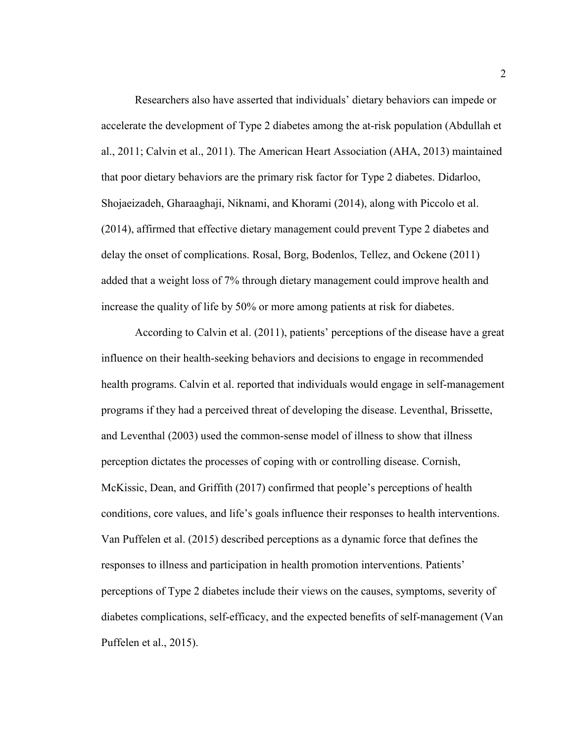Researchers also have asserted that individuals' dietary behaviors can impede or accelerate the development of Type 2 diabetes among the at-risk population (Abdullah et al., 2011; Calvin et al., 2011). The American Heart Association (AHA, 2013) maintained that poor dietary behaviors are the primary risk factor for Type 2 diabetes. Didarloo, Shojaeizadeh, Gharaaghaji, Niknami, and Khorami (2014), along with Piccolo et al. (2014), affirmed that effective dietary management could prevent Type 2 diabetes and delay the onset of complications. Rosal, Borg, Bodenlos, Tellez, and Ockene (2011) added that a weight loss of 7% through dietary management could improve health and increase the quality of life by 50% or more among patients at risk for diabetes.

According to Calvin et al. (2011), patients' perceptions of the disease have a great influence on their health-seeking behaviors and decisions to engage in recommended health programs. Calvin et al. reported that individuals would engage in self-management programs if they had a perceived threat of developing the disease. Leventhal, Brissette, and Leventhal (2003) used the common-sense model of illness to show that illness perception dictates the processes of coping with or controlling disease. Cornish, McKissic, Dean, and Griffith (2017) confirmed that people's perceptions of health conditions, core values, and life's goals influence their responses to health interventions. Van Puffelen et al. (2015) described perceptions as a dynamic force that defines the responses to illness and participation in health promotion interventions. Patients' perceptions of Type 2 diabetes include their views on the causes, symptoms, severity of diabetes complications, self-efficacy, and the expected benefits of self-management (Van Puffelen et al., 2015).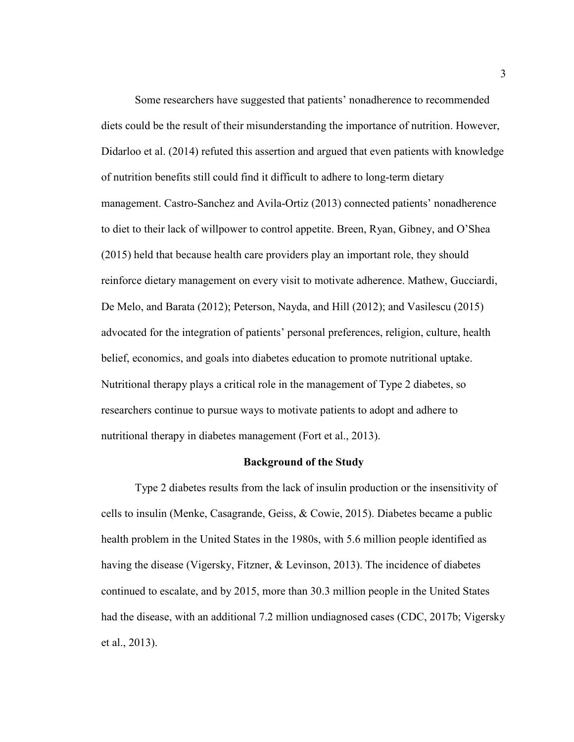Some researchers have suggested that patients' nonadherence to recommended diets could be the result of their misunderstanding the importance of nutrition. However, Didarloo et al. (2014) refuted this assertion and argued that even patients with knowledge of nutrition benefits still could find it difficult to adhere to long-term dietary management. Castro-Sanchez and Avila-Ortiz (2013) connected patients' nonadherence to diet to their lack of willpower to control appetite. Breen, Ryan, Gibney, and O'Shea (2015) held that because health care providers play an important role, they should reinforce dietary management on every visit to motivate adherence. Mathew, Gucciardi, De Melo, and Barata (2012); Peterson, Nayda, and Hill (2012); and Vasilescu (2015) advocated for the integration of patients' personal preferences, religion, culture, health belief, economics, and goals into diabetes education to promote nutritional uptake. Nutritional therapy plays a critical role in the management of Type 2 diabetes, so researchers continue to pursue ways to motivate patients to adopt and adhere to nutritional therapy in diabetes management (Fort et al., 2013).

#### **Background of the Study**

Type 2 diabetes results from the lack of insulin production or the insensitivity of cells to insulin (Menke, Casagrande, Geiss, & Cowie, 2015). Diabetes became a public health problem in the United States in the 1980s, with 5.6 million people identified as having the disease (Vigersky, Fitzner, & Levinson, 2013). The incidence of diabetes continued to escalate, and by 2015, more than 30.3 million people in the United States had the disease, with an additional 7.2 million undiagnosed cases (CDC, 2017b; Vigersky et al., 2013).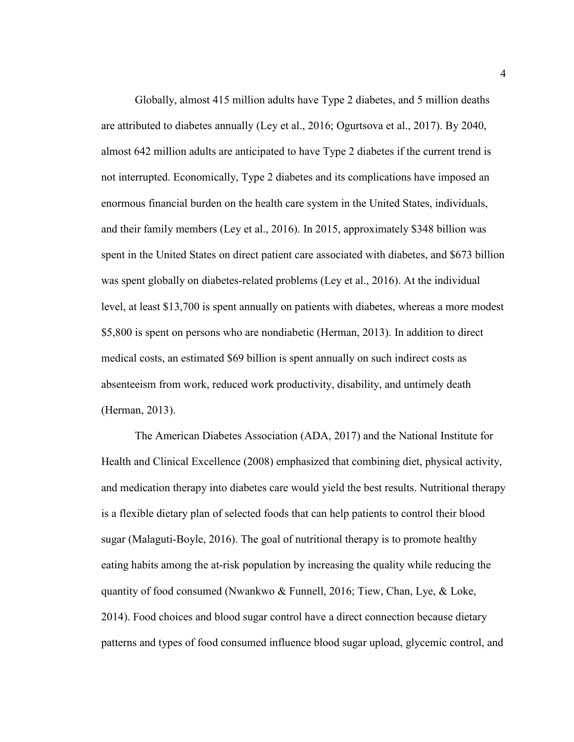Globally, almost 415 million adults have Type 2 diabetes, and 5 million deaths are attributed to diabetes annually (Ley et al., 2016; Ogurtsova et al., 2017). By 2040, almost 642 million adults are anticipated to have Type 2 diabetes if the current trend is not interrupted. Economically, Type 2 diabetes and its complications have imposed an enormous financial burden on the health care system in the United States, individuals, and their family members (Ley et al., 2016). In 2015, approximately \$348 billion was spent in the United States on direct patient care associated with diabetes, and \$673 billion was spent globally on diabetes-related problems (Ley et al., 2016). At the individual level, at least \$13,700 is spent annually on patients with diabetes, whereas a more modest \$5,800 is spent on persons who are nondiabetic (Herman, 2013). In addition to direct medical costs, an estimated \$69 billion is spent annually on such indirect costs as absenteeism from work, reduced work productivity, disability, and untimely death (Herman, 2013).

The American Diabetes Association (ADA, 2017) and the National Institute for Health and Clinical Excellence (2008) emphasized that combining diet, physical activity, and medication therapy into diabetes care would yield the best results. Nutritional therapy is a flexible dietary plan of selected foods that can help patients to control their blood sugar (Malaguti-Boyle, 2016). The goal of nutritional therapy is to promote healthy eating habits among the at-risk population by increasing the quality while reducing the quantity of food consumed (Nwankwo  $\&$  Funnell, 2016; Tiew, Chan, Lye,  $\&$  Loke, 2014). Food choices and blood sugar control have a direct connection because dietary patterns and types of food consumed influence blood sugar upload, glycemic control, and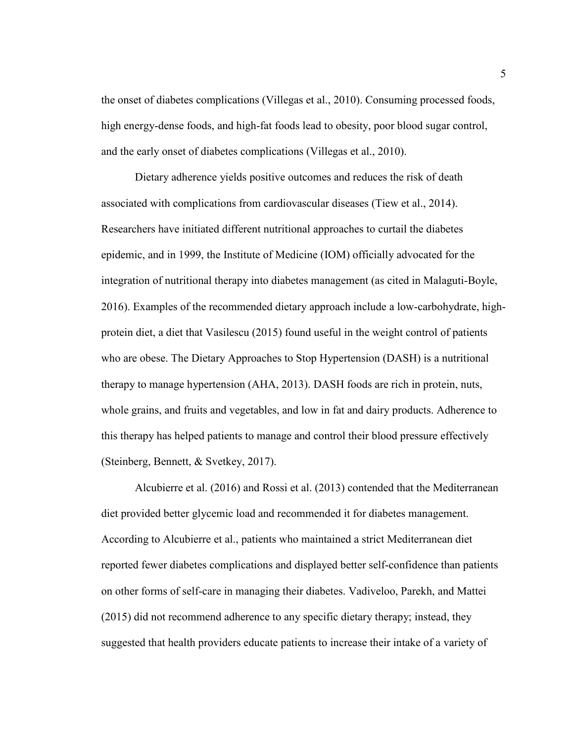the onset of diabetes complications (Villegas et al., 2010). Consuming processed foods, high energy-dense foods, and high-fat foods lead to obesity, poor blood sugar control, and the early onset of diabetes complications (Villegas et al., 2010).

Dietary adherence yields positive outcomes and reduces the risk of death associated with complications from cardiovascular diseases (Tiew et al., 2014). Researchers have initiated different nutritional approaches to curtail the diabetes epidemic, and in 1999, the Institute of Medicine (IOM) officially advocated for the integration of nutritional therapy into diabetes management (as cited in Malaguti-Boyle, 2016). Examples of the recommended dietary approach include a low-carbohydrate, highprotein diet, a diet that Vasilescu (2015) found useful in the weight control of patients who are obese. The Dietary Approaches to Stop Hypertension (DASH) is a nutritional therapy to manage hypertension (AHA, 2013). DASH foods are rich in protein, nuts, whole grains, and fruits and vegetables, and low in fat and dairy products. Adherence to this therapy has helped patients to manage and control their blood pressure effectively (Steinberg, Bennett, & Svetkey, 2017).

Alcubierre et al. (2016) and Rossi et al. (2013) contended that the Mediterranean diet provided better glycemic load and recommended it for diabetes management. According to Alcubierre et al., patients who maintained a strict Mediterranean diet reported fewer diabetes complications and displayed better self-confidence than patients on other forms of self-care in managing their diabetes. Vadiveloo, Parekh, and Mattei (2015) did not recommend adherence to any specific dietary therapy; instead, they suggested that health providers educate patients to increase their intake of a variety of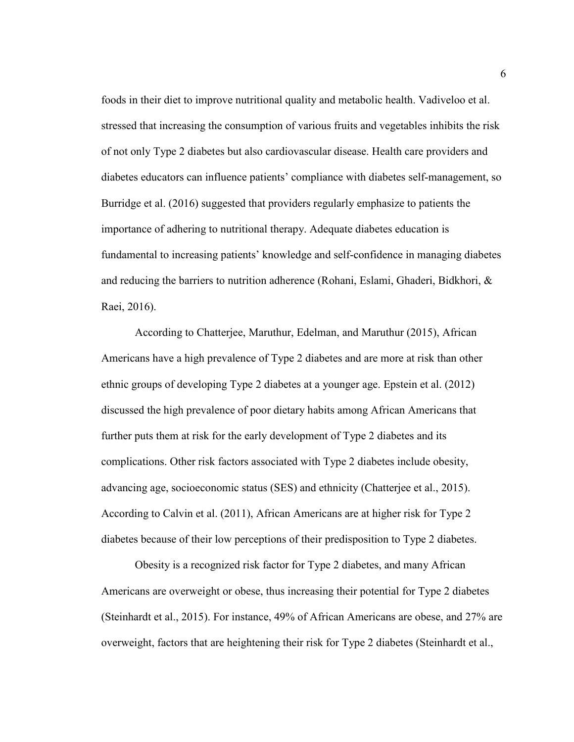foods in their diet to improve nutritional quality and metabolic health. Vadiveloo et al. stressed that increasing the consumption of various fruits and vegetables inhibits the risk of not only Type 2 diabetes but also cardiovascular disease. Health care providers and diabetes educators can influence patients' compliance with diabetes self-management, so Burridge et al. (2016) suggested that providers regularly emphasize to patients the importance of adhering to nutritional therapy. Adequate diabetes education is fundamental to increasing patients' knowledge and self-confidence in managing diabetes and reducing the barriers to nutrition adherence (Rohani, Eslami, Ghaderi, Bidkhori, & Raei, 2016).

According to Chatterjee, Maruthur, Edelman, and Maruthur (2015), African Americans have a high prevalence of Type 2 diabetes and are more at risk than other ethnic groups of developing Type 2 diabetes at a younger age. Epstein et al. (2012) discussed the high prevalence of poor dietary habits among African Americans that further puts them at risk for the early development of Type 2 diabetes and its complications. Other risk factors associated with Type 2 diabetes include obesity, advancing age, socioeconomic status (SES) and ethnicity (Chatterjee et al., 2015). According to Calvin et al. (2011), African Americans are at higher risk for Type 2 diabetes because of their low perceptions of their predisposition to Type 2 diabetes.

Obesity is a recognized risk factor for Type 2 diabetes, and many African Americans are overweight or obese, thus increasing their potential for Type 2 diabetes (Steinhardt et al., 2015). For instance, 49% of African Americans are obese, and 27% are overweight, factors that are heightening their risk for Type 2 diabetes (Steinhardt et al.,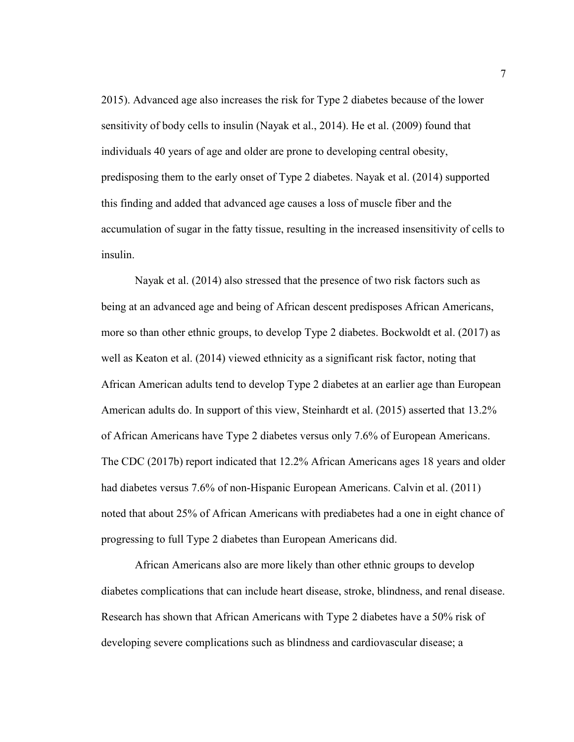2015). Advanced age also increases the risk for Type 2 diabetes because of the lower sensitivity of body cells to insulin (Nayak et al., 2014). He et al. (2009) found that individuals 40 years of age and older are prone to developing central obesity, predisposing them to the early onset of Type 2 diabetes. Nayak et al. (2014) supported this finding and added that advanced age causes a loss of muscle fiber and the accumulation of sugar in the fatty tissue, resulting in the increased insensitivity of cells to insulin.

Nayak et al. (2014) also stressed that the presence of two risk factors such as being at an advanced age and being of African descent predisposes African Americans, more so than other ethnic groups, to develop Type 2 diabetes. Bockwoldt et al. (2017) as well as Keaton et al. (2014) viewed ethnicity as a significant risk factor, noting that African American adults tend to develop Type 2 diabetes at an earlier age than European American adults do. In support of this view, Steinhardt et al. (2015) asserted that 13.2% of African Americans have Type 2 diabetes versus only 7.6% of European Americans. The CDC (2017b) report indicated that 12.2% African Americans ages 18 years and older had diabetes versus 7.6% of non-Hispanic European Americans. Calvin et al. (2011) noted that about 25% of African Americans with prediabetes had a one in eight chance of progressing to full Type 2 diabetes than European Americans did.

African Americans also are more likely than other ethnic groups to develop diabetes complications that can include heart disease, stroke, blindness, and renal disease. Research has shown that African Americans with Type 2 diabetes have a 50% risk of developing severe complications such as blindness and cardiovascular disease; a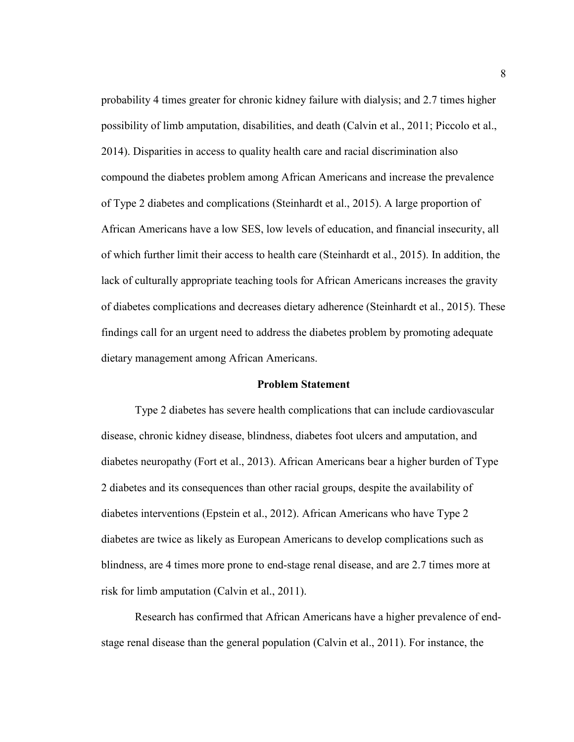probability 4 times greater for chronic kidney failure with dialysis; and 2.7 times higher possibility of limb amputation, disabilities, and death (Calvin et al., 2011; Piccolo et al., 2014). Disparities in access to quality health care and racial discrimination also compound the diabetes problem among African Americans and increase the prevalence of Type 2 diabetes and complications (Steinhardt et al., 2015). A large proportion of African Americans have a low SES, low levels of education, and financial insecurity, all of which further limit their access to health care (Steinhardt et al., 2015). In addition, the lack of culturally appropriate teaching tools for African Americans increases the gravity of diabetes complications and decreases dietary adherence (Steinhardt et al., 2015). These findings call for an urgent need to address the diabetes problem by promoting adequate dietary management among African Americans.

#### **Problem Statement**

 Type 2 diabetes has severe health complications that can include cardiovascular disease, chronic kidney disease, blindness, diabetes foot ulcers and amputation, and diabetes neuropathy (Fort et al., 2013). African Americans bear a higher burden of Type 2 diabetes and its consequences than other racial groups, despite the availability of diabetes interventions (Epstein et al., 2012). African Americans who have Type 2 diabetes are twice as likely as European Americans to develop complications such as blindness, are 4 times more prone to end-stage renal disease, and are 2.7 times more at risk for limb amputation (Calvin et al., 2011).

Research has confirmed that African Americans have a higher prevalence of endstage renal disease than the general population (Calvin et al., 2011). For instance, the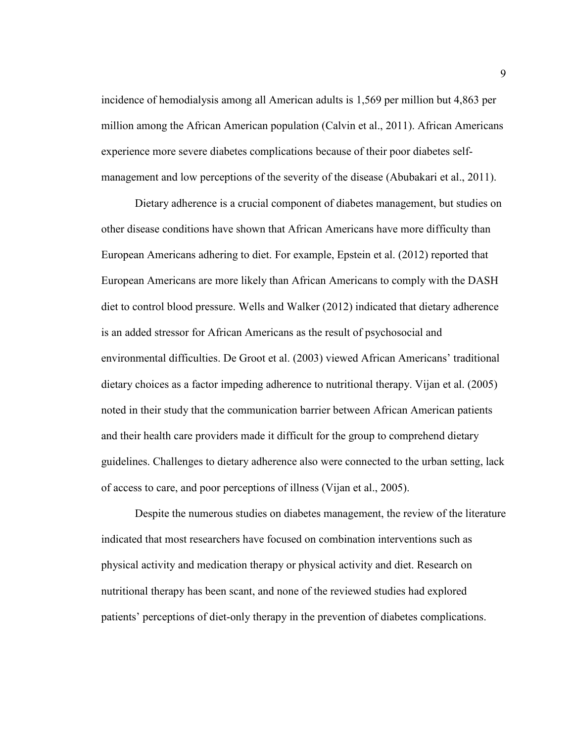incidence of hemodialysis among all American adults is 1,569 per million but 4,863 per million among the African American population (Calvin et al., 2011). African Americans experience more severe diabetes complications because of their poor diabetes selfmanagement and low perceptions of the severity of the disease (Abubakari et al., 2011).

Dietary adherence is a crucial component of diabetes management, but studies on other disease conditions have shown that African Americans have more difficulty than European Americans adhering to diet. For example, Epstein et al. (2012) reported that European Americans are more likely than African Americans to comply with the DASH diet to control blood pressure. Wells and Walker (2012) indicated that dietary adherence is an added stressor for African Americans as the result of psychosocial and environmental difficulties. De Groot et al. (2003) viewed African Americans' traditional dietary choices as a factor impeding adherence to nutritional therapy. Vijan et al. (2005) noted in their study that the communication barrier between African American patients and their health care providers made it difficult for the group to comprehend dietary guidelines. Challenges to dietary adherence also were connected to the urban setting, lack of access to care, and poor perceptions of illness (Vijan et al., 2005).

Despite the numerous studies on diabetes management, the review of the literature indicated that most researchers have focused on combination interventions such as physical activity and medication therapy or physical activity and diet. Research on nutritional therapy has been scant, and none of the reviewed studies had explored patients' perceptions of diet-only therapy in the prevention of diabetes complications.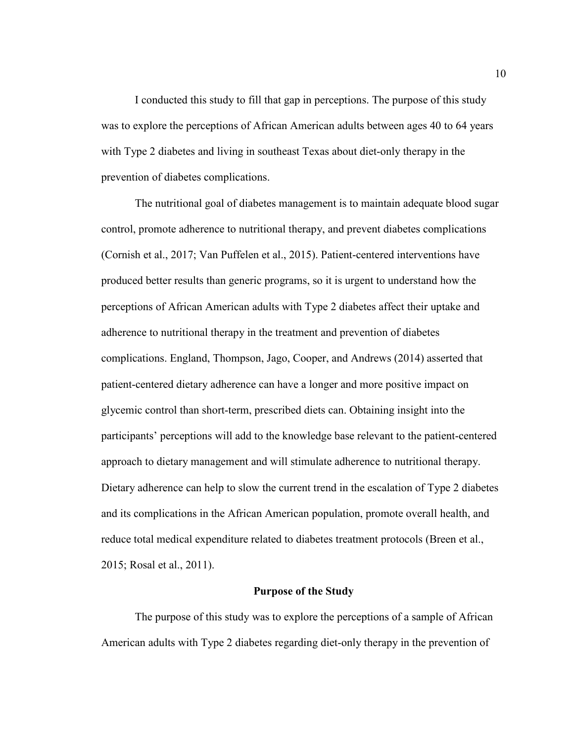I conducted this study to fill that gap in perceptions. The purpose of this study was to explore the perceptions of African American adults between ages 40 to 64 years with Type 2 diabetes and living in southeast Texas about diet-only therapy in the prevention of diabetes complications.

The nutritional goal of diabetes management is to maintain adequate blood sugar control, promote adherence to nutritional therapy, and prevent diabetes complications (Cornish et al., 2017; Van Puffelen et al., 2015). Patient-centered interventions have produced better results than generic programs, so it is urgent to understand how the perceptions of African American adults with Type 2 diabetes affect their uptake and adherence to nutritional therapy in the treatment and prevention of diabetes complications. England, Thompson, Jago, Cooper, and Andrews (2014) asserted that patient-centered dietary adherence can have a longer and more positive impact on glycemic control than short-term, prescribed diets can. Obtaining insight into the participants' perceptions will add to the knowledge base relevant to the patient-centered approach to dietary management and will stimulate adherence to nutritional therapy. Dietary adherence can help to slow the current trend in the escalation of Type 2 diabetes and its complications in the African American population, promote overall health, and reduce total medical expenditure related to diabetes treatment protocols (Breen et al., 2015; Rosal et al., 2011).

#### **Purpose of the Study**

The purpose of this study was to explore the perceptions of a sample of African American adults with Type 2 diabetes regarding diet-only therapy in the prevention of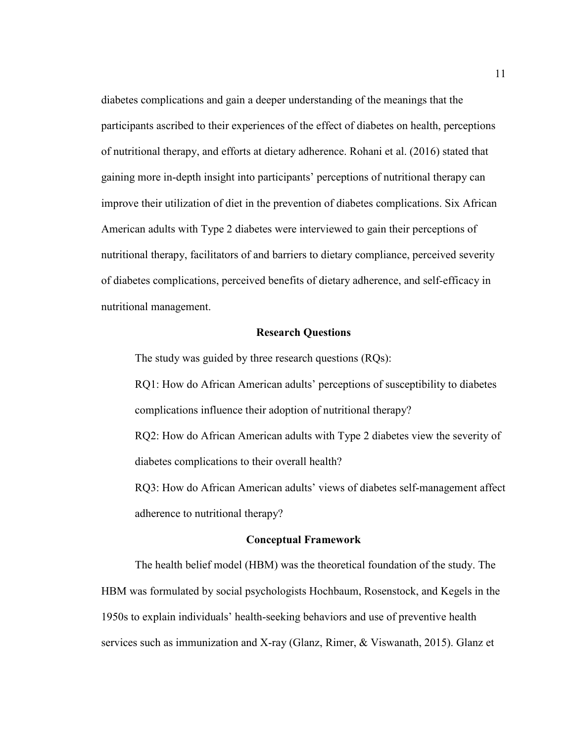diabetes complications and gain a deeper understanding of the meanings that the participants ascribed to their experiences of the effect of diabetes on health, perceptions of nutritional therapy, and efforts at dietary adherence. Rohani et al. (2016) stated that gaining more in-depth insight into participants' perceptions of nutritional therapy can improve their utilization of diet in the prevention of diabetes complications. Six African American adults with Type 2 diabetes were interviewed to gain their perceptions of nutritional therapy, facilitators of and barriers to dietary compliance, perceived severity of diabetes complications, perceived benefits of dietary adherence, and self-efficacy in nutritional management.

#### **Research Questions**

The study was guided by three research questions (RQs):

RQ1: How do African American adults' perceptions of susceptibility to diabetes complications influence their adoption of nutritional therapy?

RQ2: How do African American adults with Type 2 diabetes view the severity of diabetes complications to their overall health?

RQ3: How do African American adults' views of diabetes self-management affect adherence to nutritional therapy?

#### **Conceptual Framework**

 The health belief model (HBM) was the theoretical foundation of the study. The HBM was formulated by social psychologists Hochbaum, Rosenstock, and Kegels in the 1950s to explain individuals' health-seeking behaviors and use of preventive health services such as immunization and X-ray (Glanz, Rimer, & Viswanath, 2015). Glanz et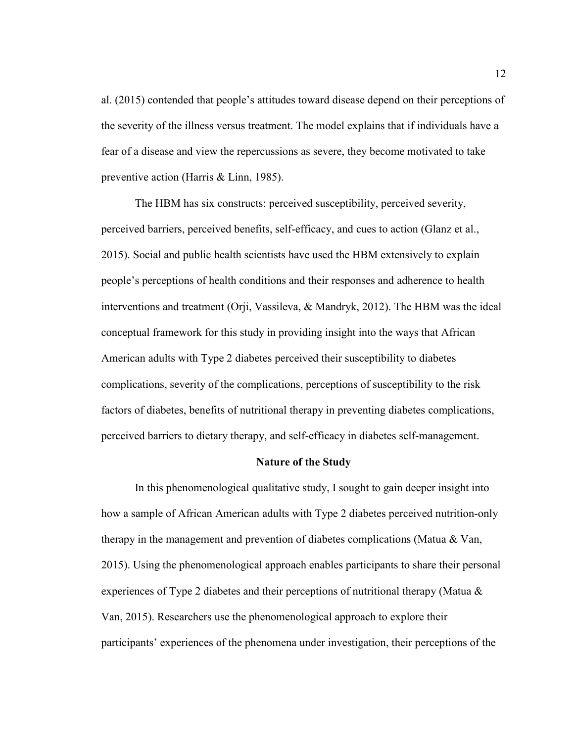al. (2015) contended that people's attitudes toward disease depend on their perceptions of the severity of the illness versus treatment. The model explains that if individuals have a fear of a disease and view the repercussions as severe, they become motivated to take preventive action (Harris & Linn, 1985).

The HBM has six constructs: perceived susceptibility, perceived severity, perceived barriers, perceived benefits, self-efficacy, and cues to action (Glanz et al., 2015). Social and public health scientists have used the HBM extensively to explain people's perceptions of health conditions and their responses and adherence to health interventions and treatment (Orji, Vassileva, & Mandryk, 2012). The HBM was the ideal conceptual framework for this study in providing insight into the ways that African American adults with Type 2 diabetes perceived their susceptibility to diabetes complications, severity of the complications, perceptions of susceptibility to the risk factors of diabetes, benefits of nutritional therapy in preventing diabetes complications, perceived barriers to dietary therapy, and self-efficacy in diabetes self-management.

#### **Nature of the Study**

 In this phenomenological qualitative study, I sought to gain deeper insight into how a sample of African American adults with Type 2 diabetes perceived nutrition-only therapy in the management and prevention of diabetes complications (Matua & Van, 2015). Using the phenomenological approach enables participants to share their personal experiences of Type 2 diabetes and their perceptions of nutritional therapy (Matua  $\&$ Van, 2015). Researchers use the phenomenological approach to explore their participants' experiences of the phenomena under investigation, their perceptions of the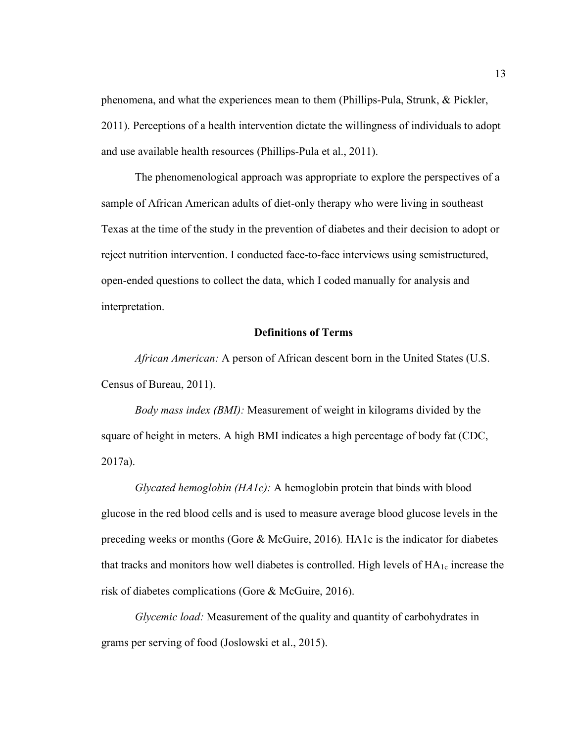phenomena, and what the experiences mean to them (Phillips-Pula, Strunk, & Pickler, 2011). Perceptions of a health intervention dictate the willingness of individuals to adopt and use available health resources (Phillips-Pula et al., 2011).

The phenomenological approach was appropriate to explore the perspectives of a sample of African American adults of diet-only therapy who were living in southeast Texas at the time of the study in the prevention of diabetes and their decision to adopt or reject nutrition intervention. I conducted face-to-face interviews using semistructured, open-ended questions to collect the data, which I coded manually for analysis and interpretation.

#### **Definitions of Terms**

*African American:* A person of African descent born in the United States (U.S. Census of Bureau, 2011).

*Body mass index (BMI):* Measurement of weight in kilograms divided by the square of height in meters. A high BMI indicates a high percentage of body fat (CDC, 2017a).

 *Glycated hemoglobin (HA1c):* A hemoglobin protein that binds with blood glucose in the red blood cells and is used to measure average blood glucose levels in the preceding weeks or months (Gore & McGuire, 2016)*.* HA1c is the indicator for diabetes that tracks and monitors how well diabetes is controlled. High levels of  $HA_{1c}$  increase the risk of diabetes complications (Gore & McGuire, 2016).

 *Glycemic load:* Measurement of the quality and quantity of carbohydrates in grams per serving of food (Joslowski et al., 2015).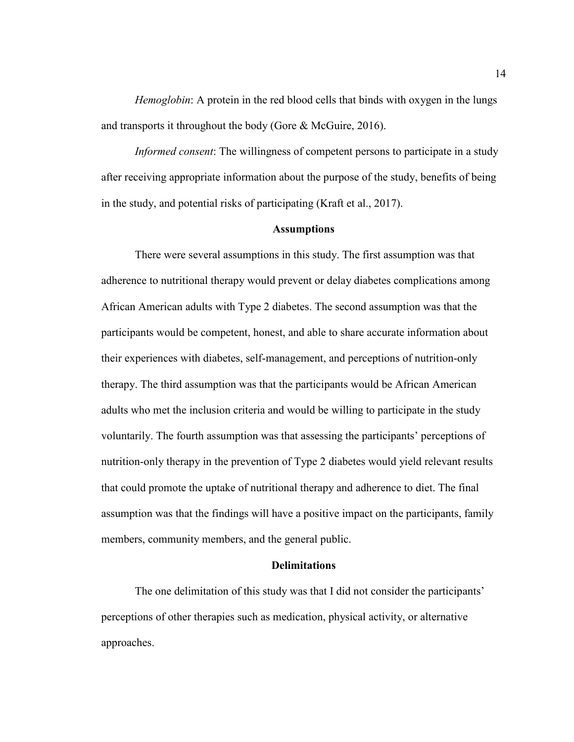*Hemoglobin*: A protein in the red blood cells that binds with oxygen in the lungs and transports it throughout the body (Gore & McGuire, 2016).

 *Informed consent*: The willingness of competent persons to participate in a study after receiving appropriate information about the purpose of the study, benefits of being in the study, and potential risks of participating (Kraft et al., 2017).

#### **Assumptions**

 There were several assumptions in this study. The first assumption was that adherence to nutritional therapy would prevent or delay diabetes complications among African American adults with Type 2 diabetes. The second assumption was that the participants would be competent, honest, and able to share accurate information about their experiences with diabetes, self-management, and perceptions of nutrition-only therapy. The third assumption was that the participants would be African American adults who met the inclusion criteria and would be willing to participate in the study voluntarily. The fourth assumption was that assessing the participants' perceptions of nutrition-only therapy in the prevention of Type 2 diabetes would yield relevant results that could promote the uptake of nutritional therapy and adherence to diet. The final assumption was that the findings will have a positive impact on the participants, family members, community members, and the general public.

#### **Delimitations**

The one delimitation of this study was that I did not consider the participants' perceptions of other therapies such as medication, physical activity, or alternative approaches.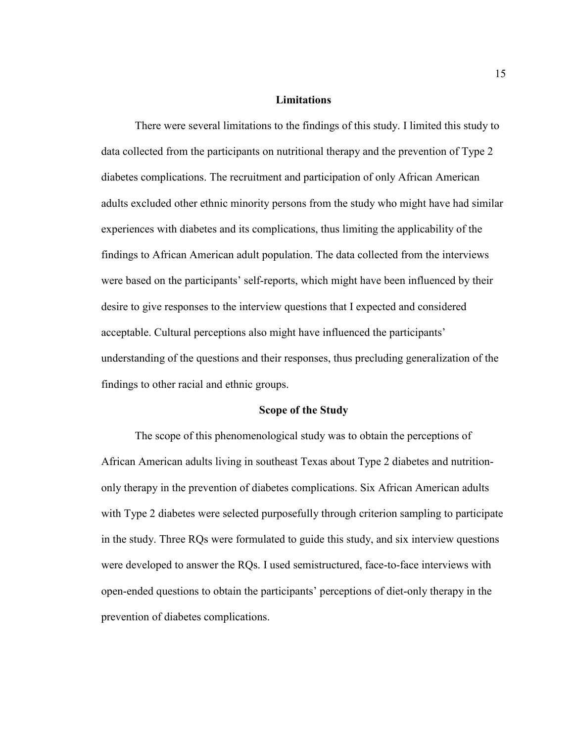#### **Limitations**

There were several limitations to the findings of this study. I limited this study to data collected from the participants on nutritional therapy and the prevention of Type 2 diabetes complications. The recruitment and participation of only African American adults excluded other ethnic minority persons from the study who might have had similar experiences with diabetes and its complications, thus limiting the applicability of the findings to African American adult population. The data collected from the interviews were based on the participants' self-reports, which might have been influenced by their desire to give responses to the interview questions that I expected and considered acceptable. Cultural perceptions also might have influenced the participants' understanding of the questions and their responses, thus precluding generalization of the findings to other racial and ethnic groups.

#### **Scope of the Study**

The scope of this phenomenological study was to obtain the perceptions of African American adults living in southeast Texas about Type 2 diabetes and nutritiononly therapy in the prevention of diabetes complications. Six African American adults with Type 2 diabetes were selected purposefully through criterion sampling to participate in the study. Three RQs were formulated to guide this study, and six interview questions were developed to answer the RQs. I used semistructured, face-to-face interviews with open-ended questions to obtain the participants' perceptions of diet-only therapy in the prevention of diabetes complications.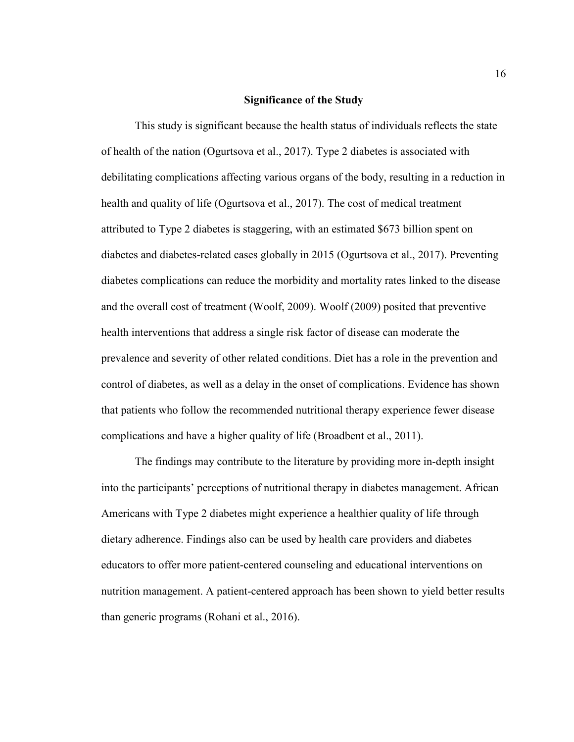#### **Significance of the Study**

This study is significant because the health status of individuals reflects the state of health of the nation (Ogurtsova et al., 2017). Type 2 diabetes is associated with debilitating complications affecting various organs of the body, resulting in a reduction in health and quality of life (Ogurtsova et al., 2017). The cost of medical treatment attributed to Type 2 diabetes is staggering, with an estimated \$673 billion spent on diabetes and diabetes-related cases globally in 2015 (Ogurtsova et al., 2017). Preventing diabetes complications can reduce the morbidity and mortality rates linked to the disease and the overall cost of treatment (Woolf, 2009). Woolf (2009) posited that preventive health interventions that address a single risk factor of disease can moderate the prevalence and severity of other related conditions. Diet has a role in the prevention and control of diabetes, as well as a delay in the onset of complications. Evidence has shown that patients who follow the recommended nutritional therapy experience fewer disease complications and have a higher quality of life (Broadbent et al., 2011).

 The findings may contribute to the literature by providing more in-depth insight into the participants' perceptions of nutritional therapy in diabetes management. African Americans with Type 2 diabetes might experience a healthier quality of life through dietary adherence. Findings also can be used by health care providers and diabetes educators to offer more patient-centered counseling and educational interventions on nutrition management. A patient-centered approach has been shown to yield better results than generic programs (Rohani et al., 2016).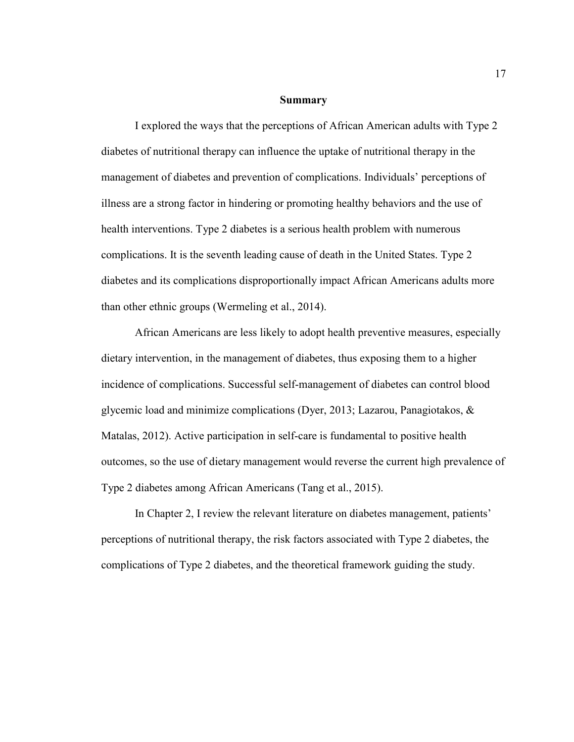#### **Summary**

I explored the ways that the perceptions of African American adults with Type 2 diabetes of nutritional therapy can influence the uptake of nutritional therapy in the management of diabetes and prevention of complications. Individuals' perceptions of illness are a strong factor in hindering or promoting healthy behaviors and the use of health interventions. Type 2 diabetes is a serious health problem with numerous complications. It is the seventh leading cause of death in the United States. Type 2 diabetes and its complications disproportionally impact African Americans adults more than other ethnic groups (Wermeling et al., 2014).

African Americans are less likely to adopt health preventive measures, especially dietary intervention, in the management of diabetes, thus exposing them to a higher incidence of complications. Successful self-management of diabetes can control blood glycemic load and minimize complications (Dyer, 2013; Lazarou, Panagiotakos, & Matalas, 2012). Active participation in self-care is fundamental to positive health outcomes, so the use of dietary management would reverse the current high prevalence of Type 2 diabetes among African Americans (Tang et al., 2015).

In Chapter 2, I review the relevant literature on diabetes management, patients' perceptions of nutritional therapy, the risk factors associated with Type 2 diabetes, the complications of Type 2 diabetes, and the theoretical framework guiding the study.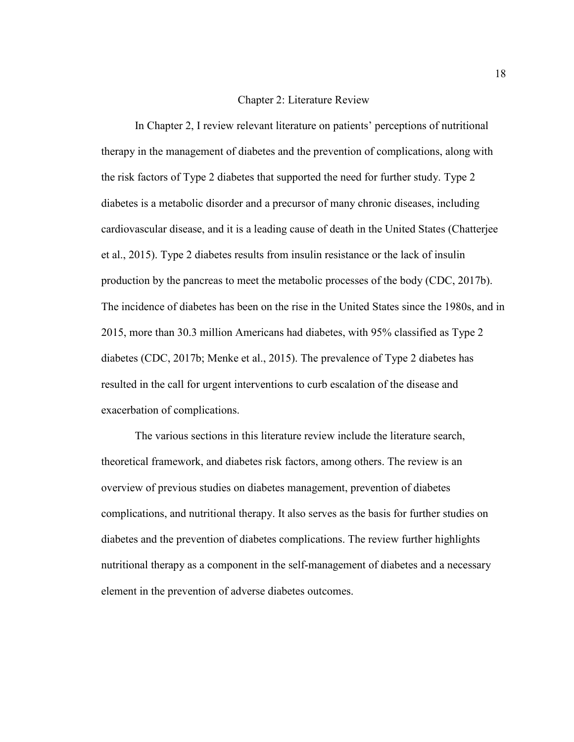#### Chapter 2: Literature Review

In Chapter 2, I review relevant literature on patients' perceptions of nutritional therapy in the management of diabetes and the prevention of complications, along with the risk factors of Type 2 diabetes that supported the need for further study. Type 2 diabetes is a metabolic disorder and a precursor of many chronic diseases, including cardiovascular disease, and it is a leading cause of death in the United States (Chatterjee et al., 2015). Type 2 diabetes results from insulin resistance or the lack of insulin production by the pancreas to meet the metabolic processes of the body (CDC, 2017b). The incidence of diabetes has been on the rise in the United States since the 1980s, and in 2015, more than 30.3 million Americans had diabetes, with 95% classified as Type 2 diabetes (CDC, 2017b; Menke et al., 2015). The prevalence of Type 2 diabetes has resulted in the call for urgent interventions to curb escalation of the disease and exacerbation of complications.

The various sections in this literature review include the literature search, theoretical framework, and diabetes risk factors, among others. The review is an overview of previous studies on diabetes management, prevention of diabetes complications, and nutritional therapy. It also serves as the basis for further studies on diabetes and the prevention of diabetes complications. The review further highlights nutritional therapy as a component in the self-management of diabetes and a necessary element in the prevention of adverse diabetes outcomes.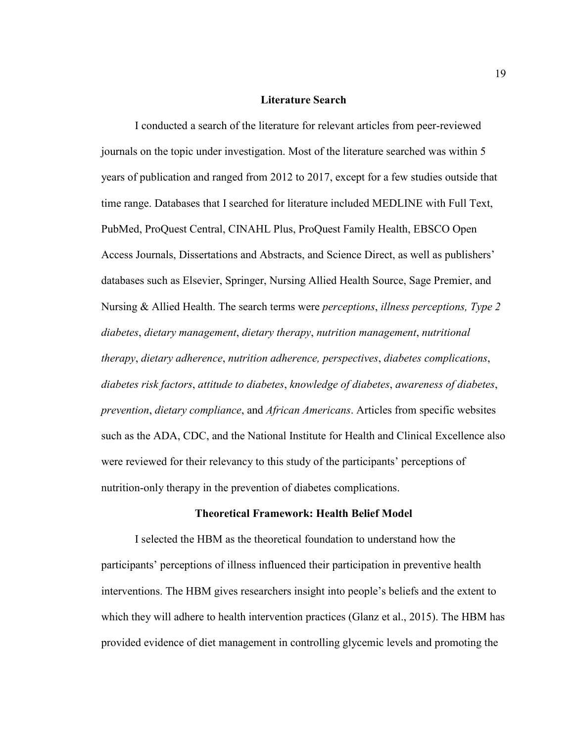#### **Literature Search**

I conducted a search of the literature for relevant articles from peer-reviewed journals on the topic under investigation. Most of the literature searched was within 5 years of publication and ranged from 2012 to 2017, except for a few studies outside that time range. Databases that I searched for literature included MEDLINE with Full Text, PubMed, ProQuest Central, CINAHL Plus, ProQuest Family Health, EBSCO Open Access Journals, Dissertations and Abstracts, and Science Direct, as well as publishers' databases such as Elsevier, Springer, Nursing Allied Health Source, Sage Premier, and Nursing & Allied Health. The search terms were *perceptions*, *illness perceptions, Type 2 diabetes*, *dietary management*, *dietary therapy*, *nutrition management*, *nutritional therapy*, *dietary adherence*, *nutrition adherence, perspectives*, *diabetes complications*, *diabetes risk factors*, *attitude to diabetes*, *knowledge of diabetes*, *awareness of diabetes*, *prevention*, *dietary compliance*, and *African Americans*. Articles from specific websites such as the ADA, CDC, and the National Institute for Health and Clinical Excellence also were reviewed for their relevancy to this study of the participants' perceptions of nutrition-only therapy in the prevention of diabetes complications.

#### **Theoretical Framework: Health Belief Model**

I selected the HBM as the theoretical foundation to understand how the participants' perceptions of illness influenced their participation in preventive health interventions. The HBM gives researchers insight into people's beliefs and the extent to which they will adhere to health intervention practices (Glanz et al., 2015). The HBM has provided evidence of diet management in controlling glycemic levels and promoting the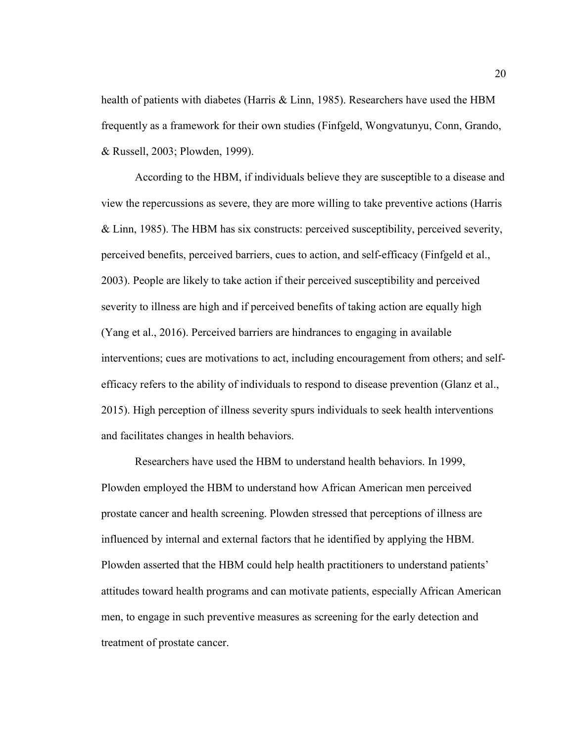health of patients with diabetes (Harris & Linn, 1985). Researchers have used the HBM frequently as a framework for their own studies (Finfgeld, Wongvatunyu, Conn, Grando, & Russell, 2003; Plowden, 1999).

According to the HBM, if individuals believe they are susceptible to a disease and view the repercussions as severe, they are more willing to take preventive actions (Harris & Linn, 1985). The HBM has six constructs: perceived susceptibility, perceived severity, perceived benefits, perceived barriers, cues to action, and self-efficacy (Finfgeld et al., 2003). People are likely to take action if their perceived susceptibility and perceived severity to illness are high and if perceived benefits of taking action are equally high (Yang et al., 2016). Perceived barriers are hindrances to engaging in available interventions; cues are motivations to act, including encouragement from others; and selfefficacy refers to the ability of individuals to respond to disease prevention (Glanz et al., 2015). High perception of illness severity spurs individuals to seek health interventions and facilitates changes in health behaviors.

Researchers have used the HBM to understand health behaviors. In 1999, Plowden employed the HBM to understand how African American men perceived prostate cancer and health screening. Plowden stressed that perceptions of illness are influenced by internal and external factors that he identified by applying the HBM. Plowden asserted that the HBM could help health practitioners to understand patients' attitudes toward health programs and can motivate patients, especially African American men, to engage in such preventive measures as screening for the early detection and treatment of prostate cancer.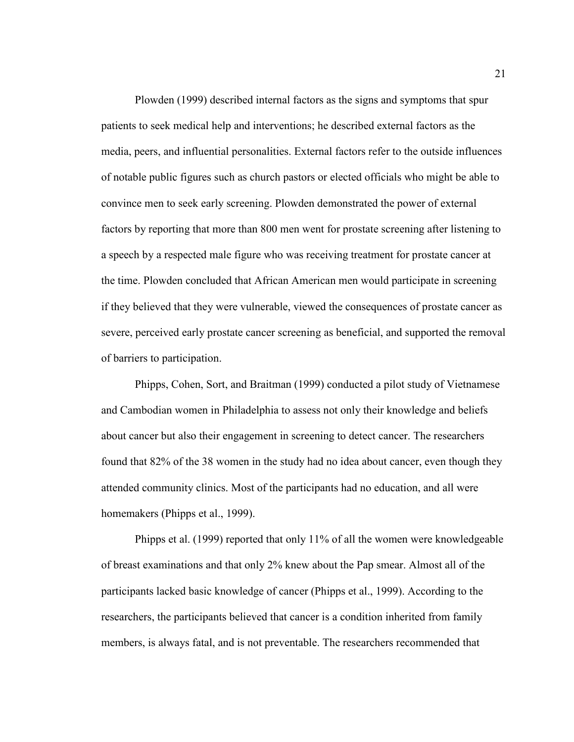Plowden (1999) described internal factors as the signs and symptoms that spur patients to seek medical help and interventions; he described external factors as the media, peers, and influential personalities. External factors refer to the outside influences of notable public figures such as church pastors or elected officials who might be able to convince men to seek early screening. Plowden demonstrated the power of external factors by reporting that more than 800 men went for prostate screening after listening to a speech by a respected male figure who was receiving treatment for prostate cancer at the time. Plowden concluded that African American men would participate in screening if they believed that they were vulnerable, viewed the consequences of prostate cancer as severe, perceived early prostate cancer screening as beneficial, and supported the removal of barriers to participation.

Phipps, Cohen, Sort, and Braitman (1999) conducted a pilot study of Vietnamese and Cambodian women in Philadelphia to assess not only their knowledge and beliefs about cancer but also their engagement in screening to detect cancer. The researchers found that 82% of the 38 women in the study had no idea about cancer, even though they attended community clinics. Most of the participants had no education, and all were homemakers (Phipps et al., 1999).

Phipps et al. (1999) reported that only 11% of all the women were knowledgeable of breast examinations and that only 2% knew about the Pap smear. Almost all of the participants lacked basic knowledge of cancer (Phipps et al., 1999). According to the researchers, the participants believed that cancer is a condition inherited from family members, is always fatal, and is not preventable. The researchers recommended that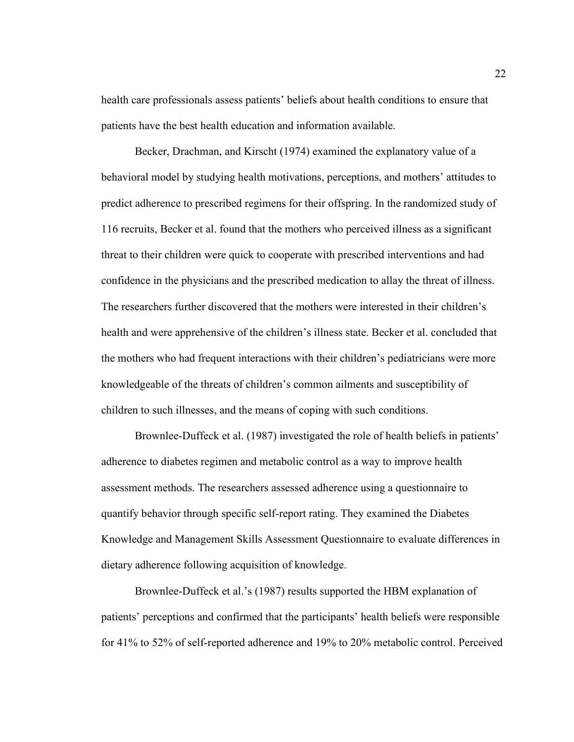health care professionals assess patients' beliefs about health conditions to ensure that patients have the best health education and information available.

 Becker, Drachman, and Kirscht (1974) examined the explanatory value of a behavioral model by studying health motivations, perceptions, and mothers' attitudes to predict adherence to prescribed regimens for their offspring. In the randomized study of 116 recruits, Becker et al. found that the mothers who perceived illness as a significant threat to their children were quick to cooperate with prescribed interventions and had confidence in the physicians and the prescribed medication to allay the threat of illness. The researchers further discovered that the mothers were interested in their children's health and were apprehensive of the children's illness state. Becker et al. concluded that the mothers who had frequent interactions with their children's pediatricians were more knowledgeable of the threats of children's common ailments and susceptibility of children to such illnesses, and the means of coping with such conditions.

 Brownlee-Duffeck et al. (1987) investigated the role of health beliefs in patients' adherence to diabetes regimen and metabolic control as a way to improve health assessment methods. The researchers assessed adherence using a questionnaire to quantify behavior through specific self-report rating. They examined the Diabetes Knowledge and Management Skills Assessment Questionnaire to evaluate differences in dietary adherence following acquisition of knowledge.

Brownlee-Duffeck et al.'s (1987) results supported the HBM explanation of patients' perceptions and confirmed that the participants' health beliefs were responsible for 41% to 52% of self-reported adherence and 19% to 20% metabolic control. Perceived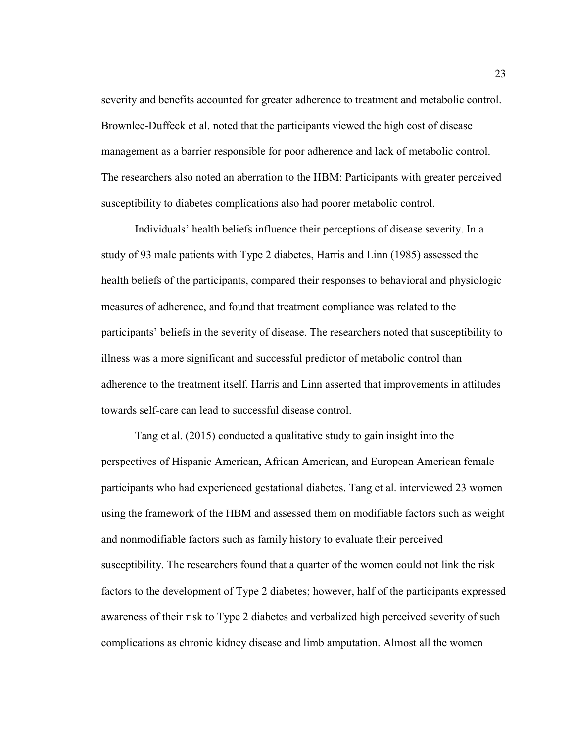severity and benefits accounted for greater adherence to treatment and metabolic control. Brownlee-Duffeck et al. noted that the participants viewed the high cost of disease management as a barrier responsible for poor adherence and lack of metabolic control. The researchers also noted an aberration to the HBM: Participants with greater perceived susceptibility to diabetes complications also had poorer metabolic control.

 Individuals' health beliefs influence their perceptions of disease severity. In a study of 93 male patients with Type 2 diabetes, Harris and Linn (1985) assessed the health beliefs of the participants, compared their responses to behavioral and physiologic measures of adherence, and found that treatment compliance was related to the participants' beliefs in the severity of disease. The researchers noted that susceptibility to illness was a more significant and successful predictor of metabolic control than adherence to the treatment itself. Harris and Linn asserted that improvements in attitudes towards self-care can lead to successful disease control.

Tang et al. (2015) conducted a qualitative study to gain insight into the perspectives of Hispanic American, African American, and European American female participants who had experienced gestational diabetes. Tang et al. interviewed 23 women using the framework of the HBM and assessed them on modifiable factors such as weight and nonmodifiable factors such as family history to evaluate their perceived susceptibility. The researchers found that a quarter of the women could not link the risk factors to the development of Type 2 diabetes; however, half of the participants expressed awareness of their risk to Type 2 diabetes and verbalized high perceived severity of such complications as chronic kidney disease and limb amputation. Almost all the women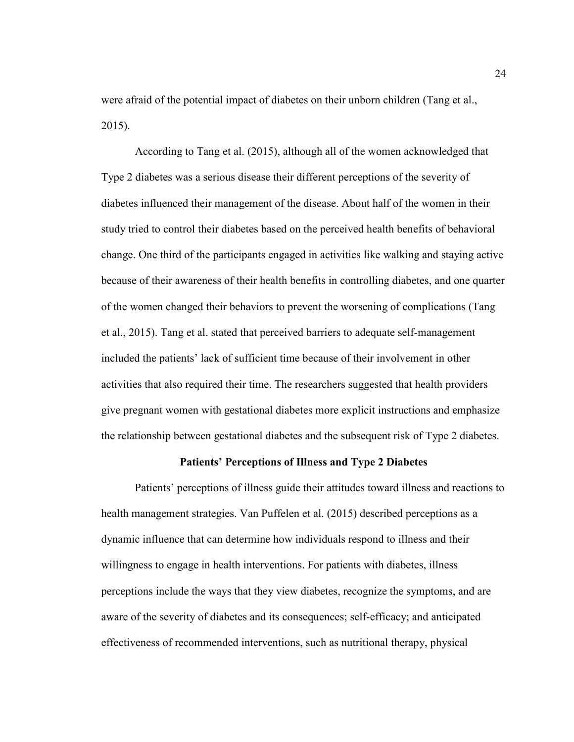were afraid of the potential impact of diabetes on their unborn children (Tang et al., 2015).

 According to Tang et al. (2015), although all of the women acknowledged that Type 2 diabetes was a serious disease their different perceptions of the severity of diabetes influenced their management of the disease. About half of the women in their study tried to control their diabetes based on the perceived health benefits of behavioral change. One third of the participants engaged in activities like walking and staying active because of their awareness of their health benefits in controlling diabetes, and one quarter of the women changed their behaviors to prevent the worsening of complications (Tang et al., 2015). Tang et al. stated that perceived barriers to adequate self-management included the patients' lack of sufficient time because of their involvement in other activities that also required their time. The researchers suggested that health providers give pregnant women with gestational diabetes more explicit instructions and emphasize the relationship between gestational diabetes and the subsequent risk of Type 2 diabetes.

## **Patients' Perceptions of Illness and Type 2 Diabetes**

Patients' perceptions of illness guide their attitudes toward illness and reactions to health management strategies. Van Puffelen et al. (2015) described perceptions as a dynamic influence that can determine how individuals respond to illness and their willingness to engage in health interventions. For patients with diabetes, illness perceptions include the ways that they view diabetes, recognize the symptoms, and are aware of the severity of diabetes and its consequences; self-efficacy; and anticipated effectiveness of recommended interventions, such as nutritional therapy, physical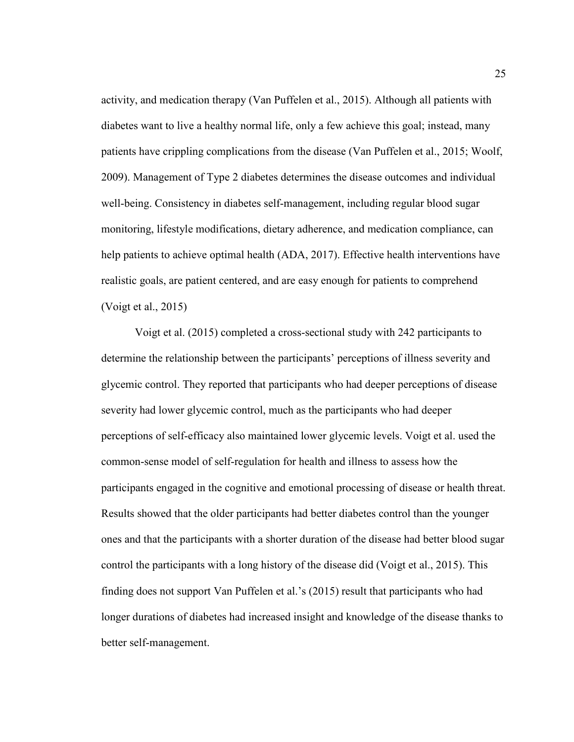activity, and medication therapy (Van Puffelen et al., 2015). Although all patients with diabetes want to live a healthy normal life, only a few achieve this goal; instead, many patients have crippling complications from the disease (Van Puffelen et al., 2015; Woolf, 2009). Management of Type 2 diabetes determines the disease outcomes and individual well-being. Consistency in diabetes self-management, including regular blood sugar monitoring, lifestyle modifications, dietary adherence, and medication compliance, can help patients to achieve optimal health (ADA, 2017). Effective health interventions have realistic goals, are patient centered, and are easy enough for patients to comprehend (Voigt et al., 2015)

Voigt et al. (2015) completed a cross-sectional study with 242 participants to determine the relationship between the participants' perceptions of illness severity and glycemic control. They reported that participants who had deeper perceptions of disease severity had lower glycemic control, much as the participants who had deeper perceptions of self-efficacy also maintained lower glycemic levels. Voigt et al. used the common-sense model of self-regulation for health and illness to assess how the participants engaged in the cognitive and emotional processing of disease or health threat. Results showed that the older participants had better diabetes control than the younger ones and that the participants with a shorter duration of the disease had better blood sugar control the participants with a long history of the disease did (Voigt et al., 2015). This finding does not support Van Puffelen et al.'s (2015) result that participants who had longer durations of diabetes had increased insight and knowledge of the disease thanks to better self-management.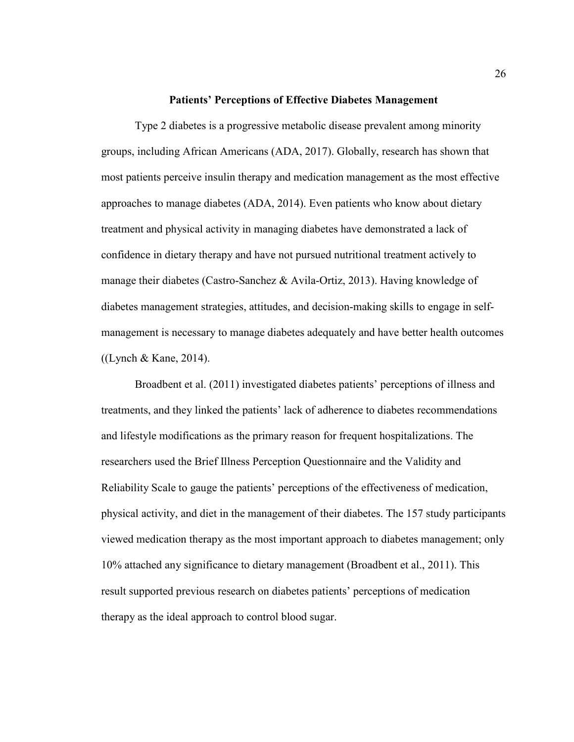### **Patients' Perceptions of Effective Diabetes Management**

 Type 2 diabetes is a progressive metabolic disease prevalent among minority groups, including African Americans (ADA, 2017). Globally, research has shown that most patients perceive insulin therapy and medication management as the most effective approaches to manage diabetes (ADA, 2014). Even patients who know about dietary treatment and physical activity in managing diabetes have demonstrated a lack of confidence in dietary therapy and have not pursued nutritional treatment actively to manage their diabetes (Castro-Sanchez & Avila-Ortiz, 2013). Having knowledge of diabetes management strategies, attitudes, and decision-making skills to engage in selfmanagement is necessary to manage diabetes adequately and have better health outcomes ((Lynch & Kane, 2014).

Broadbent et al. (2011) investigated diabetes patients' perceptions of illness and treatments, and they linked the patients' lack of adherence to diabetes recommendations and lifestyle modifications as the primary reason for frequent hospitalizations. The researchers used the Brief Illness Perception Questionnaire and the Validity and Reliability Scale to gauge the patients' perceptions of the effectiveness of medication, physical activity, and diet in the management of their diabetes. The 157 study participants viewed medication therapy as the most important approach to diabetes management; only 10% attached any significance to dietary management (Broadbent et al., 2011). This result supported previous research on diabetes patients' perceptions of medication therapy as the ideal approach to control blood sugar.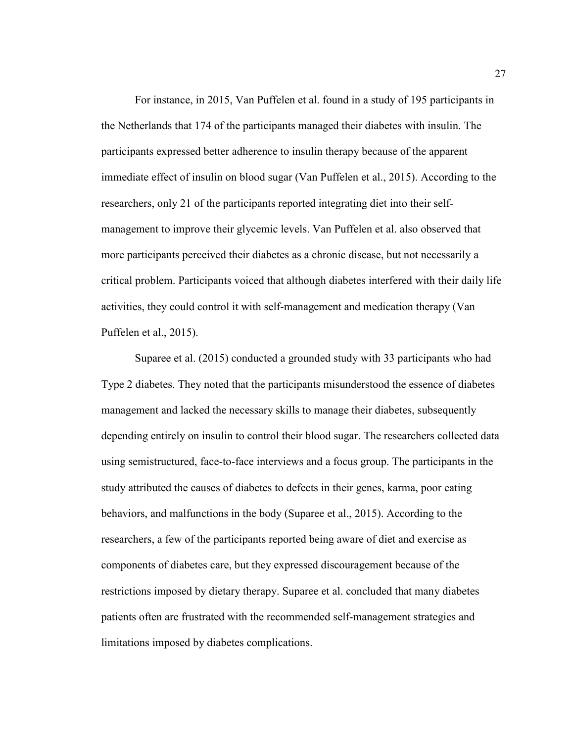For instance, in 2015, Van Puffelen et al. found in a study of 195 participants in the Netherlands that 174 of the participants managed their diabetes with insulin. The participants expressed better adherence to insulin therapy because of the apparent immediate effect of insulin on blood sugar (Van Puffelen et al., 2015). According to the researchers, only 21 of the participants reported integrating diet into their selfmanagement to improve their glycemic levels. Van Puffelen et al. also observed that more participants perceived their diabetes as a chronic disease, but not necessarily a critical problem. Participants voiced that although diabetes interfered with their daily life activities, they could control it with self-management and medication therapy (Van Puffelen et al., 2015).

Suparee et al. (2015) conducted a grounded study with 33 participants who had Type 2 diabetes. They noted that the participants misunderstood the essence of diabetes management and lacked the necessary skills to manage their diabetes, subsequently depending entirely on insulin to control their blood sugar. The researchers collected data using semistructured, face-to-face interviews and a focus group. The participants in the study attributed the causes of diabetes to defects in their genes, karma, poor eating behaviors, and malfunctions in the body (Suparee et al., 2015). According to the researchers, a few of the participants reported being aware of diet and exercise as components of diabetes care, but they expressed discouragement because of the restrictions imposed by dietary therapy. Suparee et al. concluded that many diabetes patients often are frustrated with the recommended self-management strategies and limitations imposed by diabetes complications.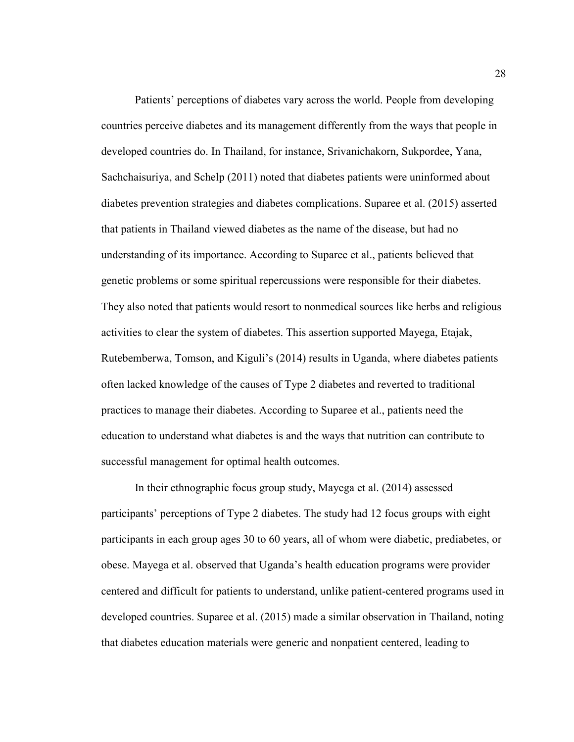Patients' perceptions of diabetes vary across the world. People from developing countries perceive diabetes and its management differently from the ways that people in developed countries do. In Thailand, for instance, Srivanichakorn, Sukpordee, Yana, Sachchaisuriya, and Schelp (2011) noted that diabetes patients were uninformed about diabetes prevention strategies and diabetes complications. Suparee et al. (2015) asserted that patients in Thailand viewed diabetes as the name of the disease, but had no understanding of its importance. According to Suparee et al., patients believed that genetic problems or some spiritual repercussions were responsible for their diabetes. They also noted that patients would resort to nonmedical sources like herbs and religious activities to clear the system of diabetes. This assertion supported Mayega, Etajak, Rutebemberwa, Tomson, and Kiguli's (2014) results in Uganda, where diabetes patients often lacked knowledge of the causes of Type 2 diabetes and reverted to traditional practices to manage their diabetes. According to Suparee et al., patients need the education to understand what diabetes is and the ways that nutrition can contribute to successful management for optimal health outcomes.

In their ethnographic focus group study, Mayega et al. (2014) assessed participants' perceptions of Type 2 diabetes. The study had 12 focus groups with eight participants in each group ages 30 to 60 years, all of whom were diabetic, prediabetes, or obese. Mayega et al. observed that Uganda's health education programs were provider centered and difficult for patients to understand, unlike patient-centered programs used in developed countries. Suparee et al. (2015) made a similar observation in Thailand, noting that diabetes education materials were generic and nonpatient centered, leading to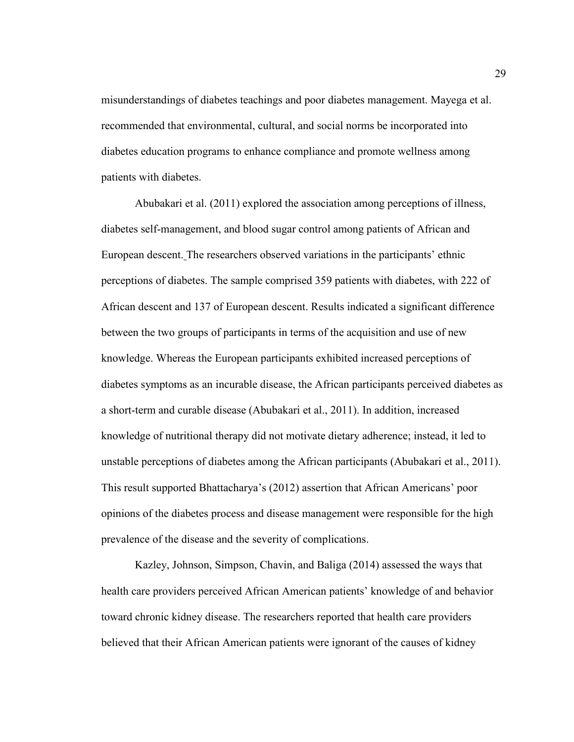misunderstandings of diabetes teachings and poor diabetes management. Mayega et al. recommended that environmental, cultural, and social norms be incorporated into diabetes education programs to enhance compliance and promote wellness among patients with diabetes.

Abubakari et al. (2011) explored the association among perceptions of illness, diabetes self-management, and blood sugar control among patients of African and European descent. The researchers observed variations in the participants' ethnic perceptions of diabetes. The sample comprised 359 patients with diabetes, with 222 of African descent and 137 of European descent. Results indicated a significant difference between the two groups of participants in terms of the acquisition and use of new knowledge. Whereas the European participants exhibited increased perceptions of diabetes symptoms as an incurable disease, the African participants perceived diabetes as a short-term and curable disease (Abubakari et al., 2011). In addition, increased knowledge of nutritional therapy did not motivate dietary adherence; instead, it led to unstable perceptions of diabetes among the African participants (Abubakari et al., 2011). This result supported Bhattacharya's (2012) assertion that African Americans' poor opinions of the diabetes process and disease management were responsible for the high prevalence of the disease and the severity of complications.

Kazley, Johnson, Simpson, Chavin, and Baliga (2014) assessed the ways that health care providers perceived African American patients' knowledge of and behavior toward chronic kidney disease. The researchers reported that health care providers believed that their African American patients were ignorant of the causes of kidney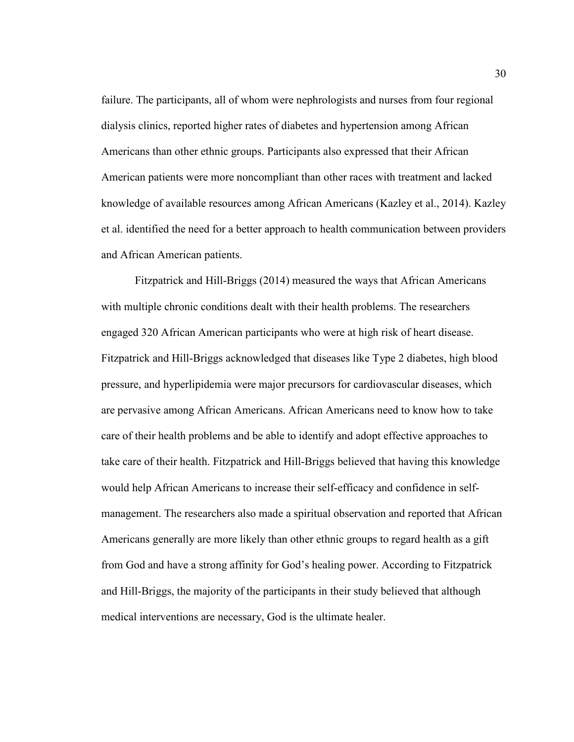failure. The participants, all of whom were nephrologists and nurses from four regional dialysis clinics, reported higher rates of diabetes and hypertension among African Americans than other ethnic groups. Participants also expressed that their African American patients were more noncompliant than other races with treatment and lacked knowledge of available resources among African Americans (Kazley et al., 2014). Kazley et al. identified the need for a better approach to health communication between providers and African American patients.

Fitzpatrick and Hill-Briggs (2014) measured the ways that African Americans with multiple chronic conditions dealt with their health problems. The researchers engaged 320 African American participants who were at high risk of heart disease. Fitzpatrick and Hill-Briggs acknowledged that diseases like Type 2 diabetes, high blood pressure, and hyperlipidemia were major precursors for cardiovascular diseases, which are pervasive among African Americans. African Americans need to know how to take care of their health problems and be able to identify and adopt effective approaches to take care of their health. Fitzpatrick and Hill-Briggs believed that having this knowledge would help African Americans to increase their self-efficacy and confidence in selfmanagement. The researchers also made a spiritual observation and reported that African Americans generally are more likely than other ethnic groups to regard health as a gift from God and have a strong affinity for God's healing power. According to Fitzpatrick and Hill-Briggs, the majority of the participants in their study believed that although medical interventions are necessary, God is the ultimate healer.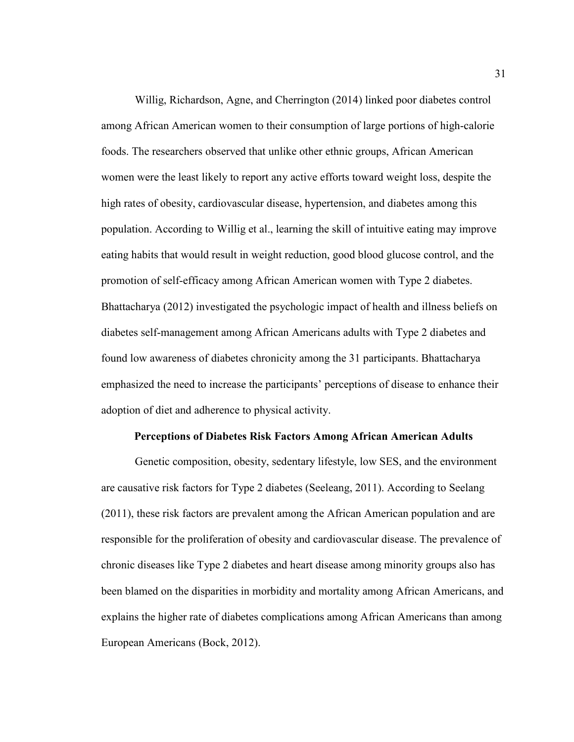Willig, Richardson, Agne, and Cherrington (2014) linked poor diabetes control among African American women to their consumption of large portions of high-calorie foods. The researchers observed that unlike other ethnic groups, African American women were the least likely to report any active efforts toward weight loss, despite the high rates of obesity, cardiovascular disease, hypertension, and diabetes among this population. According to Willig et al., learning the skill of intuitive eating may improve eating habits that would result in weight reduction, good blood glucose control, and the promotion of self-efficacy among African American women with Type 2 diabetes. Bhattacharya (2012) investigated the psychologic impact of health and illness beliefs on diabetes self-management among African Americans adults with Type 2 diabetes and found low awareness of diabetes chronicity among the 31 participants. Bhattacharya emphasized the need to increase the participants' perceptions of disease to enhance their adoption of diet and adherence to physical activity.

### **Perceptions of Diabetes Risk Factors Among African American Adults**

 Genetic composition, obesity, sedentary lifestyle, low SES, and the environment are causative risk factors for Type 2 diabetes (Seeleang, 2011). According to Seelang (2011), these risk factors are prevalent among the African American population and are responsible for the proliferation of obesity and cardiovascular disease. The prevalence of chronic diseases like Type 2 diabetes and heart disease among minority groups also has been blamed on the disparities in morbidity and mortality among African Americans, and explains the higher rate of diabetes complications among African Americans than among European Americans (Bock, 2012).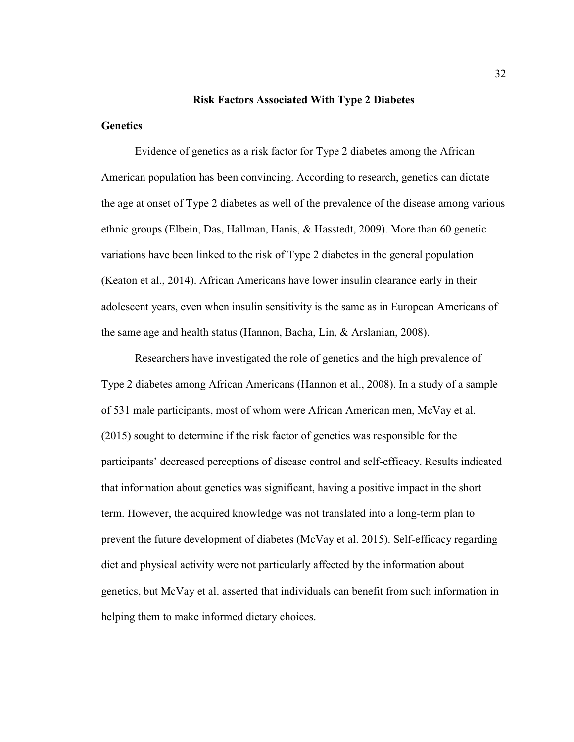### **Risk Factors Associated With Type 2 Diabetes**

# **Genetics**

Evidence of genetics as a risk factor for Type 2 diabetes among the African American population has been convincing. According to research, genetics can dictate the age at onset of Type 2 diabetes as well of the prevalence of the disease among various ethnic groups (Elbein, Das, Hallman, Hanis, & Hasstedt, 2009). More than 60 genetic variations have been linked to the risk of Type 2 diabetes in the general population (Keaton et al., 2014). African Americans have lower insulin clearance early in their adolescent years, even when insulin sensitivity is the same as in European Americans of the same age and health status (Hannon, Bacha, Lin, & Arslanian, 2008).

Researchers have investigated the role of genetics and the high prevalence of Type 2 diabetes among African Americans (Hannon et al., 2008). In a study of a sample of 531 male participants, most of whom were African American men, McVay et al. (2015) sought to determine if the risk factor of genetics was responsible for the participants' decreased perceptions of disease control and self-efficacy. Results indicated that information about genetics was significant, having a positive impact in the short term. However, the acquired knowledge was not translated into a long-term plan to prevent the future development of diabetes (McVay et al. 2015). Self-efficacy regarding diet and physical activity were not particularly affected by the information about genetics, but McVay et al. asserted that individuals can benefit from such information in helping them to make informed dietary choices.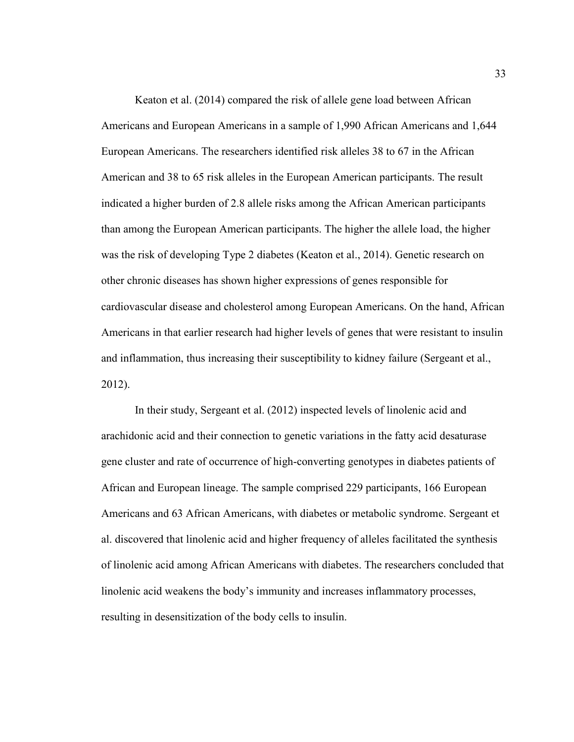Keaton et al. (2014) compared the risk of allele gene load between African Americans and European Americans in a sample of 1,990 African Americans and 1,644 European Americans. The researchers identified risk alleles 38 to 67 in the African American and 38 to 65 risk alleles in the European American participants. The result indicated a higher burden of 2.8 allele risks among the African American participants than among the European American participants. The higher the allele load, the higher was the risk of developing Type 2 diabetes (Keaton et al., 2014). Genetic research on other chronic diseases has shown higher expressions of genes responsible for cardiovascular disease and cholesterol among European Americans. On the hand, African Americans in that earlier research had higher levels of genes that were resistant to insulin and inflammation, thus increasing their susceptibility to kidney failure (Sergeant et al., 2012).

In their study, Sergeant et al. (2012) inspected levels of linolenic acid and arachidonic acid and their connection to genetic variations in the fatty acid desaturase gene cluster and rate of occurrence of high-converting genotypes in diabetes patients of African and European lineage. The sample comprised 229 participants, 166 European Americans and 63 African Americans, with diabetes or metabolic syndrome. Sergeant et al. discovered that linolenic acid and higher frequency of alleles facilitated the synthesis of linolenic acid among African Americans with diabetes. The researchers concluded that linolenic acid weakens the body's immunity and increases inflammatory processes, resulting in desensitization of the body cells to insulin.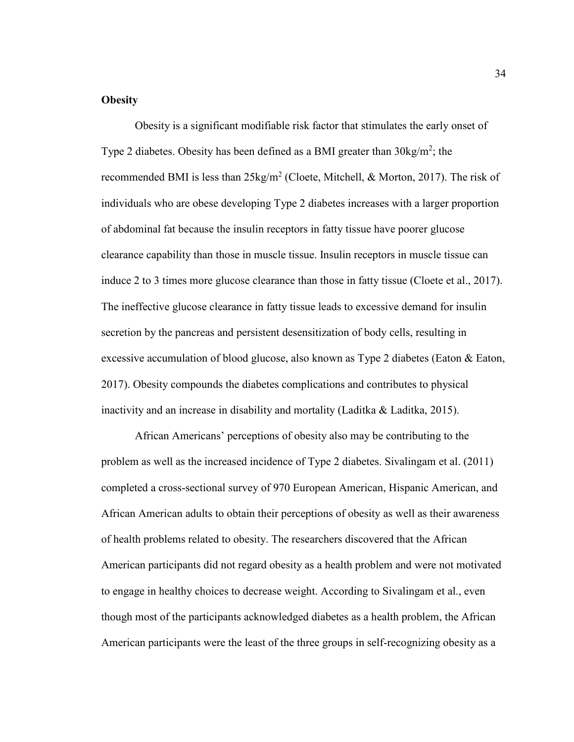# **Obesity**

 Obesity is a significant modifiable risk factor that stimulates the early onset of Type 2 diabetes. Obesity has been defined as a BMI greater than  $30\text{kg/m}^2$ ; the recommended BMI is less than  $25\text{kg/m}^2$  (Cloete, Mitchell, & Morton, 2017). The risk of individuals who are obese developing Type 2 diabetes increases with a larger proportion of abdominal fat because the insulin receptors in fatty tissue have poorer glucose clearance capability than those in muscle tissue. Insulin receptors in muscle tissue can induce 2 to 3 times more glucose clearance than those in fatty tissue (Cloete et al., 2017). The ineffective glucose clearance in fatty tissue leads to excessive demand for insulin secretion by the pancreas and persistent desensitization of body cells, resulting in excessive accumulation of blood glucose, also known as Type 2 diabetes (Eaton & Eaton, 2017). Obesity compounds the diabetes complications and contributes to physical inactivity and an increase in disability and mortality (Laditka & Laditka, 2015).

 African Americans' perceptions of obesity also may be contributing to the problem as well as the increased incidence of Type 2 diabetes. Sivalingam et al. (2011) completed a cross-sectional survey of 970 European American, Hispanic American, and African American adults to obtain their perceptions of obesity as well as their awareness of health problems related to obesity. The researchers discovered that the African American participants did not regard obesity as a health problem and were not motivated to engage in healthy choices to decrease weight. According to Sivalingam et al., even though most of the participants acknowledged diabetes as a health problem, the African American participants were the least of the three groups in self-recognizing obesity as a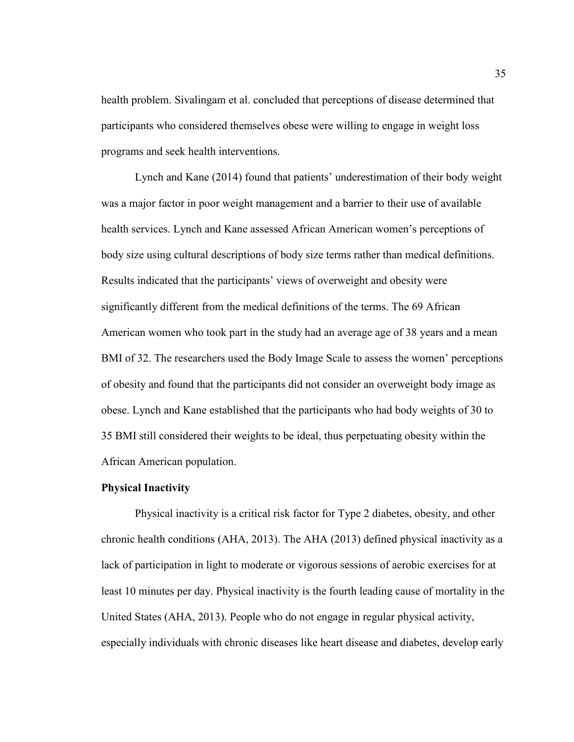health problem. Sivalingam et al. concluded that perceptions of disease determined that participants who considered themselves obese were willing to engage in weight loss programs and seek health interventions.

Lynch and Kane (2014) found that patients' underestimation of their body weight was a major factor in poor weight management and a barrier to their use of available health services. Lynch and Kane assessed African American women's perceptions of body size using cultural descriptions of body size terms rather than medical definitions. Results indicated that the participants' views of overweight and obesity were significantly different from the medical definitions of the terms. The 69 African American women who took part in the study had an average age of 38 years and a mean BMI of 32. The researchers used the Body Image Scale to assess the women' perceptions of obesity and found that the participants did not consider an overweight body image as obese. Lynch and Kane established that the participants who had body weights of 30 to 35 BMI still considered their weights to be ideal, thus perpetuating obesity within the African American population.

## **Physical Inactivity**

Physical inactivity is a critical risk factor for Type 2 diabetes, obesity, and other chronic health conditions (AHA, 2013). The AHA (2013) defined physical inactivity as a lack of participation in light to moderate or vigorous sessions of aerobic exercises for at least 10 minutes per day. Physical inactivity is the fourth leading cause of mortality in the United States (AHA, 2013). People who do not engage in regular physical activity, especially individuals with chronic diseases like heart disease and diabetes, develop early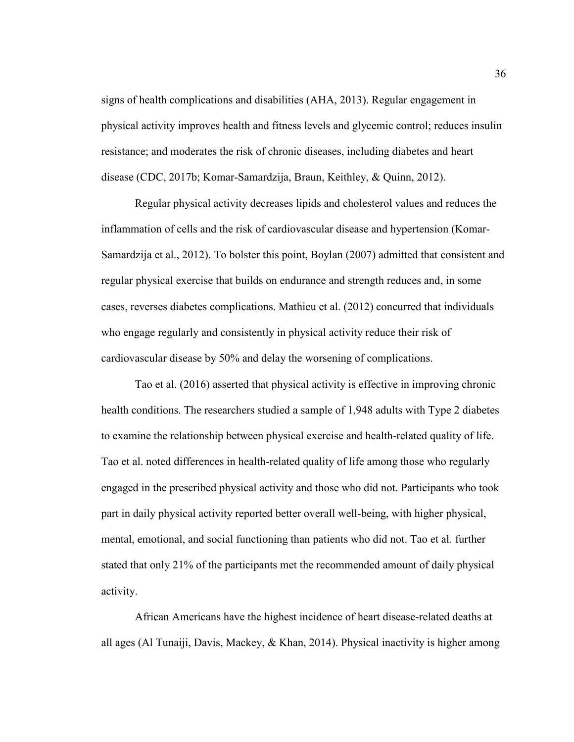signs of health complications and disabilities (AHA, 2013). Regular engagement in physical activity improves health and fitness levels and glycemic control; reduces insulin resistance; and moderates the risk of chronic diseases, including diabetes and heart disease (CDC, 2017b; Komar-Samardzija, Braun, Keithley, & Quinn, 2012).

Regular physical activity decreases lipids and cholesterol values and reduces the inflammation of cells and the risk of cardiovascular disease and hypertension (Komar-Samardzija et al., 2012). To bolster this point, Boylan (2007) admitted that consistent and regular physical exercise that builds on endurance and strength reduces and, in some cases, reverses diabetes complications. Mathieu et al. (2012) concurred that individuals who engage regularly and consistently in physical activity reduce their risk of cardiovascular disease by 50% and delay the worsening of complications.

Tao et al. (2016) asserted that physical activity is effective in improving chronic health conditions. The researchers studied a sample of 1,948 adults with Type 2 diabetes to examine the relationship between physical exercise and health-related quality of life. Tao et al. noted differences in health-related quality of life among those who regularly engaged in the prescribed physical activity and those who did not. Participants who took part in daily physical activity reported better overall well-being, with higher physical, mental, emotional, and social functioning than patients who did not. Tao et al. further stated that only 21% of the participants met the recommended amount of daily physical activity.

African Americans have the highest incidence of heart disease-related deaths at all ages (Al Tunaiji, Davis, Mackey, & Khan, 2014). Physical inactivity is higher among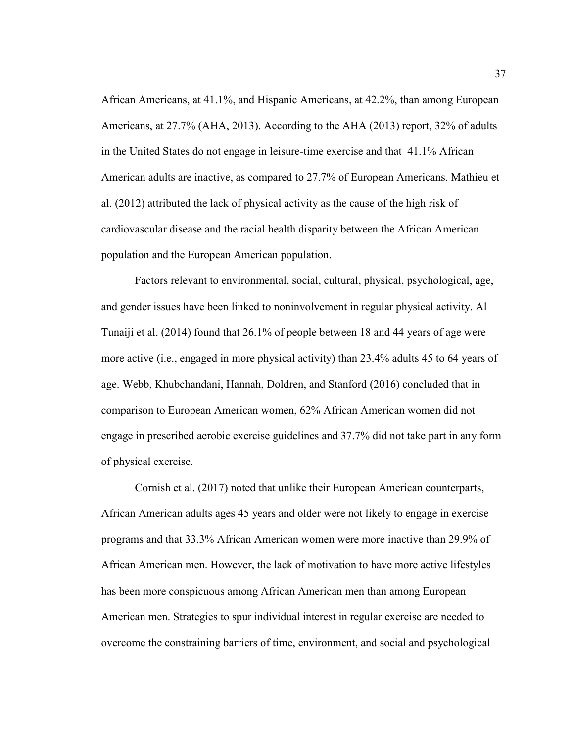African Americans, at 41.1%, and Hispanic Americans, at 42.2%, than among European Americans, at 27.7% (AHA, 2013). According to the AHA (2013) report, 32% of adults in the United States do not engage in leisure-time exercise and that 41.1% African American adults are inactive, as compared to 27.7% of European Americans. Mathieu et al. (2012) attributed the lack of physical activity as the cause of the high risk of cardiovascular disease and the racial health disparity between the African American population and the European American population.

Factors relevant to environmental, social, cultural, physical, psychological, age, and gender issues have been linked to noninvolvement in regular physical activity. Al Tunaiji et al. (2014) found that 26.1% of people between 18 and 44 years of age were more active (i.e., engaged in more physical activity) than 23.4% adults 45 to 64 years of age. Webb, Khubchandani, Hannah, Doldren, and Stanford (2016) concluded that in comparison to European American women, 62% African American women did not engage in prescribed aerobic exercise guidelines and 37.7% did not take part in any form of physical exercise.

Cornish et al. (2017) noted that unlike their European American counterparts, African American adults ages 45 years and older were not likely to engage in exercise programs and that 33.3% African American women were more inactive than 29.9% of African American men. However, the lack of motivation to have more active lifestyles has been more conspicuous among African American men than among European American men. Strategies to spur individual interest in regular exercise are needed to overcome the constraining barriers of time, environment, and social and psychological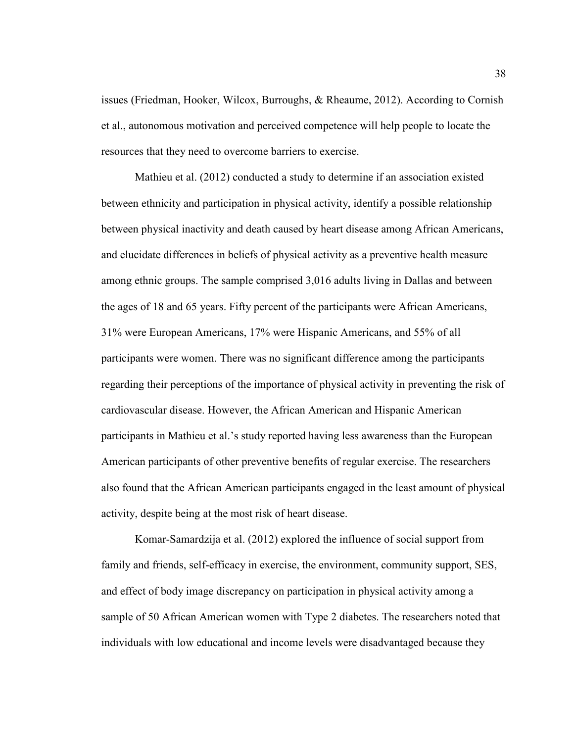issues (Friedman, Hooker, Wilcox, Burroughs, & Rheaume, 2012). According to Cornish et al., autonomous motivation and perceived competence will help people to locate the resources that they need to overcome barriers to exercise.

Mathieu et al. (2012) conducted a study to determine if an association existed between ethnicity and participation in physical activity, identify a possible relationship between physical inactivity and death caused by heart disease among African Americans, and elucidate differences in beliefs of physical activity as a preventive health measure among ethnic groups. The sample comprised 3,016 adults living in Dallas and between the ages of 18 and 65 years. Fifty percent of the participants were African Americans, 31% were European Americans, 17% were Hispanic Americans, and 55% of all participants were women. There was no significant difference among the participants regarding their perceptions of the importance of physical activity in preventing the risk of cardiovascular disease. However, the African American and Hispanic American participants in Mathieu et al.'s study reported having less awareness than the European American participants of other preventive benefits of regular exercise. The researchers also found that the African American participants engaged in the least amount of physical activity, despite being at the most risk of heart disease.

Komar-Samardzija et al. (2012) explored the influence of social support from family and friends, self-efficacy in exercise, the environment, community support, SES, and effect of body image discrepancy on participation in physical activity among a sample of 50 African American women with Type 2 diabetes. The researchers noted that individuals with low educational and income levels were disadvantaged because they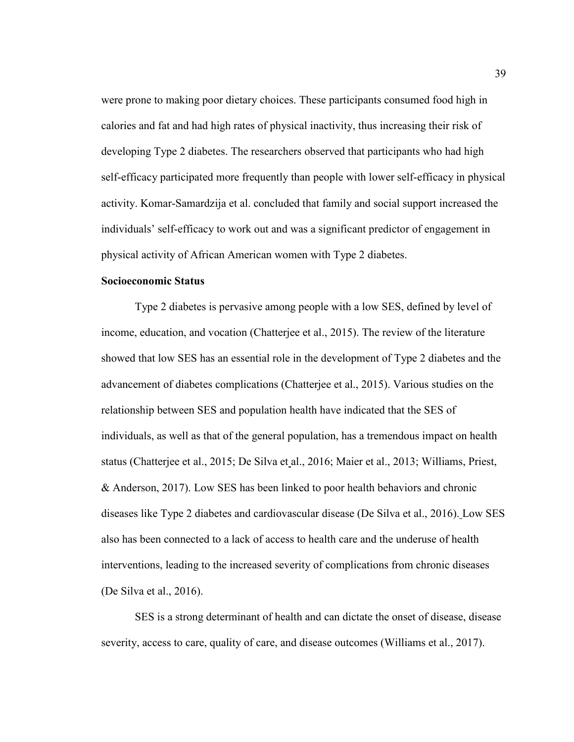were prone to making poor dietary choices. These participants consumed food high in calories and fat and had high rates of physical inactivity, thus increasing their risk of developing Type 2 diabetes. The researchers observed that participants who had high self-efficacy participated more frequently than people with lower self-efficacy in physical activity. Komar-Samardzija et al. concluded that family and social support increased the individuals' self-efficacy to work out and was a significant predictor of engagement in physical activity of African American women with Type 2 diabetes.

## **Socioeconomic Status**

Type 2 diabetes is pervasive among people with a low SES, defined by level of income, education, and vocation (Chatterjee et al., 2015). The review of the literature showed that low SES has an essential role in the development of Type 2 diabetes and the advancement of diabetes complications (Chatterjee et al., 2015). Various studies on the relationship between SES and population health have indicated that the SES of individuals, as well as that of the general population, has a tremendous impact on health status (Chatterjee et al., 2015; De Silva et al., 2016; Maier et al., 2013; Williams, Priest, & Anderson, 2017). Low SES has been linked to poor health behaviors and chronic diseases like Type 2 diabetes and cardiovascular disease (De Silva et al., 2016). Low SES also has been connected to a lack of access to health care and the underuse of health interventions, leading to the increased severity of complications from chronic diseases (De Silva et al., 2016).

SES is a strong determinant of health and can dictate the onset of disease, disease severity, access to care, quality of care, and disease outcomes (Williams et al., 2017).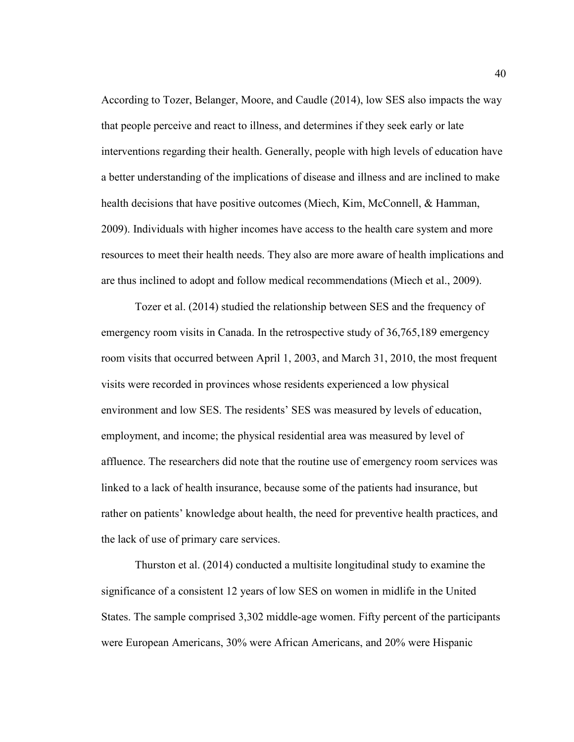According to Tozer, Belanger, Moore, and Caudle (2014), low SES also impacts the way that people perceive and react to illness, and determines if they seek early or late interventions regarding their health. Generally, people with high levels of education have a better understanding of the implications of disease and illness and are inclined to make health decisions that have positive outcomes (Miech, Kim, McConnell, & Hamman, 2009). Individuals with higher incomes have access to the health care system and more resources to meet their health needs. They also are more aware of health implications and are thus inclined to adopt and follow medical recommendations (Miech et al., 2009).

Tozer et al. (2014) studied the relationship between SES and the frequency of emergency room visits in Canada. In the retrospective study of 36,765,189 emergency room visits that occurred between April 1, 2003, and March 31, 2010, the most frequent visits were recorded in provinces whose residents experienced a low physical environment and low SES. The residents' SES was measured by levels of education, employment, and income; the physical residential area was measured by level of affluence. The researchers did note that the routine use of emergency room services was linked to a lack of health insurance, because some of the patients had insurance, but rather on patients' knowledge about health, the need for preventive health practices, and the lack of use of primary care services.

Thurston et al. (2014) conducted a multisite longitudinal study to examine the significance of a consistent 12 years of low SES on women in midlife in the United States. The sample comprised 3,302 middle-age women. Fifty percent of the participants were European Americans, 30% were African Americans, and 20% were Hispanic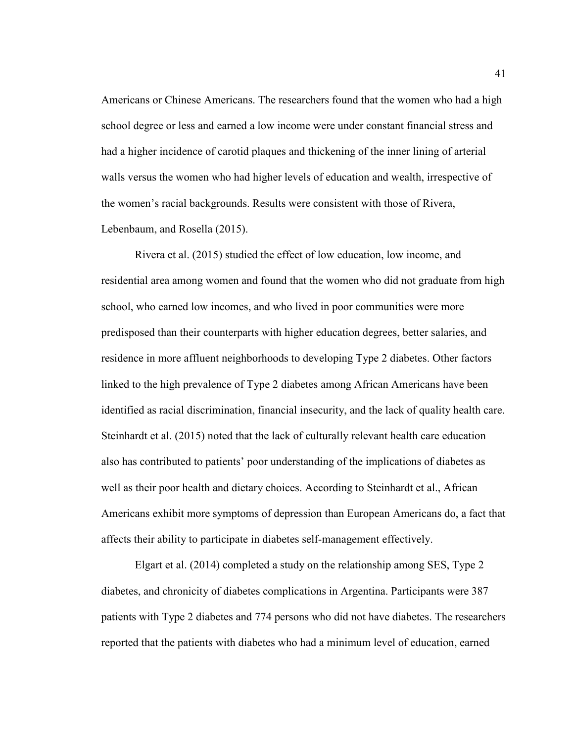Americans or Chinese Americans. The researchers found that the women who had a high school degree or less and earned a low income were under constant financial stress and had a higher incidence of carotid plaques and thickening of the inner lining of arterial walls versus the women who had higher levels of education and wealth, irrespective of the women's racial backgrounds. Results were consistent with those of Rivera, Lebenbaum, and Rosella (2015).

Rivera et al. (2015) studied the effect of low education, low income, and residential area among women and found that the women who did not graduate from high school, who earned low incomes, and who lived in poor communities were more predisposed than their counterparts with higher education degrees, better salaries, and residence in more affluent neighborhoods to developing Type 2 diabetes. Other factors linked to the high prevalence of Type 2 diabetes among African Americans have been identified as racial discrimination, financial insecurity, and the lack of quality health care. Steinhardt et al. (2015) noted that the lack of culturally relevant health care education also has contributed to patients' poor understanding of the implications of diabetes as well as their poor health and dietary choices. According to Steinhardt et al., African Americans exhibit more symptoms of depression than European Americans do, a fact that affects their ability to participate in diabetes self-management effectively.

Elgart et al. (2014) completed a study on the relationship among SES, Type 2 diabetes, and chronicity of diabetes complications in Argentina. Participants were 387 patients with Type 2 diabetes and 774 persons who did not have diabetes. The researchers reported that the patients with diabetes who had a minimum level of education, earned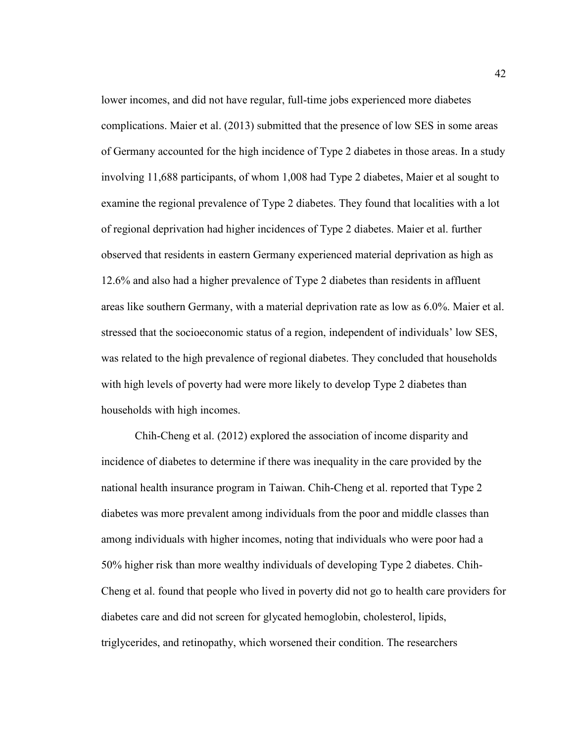lower incomes, and did not have regular, full-time jobs experienced more diabetes complications. Maier et al. (2013) submitted that the presence of low SES in some areas of Germany accounted for the high incidence of Type 2 diabetes in those areas. In a study involving 11,688 participants, of whom 1,008 had Type 2 diabetes, Maier et al sought to examine the regional prevalence of Type 2 diabetes. They found that localities with a lot of regional deprivation had higher incidences of Type 2 diabetes. Maier et al. further observed that residents in eastern Germany experienced material deprivation as high as 12.6% and also had a higher prevalence of Type 2 diabetes than residents in affluent areas like southern Germany, with a material deprivation rate as low as 6.0%. Maier et al. stressed that the socioeconomic status of a region, independent of individuals' low SES, was related to the high prevalence of regional diabetes. They concluded that households with high levels of poverty had were more likely to develop Type 2 diabetes than households with high incomes.

Chih-Cheng et al. (2012) explored the association of income disparity and incidence of diabetes to determine if there was inequality in the care provided by the national health insurance program in Taiwan. Chih-Cheng et al. reported that Type 2 diabetes was more prevalent among individuals from the poor and middle classes than among individuals with higher incomes, noting that individuals who were poor had a 50% higher risk than more wealthy individuals of developing Type 2 diabetes. Chih-Cheng et al. found that people who lived in poverty did not go to health care providers for diabetes care and did not screen for glycated hemoglobin, cholesterol, lipids, triglycerides, and retinopathy, which worsened their condition. The researchers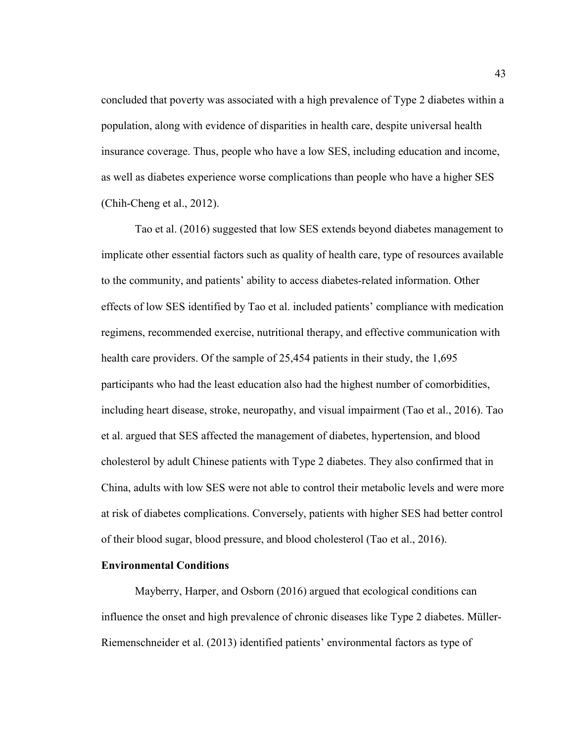concluded that poverty was associated with a high prevalence of Type 2 diabetes within a population, along with evidence of disparities in health care, despite universal health insurance coverage. Thus, people who have a low SES, including education and income, as well as diabetes experience worse complications than people who have a higher SES (Chih-Cheng et al., 2012).

Tao et al. (2016) suggested that low SES extends beyond diabetes management to implicate other essential factors such as quality of health care, type of resources available to the community, and patients' ability to access diabetes-related information. Other effects of low SES identified by Tao et al. included patients' compliance with medication regimens, recommended exercise, nutritional therapy, and effective communication with health care providers. Of the sample of 25,454 patients in their study, the 1,695 participants who had the least education also had the highest number of comorbidities, including heart disease, stroke, neuropathy, and visual impairment (Tao et al., 2016). Tao et al. argued that SES affected the management of diabetes, hypertension, and blood cholesterol by adult Chinese patients with Type 2 diabetes. They also confirmed that in China, adults with low SES were not able to control their metabolic levels and were more at risk of diabetes complications. Conversely, patients with higher SES had better control of their blood sugar, blood pressure, and blood cholesterol (Tao et al., 2016).

# **Environmental Conditions**

Mayberry, Harper, and Osborn (2016) argued that ecological conditions can influence the onset and high prevalence of chronic diseases like Type 2 diabetes. Müller-Riemenschneider et al. (2013) identified patients' environmental factors as type of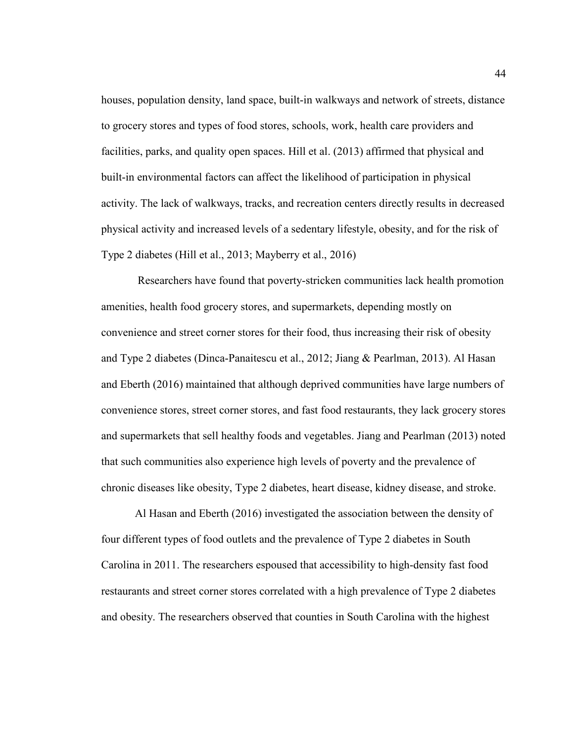houses, population density, land space, built-in walkways and network of streets, distance to grocery stores and types of food stores, schools, work, health care providers and facilities, parks, and quality open spaces. Hill et al. (2013) affirmed that physical and built-in environmental factors can affect the likelihood of participation in physical activity. The lack of walkways, tracks, and recreation centers directly results in decreased physical activity and increased levels of a sedentary lifestyle, obesity, and for the risk of Type 2 diabetes (Hill et al., 2013; Mayberry et al., 2016)

 Researchers have found that poverty-stricken communities lack health promotion amenities, health food grocery stores, and supermarkets, depending mostly on convenience and street corner stores for their food, thus increasing their risk of obesity and Type 2 diabetes (Dinca-Panaitescu et al., 2012; Jiang & Pearlman, 2013). Al Hasan and Eberth (2016) maintained that although deprived communities have large numbers of convenience stores, street corner stores, and fast food restaurants, they lack grocery stores and supermarkets that sell healthy foods and vegetables. Jiang and Pearlman (2013) noted that such communities also experience high levels of poverty and the prevalence of chronic diseases like obesity, Type 2 diabetes, heart disease, kidney disease, and stroke.

Al Hasan and Eberth (2016) investigated the association between the density of four different types of food outlets and the prevalence of Type 2 diabetes in South Carolina in 2011. The researchers espoused that accessibility to high-density fast food restaurants and street corner stores correlated with a high prevalence of Type 2 diabetes and obesity. The researchers observed that counties in South Carolina with the highest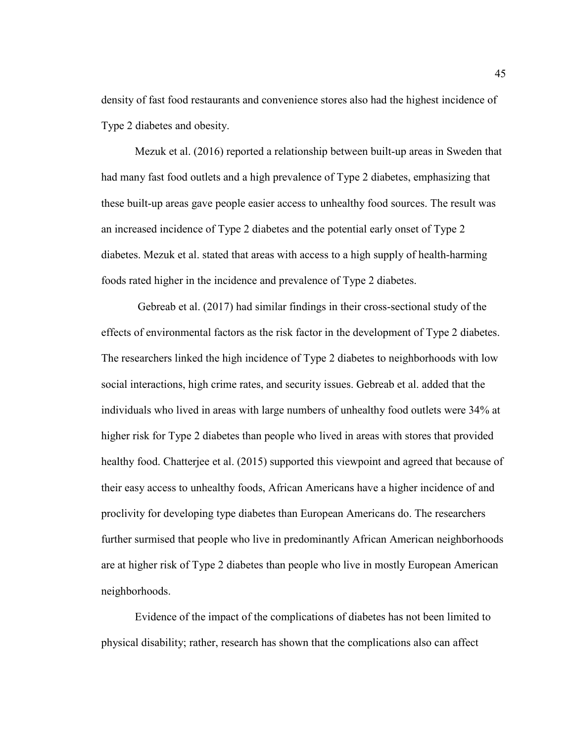density of fast food restaurants and convenience stores also had the highest incidence of Type 2 diabetes and obesity.

Mezuk et al. (2016) reported a relationship between built-up areas in Sweden that had many fast food outlets and a high prevalence of Type 2 diabetes, emphasizing that these built-up areas gave people easier access to unhealthy food sources. The result was an increased incidence of Type 2 diabetes and the potential early onset of Type 2 diabetes. Mezuk et al. stated that areas with access to a high supply of health-harming foods rated higher in the incidence and prevalence of Type 2 diabetes.

 Gebreab et al. (2017) had similar findings in their cross-sectional study of the effects of environmental factors as the risk factor in the development of Type 2 diabetes. The researchers linked the high incidence of Type 2 diabetes to neighborhoods with low social interactions, high crime rates, and security issues. Gebreab et al. added that the individuals who lived in areas with large numbers of unhealthy food outlets were 34% at higher risk for Type 2 diabetes than people who lived in areas with stores that provided healthy food. Chatterjee et al. (2015) supported this viewpoint and agreed that because of their easy access to unhealthy foods, African Americans have a higher incidence of and proclivity for developing type diabetes than European Americans do. The researchers further surmised that people who live in predominantly African American neighborhoods are at higher risk of Type 2 diabetes than people who live in mostly European American neighborhoods.

Evidence of the impact of the complications of diabetes has not been limited to physical disability; rather, research has shown that the complications also can affect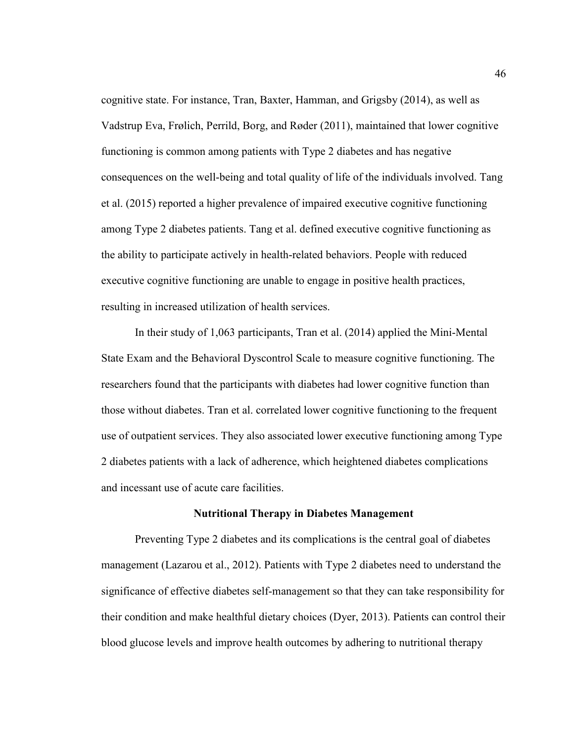cognitive state. For instance, Tran, Baxter, Hamman, and Grigsby (2014), as well as Vadstrup Eva, Frølich, Perrild, Borg, and Røder (2011), maintained that lower cognitive functioning is common among patients with Type 2 diabetes and has negative consequences on the well-being and total quality of life of the individuals involved. Tang et al. (2015) reported a higher prevalence of impaired executive cognitive functioning among Type 2 diabetes patients. Tang et al. defined executive cognitive functioning as the ability to participate actively in health-related behaviors. People with reduced executive cognitive functioning are unable to engage in positive health practices, resulting in increased utilization of health services.

In their study of 1,063 participants, Tran et al. (2014) applied the Mini-Mental State Exam and the Behavioral Dyscontrol Scale to measure cognitive functioning. The researchers found that the participants with diabetes had lower cognitive function than those without diabetes. Tran et al. correlated lower cognitive functioning to the frequent use of outpatient services. They also associated lower executive functioning among Type 2 diabetes patients with a lack of adherence, which heightened diabetes complications and incessant use of acute care facilities.

#### **Nutritional Therapy in Diabetes Management**

Preventing Type 2 diabetes and its complications is the central goal of diabetes management (Lazarou et al., 2012). Patients with Type 2 diabetes need to understand the significance of effective diabetes self-management so that they can take responsibility for their condition and make healthful dietary choices (Dyer, 2013). Patients can control their blood glucose levels and improve health outcomes by adhering to nutritional therapy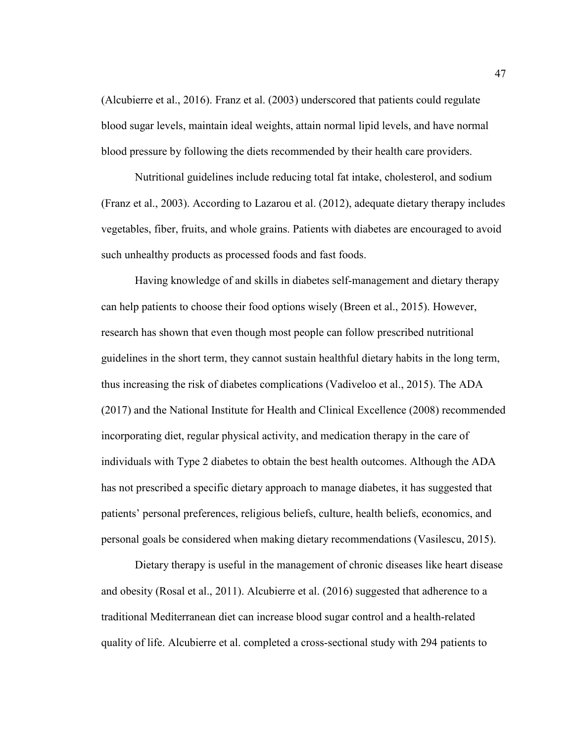(Alcubierre et al., 2016). Franz et al. (2003) underscored that patients could regulate blood sugar levels, maintain ideal weights, attain normal lipid levels, and have normal blood pressure by following the diets recommended by their health care providers.

Nutritional guidelines include reducing total fat intake, cholesterol, and sodium (Franz et al., 2003). According to Lazarou et al. (2012), adequate dietary therapy includes vegetables, fiber, fruits, and whole grains. Patients with diabetes are encouraged to avoid such unhealthy products as processed foods and fast foods.

Having knowledge of and skills in diabetes self-management and dietary therapy can help patients to choose their food options wisely (Breen et al., 2015). However, research has shown that even though most people can follow prescribed nutritional guidelines in the short term, they cannot sustain healthful dietary habits in the long term, thus increasing the risk of diabetes complications (Vadiveloo et al., 2015). The ADA (2017) and the National Institute for Health and Clinical Excellence (2008) recommended incorporating diet, regular physical activity, and medication therapy in the care of individuals with Type 2 diabetes to obtain the best health outcomes. Although the ADA has not prescribed a specific dietary approach to manage diabetes, it has suggested that patients' personal preferences, religious beliefs, culture, health beliefs, economics, and personal goals be considered when making dietary recommendations (Vasilescu, 2015).

Dietary therapy is useful in the management of chronic diseases like heart disease and obesity (Rosal et al., 2011). Alcubierre et al. (2016) suggested that adherence to a traditional Mediterranean diet can increase blood sugar control and a health-related quality of life. Alcubierre et al. completed a cross-sectional study with 294 patients to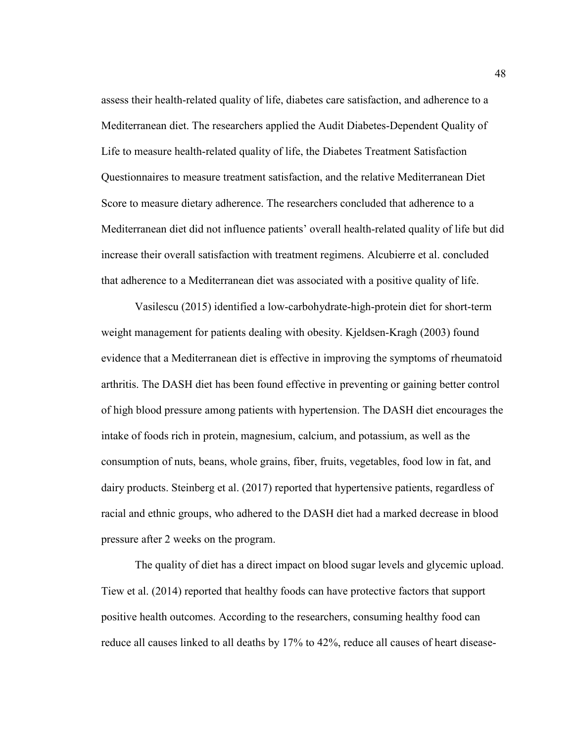assess their health-related quality of life, diabetes care satisfaction, and adherence to a Mediterranean diet. The researchers applied the Audit Diabetes-Dependent Quality of Life to measure health-related quality of life, the Diabetes Treatment Satisfaction Questionnaires to measure treatment satisfaction, and the relative Mediterranean Diet Score to measure dietary adherence. The researchers concluded that adherence to a Mediterranean diet did not influence patients' overall health-related quality of life but did increase their overall satisfaction with treatment regimens. Alcubierre et al. concluded that adherence to a Mediterranean diet was associated with a positive quality of life.

Vasilescu (2015) identified a low-carbohydrate-high-protein diet for short-term weight management for patients dealing with obesity. Kjeldsen-Kragh (2003) found evidence that a Mediterranean diet is effective in improving the symptoms of rheumatoid arthritis. The DASH diet has been found effective in preventing or gaining better control of high blood pressure among patients with hypertension. The DASH diet encourages the intake of foods rich in protein, magnesium, calcium, and potassium, as well as the consumption of nuts, beans, whole grains, fiber, fruits, vegetables, food low in fat, and dairy products. Steinberg et al. (2017) reported that hypertensive patients, regardless of racial and ethnic groups, who adhered to the DASH diet had a marked decrease in blood pressure after 2 weeks on the program.

The quality of diet has a direct impact on blood sugar levels and glycemic upload. Tiew et al. (2014) reported that healthy foods can have protective factors that support positive health outcomes. According to the researchers, consuming healthy food can reduce all causes linked to all deaths by 17% to 42%, reduce all causes of heart disease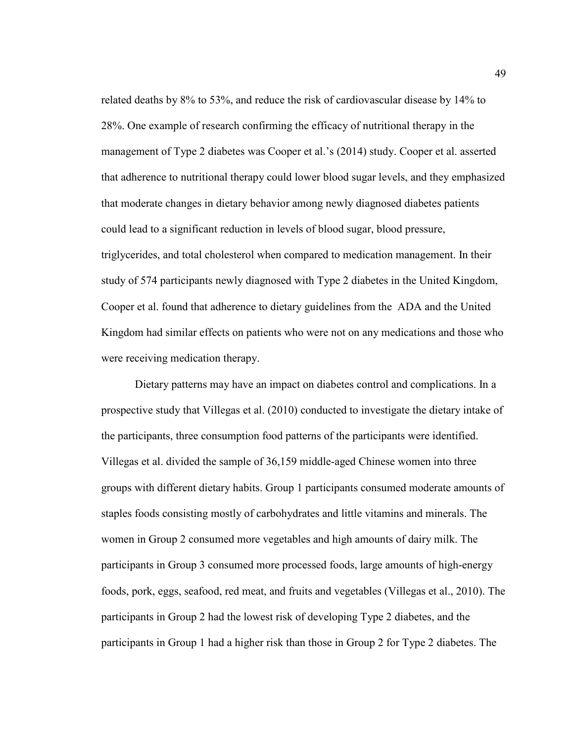related deaths by 8% to 53%, and reduce the risk of cardiovascular disease by 14% to 28%. One example of research confirming the efficacy of nutritional therapy in the management of Type 2 diabetes was Cooper et al.'s (2014) study. Cooper et al. asserted that adherence to nutritional therapy could lower blood sugar levels, and they emphasized that moderate changes in dietary behavior among newly diagnosed diabetes patients could lead to a significant reduction in levels of blood sugar, blood pressure, triglycerides, and total cholesterol when compared to medication management. In their study of 574 participants newly diagnosed with Type 2 diabetes in the United Kingdom, Cooper et al. found that adherence to dietary guidelines from the ADA and the United Kingdom had similar effects on patients who were not on any medications and those who were receiving medication therapy.

Dietary patterns may have an impact on diabetes control and complications. In a prospective study that Villegas et al. (2010) conducted to investigate the dietary intake of the participants, three consumption food patterns of the participants were identified. Villegas et al. divided the sample of 36,159 middle-aged Chinese women into three groups with different dietary habits. Group 1 participants consumed moderate amounts of staples foods consisting mostly of carbohydrates and little vitamins and minerals. The women in Group 2 consumed more vegetables and high amounts of dairy milk. The participants in Group 3 consumed more processed foods, large amounts of high-energy foods, pork, eggs, seafood, red meat, and fruits and vegetables (Villegas et al., 2010). The participants in Group 2 had the lowest risk of developing Type 2 diabetes, and the participants in Group 1 had a higher risk than those in Group 2 for Type 2 diabetes. The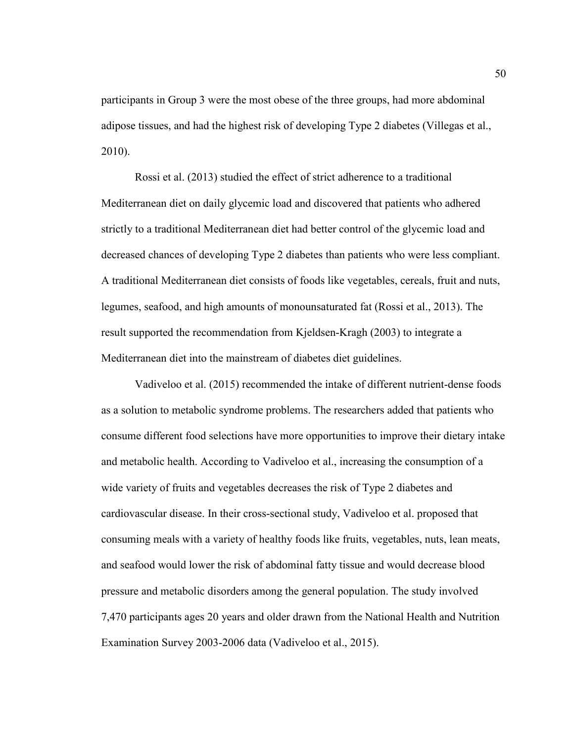participants in Group 3 were the most obese of the three groups, had more abdominal adipose tissues, and had the highest risk of developing Type 2 diabetes (Villegas et al., 2010).

Rossi et al. (2013) studied the effect of strict adherence to a traditional Mediterranean diet on daily glycemic load and discovered that patients who adhered strictly to a traditional Mediterranean diet had better control of the glycemic load and decreased chances of developing Type 2 diabetes than patients who were less compliant. A traditional Mediterranean diet consists of foods like vegetables, cereals, fruit and nuts, legumes, seafood, and high amounts of monounsaturated fat (Rossi et al., 2013). The result supported the recommendation from Kjeldsen-Kragh (2003) to integrate a Mediterranean diet into the mainstream of diabetes diet guidelines.

 Vadiveloo et al. (2015) recommended the intake of different nutrient-dense foods as a solution to metabolic syndrome problems. The researchers added that patients who consume different food selections have more opportunities to improve their dietary intake and metabolic health. According to Vadiveloo et al., increasing the consumption of a wide variety of fruits and vegetables decreases the risk of Type 2 diabetes and cardiovascular disease. In their cross-sectional study, Vadiveloo et al. proposed that consuming meals with a variety of healthy foods like fruits, vegetables, nuts, lean meats, and seafood would lower the risk of abdominal fatty tissue and would decrease blood pressure and metabolic disorders among the general population. The study involved 7,470 participants ages 20 years and older drawn from the National Health and Nutrition Examination Survey 2003-2006 data (Vadiveloo et al., 2015).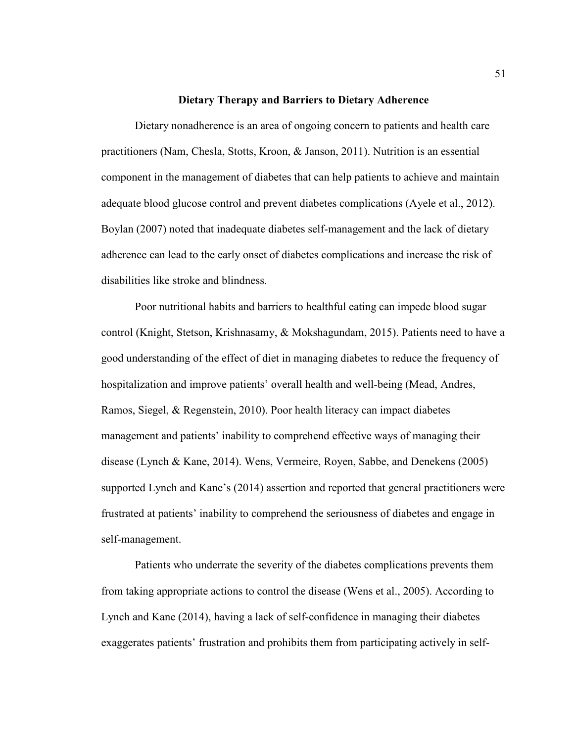### **Dietary Therapy and Barriers to Dietary Adherence**

Dietary nonadherence is an area of ongoing concern to patients and health care practitioners (Nam, Chesla, Stotts, Kroon, & Janson, 2011). Nutrition is an essential component in the management of diabetes that can help patients to achieve and maintain adequate blood glucose control and prevent diabetes complications (Ayele et al., 2012). Boylan (2007) noted that inadequate diabetes self-management and the lack of dietary adherence can lead to the early onset of diabetes complications and increase the risk of disabilities like stroke and blindness.

Poor nutritional habits and barriers to healthful eating can impede blood sugar control (Knight, Stetson, Krishnasamy, & Mokshagundam, 2015). Patients need to have a good understanding of the effect of diet in managing diabetes to reduce the frequency of hospitalization and improve patients' overall health and well-being (Mead, Andres, Ramos, Siegel, & Regenstein, 2010). Poor health literacy can impact diabetes management and patients' inability to comprehend effective ways of managing their disease (Lynch & Kane, 2014). Wens, Vermeire, Royen, Sabbe, and Denekens (2005) supported Lynch and Kane's (2014) assertion and reported that general practitioners were frustrated at patients' inability to comprehend the seriousness of diabetes and engage in self-management.

Patients who underrate the severity of the diabetes complications prevents them from taking appropriate actions to control the disease (Wens et al., 2005). According to Lynch and Kane (2014), having a lack of self-confidence in managing their diabetes exaggerates patients' frustration and prohibits them from participating actively in self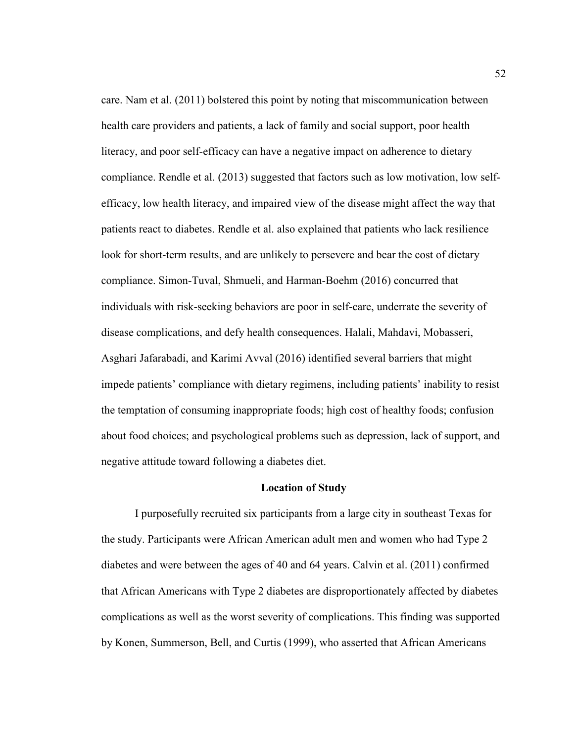care. Nam et al. (2011) bolstered this point by noting that miscommunication between health care providers and patients, a lack of family and social support, poor health literacy, and poor self-efficacy can have a negative impact on adherence to dietary compliance. Rendle et al. (2013) suggested that factors such as low motivation, low selfefficacy, low health literacy, and impaired view of the disease might affect the way that patients react to diabetes. Rendle et al. also explained that patients who lack resilience look for short-term results, and are unlikely to persevere and bear the cost of dietary compliance. Simon-Tuval, Shmueli, and Harman-Boehm (2016) concurred that individuals with risk-seeking behaviors are poor in self-care, underrate the severity of disease complications, and defy health consequences. Halali, Mahdavi, Mobasseri, Asghari Jafarabadi, and Karimi Avval (2016) identified several barriers that might impede patients' compliance with dietary regimens, including patients' inability to resist the temptation of consuming inappropriate foods; high cost of healthy foods; confusion about food choices; and psychological problems such as depression, lack of support, and negative attitude toward following a diabetes diet.

#### **Location of Study**

I purposefully recruited six participants from a large city in southeast Texas for the study. Participants were African American adult men and women who had Type 2 diabetes and were between the ages of 40 and 64 years. Calvin et al. (2011) confirmed that African Americans with Type 2 diabetes are disproportionately affected by diabetes complications as well as the worst severity of complications. This finding was supported by Konen, Summerson, Bell, and Curtis (1999), who asserted that African Americans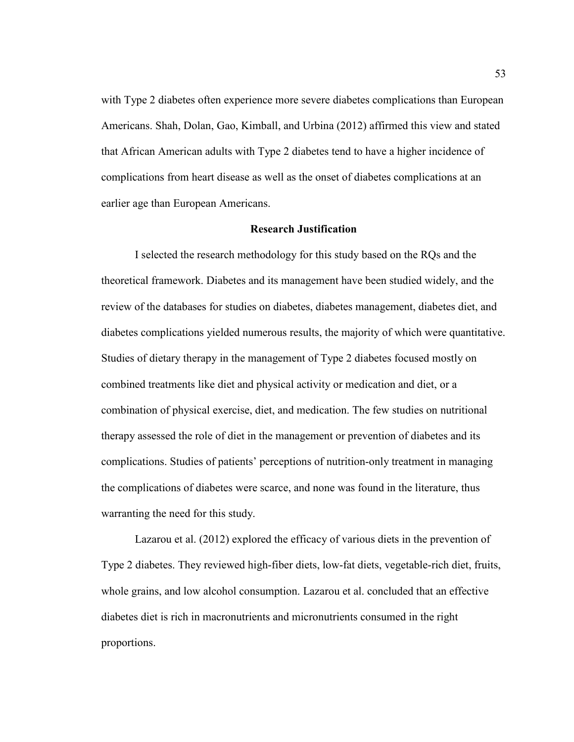with Type 2 diabetes often experience more severe diabetes complications than European Americans. Shah, Dolan, Gao, Kimball, and Urbina (2012) affirmed this view and stated that African American adults with Type 2 diabetes tend to have a higher incidence of complications from heart disease as well as the onset of diabetes complications at an earlier age than European Americans.

## **Research Justification**

 I selected the research methodology for this study based on the RQs and the theoretical framework. Diabetes and its management have been studied widely, and the review of the databases for studies on diabetes, diabetes management, diabetes diet, and diabetes complications yielded numerous results, the majority of which were quantitative. Studies of dietary therapy in the management of Type 2 diabetes focused mostly on combined treatments like diet and physical activity or medication and diet, or a combination of physical exercise, diet, and medication. The few studies on nutritional therapy assessed the role of diet in the management or prevention of diabetes and its complications. Studies of patients' perceptions of nutrition-only treatment in managing the complications of diabetes were scarce, and none was found in the literature, thus warranting the need for this study.

Lazarou et al. (2012) explored the efficacy of various diets in the prevention of Type 2 diabetes. They reviewed high-fiber diets, low-fat diets, vegetable-rich diet, fruits, whole grains, and low alcohol consumption. Lazarou et al. concluded that an effective diabetes diet is rich in macronutrients and micronutrients consumed in the right proportions.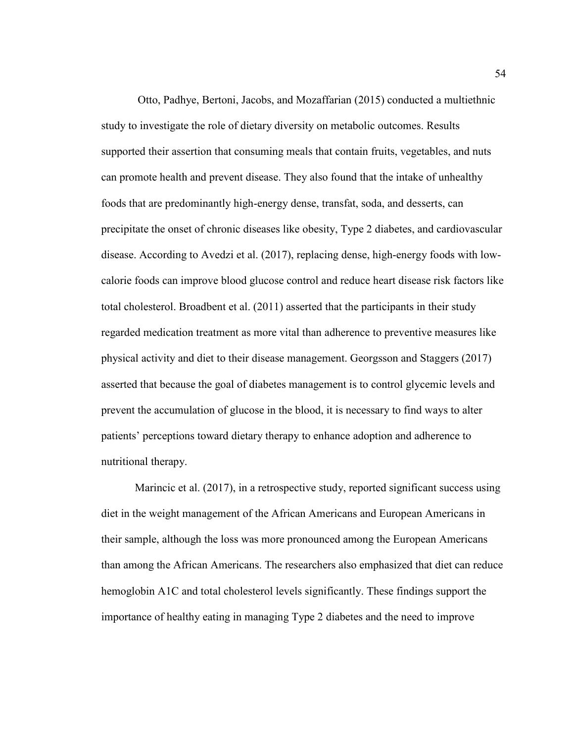Otto, Padhye, Bertoni, Jacobs, and Mozaffarian (2015) conducted a multiethnic study to investigate the role of dietary diversity on metabolic outcomes. Results supported their assertion that consuming meals that contain fruits, vegetables, and nuts can promote health and prevent disease. They also found that the intake of unhealthy foods that are predominantly high-energy dense, transfat, soda, and desserts, can precipitate the onset of chronic diseases like obesity, Type 2 diabetes, and cardiovascular disease. According to Avedzi et al. (2017), replacing dense, high-energy foods with lowcalorie foods can improve blood glucose control and reduce heart disease risk factors like total cholesterol. Broadbent et al. (2011) asserted that the participants in their study regarded medication treatment as more vital than adherence to preventive measures like physical activity and diet to their disease management. Georgsson and Staggers (2017) asserted that because the goal of diabetes management is to control glycemic levels and prevent the accumulation of glucose in the blood, it is necessary to find ways to alter patients' perceptions toward dietary therapy to enhance adoption and adherence to nutritional therapy.

Marincic et al. (2017), in a retrospective study, reported significant success using diet in the weight management of the African Americans and European Americans in their sample, although the loss was more pronounced among the European Americans than among the African Americans. The researchers also emphasized that diet can reduce hemoglobin A1C and total cholesterol levels significantly. These findings support the importance of healthy eating in managing Type 2 diabetes and the need to improve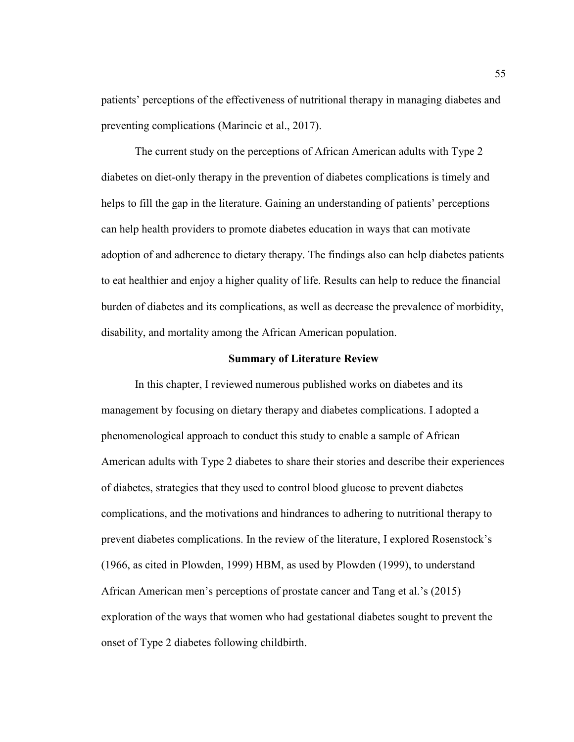patients' perceptions of the effectiveness of nutritional therapy in managing diabetes and preventing complications (Marincic et al., 2017).

The current study on the perceptions of African American adults with Type 2 diabetes on diet-only therapy in the prevention of diabetes complications is timely and helps to fill the gap in the literature. Gaining an understanding of patients' perceptions can help health providers to promote diabetes education in ways that can motivate adoption of and adherence to dietary therapy. The findings also can help diabetes patients to eat healthier and enjoy a higher quality of life. Results can help to reduce the financial burden of diabetes and its complications, as well as decrease the prevalence of morbidity, disability, and mortality among the African American population.

#### **Summary of Literature Review**

 In this chapter, I reviewed numerous published works on diabetes and its management by focusing on dietary therapy and diabetes complications. I adopted a phenomenological approach to conduct this study to enable a sample of African American adults with Type 2 diabetes to share their stories and describe their experiences of diabetes, strategies that they used to control blood glucose to prevent diabetes complications, and the motivations and hindrances to adhering to nutritional therapy to prevent diabetes complications. In the review of the literature, I explored Rosenstock's (1966, as cited in Plowden, 1999) HBM, as used by Plowden (1999), to understand African American men's perceptions of prostate cancer and Tang et al.'s (2015) exploration of the ways that women who had gestational diabetes sought to prevent the onset of Type 2 diabetes following childbirth.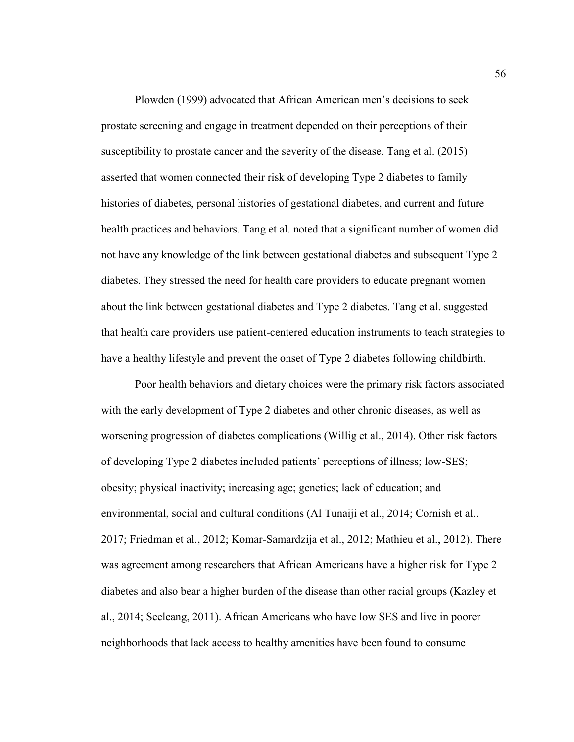Plowden (1999) advocated that African American men's decisions to seek prostate screening and engage in treatment depended on their perceptions of their susceptibility to prostate cancer and the severity of the disease. Tang et al. (2015) asserted that women connected their risk of developing Type 2 diabetes to family histories of diabetes, personal histories of gestational diabetes, and current and future health practices and behaviors. Tang et al. noted that a significant number of women did not have any knowledge of the link between gestational diabetes and subsequent Type 2 diabetes. They stressed the need for health care providers to educate pregnant women about the link between gestational diabetes and Type 2 diabetes. Tang et al. suggested that health care providers use patient-centered education instruments to teach strategies to have a healthy lifestyle and prevent the onset of Type 2 diabetes following childbirth.

Poor health behaviors and dietary choices were the primary risk factors associated with the early development of Type 2 diabetes and other chronic diseases, as well as worsening progression of diabetes complications (Willig et al., 2014). Other risk factors of developing Type 2 diabetes included patients' perceptions of illness; low-SES; obesity; physical inactivity; increasing age; genetics; lack of education; and environmental, social and cultural conditions (Al Tunaiji et al., 2014; Cornish et al.. 2017; Friedman et al., 2012; Komar-Samardzija et al., 2012; Mathieu et al., 2012). There was agreement among researchers that African Americans have a higher risk for Type 2 diabetes and also bear a higher burden of the disease than other racial groups (Kazley et al., 2014; Seeleang, 2011). African Americans who have low SES and live in poorer neighborhoods that lack access to healthy amenities have been found to consume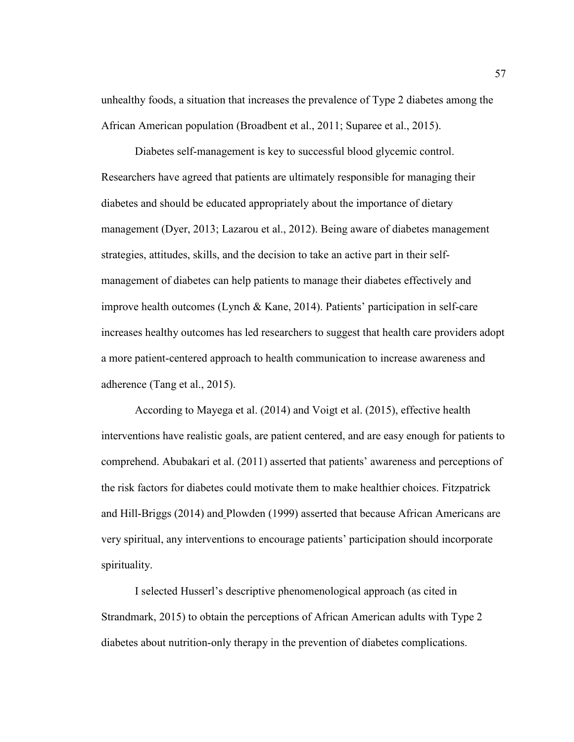unhealthy foods, a situation that increases the prevalence of Type 2 diabetes among the African American population (Broadbent et al., 2011; Suparee et al., 2015).

Diabetes self-management is key to successful blood glycemic control. Researchers have agreed that patients are ultimately responsible for managing their diabetes and should be educated appropriately about the importance of dietary management (Dyer, 2013; Lazarou et al., 2012). Being aware of diabetes management strategies, attitudes, skills, and the decision to take an active part in their selfmanagement of diabetes can help patients to manage their diabetes effectively and improve health outcomes (Lynch & Kane, 2014). Patients' participation in self-care increases healthy outcomes has led researchers to suggest that health care providers adopt a more patient-centered approach to health communication to increase awareness and adherence (Tang et al., 2015).

According to Mayega et al. (2014) and Voigt et al. (2015), effective health interventions have realistic goals, are patient centered, and are easy enough for patients to comprehend. Abubakari et al. (2011) asserted that patients' awareness and perceptions of the risk factors for diabetes could motivate them to make healthier choices. Fitzpatrick and Hill-Briggs (2014) and Plowden (1999) asserted that because African Americans are very spiritual, any interventions to encourage patients' participation should incorporate spirituality.

I selected Husserl's descriptive phenomenological approach (as cited in Strandmark, 2015) to obtain the perceptions of African American adults with Type 2 diabetes about nutrition-only therapy in the prevention of diabetes complications.

57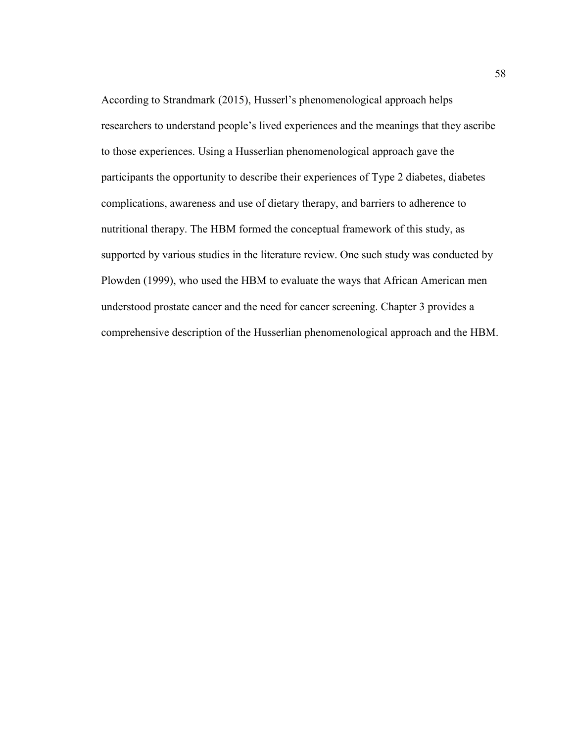According to Strandmark (2015), Husserl's phenomenological approach helps researchers to understand people's lived experiences and the meanings that they ascribe to those experiences. Using a Husserlian phenomenological approach gave the participants the opportunity to describe their experiences of Type 2 diabetes, diabetes complications, awareness and use of dietary therapy, and barriers to adherence to nutritional therapy. The HBM formed the conceptual framework of this study, as supported by various studies in the literature review. One such study was conducted by Plowden (1999), who used the HBM to evaluate the ways that African American men understood prostate cancer and the need for cancer screening. Chapter 3 provides a comprehensive description of the Husserlian phenomenological approach and the HBM.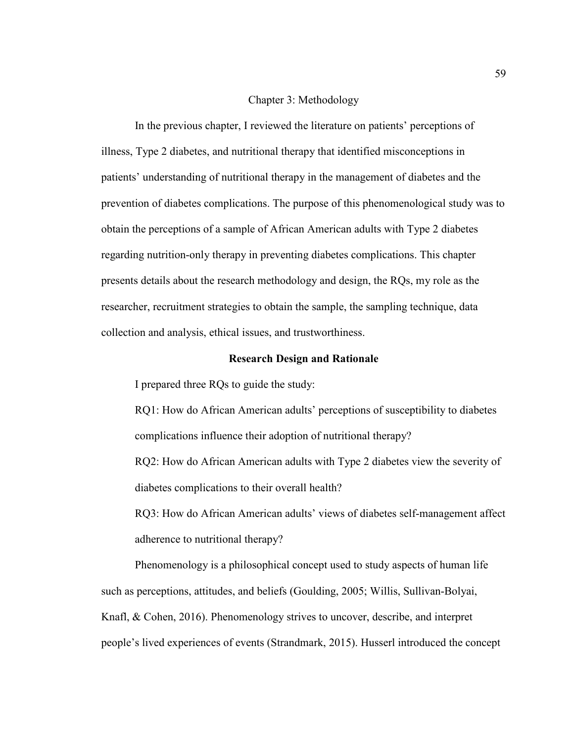# Chapter 3: Methodology

In the previous chapter, I reviewed the literature on patients' perceptions of illness, Type 2 diabetes, and nutritional therapy that identified misconceptions in patients' understanding of nutritional therapy in the management of diabetes and the prevention of diabetes complications. The purpose of this phenomenological study was to obtain the perceptions of a sample of African American adults with Type 2 diabetes regarding nutrition-only therapy in preventing diabetes complications. This chapter presents details about the research methodology and design, the RQs, my role as the researcher, recruitment strategies to obtain the sample, the sampling technique, data collection and analysis, ethical issues, and trustworthiness.

### **Research Design and Rationale**

I prepared three RQs to guide the study:

RQ1: How do African American adults' perceptions of susceptibility to diabetes complications influence their adoption of nutritional therapy?

RQ2: How do African American adults with Type 2 diabetes view the severity of diabetes complications to their overall health?

RQ3: How do African American adults' views of diabetes self-management affect adherence to nutritional therapy?

Phenomenology is a philosophical concept used to study aspects of human life such as perceptions, attitudes, and beliefs (Goulding, 2005; Willis, Sullivan-Bolyai, Knafl, & Cohen, 2016). Phenomenology strives to uncover, describe, and interpret people's lived experiences of events (Strandmark, 2015). Husserl introduced the concept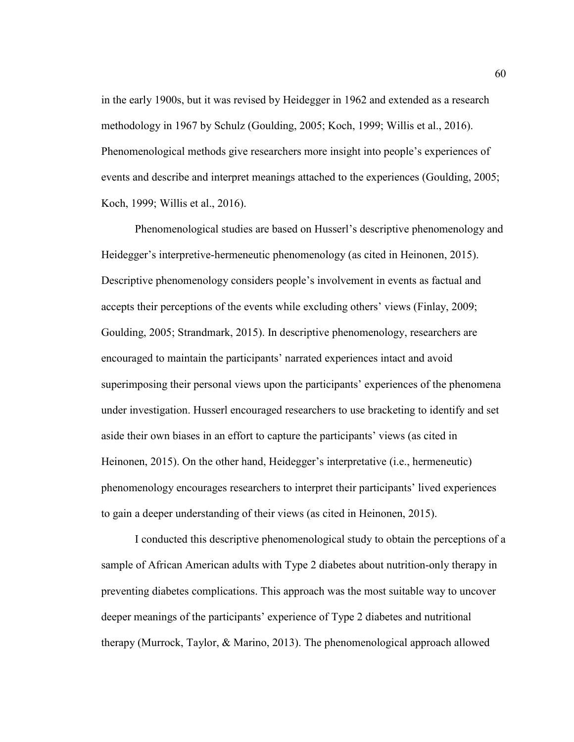in the early 1900s, but it was revised by Heidegger in 1962 and extended as a research methodology in 1967 by Schulz (Goulding, 2005; Koch, 1999; Willis et al., 2016). Phenomenological methods give researchers more insight into people's experiences of events and describe and interpret meanings attached to the experiences (Goulding, 2005; Koch, 1999; Willis et al., 2016).

 Phenomenological studies are based on Husserl's descriptive phenomenology and Heidegger's interpretive-hermeneutic phenomenology (as cited in Heinonen, 2015). Descriptive phenomenology considers people's involvement in events as factual and accepts their perceptions of the events while excluding others' views (Finlay, 2009; Goulding, 2005; Strandmark, 2015). In descriptive phenomenology, researchers are encouraged to maintain the participants' narrated experiences intact and avoid superimposing their personal views upon the participants' experiences of the phenomena under investigation. Husserl encouraged researchers to use bracketing to identify and set aside their own biases in an effort to capture the participants' views (as cited in Heinonen, 2015). On the other hand, Heidegger's interpretative (i.e., hermeneutic) phenomenology encourages researchers to interpret their participants' lived experiences to gain a deeper understanding of their views (as cited in Heinonen, 2015).

I conducted this descriptive phenomenological study to obtain the perceptions of a sample of African American adults with Type 2 diabetes about nutrition-only therapy in preventing diabetes complications. This approach was the most suitable way to uncover deeper meanings of the participants' experience of Type 2 diabetes and nutritional therapy (Murrock, Taylor, & Marino, 2013). The phenomenological approach allowed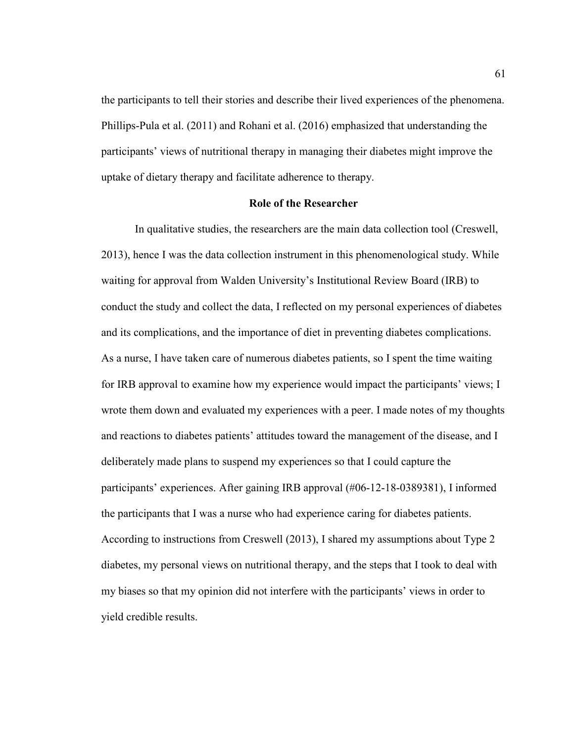the participants to tell their stories and describe their lived experiences of the phenomena. Phillips-Pula et al. (2011) and Rohani et al. (2016) emphasized that understanding the participants' views of nutritional therapy in managing their diabetes might improve the uptake of dietary therapy and facilitate adherence to therapy.

## **Role of the Researcher**

In qualitative studies, the researchers are the main data collection tool (Creswell, 2013), hence I was the data collection instrument in this phenomenological study. While waiting for approval from Walden University's Institutional Review Board (IRB) to conduct the study and collect the data, I reflected on my personal experiences of diabetes and its complications, and the importance of diet in preventing diabetes complications. As a nurse, I have taken care of numerous diabetes patients, so I spent the time waiting for IRB approval to examine how my experience would impact the participants' views; I wrote them down and evaluated my experiences with a peer. I made notes of my thoughts and reactions to diabetes patients' attitudes toward the management of the disease, and I deliberately made plans to suspend my experiences so that I could capture the participants' experiences. After gaining IRB approval (#06-12-18-0389381), I informed the participants that I was a nurse who had experience caring for diabetes patients. According to instructions from Creswell (2013), I shared my assumptions about Type 2 diabetes, my personal views on nutritional therapy, and the steps that I took to deal with my biases so that my opinion did not interfere with the participants' views in order to yield credible results.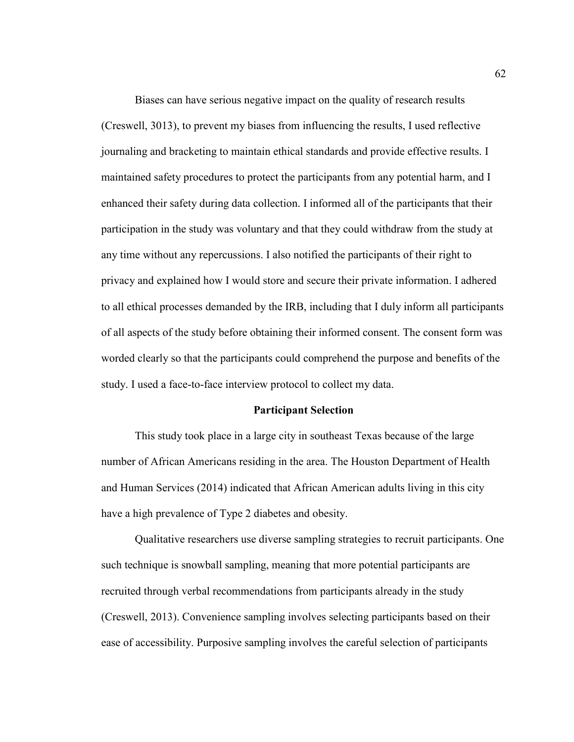Biases can have serious negative impact on the quality of research results (Creswell, 3013), to prevent my biases from influencing the results, I used reflective journaling and bracketing to maintain ethical standards and provide effective results. I maintained safety procedures to protect the participants from any potential harm, and I enhanced their safety during data collection. I informed all of the participants that their participation in the study was voluntary and that they could withdraw from the study at any time without any repercussions. I also notified the participants of their right to privacy and explained how I would store and secure their private information. I adhered to all ethical processes demanded by the IRB, including that I duly inform all participants of all aspects of the study before obtaining their informed consent. The consent form was worded clearly so that the participants could comprehend the purpose and benefits of the study. I used a face-to-face interview protocol to collect my data.

#### **Participant Selection**

This study took place in a large city in southeast Texas because of the large number of African Americans residing in the area. The Houston Department of Health and Human Services (2014) indicated that African American adults living in this city have a high prevalence of Type 2 diabetes and obesity.

Qualitative researchers use diverse sampling strategies to recruit participants. One such technique is snowball sampling, meaning that more potential participants are recruited through verbal recommendations from participants already in the study (Creswell, 2013). Convenience sampling involves selecting participants based on their ease of accessibility. Purposive sampling involves the careful selection of participants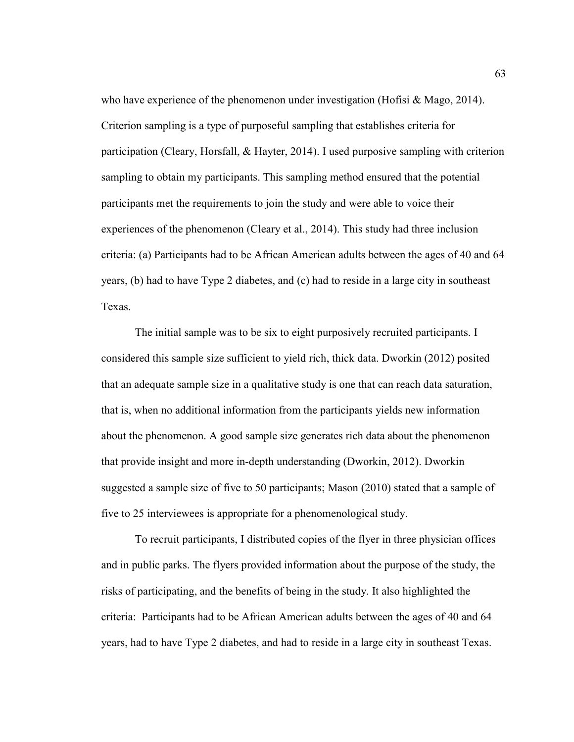who have experience of the phenomenon under investigation (Hofisi & Mago, 2014). Criterion sampling is a type of purposeful sampling that establishes criteria for participation (Cleary, Horsfall, & Hayter, 2014). I used purposive sampling with criterion sampling to obtain my participants. This sampling method ensured that the potential participants met the requirements to join the study and were able to voice their experiences of the phenomenon (Cleary et al., 2014). This study had three inclusion criteria: (a) Participants had to be African American adults between the ages of 40 and 64 years, (b) had to have Type 2 diabetes, and (c) had to reside in a large city in southeast Texas.

The initial sample was to be six to eight purposively recruited participants. I considered this sample size sufficient to yield rich, thick data. Dworkin (2012) posited that an adequate sample size in a qualitative study is one that can reach data saturation, that is, when no additional information from the participants yields new information about the phenomenon. A good sample size generates rich data about the phenomenon that provide insight and more in-depth understanding (Dworkin, 2012). Dworkin suggested a sample size of five to 50 participants; Mason (2010) stated that a sample of five to 25 interviewees is appropriate for a phenomenological study.

To recruit participants, I distributed copies of the flyer in three physician offices and in public parks. The flyers provided information about the purpose of the study, the risks of participating, and the benefits of being in the study. It also highlighted the criteria: Participants had to be African American adults between the ages of 40 and 64 years, had to have Type 2 diabetes, and had to reside in a large city in southeast Texas.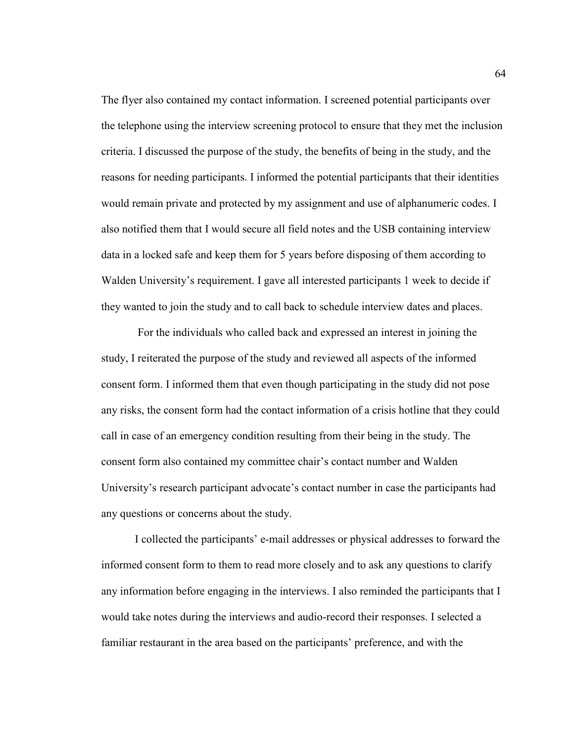The flyer also contained my contact information. I screened potential participants over the telephone using the interview screening protocol to ensure that they met the inclusion criteria. I discussed the purpose of the study, the benefits of being in the study, and the reasons for needing participants. I informed the potential participants that their identities would remain private and protected by my assignment and use of alphanumeric codes. I also notified them that I would secure all field notes and the USB containing interview data in a locked safe and keep them for 5 years before disposing of them according to Walden University's requirement. I gave all interested participants 1 week to decide if they wanted to join the study and to call back to schedule interview dates and places.

 For the individuals who called back and expressed an interest in joining the study, I reiterated the purpose of the study and reviewed all aspects of the informed consent form. I informed them that even though participating in the study did not pose any risks, the consent form had the contact information of a crisis hotline that they could call in case of an emergency condition resulting from their being in the study. The consent form also contained my committee chair's contact number and Walden University's research participant advocate's contact number in case the participants had any questions or concerns about the study.

I collected the participants' e-mail addresses or physical addresses to forward the informed consent form to them to read more closely and to ask any questions to clarify any information before engaging in the interviews. I also reminded the participants that I would take notes during the interviews and audio-record their responses. I selected a familiar restaurant in the area based on the participants' preference, and with the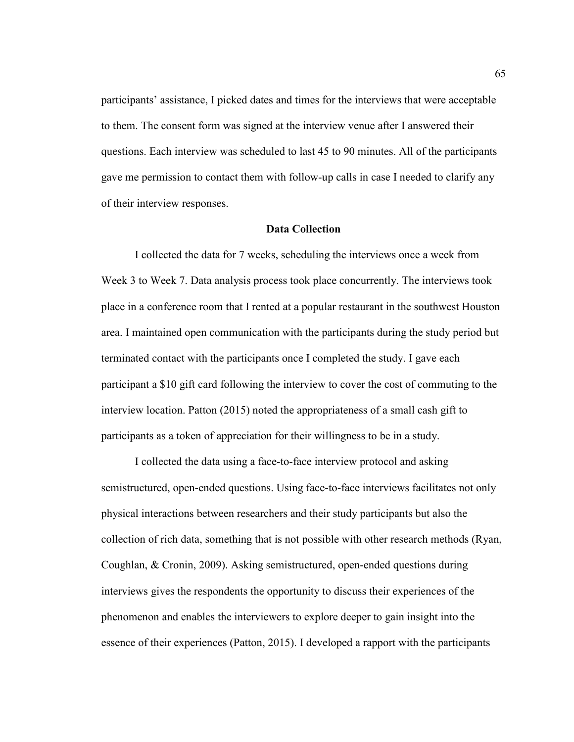participants' assistance, I picked dates and times for the interviews that were acceptable to them. The consent form was signed at the interview venue after I answered their questions. Each interview was scheduled to last 45 to 90 minutes. All of the participants gave me permission to contact them with follow-up calls in case I needed to clarify any of their interview responses.

# **Data Collection**

I collected the data for 7 weeks, scheduling the interviews once a week from Week 3 to Week 7. Data analysis process took place concurrently. The interviews took place in a conference room that I rented at a popular restaurant in the southwest Houston area. I maintained open communication with the participants during the study period but terminated contact with the participants once I completed the study. I gave each participant a \$10 gift card following the interview to cover the cost of commuting to the interview location. Patton (2015) noted the appropriateness of a small cash gift to participants as a token of appreciation for their willingness to be in a study.

I collected the data using a face-to-face interview protocol and asking semistructured, open-ended questions. Using face-to-face interviews facilitates not only physical interactions between researchers and their study participants but also the collection of rich data, something that is not possible with other research methods (Ryan, Coughlan, & Cronin, 2009). Asking semistructured, open-ended questions during interviews gives the respondents the opportunity to discuss their experiences of the phenomenon and enables the interviewers to explore deeper to gain insight into the essence of their experiences (Patton, 2015). I developed a rapport with the participants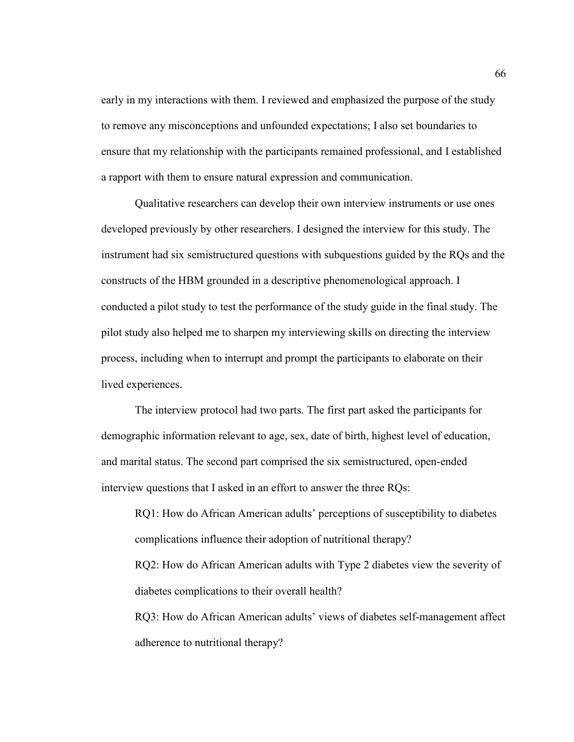early in my interactions with them. I reviewed and emphasized the purpose of the study to remove any misconceptions and unfounded expectations; I also set boundaries to ensure that my relationship with the participants remained professional, and I established a rapport with them to ensure natural expression and communication.

Qualitative researchers can develop their own interview instruments or use ones developed previously by other researchers. I designed the interview for this study. The instrument had six semistructured questions with subquestions guided by the RQs and the constructs of the HBM grounded in a descriptive phenomenological approach. I conducted a pilot study to test the performance of the study guide in the final study. The pilot study also helped me to sharpen my interviewing skills on directing the interview process, including when to interrupt and prompt the participants to elaborate on their lived experiences.

The interview protocol had two parts. The first part asked the participants for demographic information relevant to age, sex, date of birth, highest level of education, and marital status. The second part comprised the six semistructured, open-ended interview questions that I asked in an effort to answer the three RQs:

RQ1: How do African American adults' perceptions of susceptibility to diabetes complications influence their adoption of nutritional therapy? RQ2: How do African American adults with Type 2 diabetes view the severity of diabetes complications to their overall health? RQ3: How do African American adults' views of diabetes self-management affect

adherence to nutritional therapy?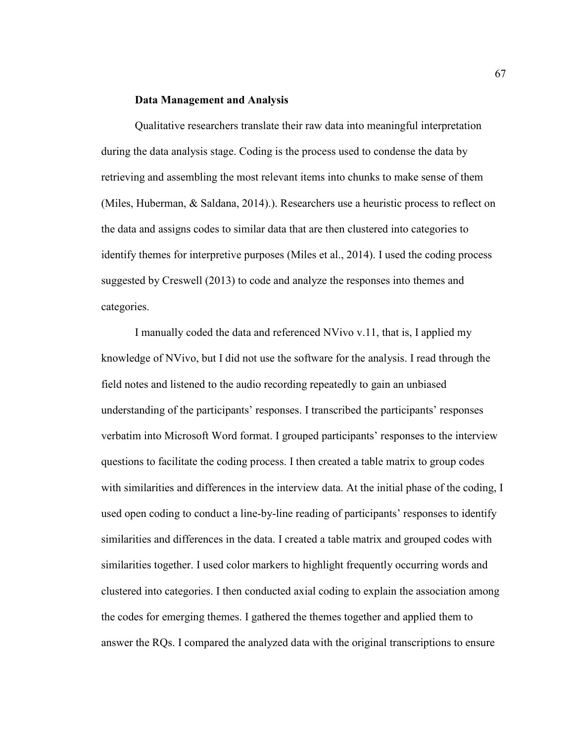### **Data Management and Analysis**

Qualitative researchers translate their raw data into meaningful interpretation during the data analysis stage. Coding is the process used to condense the data by retrieving and assembling the most relevant items into chunks to make sense of them (Miles, Huberman, & Saldana, 2014).). Researchers use a heuristic process to reflect on the data and assigns codes to similar data that are then clustered into categories to identify themes for interpretive purposes (Miles et al., 2014). I used the coding process suggested by Creswell (2013) to code and analyze the responses into themes and categories.

I manually coded the data and referenced NVivo v.11, that is, I applied my knowledge of NVivo, but I did not use the software for the analysis. I read through the field notes and listened to the audio recording repeatedly to gain an unbiased understanding of the participants' responses. I transcribed the participants' responses verbatim into Microsoft Word format. I grouped participants' responses to the interview questions to facilitate the coding process. I then created a table matrix to group codes with similarities and differences in the interview data. At the initial phase of the coding, I used open coding to conduct a line-by-line reading of participants' responses to identify similarities and differences in the data. I created a table matrix and grouped codes with similarities together. I used color markers to highlight frequently occurring words and clustered into categories. I then conducted axial coding to explain the association among the codes for emerging themes. I gathered the themes together and applied them to answer the RQs. I compared the analyzed data with the original transcriptions to ensure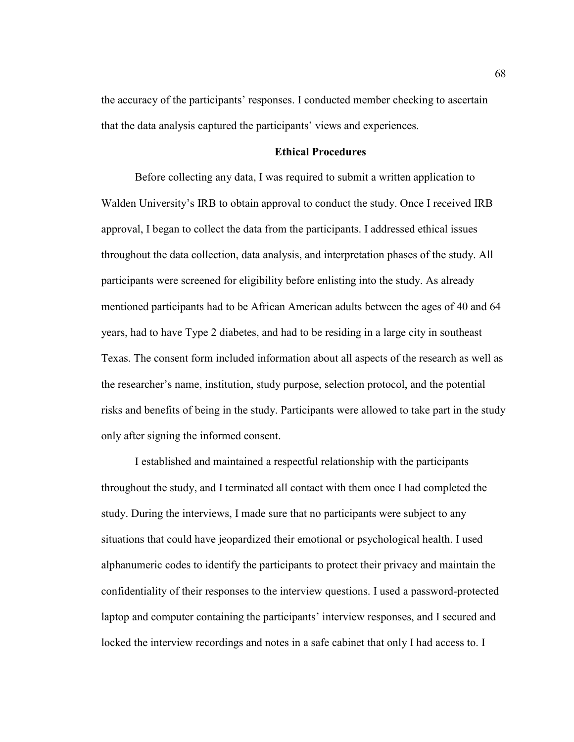the accuracy of the participants' responses. I conducted member checking to ascertain that the data analysis captured the participants' views and experiences.

## **Ethical Procedures**

Before collecting any data, I was required to submit a written application to Walden University's IRB to obtain approval to conduct the study. Once I received IRB approval, I began to collect the data from the participants. I addressed ethical issues throughout the data collection, data analysis, and interpretation phases of the study. All participants were screened for eligibility before enlisting into the study. As already mentioned participants had to be African American adults between the ages of 40 and 64 years, had to have Type 2 diabetes, and had to be residing in a large city in southeast Texas. The consent form included information about all aspects of the research as well as the researcher's name, institution, study purpose, selection protocol, and the potential risks and benefits of being in the study. Participants were allowed to take part in the study only after signing the informed consent.

I established and maintained a respectful relationship with the participants throughout the study, and I terminated all contact with them once I had completed the study. During the interviews, I made sure that no participants were subject to any situations that could have jeopardized their emotional or psychological health. I used alphanumeric codes to identify the participants to protect their privacy and maintain the confidentiality of their responses to the interview questions. I used a password-protected laptop and computer containing the participants' interview responses, and I secured and locked the interview recordings and notes in a safe cabinet that only I had access to. I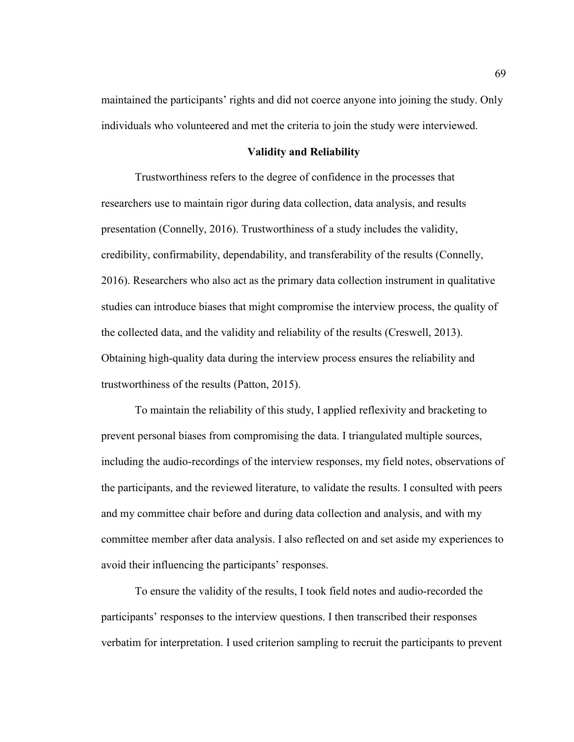maintained the participants' rights and did not coerce anyone into joining the study. Only individuals who volunteered and met the criteria to join the study were interviewed.

## **Validity and Reliability**

Trustworthiness refers to the degree of confidence in the processes that researchers use to maintain rigor during data collection, data analysis, and results presentation (Connelly, 2016). Trustworthiness of a study includes the validity, credibility, confirmability, dependability, and transferability of the results (Connelly, 2016). Researchers who also act as the primary data collection instrument in qualitative studies can introduce biases that might compromise the interview process, the quality of the collected data, and the validity and reliability of the results (Creswell, 2013). Obtaining high-quality data during the interview process ensures the reliability and trustworthiness of the results (Patton, 2015).

To maintain the reliability of this study, I applied reflexivity and bracketing to prevent personal biases from compromising the data. I triangulated multiple sources, including the audio-recordings of the interview responses, my field notes, observations of the participants, and the reviewed literature, to validate the results. I consulted with peers and my committee chair before and during data collection and analysis, and with my committee member after data analysis. I also reflected on and set aside my experiences to avoid their influencing the participants' responses.

To ensure the validity of the results, I took field notes and audio-recorded the participants' responses to the interview questions. I then transcribed their responses verbatim for interpretation. I used criterion sampling to recruit the participants to prevent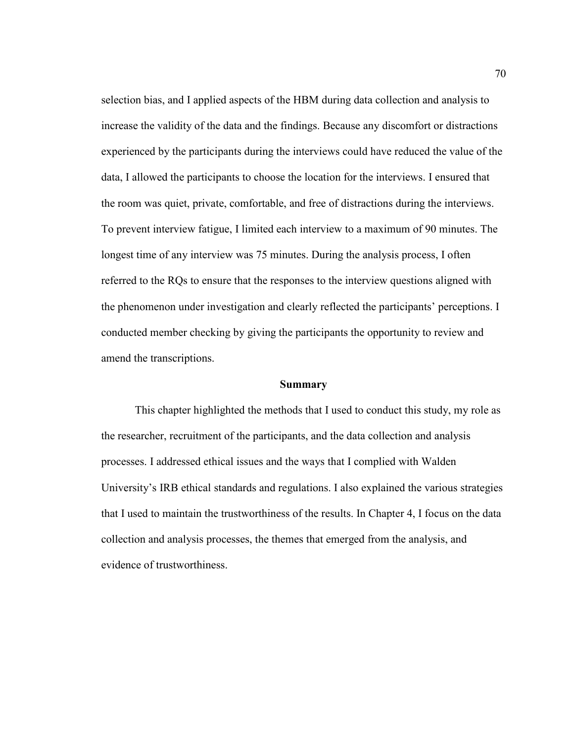selection bias, and I applied aspects of the HBM during data collection and analysis to increase the validity of the data and the findings. Because any discomfort or distractions experienced by the participants during the interviews could have reduced the value of the data, I allowed the participants to choose the location for the interviews. I ensured that the room was quiet, private, comfortable, and free of distractions during the interviews. To prevent interview fatigue, I limited each interview to a maximum of 90 minutes. The longest time of any interview was 75 minutes. During the analysis process, I often referred to the RQs to ensure that the responses to the interview questions aligned with the phenomenon under investigation and clearly reflected the participants' perceptions. I conducted member checking by giving the participants the opportunity to review and amend the transcriptions.

### **Summary**

This chapter highlighted the methods that I used to conduct this study, my role as the researcher, recruitment of the participants, and the data collection and analysis processes. I addressed ethical issues and the ways that I complied with Walden University's IRB ethical standards and regulations. I also explained the various strategies that I used to maintain the trustworthiness of the results. In Chapter 4, I focus on the data collection and analysis processes, the themes that emerged from the analysis, and evidence of trustworthiness.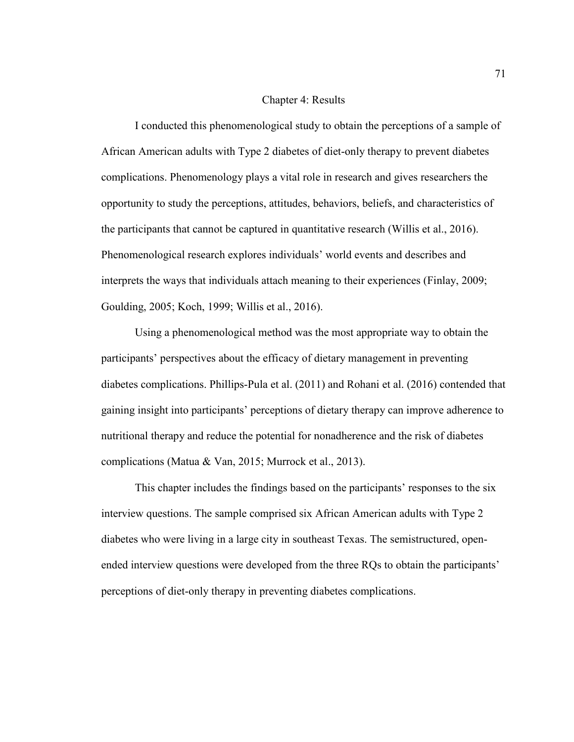## Chapter 4: Results

I conducted this phenomenological study to obtain the perceptions of a sample of African American adults with Type 2 diabetes of diet-only therapy to prevent diabetes complications. Phenomenology plays a vital role in research and gives researchers the opportunity to study the perceptions, attitudes, behaviors, beliefs, and characteristics of the participants that cannot be captured in quantitative research (Willis et al., 2016). Phenomenological research explores individuals' world events and describes and interprets the ways that individuals attach meaning to their experiences (Finlay, 2009; Goulding, 2005; Koch, 1999; Willis et al., 2016).

Using a phenomenological method was the most appropriate way to obtain the participants' perspectives about the efficacy of dietary management in preventing diabetes complications. Phillips-Pula et al. (2011) and Rohani et al. (2016) contended that gaining insight into participants' perceptions of dietary therapy can improve adherence to nutritional therapy and reduce the potential for nonadherence and the risk of diabetes complications (Matua & Van, 2015; Murrock et al., 2013).

This chapter includes the findings based on the participants' responses to the six interview questions. The sample comprised six African American adults with Type 2 diabetes who were living in a large city in southeast Texas. The semistructured, openended interview questions were developed from the three RQs to obtain the participants' perceptions of diet-only therapy in preventing diabetes complications.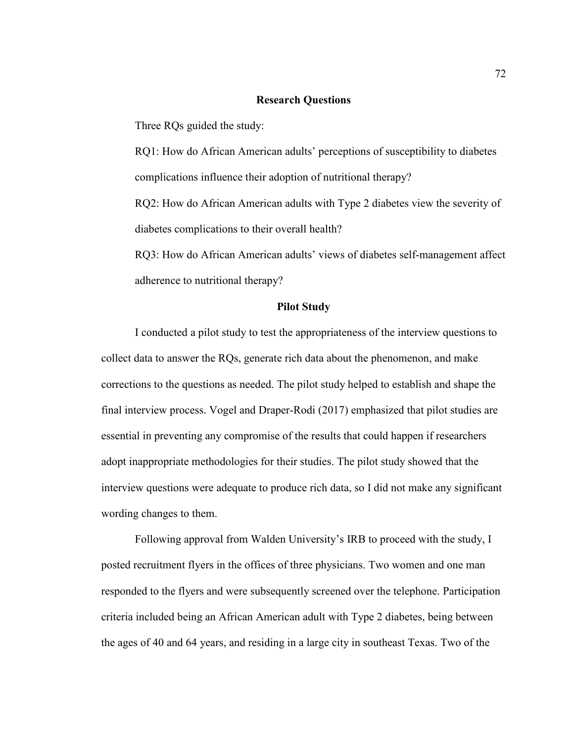## **Research Questions**

Three RQs guided the study:

RQ1: How do African American adults' perceptions of susceptibility to diabetes complications influence their adoption of nutritional therapy?

RQ2: How do African American adults with Type 2 diabetes view the severity of diabetes complications to their overall health?

RQ3: How do African American adults' views of diabetes self-management affect adherence to nutritional therapy?

## **Pilot Study**

I conducted a pilot study to test the appropriateness of the interview questions to collect data to answer the RQs, generate rich data about the phenomenon, and make corrections to the questions as needed. The pilot study helped to establish and shape the final interview process. Vogel and Draper-Rodi (2017) emphasized that pilot studies are essential in preventing any compromise of the results that could happen if researchers adopt inappropriate methodologies for their studies. The pilot study showed that the interview questions were adequate to produce rich data, so I did not make any significant wording changes to them.

Following approval from Walden University's IRB to proceed with the study, I posted recruitment flyers in the offices of three physicians. Two women and one man responded to the flyers and were subsequently screened over the telephone. Participation criteria included being an African American adult with Type 2 diabetes, being between the ages of 40 and 64 years, and residing in a large city in southeast Texas. Two of the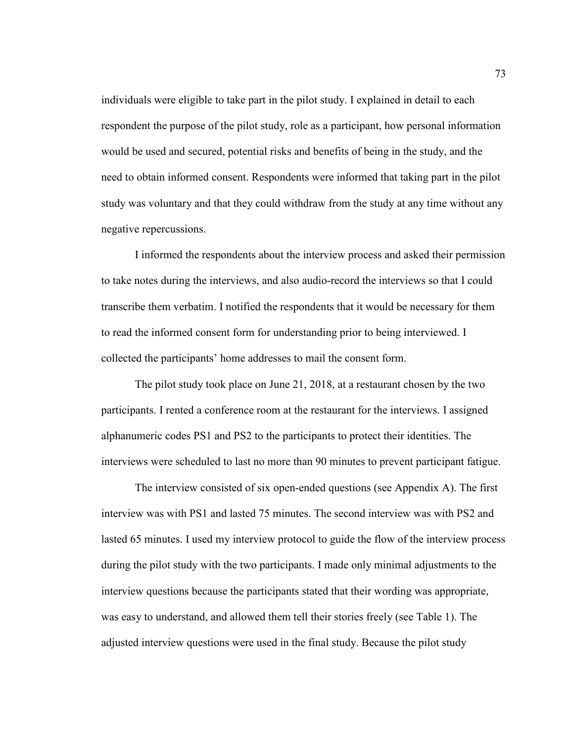individuals were eligible to take part in the pilot study. I explained in detail to each respondent the purpose of the pilot study, role as a participant, how personal information would be used and secured, potential risks and benefits of being in the study, and the need to obtain informed consent. Respondents were informed that taking part in the pilot study was voluntary and that they could withdraw from the study at any time without any negative repercussions.

I informed the respondents about the interview process and asked their permission to take notes during the interviews, and also audio-record the interviews so that I could transcribe them verbatim. I notified the respondents that it would be necessary for them to read the informed consent form for understanding prior to being interviewed. I collected the participants' home addresses to mail the consent form.

The pilot study took place on June 21, 2018, at a restaurant chosen by the two participants. I rented a conference room at the restaurant for the interviews. I assigned alphanumeric codes PS1 and PS2 to the participants to protect their identities. The interviews were scheduled to last no more than 90 minutes to prevent participant fatigue.

The interview consisted of six open-ended questions (see Appendix A). The first interview was with PS1 and lasted 75 minutes. The second interview was with PS2 and lasted 65 minutes. I used my interview protocol to guide the flow of the interview process during the pilot study with the two participants. I made only minimal adjustments to the interview questions because the participants stated that their wording was appropriate, was easy to understand, and allowed them tell their stories freely (see Table 1). The adjusted interview questions were used in the final study. Because the pilot study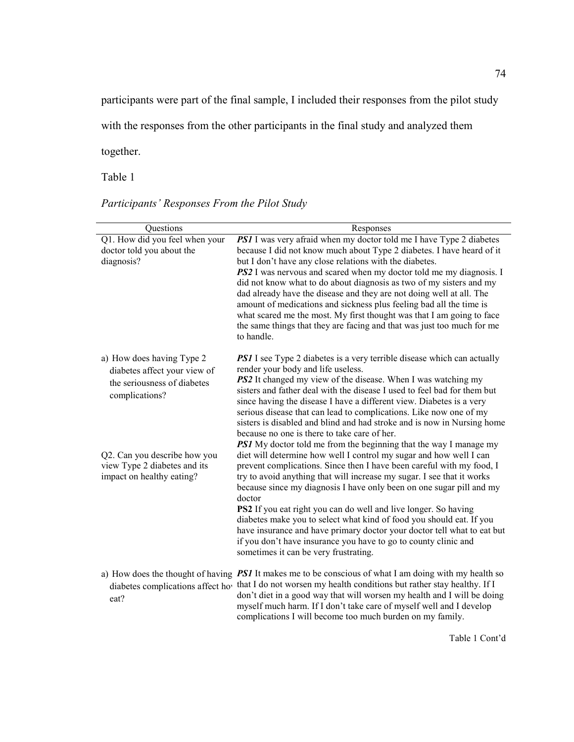participants were part of the final sample, I included their responses from the pilot study

with the responses from the other participants in the final study and analyzed them

together.

Table 1

| Participants' Responses From the Pilot Study |  |  |  |
|----------------------------------------------|--|--|--|
|                                              |  |  |  |

| Questions                                                                                                  | Responses                                                                                                                                                                                                                                                                                                                                                                                                                                                                                                                                                                                                                                 |
|------------------------------------------------------------------------------------------------------------|-------------------------------------------------------------------------------------------------------------------------------------------------------------------------------------------------------------------------------------------------------------------------------------------------------------------------------------------------------------------------------------------------------------------------------------------------------------------------------------------------------------------------------------------------------------------------------------------------------------------------------------------|
| Q1. How did you feel when your<br>doctor told you about the<br>diagnosis?                                  | <b>PS1</b> I was very afraid when my doctor told me I have Type 2 diabetes<br>because I did not know much about Type 2 diabetes. I have heard of it<br>but I don't have any close relations with the diabetes.<br><b>PS2</b> I was nervous and scared when my doctor told me my diagnosis. I<br>did not know what to do about diagnosis as two of my sisters and my<br>dad already have the disease and they are not doing well at all. The<br>amount of medications and sickness plus feeling bad all the time is<br>what scared me the most. My first thought was that I am going to face                                               |
|                                                                                                            | the same things that they are facing and that was just too much for me<br>to handle.                                                                                                                                                                                                                                                                                                                                                                                                                                                                                                                                                      |
| a) How does having Type 2<br>diabetes affect your view of<br>the seriousness of diabetes<br>complications? | <b>PSI</b> I see Type 2 diabetes is a very terrible disease which can actually<br>render your body and life useless.<br><b>PS2</b> It changed my view of the disease. When I was watching my<br>sisters and father deal with the disease I used to feel bad for them but<br>since having the disease I have a different view. Diabetes is a very<br>serious disease that can lead to complications. Like now one of my<br>sisters is disabled and blind and had stroke and is now in Nursing home<br>because no one is there to take care of her.<br><b>PS1</b> My doctor told me from the beginning that the way I manage my             |
| Q2. Can you describe how you<br>view Type 2 diabetes and its<br>impact on healthy eating?                  | diet will determine how well I control my sugar and how well I can<br>prevent complications. Since then I have been careful with my food, I<br>try to avoid anything that will increase my sugar. I see that it works<br>because since my diagnosis I have only been on one sugar pill and my<br>doctor<br>PS2 If you eat right you can do well and live longer. So having<br>diabetes make you to select what kind of food you should eat. If you<br>have insurance and have primary doctor your doctor tell what to eat but<br>if you don't have insurance you have to go to county clinic and<br>sometimes it can be very frustrating. |
| eat?                                                                                                       | a) How does the thought of having <b>PS1</b> It makes me to be conscious of what I am doing with my health so<br>diabetes complications affect hov that I do not worsen my health conditions but rather stay healthy. If I<br>don't diet in a good way that will worsen my health and I will be doing<br>myself much harm. If I don't take care of myself well and I develop<br>complications I will become too much burden on my family.                                                                                                                                                                                                 |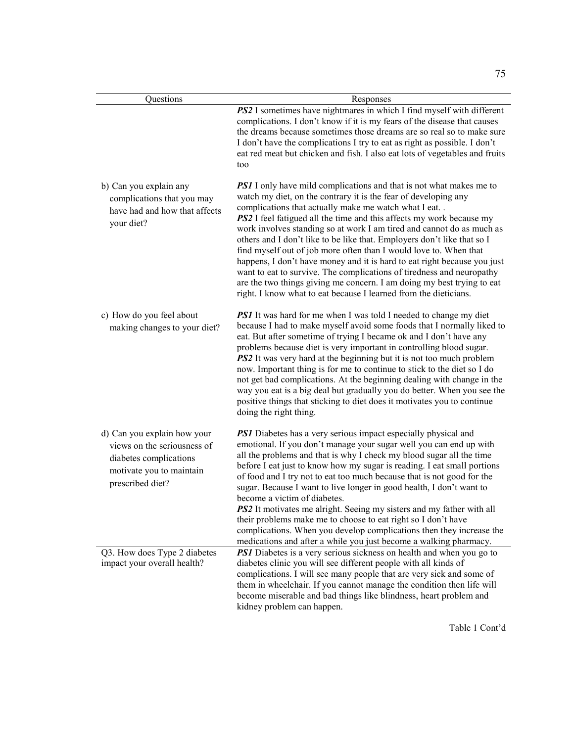| Questions                                                                                                                            | Responses                                                                                                                                                                                                                                                                                                                                                                                                                                                                                                                                                                                                                                                                                                                                                                                                           |  |  |  |
|--------------------------------------------------------------------------------------------------------------------------------------|---------------------------------------------------------------------------------------------------------------------------------------------------------------------------------------------------------------------------------------------------------------------------------------------------------------------------------------------------------------------------------------------------------------------------------------------------------------------------------------------------------------------------------------------------------------------------------------------------------------------------------------------------------------------------------------------------------------------------------------------------------------------------------------------------------------------|--|--|--|
|                                                                                                                                      | PS2 I sometimes have nightmares in which I find myself with different<br>complications. I don't know if it is my fears of the disease that causes<br>the dreams because sometimes those dreams are so real so to make sure<br>I don't have the complications I try to eat as right as possible. I don't<br>eat red meat but chicken and fish. I also eat lots of vegetables and fruits<br>too                                                                                                                                                                                                                                                                                                                                                                                                                       |  |  |  |
| b) Can you explain any<br>complications that you may<br>have had and how that affects<br>your diet?                                  | <b>PSI</b> I only have mild complications and that is not what makes me to<br>watch my diet, on the contrary it is the fear of developing any<br>complications that actually make me watch what I eat. .<br><b>PS2</b> I feel fatigued all the time and this affects my work because my<br>work involves standing so at work I am tired and cannot do as much as<br>others and I don't like to be like that. Employers don't like that so I<br>find myself out of job more often than I would love to. When that<br>happens, I don't have money and it is hard to eat right because you just<br>want to eat to survive. The complications of tiredness and neuropathy<br>are the two things giving me concern. I am doing my best trying to eat<br>right. I know what to eat because I learned from the dieticians. |  |  |  |
| c) How do you feel about<br>making changes to your diet?                                                                             | <b>PS1</b> It was hard for me when I was told I needed to change my diet<br>because I had to make myself avoid some foods that I normally liked to<br>eat. But after sometime of trying I became ok and I don't have any<br>problems because diet is very important in controlling blood sugar.<br>PS2 It was very hard at the beginning but it is not too much problem<br>now. Important thing is for me to continue to stick to the diet so I do<br>not get bad complications. At the beginning dealing with change in the<br>way you eat is a big deal but gradually you do better. When you see the<br>positive things that sticking to diet does it motivates you to continue<br>doing the right thing.                                                                                                        |  |  |  |
| d) Can you explain how your<br>views on the seriousness of<br>diabetes complications<br>motivate you to maintain<br>prescribed diet? | <b>PS1</b> Diabetes has a very serious impact especially physical and<br>emotional. If you don't manage your sugar well you can end up with<br>all the problems and that is why I check my blood sugar all the time<br>before I eat just to know how my sugar is reading. I eat small portions<br>of food and I try not to eat too much because that is not good for the<br>sugar. Because I want to live longer in good health, I don't want to<br>become a victim of diabetes.<br>PS2 It motivates me alright. Seeing my sisters and my father with all<br>their problems make me to choose to eat right so I don't have<br>complications. When you develop complications then they increase the<br>medications and after a while you just become a walking pharmacy.                                             |  |  |  |
| Q3. How does Type 2 diabetes<br>impact your overall health?                                                                          | <b>PSI</b> Diabetes is a very serious sickness on health and when you go to<br>diabetes clinic you will see different people with all kinds of<br>complications. I will see many people that are very sick and some of<br>them in wheelchair. If you cannot manage the condition then life will<br>become miserable and bad things like blindness, heart problem and<br>kidney problem can happen.                                                                                                                                                                                                                                                                                                                                                                                                                  |  |  |  |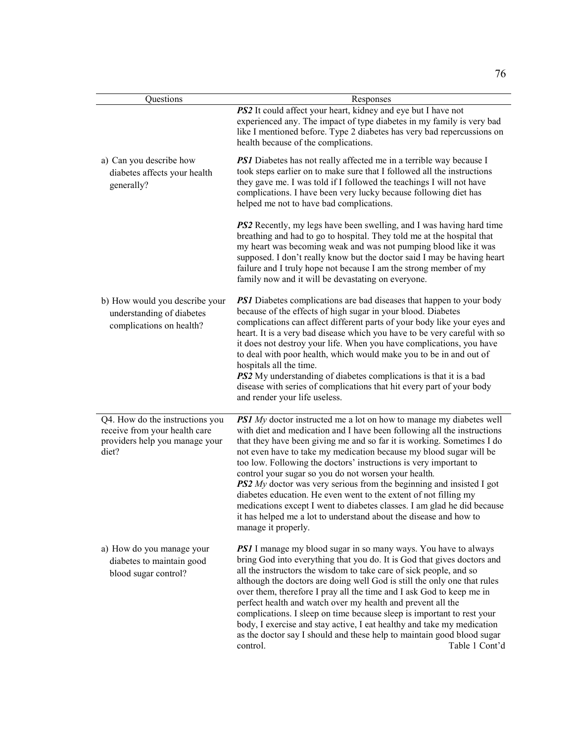| Questions                                                                                                   | Responses                                                                                                                                                                                                                                                                                                                                                                                                                                                                                                                                                                                                                                                                                                                                                    |
|-------------------------------------------------------------------------------------------------------------|--------------------------------------------------------------------------------------------------------------------------------------------------------------------------------------------------------------------------------------------------------------------------------------------------------------------------------------------------------------------------------------------------------------------------------------------------------------------------------------------------------------------------------------------------------------------------------------------------------------------------------------------------------------------------------------------------------------------------------------------------------------|
|                                                                                                             | PS2 It could affect your heart, kidney and eye but I have not<br>experienced any. The impact of type diabetes in my family is very bad<br>like I mentioned before. Type 2 diabetes has very bad repercussions on<br>health because of the complications.                                                                                                                                                                                                                                                                                                                                                                                                                                                                                                     |
| a) Can you describe how<br>diabetes affects your health<br>generally?                                       | <b>PSI</b> Diabetes has not really affected me in a terrible way because I<br>took steps earlier on to make sure that I followed all the instructions<br>they gave me. I was told if I followed the teachings I will not have<br>complications. I have been very lucky because following diet has<br>helped me not to have bad complications.                                                                                                                                                                                                                                                                                                                                                                                                                |
|                                                                                                             | <b>PS2</b> Recently, my legs have been swelling, and I was having hard time<br>breathing and had to go to hospital. They told me at the hospital that<br>my heart was becoming weak and was not pumping blood like it was<br>supposed. I don't really know but the doctor said I may be having heart<br>failure and I truly hope not because I am the strong member of my<br>family now and it will be devastating on everyone.                                                                                                                                                                                                                                                                                                                              |
| b) How would you describe your<br>understanding of diabetes<br>complications on health?                     | <b>PSI</b> Diabetes complications are bad diseases that happen to your body<br>because of the effects of high sugar in your blood. Diabetes<br>complications can affect different parts of your body like your eyes and<br>heart. It is a very bad disease which you have to be very careful with so<br>it does not destroy your life. When you have complications, you have<br>to deal with poor health, which would make you to be in and out of<br>hospitals all the time.<br><b>PS2</b> My understanding of diabetes complications is that it is a bad<br>disease with series of complications that hit every part of your body<br>and render your life useless.                                                                                         |
| Q4. How do the instructions you<br>receive from your health care<br>providers help you manage your<br>diet? | <b>PS1</b> My doctor instructed me a lot on how to manage my diabetes well<br>with diet and medication and I have been following all the instructions<br>that they have been giving me and so far it is working. Sometimes I do<br>not even have to take my medication because my blood sugar will be<br>too low. Following the doctors' instructions is very important to<br>control your sugar so you do not worsen your health.<br><b>PS2</b> My doctor was very serious from the beginning and insisted I got<br>diabetes education. He even went to the extent of not filling my<br>medications except I went to diabetes classes. I am glad he did because<br>it has helped me a lot to understand about the disease and how to<br>manage it properly. |
| a) How do you manage your<br>diabetes to maintain good<br>blood sugar control?                              | <b>PS1</b> I manage my blood sugar in so many ways. You have to always<br>bring God into everything that you do. It is God that gives doctors and<br>all the instructors the wisdom to take care of sick people, and so<br>although the doctors are doing well God is still the only one that rules<br>over them, therefore I pray all the time and I ask God to keep me in<br>perfect health and watch over my health and prevent all the<br>complications. I sleep on time because sleep is important to rest your<br>body, I exercise and stay active, I eat healthy and take my medication<br>as the doctor say I should and these help to maintain good blood sugar<br>Table 1 Cont'd<br>control.                                                       |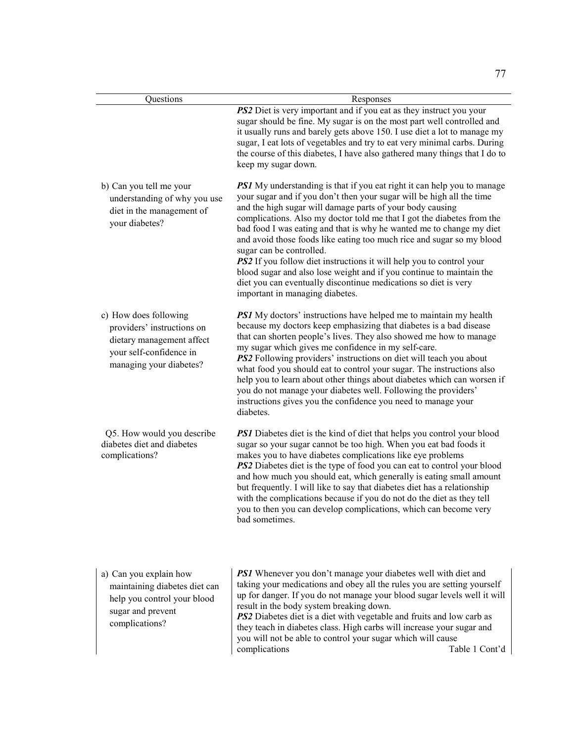| Questions                                                                                                                              | Responses                                                                                                                                                                                                                                                                                                                                                                                                                                                                                                                                                                                                                                                                                                                                |  |  |
|----------------------------------------------------------------------------------------------------------------------------------------|------------------------------------------------------------------------------------------------------------------------------------------------------------------------------------------------------------------------------------------------------------------------------------------------------------------------------------------------------------------------------------------------------------------------------------------------------------------------------------------------------------------------------------------------------------------------------------------------------------------------------------------------------------------------------------------------------------------------------------------|--|--|
|                                                                                                                                        | PS2 Diet is very important and if you eat as they instruct you your<br>sugar should be fine. My sugar is on the most part well controlled and<br>it usually runs and barely gets above 150. I use diet a lot to manage my<br>sugar, I eat lots of vegetables and try to eat very minimal carbs. During<br>the course of this diabetes, I have also gathered many things that I do to<br>keep my sugar down.                                                                                                                                                                                                                                                                                                                              |  |  |
| b) Can you tell me your<br>understanding of why you use<br>diet in the management of<br>your diabetes?                                 | <b>PS1</b> My understanding is that if you eat right it can help you to manage<br>your sugar and if you don't then your sugar will be high all the time<br>and the high sugar will damage parts of your body causing<br>complications. Also my doctor told me that I got the diabetes from the<br>bad food I was eating and that is why he wanted me to change my diet<br>and avoid those foods like eating too much rice and sugar so my blood<br>sugar can be controlled.<br><b>PS2</b> If you follow diet instructions it will help you to control your<br>blood sugar and also lose weight and if you continue to maintain the<br>diet you can eventually discontinue medications so diet is very<br>important in managing diabetes. |  |  |
| c) How does following<br>providers' instructions on<br>dietary management affect<br>your self-confidence in<br>managing your diabetes? | <b>PS1</b> My doctors' instructions have helped me to maintain my health<br>because my doctors keep emphasizing that diabetes is a bad disease<br>that can shorten people's lives. They also showed me how to manage<br>my sugar which gives me confidence in my self-care.<br>PS2 Following providers' instructions on diet will teach you about<br>what food you should eat to control your sugar. The instructions also<br>help you to learn about other things about diabetes which can worsen if<br>you do not manage your diabetes well. Following the providers'<br>instructions gives you the confidence you need to manage your<br>diabetes.                                                                                    |  |  |
| Q5. How would you describe<br>diabetes diet and diabetes<br>complications?                                                             | <b>PSI</b> Diabetes diet is the kind of diet that helps you control your blood<br>sugar so your sugar cannot be too high. When you eat bad foods it<br>makes you to have diabetes complications like eye problems<br><b>PS2</b> Diabetes diet is the type of food you can eat to control your blood<br>and how much you should eat, which generally is eating small amount<br>but frequently. I will like to say that diabetes diet has a relationship<br>with the complications because if you do not do the diet as they tell<br>you to then you can develop complications, which can become very<br>bad sometimes.                                                                                                                    |  |  |
| a) Can you explain how<br>maintaining diabetes diet can<br>help you control your blood<br>sugar and prevent<br>complications?          | <b>PS1</b> Whenever you don't manage your diabetes well with diet and<br>taking your medications and obey all the rules you are setting yourself<br>up for danger. If you do not manage your blood sugar levels well it will<br>result in the body system breaking down.<br><b>PS2</b> Diabetes diet is a diet with vegetable and fruits and low carb as<br>they teach in diabetes class. High carbs will increase your sugar and<br>you will not be able to control your sugar which will cause<br>complications<br>Table 1 Cont'd                                                                                                                                                                                                      |  |  |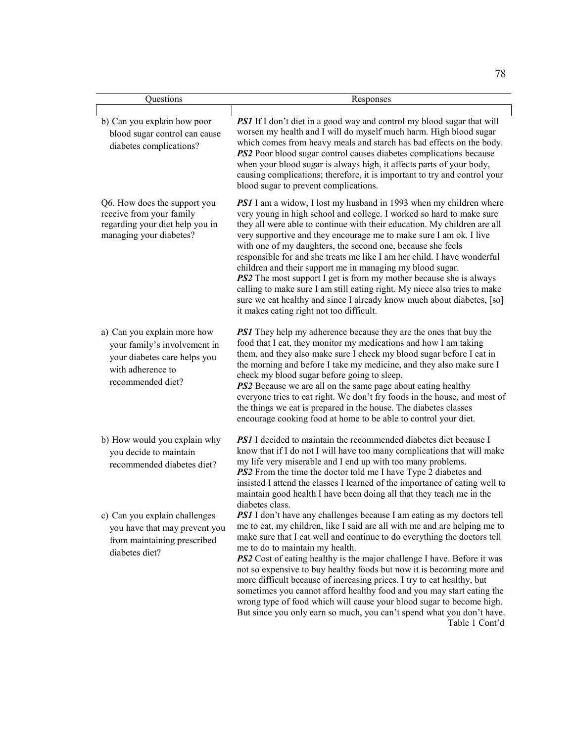| Questions                                                                                                                             | Responses                                                                                                                                                                                                                                                                                                                                                                                                                                                                                                                                                                                                                                                                                                                                                                                  |
|---------------------------------------------------------------------------------------------------------------------------------------|--------------------------------------------------------------------------------------------------------------------------------------------------------------------------------------------------------------------------------------------------------------------------------------------------------------------------------------------------------------------------------------------------------------------------------------------------------------------------------------------------------------------------------------------------------------------------------------------------------------------------------------------------------------------------------------------------------------------------------------------------------------------------------------------|
| b) Can you explain how poor<br>blood sugar control can cause<br>diabetes complications?                                               | <b>PS1</b> If I don't diet in a good way and control my blood sugar that will<br>worsen my health and I will do myself much harm. High blood sugar<br>which comes from heavy meals and starch has bad effects on the body.<br>PS2 Poor blood sugar control causes diabetes complications because<br>when your blood sugar is always high, it affects parts of your body,<br>causing complications; therefore, it is important to try and control your<br>blood sugar to prevent complications.                                                                                                                                                                                                                                                                                             |
| Q6. How does the support you<br>receive from your family<br>regarding your diet help you in<br>managing your diabetes?                | <b>PSI</b> I am a widow, I lost my husband in 1993 when my children where<br>very young in high school and college. I worked so hard to make sure<br>they all were able to continue with their education. My children are all<br>very supportive and they encourage me to make sure I am ok. I live<br>with one of my daughters, the second one, because she feels<br>responsible for and she treats me like I am her child. I have wonderful<br>children and their support me in managing my blood sugar.<br><b>PS2</b> The most support I get is from my mother because she is always<br>calling to make sure I am still eating right. My niece also tries to make<br>sure we eat healthy and since I already know much about diabetes, [so]<br>it makes eating right not too difficult. |
| a) Can you explain more how<br>your family's involvement in<br>your diabetes care helps you<br>with adherence to<br>recommended diet? | <b>PSI</b> They help my adherence because they are the ones that buy the<br>food that I eat, they monitor my medications and how I am taking<br>them, and they also make sure I check my blood sugar before I eat in<br>the morning and before I take my medicine, and they also make sure I<br>check my blood sugar before going to sleep.<br><b>PS2</b> Because we are all on the same page about eating healthy<br>everyone tries to eat right. We don't fry foods in the house, and most of<br>the things we eat is prepared in the house. The diabetes classes<br>encourage cooking food at home to be able to control your diet.                                                                                                                                                     |
| b) How would you explain why<br>you decide to maintain<br>recommended diabetes diet?                                                  | <b>PSI</b> I decided to maintain the recommended diabetes diet because I<br>know that if I do not I will have too many complications that will make<br>my life very miserable and I end up with too many problems.<br>PS2 From the time the doctor told me I have Type 2 diabetes and<br>insisted I attend the classes I learned of the importance of eating well to<br>maintain good health I have been doing all that they teach me in the<br>diabetes class.                                                                                                                                                                                                                                                                                                                            |
| c) Can you explain challenges<br>you have that may prevent you<br>from maintaining prescribed<br>diabetes diet?                       | <b>PSI</b> I don't have any challenges because I am eating as my doctors tell<br>me to eat, my children, like I said are all with me and are helping me to<br>make sure that I eat well and continue to do everything the doctors tell<br>me to do to maintain my health.<br>PS2 Cost of eating healthy is the major challenge I have. Before it was<br>not so expensive to buy healthy foods but now it is becoming more and<br>more difficult because of increasing prices. I try to eat healthy, but<br>sometimes you cannot afford healthy food and you may start eating the<br>wrong type of food which will cause your blood sugar to become high.<br>But since you only earn so much, you can't spend what you don't have.<br>Table 1 Cont'd                                        |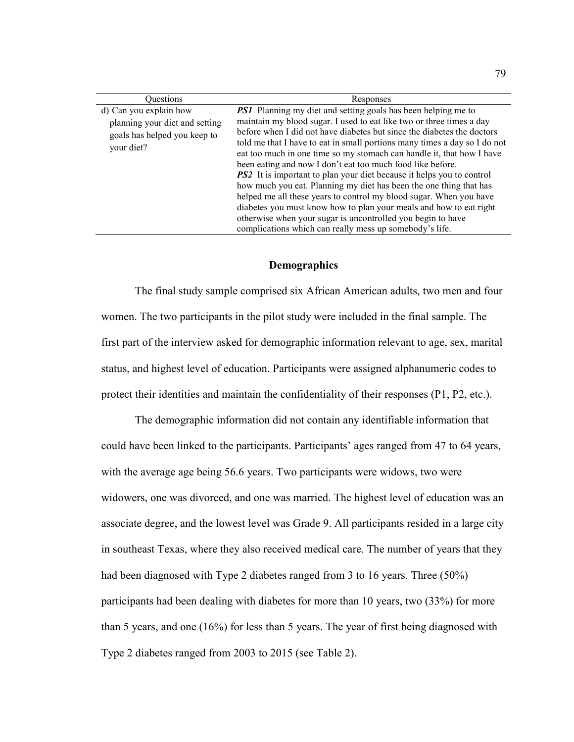| Ouestions                      | Responses                                                                                                                                          |  |  |
|--------------------------------|----------------------------------------------------------------------------------------------------------------------------------------------------|--|--|
| d) Can you explain how         | <b>PS1</b> Planning my diet and setting goals has been helping me to                                                                               |  |  |
| planning your diet and setting | maintain my blood sugar. I used to eat like two or three times a day                                                                               |  |  |
| goals has helped you keep to   | before when I did not have diabetes but since the diabetes the doctors                                                                             |  |  |
| your diet?                     | told me that I have to eat in small portions many times a day so I do not<br>eat too much in one time so my stomach can handle it, that how I have |  |  |
|                                | been eating and now I don't eat too much food like before.                                                                                         |  |  |
|                                | <b>PS2</b> It is important to plan your diet because it helps you to control                                                                       |  |  |
|                                | how much you eat. Planning my diet has been the one thing that has                                                                                 |  |  |
|                                | helped me all these years to control my blood sugar. When you have                                                                                 |  |  |
|                                | diabetes you must know how to plan your meals and how to eat right                                                                                 |  |  |
|                                | otherwise when your sugar is uncontrolled you begin to have                                                                                        |  |  |
|                                | complications which can really mess up somebody's life.                                                                                            |  |  |

### **Demographics**

 The final study sample comprised six African American adults, two men and four women. The two participants in the pilot study were included in the final sample. The first part of the interview asked for demographic information relevant to age, sex, marital status, and highest level of education. Participants were assigned alphanumeric codes to protect their identities and maintain the confidentiality of their responses (P1, P2, etc.).

 The demographic information did not contain any identifiable information that could have been linked to the participants. Participants' ages ranged from 47 to 64 years, with the average age being 56.6 years. Two participants were widows, two were widowers, one was divorced, and one was married. The highest level of education was an associate degree, and the lowest level was Grade 9. All participants resided in a large city in southeast Texas, where they also received medical care. The number of years that they had been diagnosed with Type 2 diabetes ranged from 3 to 16 years. Three (50%) participants had been dealing with diabetes for more than 10 years, two (33%) for more than 5 years, and one (16%) for less than 5 years. The year of first being diagnosed with Type 2 diabetes ranged from 2003 to 2015 (see Table 2).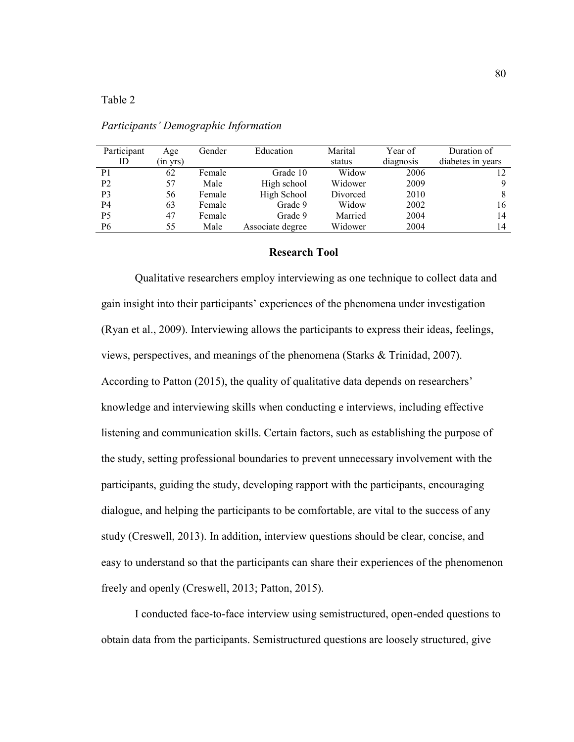## Table 2

| Participant    | Age           | Gender | Education        | Marital  | Year of   | Duration of       |
|----------------|---------------|--------|------------------|----------|-----------|-------------------|
| ID             | $(in \, vrs)$ |        |                  | status   | diagnosis | diabetes in years |
| P <sub>1</sub> | 62            | Female | Grade 10         | Widow    | 2006      |                   |
| P <sub>2</sub> | 57            | Male   | High school      | Widower  | 2009      | 9                 |
| P <sub>3</sub> | 56            | Female | High School      | Divorced | 2010      | 8                 |
| <b>P4</b>      | 63            | Female | Grade 9          | Widow    | 2002      | 16                |
| P <sub>5</sub> | 47            | Female | Grade 9          | Married  | 2004      | 14                |
| <b>P6</b>      | 55            | Male   | Associate degree | Widower  | 2004      | 14                |
|                |               |        |                  |          |           |                   |

*Participants' Demographic Information* 

#### **Research Tool**

Qualitative researchers employ interviewing as one technique to collect data and gain insight into their participants' experiences of the phenomena under investigation (Ryan et al., 2009). Interviewing allows the participants to express their ideas, feelings, views, perspectives, and meanings of the phenomena (Starks & Trinidad, 2007). According to Patton (2015), the quality of qualitative data depends on researchers' knowledge and interviewing skills when conducting e interviews, including effective listening and communication skills. Certain factors, such as establishing the purpose of the study, setting professional boundaries to prevent unnecessary involvement with the participants, guiding the study, developing rapport with the participants, encouraging dialogue, and helping the participants to be comfortable, are vital to the success of any study (Creswell, 2013). In addition, interview questions should be clear, concise, and easy to understand so that the participants can share their experiences of the phenomenon freely and openly (Creswell, 2013; Patton, 2015).

I conducted face-to-face interview using semistructured, open-ended questions to obtain data from the participants. Semistructured questions are loosely structured, give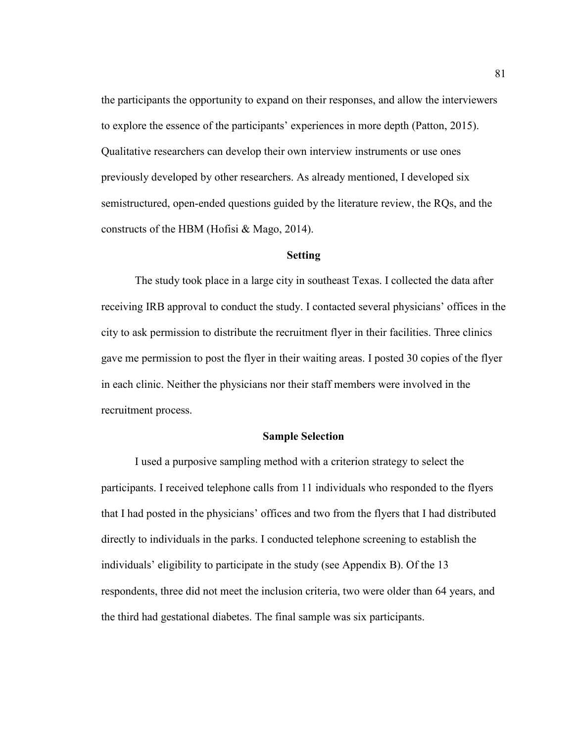the participants the opportunity to expand on their responses, and allow the interviewers to explore the essence of the participants' experiences in more depth (Patton, 2015). Qualitative researchers can develop their own interview instruments or use ones previously developed by other researchers. As already mentioned, I developed six semistructured, open-ended questions guided by the literature review, the RQs, and the constructs of the HBM (Hofisi & Mago, 2014).

### **Setting**

The study took place in a large city in southeast Texas. I collected the data after receiving IRB approval to conduct the study. I contacted several physicians' offices in the city to ask permission to distribute the recruitment flyer in their facilities. Three clinics gave me permission to post the flyer in their waiting areas. I posted 30 copies of the flyer in each clinic. Neither the physicians nor their staff members were involved in the recruitment process.

## **Sample Selection**

I used a purposive sampling method with a criterion strategy to select the participants. I received telephone calls from 11 individuals who responded to the flyers that I had posted in the physicians' offices and two from the flyers that I had distributed directly to individuals in the parks. I conducted telephone screening to establish the individuals' eligibility to participate in the study (see Appendix B). Of the 13 respondents, three did not meet the inclusion criteria, two were older than 64 years, and the third had gestational diabetes. The final sample was six participants.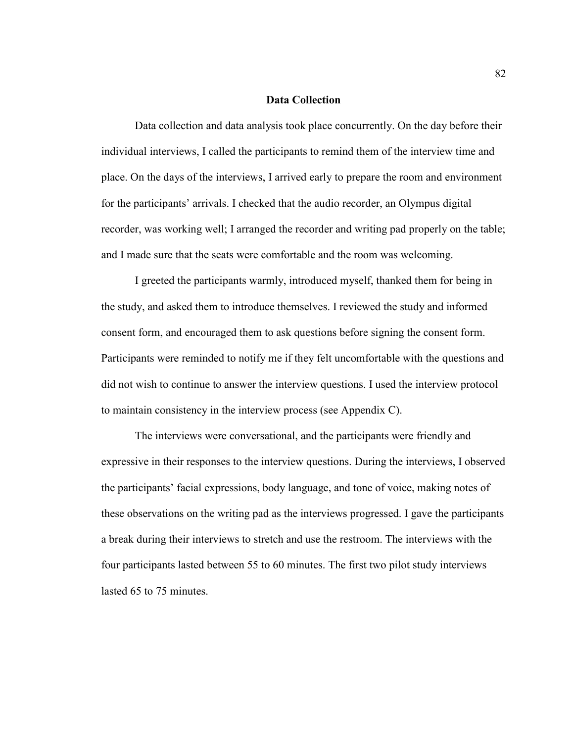## **Data Collection**

Data collection and data analysis took place concurrently. On the day before their individual interviews, I called the participants to remind them of the interview time and place. On the days of the interviews, I arrived early to prepare the room and environment for the participants' arrivals. I checked that the audio recorder, an Olympus digital recorder, was working well; I arranged the recorder and writing pad properly on the table; and I made sure that the seats were comfortable and the room was welcoming.

I greeted the participants warmly, introduced myself, thanked them for being in the study, and asked them to introduce themselves. I reviewed the study and informed consent form, and encouraged them to ask questions before signing the consent form. Participants were reminded to notify me if they felt uncomfortable with the questions and did not wish to continue to answer the interview questions. I used the interview protocol to maintain consistency in the interview process (see Appendix C).

The interviews were conversational, and the participants were friendly and expressive in their responses to the interview questions. During the interviews, I observed the participants' facial expressions, body language, and tone of voice, making notes of these observations on the writing pad as the interviews progressed. I gave the participants a break during their interviews to stretch and use the restroom. The interviews with the four participants lasted between 55 to 60 minutes. The first two pilot study interviews lasted 65 to 75 minutes.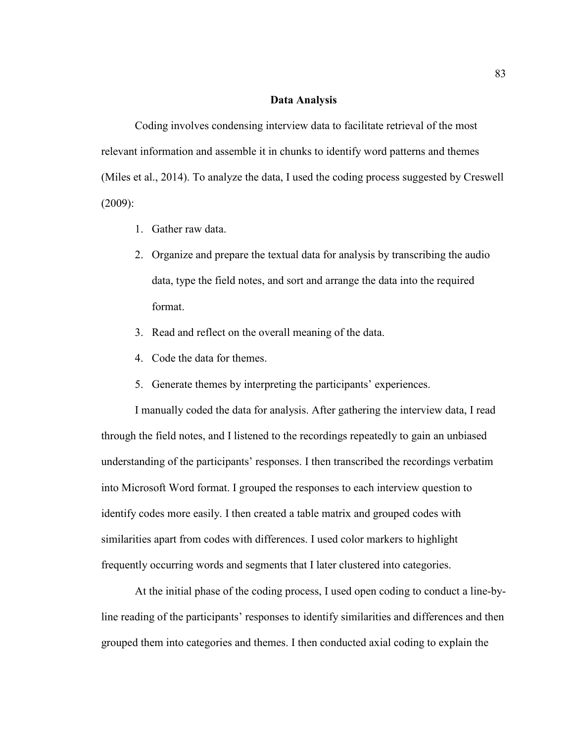## **Data Analysis**

Coding involves condensing interview data to facilitate retrieval of the most relevant information and assemble it in chunks to identify word patterns and themes (Miles et al., 2014). To analyze the data, I used the coding process suggested by Creswell (2009):

- 1. Gather raw data.
- 2. Organize and prepare the textual data for analysis by transcribing the audio data, type the field notes, and sort and arrange the data into the required format.
- 3. Read and reflect on the overall meaning of the data.
- 4. Code the data for themes.
- 5. Generate themes by interpreting the participants' experiences.

I manually coded the data for analysis. After gathering the interview data, I read through the field notes, and I listened to the recordings repeatedly to gain an unbiased understanding of the participants' responses. I then transcribed the recordings verbatim into Microsoft Word format. I grouped the responses to each interview question to identify codes more easily. I then created a table matrix and grouped codes with similarities apart from codes with differences. I used color markers to highlight frequently occurring words and segments that I later clustered into categories.

At the initial phase of the coding process, I used open coding to conduct a line-byline reading of the participants' responses to identify similarities and differences and then grouped them into categories and themes. I then conducted axial coding to explain the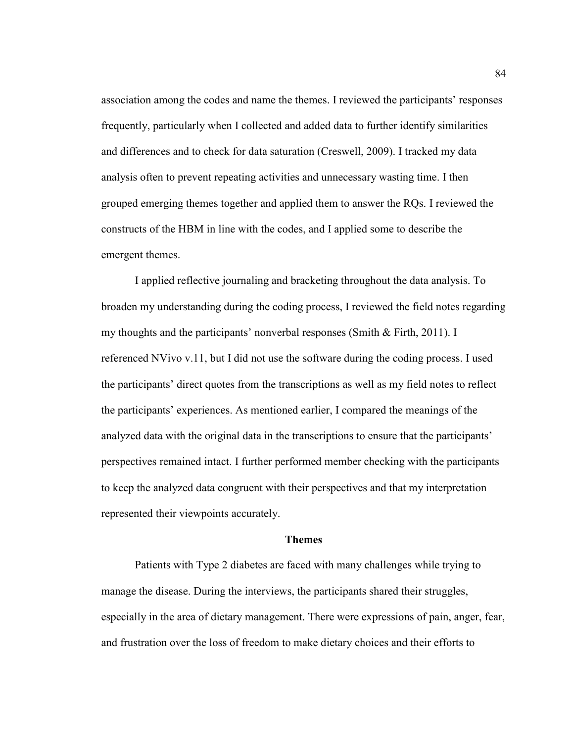association among the codes and name the themes. I reviewed the participants' responses frequently, particularly when I collected and added data to further identify similarities and differences and to check for data saturation (Creswell, 2009). I tracked my data analysis often to prevent repeating activities and unnecessary wasting time. I then grouped emerging themes together and applied them to answer the RQs. I reviewed the constructs of the HBM in line with the codes, and I applied some to describe the emergent themes.

I applied reflective journaling and bracketing throughout the data analysis. To broaden my understanding during the coding process, I reviewed the field notes regarding my thoughts and the participants' nonverbal responses (Smith & Firth, 2011). I referenced NVivo v.11, but I did not use the software during the coding process. I used the participants' direct quotes from the transcriptions as well as my field notes to reflect the participants' experiences. As mentioned earlier, I compared the meanings of the analyzed data with the original data in the transcriptions to ensure that the participants' perspectives remained intact. I further performed member checking with the participants to keep the analyzed data congruent with their perspectives and that my interpretation represented their viewpoints accurately.

#### **Themes**

Patients with Type 2 diabetes are faced with many challenges while trying to manage the disease. During the interviews, the participants shared their struggles, especially in the area of dietary management. There were expressions of pain, anger, fear, and frustration over the loss of freedom to make dietary choices and their efforts to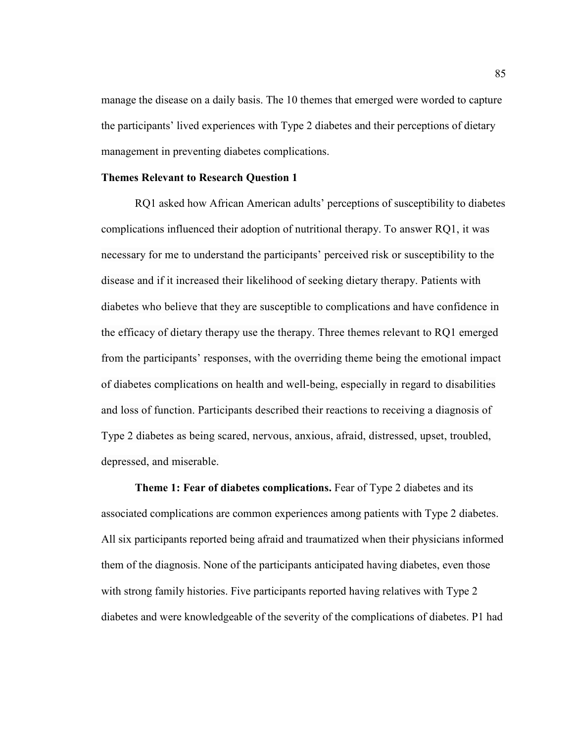manage the disease on a daily basis. The 10 themes that emerged were worded to capture the participants' lived experiences with Type 2 diabetes and their perceptions of dietary management in preventing diabetes complications.

## **Themes Relevant to Research Question 1**

RQ1 asked how African American adults' perceptions of susceptibility to diabetes complications influenced their adoption of nutritional therapy. To answer RQ1, it was necessary for me to understand the participants' perceived risk or susceptibility to the disease and if it increased their likelihood of seeking dietary therapy. Patients with diabetes who believe that they are susceptible to complications and have confidence in the efficacy of dietary therapy use the therapy. Three themes relevant to RQ1 emerged from the participants' responses, with the overriding theme being the emotional impact of diabetes complications on health and well-being, especially in regard to disabilities and loss of function. Participants described their reactions to receiving a diagnosis of Type 2 diabetes as being scared, nervous, anxious, afraid, distressed, upset, troubled, depressed, and miserable.

**Theme 1: Fear of diabetes complications.** Fear of Type 2 diabetes and its associated complications are common experiences among patients with Type 2 diabetes. All six participants reported being afraid and traumatized when their physicians informed them of the diagnosis. None of the participants anticipated having diabetes, even those with strong family histories. Five participants reported having relatives with Type 2 diabetes and were knowledgeable of the severity of the complications of diabetes. P1 had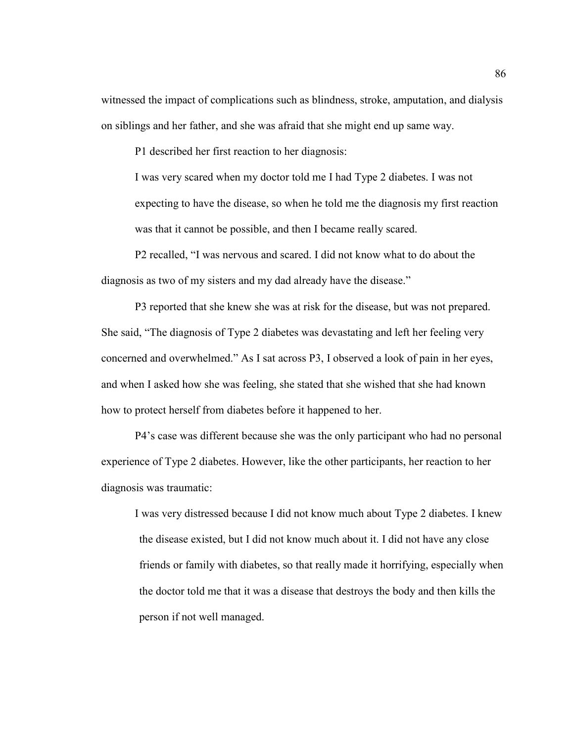witnessed the impact of complications such as blindness, stroke, amputation, and dialysis on siblings and her father, and she was afraid that she might end up same way.

P1 described her first reaction to her diagnosis:

I was very scared when my doctor told me I had Type 2 diabetes. I was not expecting to have the disease, so when he told me the diagnosis my first reaction was that it cannot be possible, and then I became really scared.

P2 recalled, "I was nervous and scared. I did not know what to do about the diagnosis as two of my sisters and my dad already have the disease."

P3 reported that she knew she was at risk for the disease, but was not prepared. She said, "The diagnosis of Type 2 diabetes was devastating and left her feeling very concerned and overwhelmed." As I sat across P3, I observed a look of pain in her eyes, and when I asked how she was feeling, she stated that she wished that she had known how to protect herself from diabetes before it happened to her.

P4's case was different because she was the only participant who had no personal experience of Type 2 diabetes. However, like the other participants, her reaction to her diagnosis was traumatic:

I was very distressed because I did not know much about Type 2 diabetes. I knew the disease existed, but I did not know much about it. I did not have any close friends or family with diabetes, so that really made it horrifying, especially when the doctor told me that it was a disease that destroys the body and then kills the person if not well managed.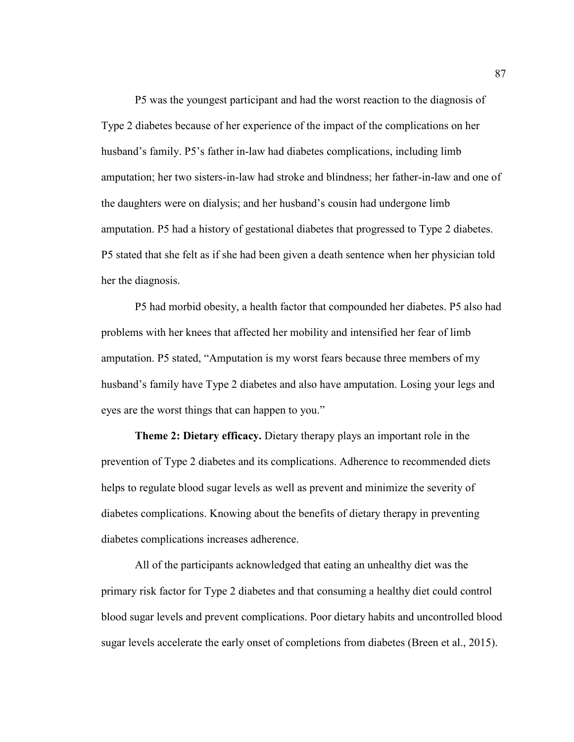P5 was the youngest participant and had the worst reaction to the diagnosis of Type 2 diabetes because of her experience of the impact of the complications on her husband's family. P5's father in-law had diabetes complications, including limb amputation; her two sisters-in-law had stroke and blindness; her father-in-law and one of the daughters were on dialysis; and her husband's cousin had undergone limb amputation. P5 had a history of gestational diabetes that progressed to Type 2 diabetes. P5 stated that she felt as if she had been given a death sentence when her physician told her the diagnosis.

P5 had morbid obesity, a health factor that compounded her diabetes. P5 also had problems with her knees that affected her mobility and intensified her fear of limb amputation. P5 stated, "Amputation is my worst fears because three members of my husband's family have Type 2 diabetes and also have amputation. Losing your legs and eyes are the worst things that can happen to you."

**Theme 2: Dietary efficacy.** Dietary therapy plays an important role in the prevention of Type 2 diabetes and its complications. Adherence to recommended diets helps to regulate blood sugar levels as well as prevent and minimize the severity of diabetes complications. Knowing about the benefits of dietary therapy in preventing diabetes complications increases adherence.

All of the participants acknowledged that eating an unhealthy diet was the primary risk factor for Type 2 diabetes and that consuming a healthy diet could control blood sugar levels and prevent complications. Poor dietary habits and uncontrolled blood sugar levels accelerate the early onset of completions from diabetes (Breen et al., 2015).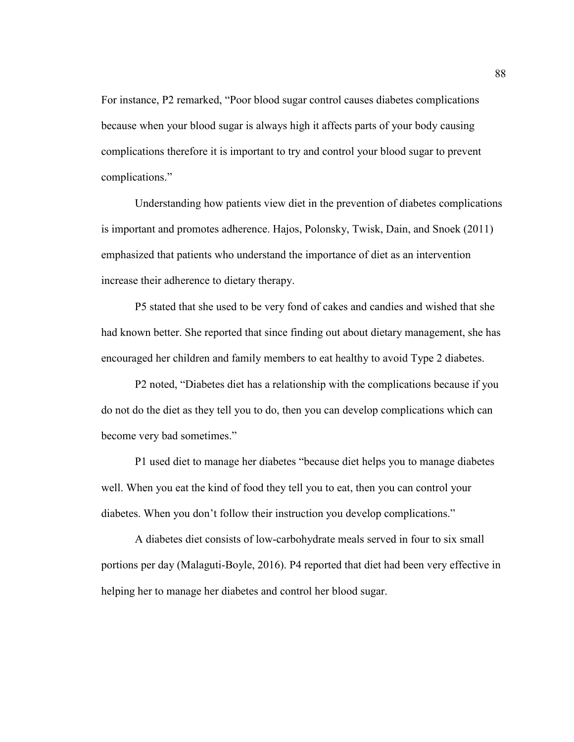For instance, P2 remarked, "Poor blood sugar control causes diabetes complications because when your blood sugar is always high it affects parts of your body causing complications therefore it is important to try and control your blood sugar to prevent complications."

Understanding how patients view diet in the prevention of diabetes complications is important and promotes adherence. Hajos, Polonsky, Twisk, Dain, and Snoek (2011) emphasized that patients who understand the importance of diet as an intervention increase their adherence to dietary therapy.

P5 stated that she used to be very fond of cakes and candies and wished that she had known better. She reported that since finding out about dietary management, she has encouraged her children and family members to eat healthy to avoid Type 2 diabetes.

P2 noted, "Diabetes diet has a relationship with the complications because if you do not do the diet as they tell you to do, then you can develop complications which can become very bad sometimes."

P1 used diet to manage her diabetes "because diet helps you to manage diabetes well. When you eat the kind of food they tell you to eat, then you can control your diabetes. When you don't follow their instruction you develop complications."

A diabetes diet consists of low-carbohydrate meals served in four to six small portions per day (Malaguti-Boyle, 2016). P4 reported that diet had been very effective in helping her to manage her diabetes and control her blood sugar.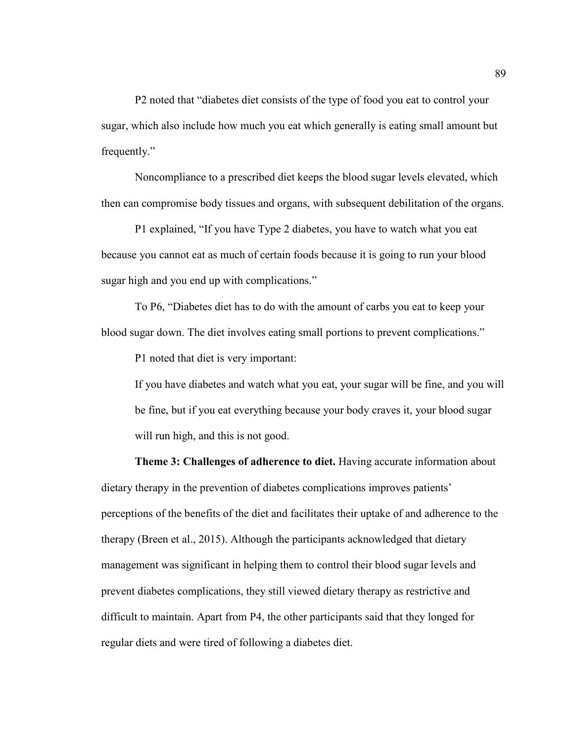P2 noted that "diabetes diet consists of the type of food you eat to control your sugar, which also include how much you eat which generally is eating small amount but frequently."

Noncompliance to a prescribed diet keeps the blood sugar levels elevated, which then can compromise body tissues and organs, with subsequent debilitation of the organs.

P1 explained, "If you have Type 2 diabetes, you have to watch what you eat because you cannot eat as much of certain foods because it is going to run your blood sugar high and you end up with complications."

To P6, "Diabetes diet has to do with the amount of carbs you eat to keep your blood sugar down. The diet involves eating small portions to prevent complications."

P1 noted that diet is very important:

If you have diabetes and watch what you eat, your sugar will be fine, and you will be fine, but if you eat everything because your body craves it, your blood sugar will run high, and this is not good.

**Theme 3: Challenges of adherence to diet.** Having accurate information about dietary therapy in the prevention of diabetes complications improves patients' perceptions of the benefits of the diet and facilitates their uptake of and adherence to the therapy (Breen et al., 2015). Although the participants acknowledged that dietary management was significant in helping them to control their blood sugar levels and prevent diabetes complications, they still viewed dietary therapy as restrictive and difficult to maintain. Apart from P4, the other participants said that they longed for regular diets and were tired of following a diabetes diet.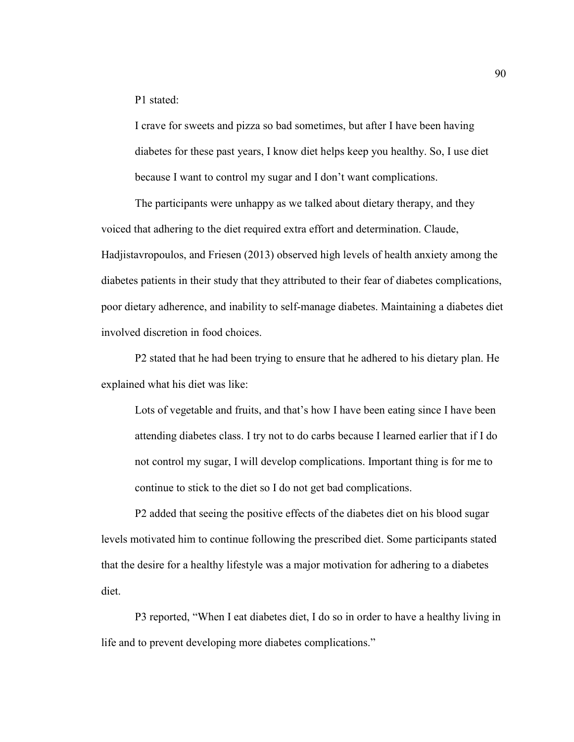P1 stated:

I crave for sweets and pizza so bad sometimes, but after I have been having diabetes for these past years, I know diet helps keep you healthy. So, I use diet because I want to control my sugar and I don't want complications.

The participants were unhappy as we talked about dietary therapy, and they voiced that adhering to the diet required extra effort and determination. Claude, Hadjistavropoulos, and Friesen (2013) observed high levels of health anxiety among the diabetes patients in their study that they attributed to their fear of diabetes complications, poor dietary adherence, and inability to self-manage diabetes. Maintaining a diabetes diet involved discretion in food choices.

P2 stated that he had been trying to ensure that he adhered to his dietary plan. He explained what his diet was like:

Lots of vegetable and fruits, and that's how I have been eating since I have been attending diabetes class. I try not to do carbs because I learned earlier that if I do not control my sugar, I will develop complications. Important thing is for me to continue to stick to the diet so I do not get bad complications.

P2 added that seeing the positive effects of the diabetes diet on his blood sugar levels motivated him to continue following the prescribed diet. Some participants stated that the desire for a healthy lifestyle was a major motivation for adhering to a diabetes diet.

P3 reported, "When I eat diabetes diet, I do so in order to have a healthy living in life and to prevent developing more diabetes complications."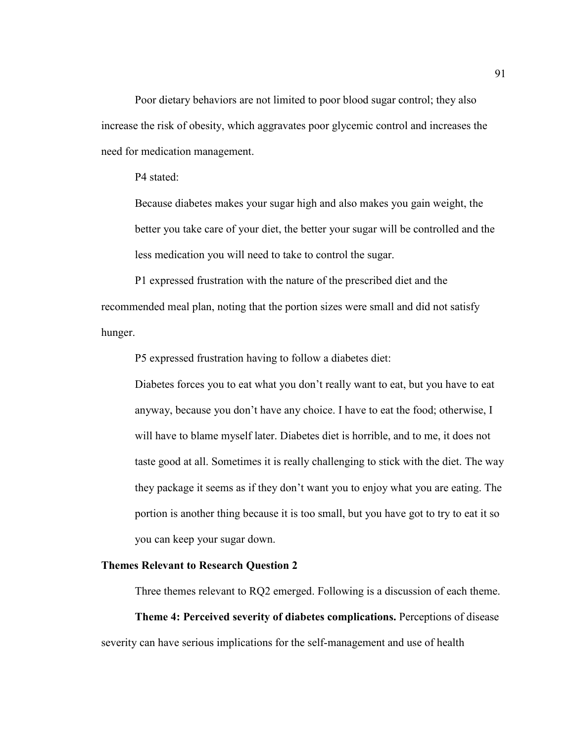Poor dietary behaviors are not limited to poor blood sugar control; they also increase the risk of obesity, which aggravates poor glycemic control and increases the need for medication management.

P4 stated:

Because diabetes makes your sugar high and also makes you gain weight, the better you take care of your diet, the better your sugar will be controlled and the less medication you will need to take to control the sugar.

P1 expressed frustration with the nature of the prescribed diet and the recommended meal plan, noting that the portion sizes were small and did not satisfy hunger.

P5 expressed frustration having to follow a diabetes diet:

Diabetes forces you to eat what you don't really want to eat, but you have to eat anyway, because you don't have any choice. I have to eat the food; otherwise, I will have to blame myself later. Diabetes diet is horrible, and to me, it does not taste good at all. Sometimes it is really challenging to stick with the diet. The way they package it seems as if they don't want you to enjoy what you are eating. The portion is another thing because it is too small, but you have got to try to eat it so you can keep your sugar down.

## **Themes Relevant to Research Question 2**

Three themes relevant to RQ2 emerged. Following is a discussion of each theme.

**Theme 4: Perceived severity of diabetes complications.** Perceptions of disease severity can have serious implications for the self-management and use of health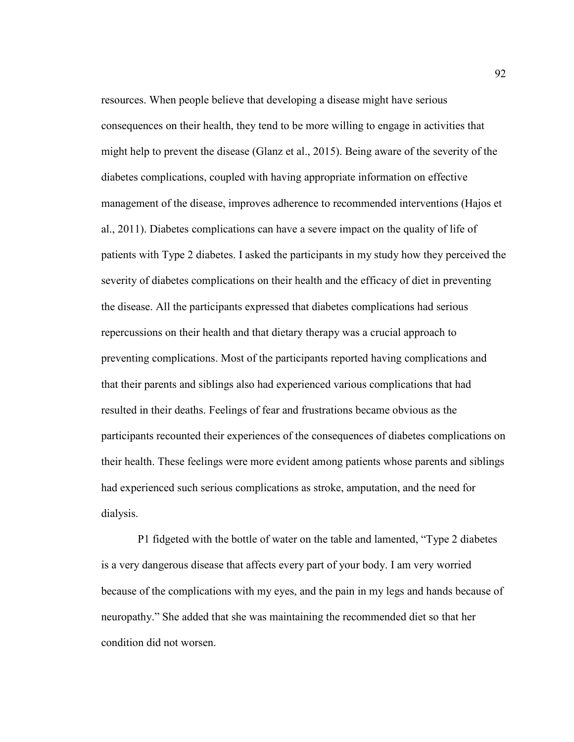resources. When people believe that developing a disease might have serious consequences on their health, they tend to be more willing to engage in activities that might help to prevent the disease (Glanz et al., 2015). Being aware of the severity of the diabetes complications, coupled with having appropriate information on effective management of the disease, improves adherence to recommended interventions (Hajos et al., 2011). Diabetes complications can have a severe impact on the quality of life of patients with Type 2 diabetes. I asked the participants in my study how they perceived the severity of diabetes complications on their health and the efficacy of diet in preventing the disease. All the participants expressed that diabetes complications had serious repercussions on their health and that dietary therapy was a crucial approach to preventing complications. Most of the participants reported having complications and that their parents and siblings also had experienced various complications that had resulted in their deaths. Feelings of fear and frustrations became obvious as the participants recounted their experiences of the consequences of diabetes complications on their health. These feelings were more evident among patients whose parents and siblings had experienced such serious complications as stroke, amputation, and the need for dialysis.

 P1 fidgeted with the bottle of water on the table and lamented, "Type 2 diabetes is a very dangerous disease that affects every part of your body. I am very worried because of the complications with my eyes, and the pain in my legs and hands because of neuropathy." She added that she was maintaining the recommended diet so that her condition did not worsen.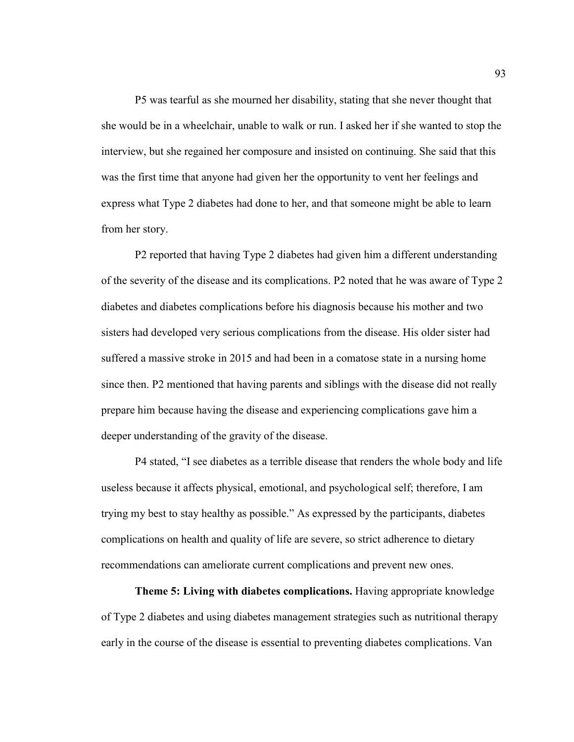P5 was tearful as she mourned her disability, stating that she never thought that she would be in a wheelchair, unable to walk or run. I asked her if she wanted to stop the interview, but she regained her composure and insisted on continuing. She said that this was the first time that anyone had given her the opportunity to vent her feelings and express what Type 2 diabetes had done to her, and that someone might be able to learn from her story.

P2 reported that having Type 2 diabetes had given him a different understanding of the severity of the disease and its complications. P2 noted that he was aware of Type 2 diabetes and diabetes complications before his diagnosis because his mother and two sisters had developed very serious complications from the disease. His older sister had suffered a massive stroke in 2015 and had been in a comatose state in a nursing home since then. P2 mentioned that having parents and siblings with the disease did not really prepare him because having the disease and experiencing complications gave him a deeper understanding of the gravity of the disease.

P4 stated, "I see diabetes as a terrible disease that renders the whole body and life useless because it affects physical, emotional, and psychological self; therefore, I am trying my best to stay healthy as possible." As expressed by the participants, diabetes complications on health and quality of life are severe, so strict adherence to dietary recommendations can ameliorate current complications and prevent new ones.

**Theme 5: Living with diabetes complications.** Having appropriate knowledge of Type 2 diabetes and using diabetes management strategies such as nutritional therapy early in the course of the disease is essential to preventing diabetes complications. Van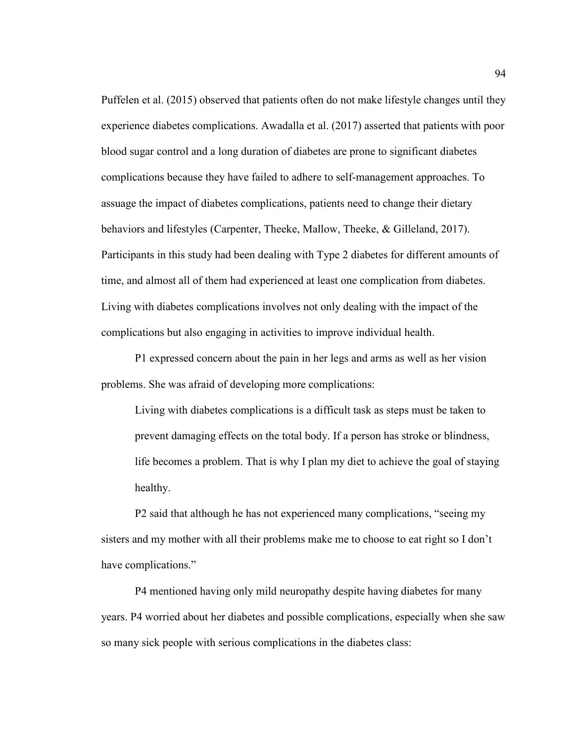Puffelen et al. (2015) observed that patients often do not make lifestyle changes until they experience diabetes complications. Awadalla et al. (2017) asserted that patients with poor blood sugar control and a long duration of diabetes are prone to significant diabetes complications because they have failed to adhere to self-management approaches. To assuage the impact of diabetes complications, patients need to change their dietary behaviors and lifestyles (Carpenter, Theeke, Mallow, Theeke, & Gilleland, 2017). Participants in this study had been dealing with Type 2 diabetes for different amounts of time, and almost all of them had experienced at least one complication from diabetes. Living with diabetes complications involves not only dealing with the impact of the complications but also engaging in activities to improve individual health.

P1 expressed concern about the pain in her legs and arms as well as her vision problems. She was afraid of developing more complications:

Living with diabetes complications is a difficult task as steps must be taken to prevent damaging effects on the total body. If a person has stroke or blindness, life becomes a problem. That is why I plan my diet to achieve the goal of staying healthy.

 P2 said that although he has not experienced many complications, "seeing my sisters and my mother with all their problems make me to choose to eat right so I don't have complications."

 P4 mentioned having only mild neuropathy despite having diabetes for many years. P4 worried about her diabetes and possible complications, especially when she saw so many sick people with serious complications in the diabetes class: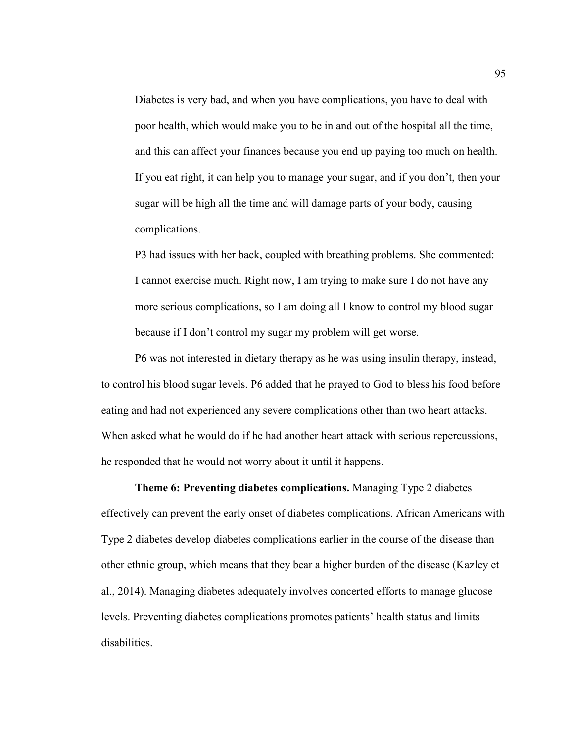Diabetes is very bad, and when you have complications, you have to deal with poor health, which would make you to be in and out of the hospital all the time, and this can affect your finances because you end up paying too much on health. If you eat right, it can help you to manage your sugar, and if you don't, then your sugar will be high all the time and will damage parts of your body, causing complications.

P3 had issues with her back, coupled with breathing problems. She commented: I cannot exercise much. Right now, I am trying to make sure I do not have any more serious complications, so I am doing all I know to control my blood sugar because if I don't control my sugar my problem will get worse.

 P6 was not interested in dietary therapy as he was using insulin therapy, instead, to control his blood sugar levels. P6 added that he prayed to God to bless his food before eating and had not experienced any severe complications other than two heart attacks. When asked what he would do if he had another heart attack with serious repercussions, he responded that he would not worry about it until it happens.

**Theme 6: Preventing diabetes complications.** Managing Type 2 diabetes effectively can prevent the early onset of diabetes complications. African Americans with Type 2 diabetes develop diabetes complications earlier in the course of the disease than other ethnic group, which means that they bear a higher burden of the disease (Kazley et al., 2014). Managing diabetes adequately involves concerted efforts to manage glucose levels. Preventing diabetes complications promotes patients' health status and limits disabilities.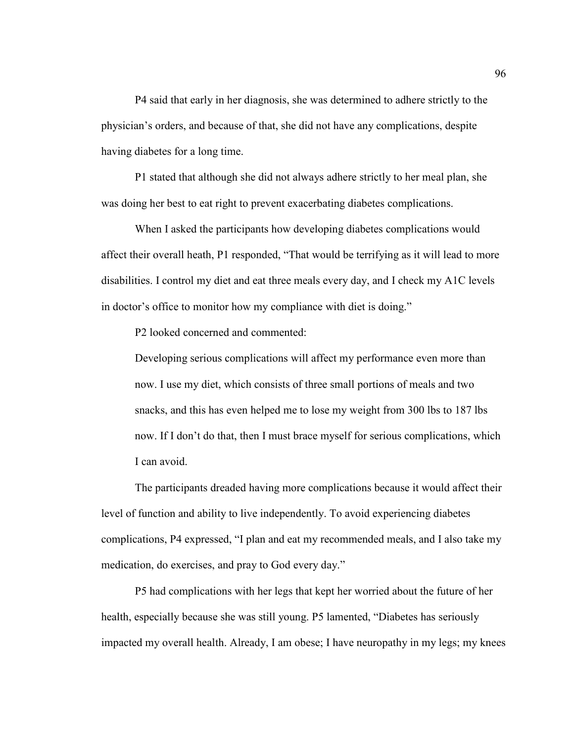P4 said that early in her diagnosis, she was determined to adhere strictly to the physician's orders, and because of that, she did not have any complications, despite having diabetes for a long time.

P1 stated that although she did not always adhere strictly to her meal plan, she was doing her best to eat right to prevent exacerbating diabetes complications.

When I asked the participants how developing diabetes complications would affect their overall heath, P1 responded, "That would be terrifying as it will lead to more disabilities. I control my diet and eat three meals every day, and I check my A1C levels in doctor's office to monitor how my compliance with diet is doing."

P2 looked concerned and commented:

Developing serious complications will affect my performance even more than now. I use my diet, which consists of three small portions of meals and two snacks, and this has even helped me to lose my weight from 300 lbs to 187 lbs now. If I don't do that, then I must brace myself for serious complications, which I can avoid.

The participants dreaded having more complications because it would affect their level of function and ability to live independently. To avoid experiencing diabetes complications, P4 expressed, "I plan and eat my recommended meals, and I also take my medication, do exercises, and pray to God every day."

P5 had complications with her legs that kept her worried about the future of her health, especially because she was still young. P5 lamented, "Diabetes has seriously impacted my overall health. Already, I am obese; I have neuropathy in my legs; my knees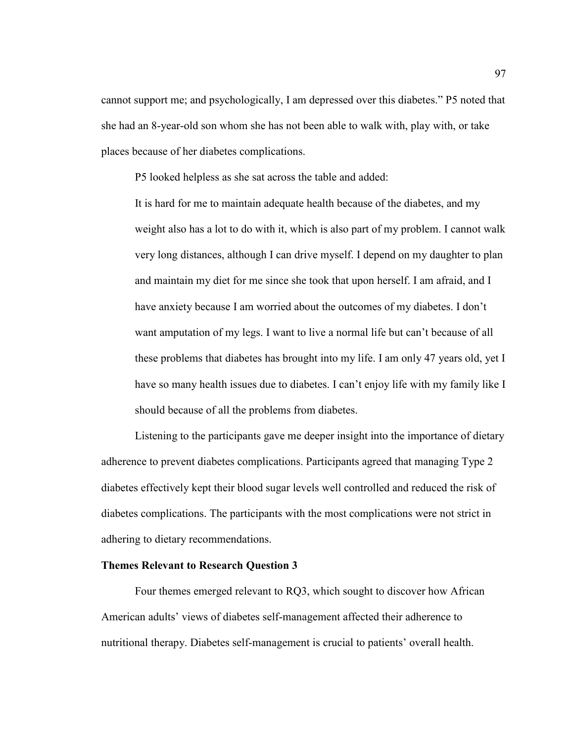cannot support me; and psychologically, I am depressed over this diabetes." P5 noted that she had an 8-year-old son whom she has not been able to walk with, play with, or take places because of her diabetes complications.

P5 looked helpless as she sat across the table and added:

It is hard for me to maintain adequate health because of the diabetes, and my weight also has a lot to do with it, which is also part of my problem. I cannot walk very long distances, although I can drive myself. I depend on my daughter to plan and maintain my diet for me since she took that upon herself. I am afraid, and I have anxiety because I am worried about the outcomes of my diabetes. I don't want amputation of my legs. I want to live a normal life but can't because of all these problems that diabetes has brought into my life. I am only 47 years old, yet I have so many health issues due to diabetes. I can't enjoy life with my family like I should because of all the problems from diabetes.

Listening to the participants gave me deeper insight into the importance of dietary adherence to prevent diabetes complications. Participants agreed that managing Type 2 diabetes effectively kept their blood sugar levels well controlled and reduced the risk of diabetes complications. The participants with the most complications were not strict in adhering to dietary recommendations.

# **Themes Relevant to Research Question 3**

Four themes emerged relevant to RQ3, which sought to discover how African American adults' views of diabetes self-management affected their adherence to nutritional therapy. Diabetes self-management is crucial to patients' overall health.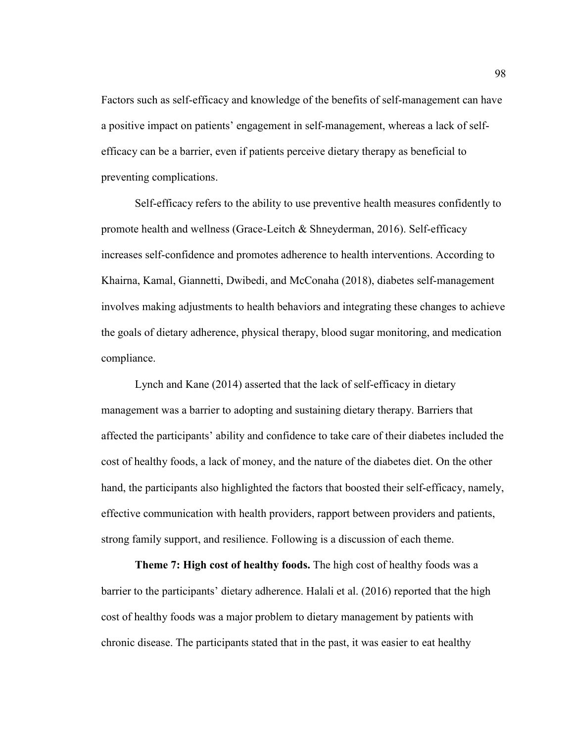Factors such as self-efficacy and knowledge of the benefits of self-management can have a positive impact on patients' engagement in self-management, whereas a lack of selfefficacy can be a barrier, even if patients perceive dietary therapy as beneficial to preventing complications.

Self-efficacy refers to the ability to use preventive health measures confidently to promote health and wellness (Grace-Leitch & Shneyderman, 2016). Self-efficacy increases self-confidence and promotes adherence to health interventions. According to Khairna, Kamal, Giannetti, Dwibedi, and McConaha (2018), diabetes self-management involves making adjustments to health behaviors and integrating these changes to achieve the goals of dietary adherence, physical therapy, blood sugar monitoring, and medication compliance.

Lynch and Kane (2014) asserted that the lack of self-efficacy in dietary management was a barrier to adopting and sustaining dietary therapy. Barriers that affected the participants' ability and confidence to take care of their diabetes included the cost of healthy foods, a lack of money, and the nature of the diabetes diet. On the other hand, the participants also highlighted the factors that boosted their self-efficacy, namely, effective communication with health providers, rapport between providers and patients, strong family support, and resilience. Following is a discussion of each theme.

 **Theme 7: High cost of healthy foods.** The high cost of healthy foods was a barrier to the participants' dietary adherence. Halali et al. (2016) reported that the high cost of healthy foods was a major problem to dietary management by patients with chronic disease. The participants stated that in the past, it was easier to eat healthy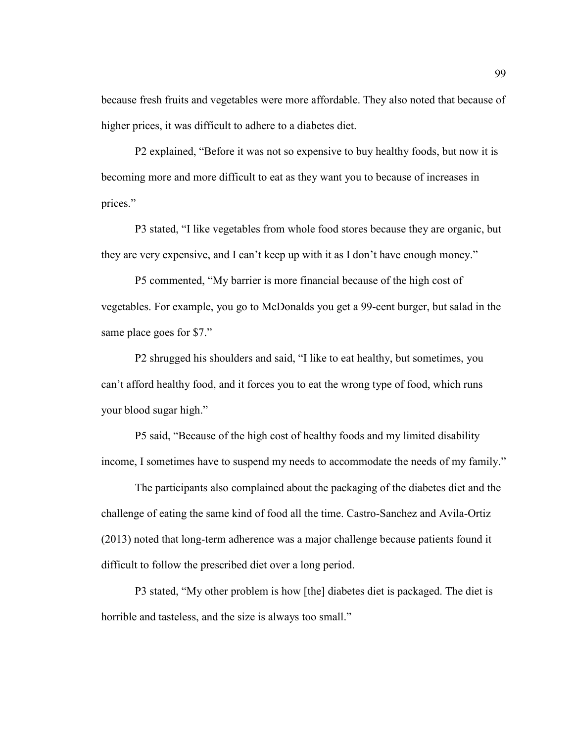because fresh fruits and vegetables were more affordable. They also noted that because of higher prices, it was difficult to adhere to a diabetes diet.

P2 explained, "Before it was not so expensive to buy healthy foods, but now it is becoming more and more difficult to eat as they want you to because of increases in prices."

P3 stated, "I like vegetables from whole food stores because they are organic, but they are very expensive, and I can't keep up with it as I don't have enough money."

P5 commented, "My barrier is more financial because of the high cost of vegetables. For example, you go to McDonalds you get a 99-cent burger, but salad in the same place goes for \$7."

P2 shrugged his shoulders and said, "I like to eat healthy, but sometimes, you can't afford healthy food, and it forces you to eat the wrong type of food, which runs your blood sugar high."

P5 said, "Because of the high cost of healthy foods and my limited disability income, I sometimes have to suspend my needs to accommodate the needs of my family."

The participants also complained about the packaging of the diabetes diet and the challenge of eating the same kind of food all the time. Castro-Sanchez and Avila-Ortiz (2013) noted that long-term adherence was a major challenge because patients found it difficult to follow the prescribed diet over a long period.

P3 stated, "My other problem is how [the] diabetes diet is packaged. The diet is horrible and tasteless, and the size is always too small."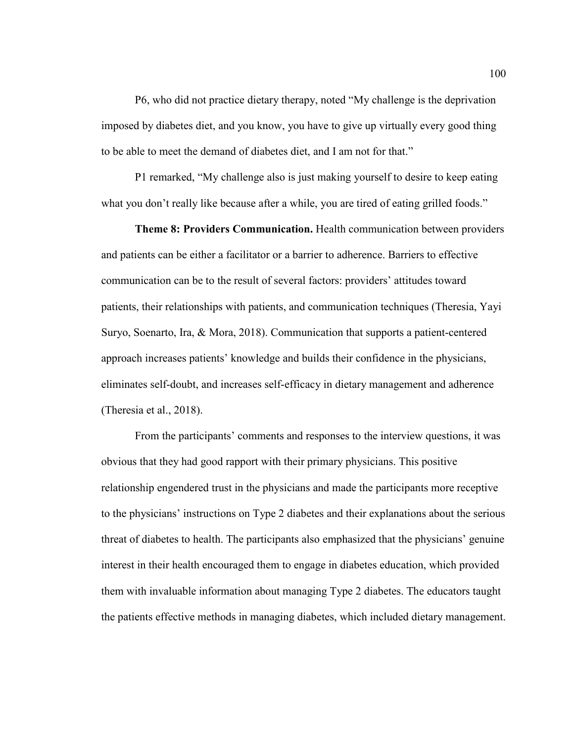P6, who did not practice dietary therapy, noted "My challenge is the deprivation imposed by diabetes diet, and you know, you have to give up virtually every good thing to be able to meet the demand of diabetes diet, and I am not for that."

P1 remarked, "My challenge also is just making yourself to desire to keep eating what you don't really like because after a while, you are tired of eating grilled foods."

**Theme 8: Providers Communication.** Health communication between providers and patients can be either a facilitator or a barrier to adherence. Barriers to effective communication can be to the result of several factors: providers' attitudes toward patients, their relationships with patients, and communication techniques (Theresia, Yayi Suryo, Soenarto, Ira, & Mora, 2018). Communication that supports a patient-centered approach increases patients' knowledge and builds their confidence in the physicians, eliminates self-doubt, and increases self-efficacy in dietary management and adherence (Theresia et al., 2018).

From the participants' comments and responses to the interview questions, it was obvious that they had good rapport with their primary physicians. This positive relationship engendered trust in the physicians and made the participants more receptive to the physicians' instructions on Type 2 diabetes and their explanations about the serious threat of diabetes to health. The participants also emphasized that the physicians' genuine interest in their health encouraged them to engage in diabetes education, which provided them with invaluable information about managing Type 2 diabetes. The educators taught the patients effective methods in managing diabetes, which included dietary management.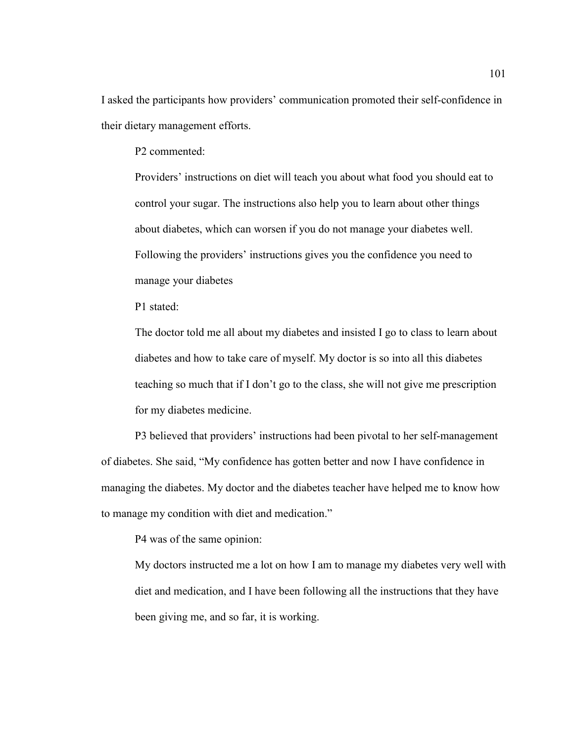I asked the participants how providers' communication promoted their self-confidence in their dietary management efforts.

P2 commented:

Providers' instructions on diet will teach you about what food you should eat to control your sugar. The instructions also help you to learn about other things about diabetes, which can worsen if you do not manage your diabetes well. Following the providers' instructions gives you the confidence you need to manage your diabetes

P1 stated:

The doctor told me all about my diabetes and insisted I go to class to learn about diabetes and how to take care of myself. My doctor is so into all this diabetes teaching so much that if I don't go to the class, she will not give me prescription for my diabetes medicine.

P3 believed that providers' instructions had been pivotal to her self-management of diabetes. She said, "My confidence has gotten better and now I have confidence in managing the diabetes. My doctor and the diabetes teacher have helped me to know how to manage my condition with diet and medication."

P4 was of the same opinion:

My doctors instructed me a lot on how I am to manage my diabetes very well with diet and medication, and I have been following all the instructions that they have been giving me, and so far, it is working.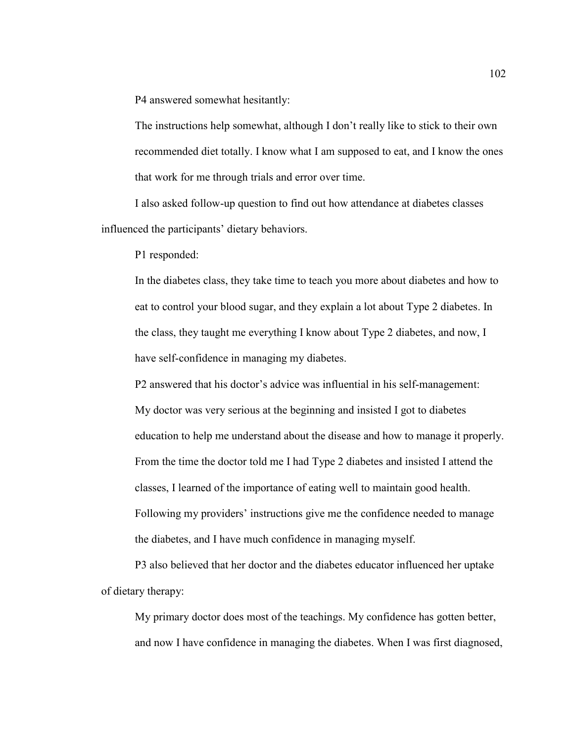P4 answered somewhat hesitantly:

The instructions help somewhat, although I don't really like to stick to their own recommended diet totally. I know what I am supposed to eat, and I know the ones that work for me through trials and error over time.

I also asked follow-up question to find out how attendance at diabetes classes influenced the participants' dietary behaviors.

P1 responded:

In the diabetes class, they take time to teach you more about diabetes and how to eat to control your blood sugar, and they explain a lot about Type 2 diabetes. In the class, they taught me everything I know about Type 2 diabetes, and now, I have self-confidence in managing my diabetes.

P2 answered that his doctor's advice was influential in his self-management: My doctor was very serious at the beginning and insisted I got to diabetes education to help me understand about the disease and how to manage it properly. From the time the doctor told me I had Type 2 diabetes and insisted I attend the classes, I learned of the importance of eating well to maintain good health. Following my providers' instructions give me the confidence needed to manage the diabetes, and I have much confidence in managing myself.

P3 also believed that her doctor and the diabetes educator influenced her uptake of dietary therapy:

My primary doctor does most of the teachings. My confidence has gotten better, and now I have confidence in managing the diabetes. When I was first diagnosed,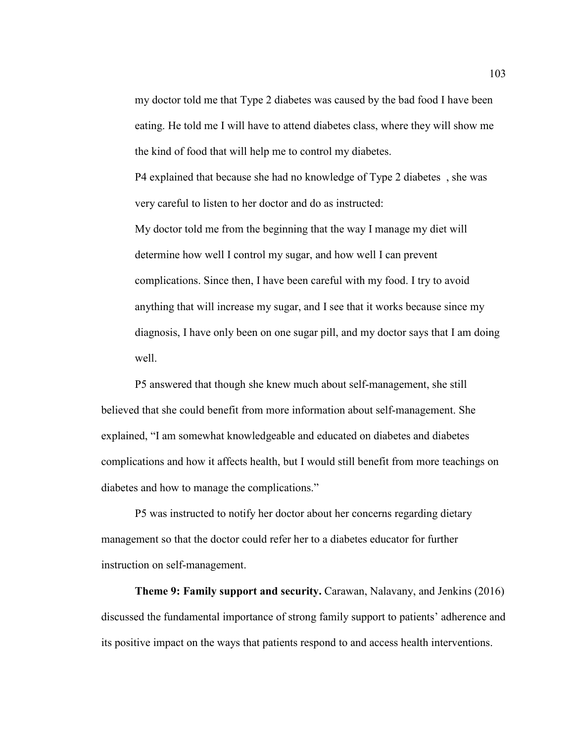my doctor told me that Type 2 diabetes was caused by the bad food I have been eating. He told me I will have to attend diabetes class, where they will show me the kind of food that will help me to control my diabetes.

P4 explained that because she had no knowledge of Type 2 diabetes , she was very careful to listen to her doctor and do as instructed:

My doctor told me from the beginning that the way I manage my diet will determine how well I control my sugar, and how well I can prevent complications. Since then, I have been careful with my food. I try to avoid anything that will increase my sugar, and I see that it works because since my diagnosis, I have only been on one sugar pill, and my doctor says that I am doing well.

P5 answered that though she knew much about self-management, she still believed that she could benefit from more information about self-management. She explained, "I am somewhat knowledgeable and educated on diabetes and diabetes complications and how it affects health, but I would still benefit from more teachings on diabetes and how to manage the complications."

 P5 was instructed to notify her doctor about her concerns regarding dietary management so that the doctor could refer her to a diabetes educator for further instruction on self-management.

 **Theme 9: Family support and security.** Carawan, Nalavany, and Jenkins (2016) discussed the fundamental importance of strong family support to patients' adherence and its positive impact on the ways that patients respond to and access health interventions.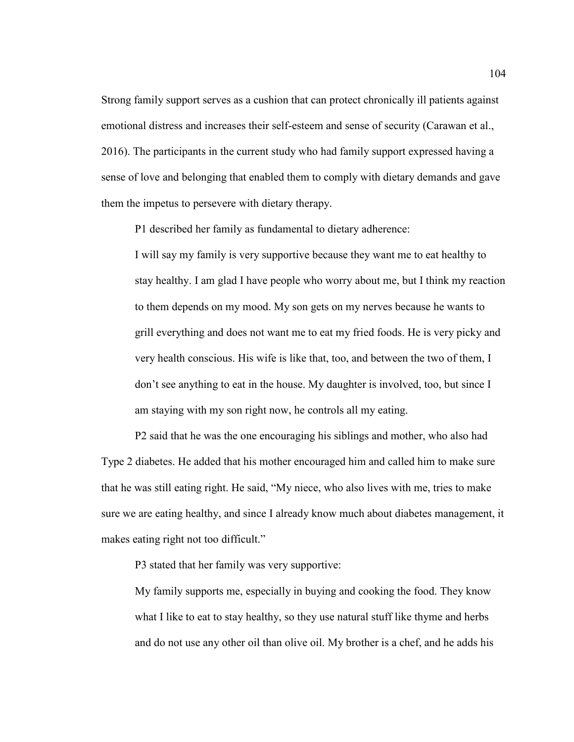Strong family support serves as a cushion that can protect chronically ill patients against emotional distress and increases their self-esteem and sense of security (Carawan et al., 2016). The participants in the current study who had family support expressed having a sense of love and belonging that enabled them to comply with dietary demands and gave them the impetus to persevere with dietary therapy.

P1 described her family as fundamental to dietary adherence:

I will say my family is very supportive because they want me to eat healthy to stay healthy. I am glad I have people who worry about me, but I think my reaction to them depends on my mood. My son gets on my nerves because he wants to grill everything and does not want me to eat my fried foods. He is very picky and very health conscious. His wife is like that, too, and between the two of them, I don't see anything to eat in the house. My daughter is involved, too, but since I am staying with my son right now, he controls all my eating.

 P2 said that he was the one encouraging his siblings and mother, who also had Type 2 diabetes. He added that his mother encouraged him and called him to make sure that he was still eating right. He said, "My niece, who also lives with me, tries to make sure we are eating healthy, and since I already know much about diabetes management, it makes eating right not too difficult."

P3 stated that her family was very supportive:

My family supports me, especially in buying and cooking the food. They know what I like to eat to stay healthy, so they use natural stuff like thyme and herbs and do not use any other oil than olive oil. My brother is a chef, and he adds his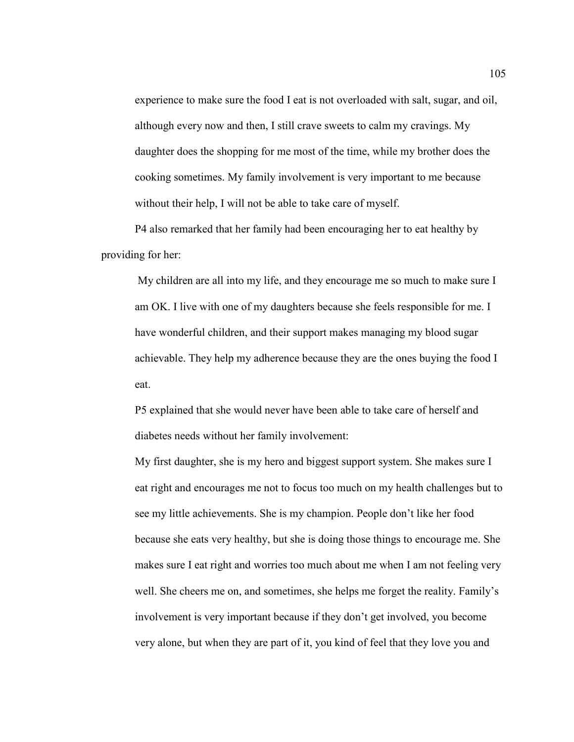experience to make sure the food I eat is not overloaded with salt, sugar, and oil, although every now and then, I still crave sweets to calm my cravings. My daughter does the shopping for me most of the time, while my brother does the cooking sometimes. My family involvement is very important to me because without their help, I will not be able to take care of myself.

P4 also remarked that her family had been encouraging her to eat healthy by providing for her:

 My children are all into my life, and they encourage me so much to make sure I am OK. I live with one of my daughters because she feels responsible for me. I have wonderful children, and their support makes managing my blood sugar achievable. They help my adherence because they are the ones buying the food I eat.

 P5 explained that she would never have been able to take care of herself and diabetes needs without her family involvement:

My first daughter, she is my hero and biggest support system. She makes sure I eat right and encourages me not to focus too much on my health challenges but to see my little achievements. She is my champion. People don't like her food because she eats very healthy, but she is doing those things to encourage me. She makes sure I eat right and worries too much about me when I am not feeling very well. She cheers me on, and sometimes, she helps me forget the reality. Family's involvement is very important because if they don't get involved, you become very alone, but when they are part of it, you kind of feel that they love you and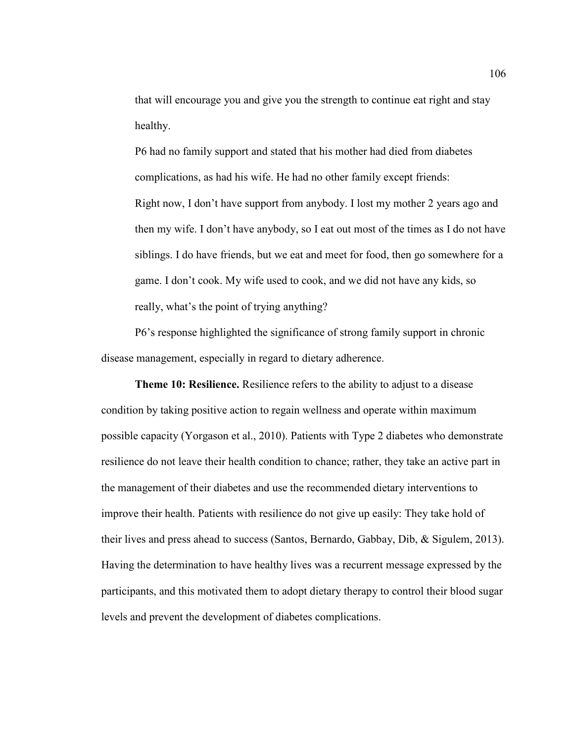that will encourage you and give you the strength to continue eat right and stay healthy.

P6 had no family support and stated that his mother had died from diabetes complications, as had his wife. He had no other family except friends: Right now, I don't have support from anybody. I lost my mother 2 years ago and then my wife. I don't have anybody, so I eat out most of the times as I do not have siblings. I do have friends, but we eat and meet for food, then go somewhere for a game. I don't cook. My wife used to cook, and we did not have any kids, so really, what's the point of trying anything?

 P6's response highlighted the significance of strong family support in chronic disease management, especially in regard to dietary adherence.

 **Theme 10: Resilience.** Resilience refers to the ability to adjust to a disease condition by taking positive action to regain wellness and operate within maximum possible capacity (Yorgason et al., 2010). Patients with Type 2 diabetes who demonstrate resilience do not leave their health condition to chance; rather, they take an active part in the management of their diabetes and use the recommended dietary interventions to improve their health. Patients with resilience do not give up easily: They take hold of their lives and press ahead to success (Santos, Bernardo, Gabbay, Dib, & Sigulem, 2013). Having the determination to have healthy lives was a recurrent message expressed by the participants, and this motivated them to adopt dietary therapy to control their blood sugar levels and prevent the development of diabetes complications.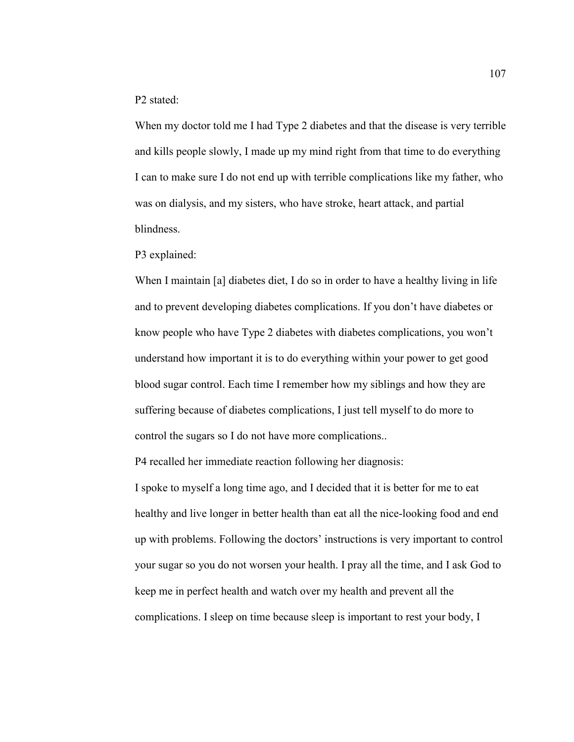P2 stated:

When my doctor told me I had Type 2 diabetes and that the disease is very terrible and kills people slowly, I made up my mind right from that time to do everything I can to make sure I do not end up with terrible complications like my father, who was on dialysis, and my sisters, who have stroke, heart attack, and partial blindness.

P3 explained:

When I maintain [a] diabetes diet, I do so in order to have a healthy living in life and to prevent developing diabetes complications. If you don't have diabetes or know people who have Type 2 diabetes with diabetes complications, you won't understand how important it is to do everything within your power to get good blood sugar control. Each time I remember how my siblings and how they are suffering because of diabetes complications, I just tell myself to do more to control the sugars so I do not have more complications..

P4 recalled her immediate reaction following her diagnosis:

I spoke to myself a long time ago, and I decided that it is better for me to eat healthy and live longer in better health than eat all the nice-looking food and end up with problems. Following the doctors' instructions is very important to control your sugar so you do not worsen your health. I pray all the time, and I ask God to keep me in perfect health and watch over my health and prevent all the complications. I sleep on time because sleep is important to rest your body, I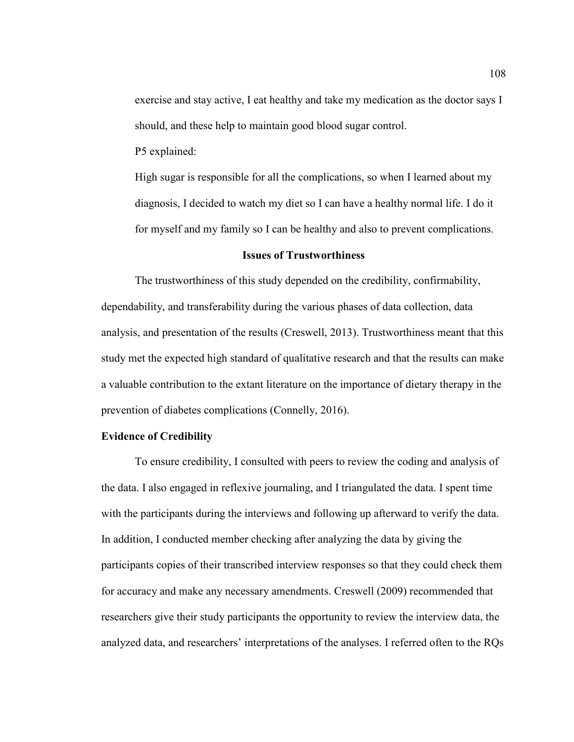exercise and stay active, I eat healthy and take my medication as the doctor says I should, and these help to maintain good blood sugar control.

P5 explained:

High sugar is responsible for all the complications, so when I learned about my diagnosis, I decided to watch my diet so I can have a healthy normal life. I do it for myself and my family so I can be healthy and also to prevent complications.

## **Issues of Trustworthiness**

 The trustworthiness of this study depended on the credibility, confirmability, dependability, and transferability during the various phases of data collection, data analysis, and presentation of the results (Creswell, 2013). Trustworthiness meant that this study met the expected high standard of qualitative research and that the results can make a valuable contribution to the extant literature on the importance of dietary therapy in the prevention of diabetes complications (Connelly, 2016).

## **Evidence of Credibility**

To ensure credibility, I consulted with peers to review the coding and analysis of the data. I also engaged in reflexive journaling, and I triangulated the data. I spent time with the participants during the interviews and following up afterward to verify the data. In addition, I conducted member checking after analyzing the data by giving the participants copies of their transcribed interview responses so that they could check them for accuracy and make any necessary amendments. Creswell (2009) recommended that researchers give their study participants the opportunity to review the interview data, the analyzed data, and researchers' interpretations of the analyses. I referred often to the RQs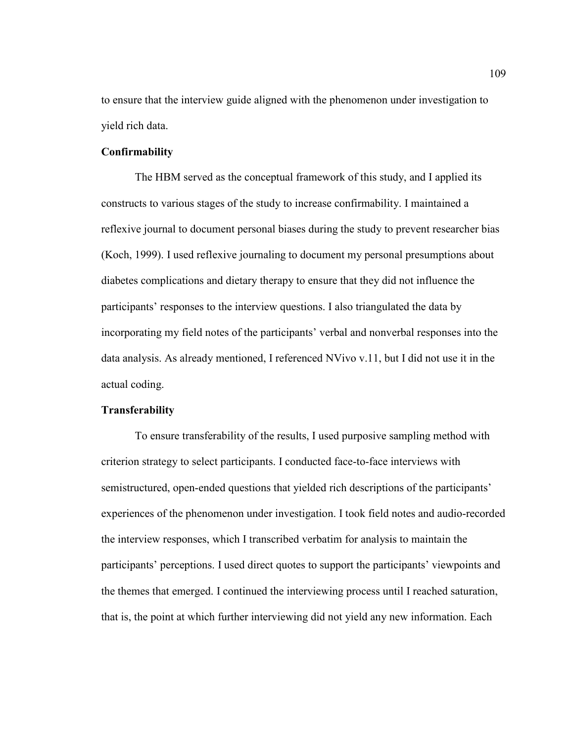to ensure that the interview guide aligned with the phenomenon under investigation to yield rich data.

# **Confirmability**

The HBM served as the conceptual framework of this study, and I applied its constructs to various stages of the study to increase confirmability. I maintained a reflexive journal to document personal biases during the study to prevent researcher bias (Koch, 1999). I used reflexive journaling to document my personal presumptions about diabetes complications and dietary therapy to ensure that they did not influence the participants' responses to the interview questions. I also triangulated the data by incorporating my field notes of the participants' verbal and nonverbal responses into the data analysis. As already mentioned, I referenced NVivo v.11, but I did not use it in the actual coding.

# **Transferability**

To ensure transferability of the results, I used purposive sampling method with criterion strategy to select participants. I conducted face-to-face interviews with semistructured, open-ended questions that yielded rich descriptions of the participants' experiences of the phenomenon under investigation. I took field notes and audio-recorded the interview responses, which I transcribed verbatim for analysis to maintain the participants' perceptions. I used direct quotes to support the participants' viewpoints and the themes that emerged. I continued the interviewing process until I reached saturation, that is, the point at which further interviewing did not yield any new information. Each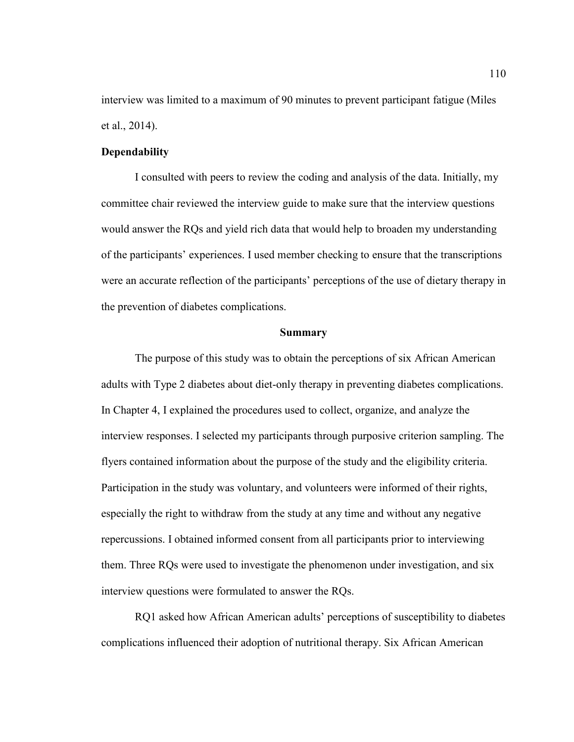interview was limited to a maximum of 90 minutes to prevent participant fatigue (Miles et al., 2014).

# **Dependability**

I consulted with peers to review the coding and analysis of the data. Initially, my committee chair reviewed the interview guide to make sure that the interview questions would answer the RQs and yield rich data that would help to broaden my understanding of the participants' experiences. I used member checking to ensure that the transcriptions were an accurate reflection of the participants' perceptions of the use of dietary therapy in the prevention of diabetes complications.

#### **Summary**

The purpose of this study was to obtain the perceptions of six African American adults with Type 2 diabetes about diet-only therapy in preventing diabetes complications. In Chapter 4, I explained the procedures used to collect, organize, and analyze the interview responses. I selected my participants through purposive criterion sampling. The flyers contained information about the purpose of the study and the eligibility criteria. Participation in the study was voluntary, and volunteers were informed of their rights, especially the right to withdraw from the study at any time and without any negative repercussions. I obtained informed consent from all participants prior to interviewing them. Three RQs were used to investigate the phenomenon under investigation, and six interview questions were formulated to answer the RQs.

RQ1 asked how African American adults' perceptions of susceptibility to diabetes complications influenced their adoption of nutritional therapy. Six African American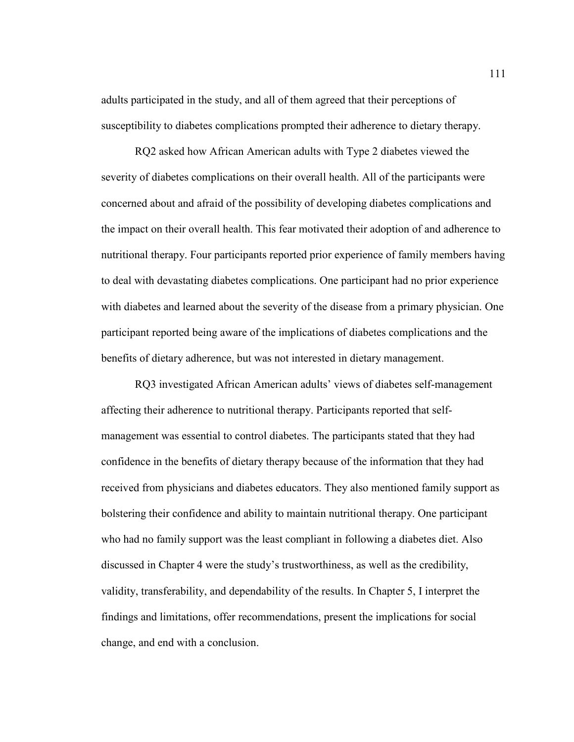adults participated in the study, and all of them agreed that their perceptions of susceptibility to diabetes complications prompted their adherence to dietary therapy.

RQ2 asked how African American adults with Type 2 diabetes viewed the severity of diabetes complications on their overall health. All of the participants were concerned about and afraid of the possibility of developing diabetes complications and the impact on their overall health. This fear motivated their adoption of and adherence to nutritional therapy. Four participants reported prior experience of family members having to deal with devastating diabetes complications. One participant had no prior experience with diabetes and learned about the severity of the disease from a primary physician. One participant reported being aware of the implications of diabetes complications and the benefits of dietary adherence, but was not interested in dietary management.

RQ3 investigated African American adults' views of diabetes self-management affecting their adherence to nutritional therapy. Participants reported that selfmanagement was essential to control diabetes. The participants stated that they had confidence in the benefits of dietary therapy because of the information that they had received from physicians and diabetes educators. They also mentioned family support as bolstering their confidence and ability to maintain nutritional therapy. One participant who had no family support was the least compliant in following a diabetes diet. Also discussed in Chapter 4 were the study's trustworthiness, as well as the credibility, validity, transferability, and dependability of the results. In Chapter 5, I interpret the findings and limitations, offer recommendations, present the implications for social change, and end with a conclusion.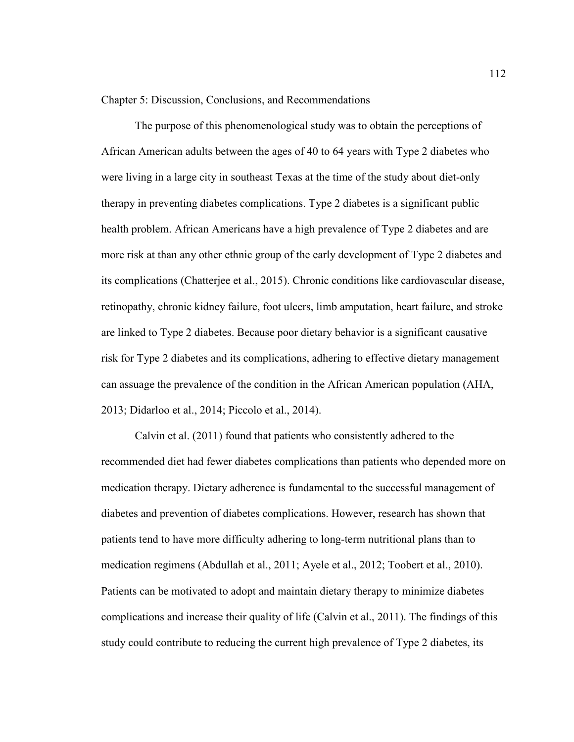Chapter 5: Discussion, Conclusions, and Recommendations

The purpose of this phenomenological study was to obtain the perceptions of African American adults between the ages of 40 to 64 years with Type 2 diabetes who were living in a large city in southeast Texas at the time of the study about diet-only therapy in preventing diabetes complications. Type 2 diabetes is a significant public health problem. African Americans have a high prevalence of Type 2 diabetes and are more risk at than any other ethnic group of the early development of Type 2 diabetes and its complications (Chatterjee et al., 2015). Chronic conditions like cardiovascular disease, retinopathy, chronic kidney failure, foot ulcers, limb amputation, heart failure, and stroke are linked to Type 2 diabetes. Because poor dietary behavior is a significant causative risk for Type 2 diabetes and its complications, adhering to effective dietary management can assuage the prevalence of the condition in the African American population (AHA, 2013; Didarloo et al., 2014; Piccolo et al., 2014).

Calvin et al. (2011) found that patients who consistently adhered to the recommended diet had fewer diabetes complications than patients who depended more on medication therapy. Dietary adherence is fundamental to the successful management of diabetes and prevention of diabetes complications. However, research has shown that patients tend to have more difficulty adhering to long-term nutritional plans than to medication regimens (Abdullah et al., 2011; Ayele et al., 2012; Toobert et al., 2010). Patients can be motivated to adopt and maintain dietary therapy to minimize diabetes complications and increase their quality of life (Calvin et al., 2011). The findings of this study could contribute to reducing the current high prevalence of Type 2 diabetes, its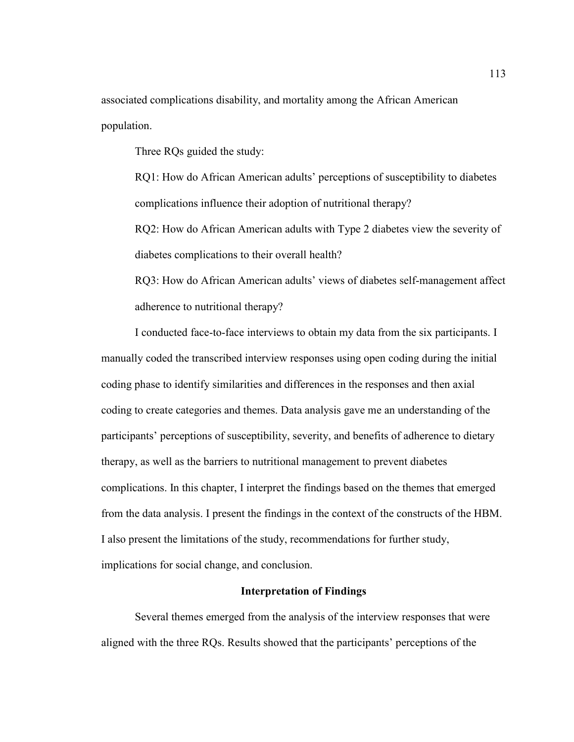associated complications disability, and mortality among the African American population.

Three RQs guided the study:

RQ1: How do African American adults' perceptions of susceptibility to diabetes complications influence their adoption of nutritional therapy?

RQ2: How do African American adults with Type 2 diabetes view the severity of diabetes complications to their overall health?

RQ3: How do African American adults' views of diabetes self-management affect adherence to nutritional therapy?

I conducted face-to-face interviews to obtain my data from the six participants. I manually coded the transcribed interview responses using open coding during the initial coding phase to identify similarities and differences in the responses and then axial coding to create categories and themes. Data analysis gave me an understanding of the participants' perceptions of susceptibility, severity, and benefits of adherence to dietary therapy, as well as the barriers to nutritional management to prevent diabetes complications. In this chapter, I interpret the findings based on the themes that emerged from the data analysis. I present the findings in the context of the constructs of the HBM. I also present the limitations of the study, recommendations for further study, implications for social change, and conclusion.

# **Interpretation of Findings**

Several themes emerged from the analysis of the interview responses that were aligned with the three RQs. Results showed that the participants' perceptions of the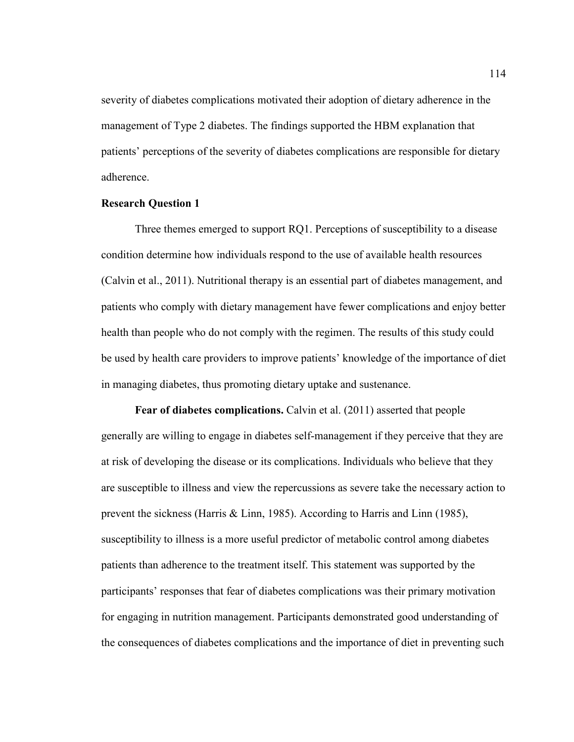severity of diabetes complications motivated their adoption of dietary adherence in the management of Type 2 diabetes. The findings supported the HBM explanation that patients' perceptions of the severity of diabetes complications are responsible for dietary adherence.

# **Research Question 1**

Three themes emerged to support RQ1. Perceptions of susceptibility to a disease condition determine how individuals respond to the use of available health resources (Calvin et al., 2011). Nutritional therapy is an essential part of diabetes management, and patients who comply with dietary management have fewer complications and enjoy better health than people who do not comply with the regimen. The results of this study could be used by health care providers to improve patients' knowledge of the importance of diet in managing diabetes, thus promoting dietary uptake and sustenance.

 **Fear of diabetes complications.** Calvin et al. (2011) asserted that people generally are willing to engage in diabetes self-management if they perceive that they are at risk of developing the disease or its complications. Individuals who believe that they are susceptible to illness and view the repercussions as severe take the necessary action to prevent the sickness (Harris & Linn, 1985). According to Harris and Linn (1985), susceptibility to illness is a more useful predictor of metabolic control among diabetes patients than adherence to the treatment itself. This statement was supported by the participants' responses that fear of diabetes complications was their primary motivation for engaging in nutrition management. Participants demonstrated good understanding of the consequences of diabetes complications and the importance of diet in preventing such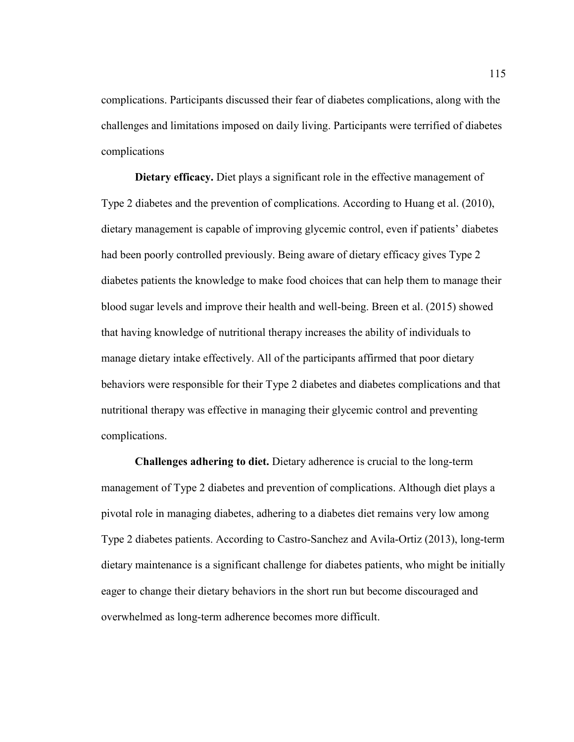complications. Participants discussed their fear of diabetes complications, along with the challenges and limitations imposed on daily living. Participants were terrified of diabetes complications

 **Dietary efficacy.** Diet plays a significant role in the effective management of Type 2 diabetes and the prevention of complications. According to Huang et al. (2010), dietary management is capable of improving glycemic control, even if patients' diabetes had been poorly controlled previously. Being aware of dietary efficacy gives Type 2 diabetes patients the knowledge to make food choices that can help them to manage their blood sugar levels and improve their health and well-being. Breen et al. (2015) showed that having knowledge of nutritional therapy increases the ability of individuals to manage dietary intake effectively. All of the participants affirmed that poor dietary behaviors were responsible for their Type 2 diabetes and diabetes complications and that nutritional therapy was effective in managing their glycemic control and preventing complications.

**Challenges adhering to diet.** Dietary adherence is crucial to the long-term management of Type 2 diabetes and prevention of complications. Although diet plays a pivotal role in managing diabetes, adhering to a diabetes diet remains very low among Type 2 diabetes patients. According to Castro-Sanchez and Avila-Ortiz (2013), long-term dietary maintenance is a significant challenge for diabetes patients, who might be initially eager to change their dietary behaviors in the short run but become discouraged and overwhelmed as long-term adherence becomes more difficult.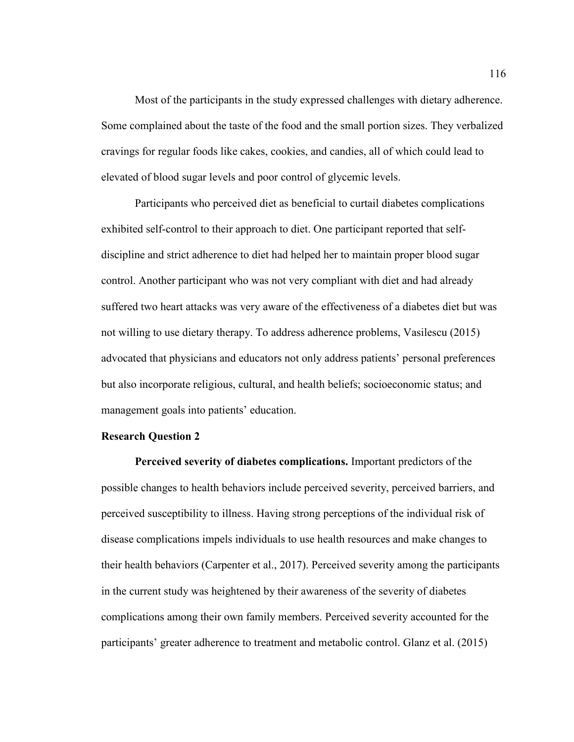Most of the participants in the study expressed challenges with dietary adherence. Some complained about the taste of the food and the small portion sizes. They verbalized cravings for regular foods like cakes, cookies, and candies, all of which could lead to elevated of blood sugar levels and poor control of glycemic levels.

Participants who perceived diet as beneficial to curtail diabetes complications exhibited self-control to their approach to diet. One participant reported that selfdiscipline and strict adherence to diet had helped her to maintain proper blood sugar control. Another participant who was not very compliant with diet and had already suffered two heart attacks was very aware of the effectiveness of a diabetes diet but was not willing to use dietary therapy. To address adherence problems, Vasilescu (2015) advocated that physicians and educators not only address patients' personal preferences but also incorporate religious, cultural, and health beliefs; socioeconomic status; and management goals into patients' education.

## **Research Question 2**

**Perceived severity of diabetes complications.** Important predictors of the possible changes to health behaviors include perceived severity, perceived barriers, and perceived susceptibility to illness. Having strong perceptions of the individual risk of disease complications impels individuals to use health resources and make changes to their health behaviors (Carpenter et al., 2017). Perceived severity among the participants in the current study was heightened by their awareness of the severity of diabetes complications among their own family members. Perceived severity accounted for the participants' greater adherence to treatment and metabolic control. Glanz et al. (2015)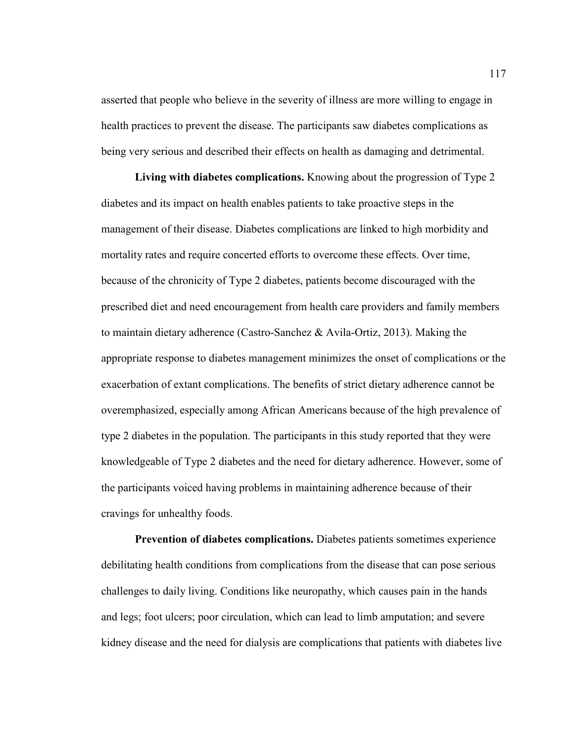asserted that people who believe in the severity of illness are more willing to engage in health practices to prevent the disease. The participants saw diabetes complications as being very serious and described their effects on health as damaging and detrimental.

**Living with diabetes complications.** Knowing about the progression of Type 2 diabetes and its impact on health enables patients to take proactive steps in the management of their disease. Diabetes complications are linked to high morbidity and mortality rates and require concerted efforts to overcome these effects. Over time, because of the chronicity of Type 2 diabetes, patients become discouraged with the prescribed diet and need encouragement from health care providers and family members to maintain dietary adherence (Castro-Sanchez & Avila-Ortiz, 2013). Making the appropriate response to diabetes management minimizes the onset of complications or the exacerbation of extant complications. The benefits of strict dietary adherence cannot be overemphasized, especially among African Americans because of the high prevalence of type 2 diabetes in the population. The participants in this study reported that they were knowledgeable of Type 2 diabetes and the need for dietary adherence. However, some of the participants voiced having problems in maintaining adherence because of their cravings for unhealthy foods.

**Prevention of diabetes complications.** Diabetes patients sometimes experience debilitating health conditions from complications from the disease that can pose serious challenges to daily living. Conditions like neuropathy, which causes pain in the hands and legs; foot ulcers; poor circulation, which can lead to limb amputation; and severe kidney disease and the need for dialysis are complications that patients with diabetes live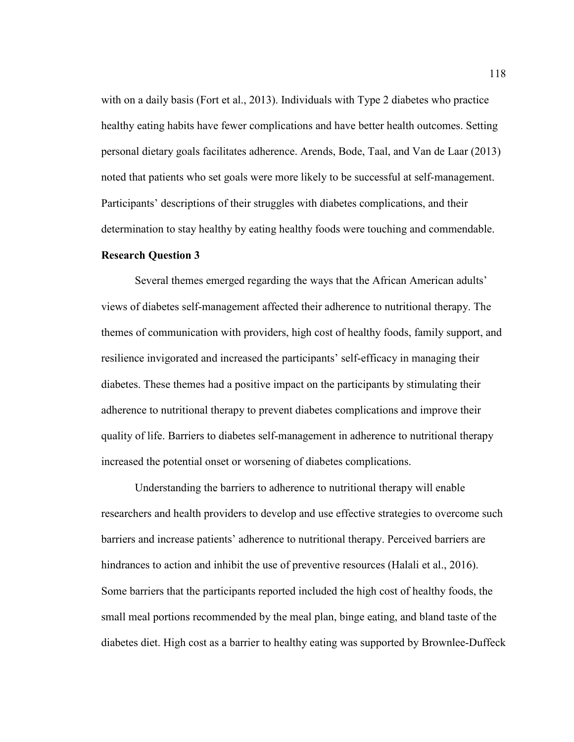with on a daily basis (Fort et al., 2013). Individuals with Type 2 diabetes who practice healthy eating habits have fewer complications and have better health outcomes. Setting personal dietary goals facilitates adherence. Arends, Bode, Taal, and Van de Laar (2013) noted that patients who set goals were more likely to be successful at self-management. Participants' descriptions of their struggles with diabetes complications, and their determination to stay healthy by eating healthy foods were touching and commendable.

## **Research Question 3**

Several themes emerged regarding the ways that the African American adults' views of diabetes self-management affected their adherence to nutritional therapy. The themes of communication with providers, high cost of healthy foods, family support, and resilience invigorated and increased the participants' self-efficacy in managing their diabetes. These themes had a positive impact on the participants by stimulating their adherence to nutritional therapy to prevent diabetes complications and improve their quality of life. Barriers to diabetes self-management in adherence to nutritional therapy increased the potential onset or worsening of diabetes complications.

Understanding the barriers to adherence to nutritional therapy will enable researchers and health providers to develop and use effective strategies to overcome such barriers and increase patients' adherence to nutritional therapy. Perceived barriers are hindrances to action and inhibit the use of preventive resources (Halali et al., 2016). Some barriers that the participants reported included the high cost of healthy foods, the small meal portions recommended by the meal plan, binge eating, and bland taste of the diabetes diet. High cost as a barrier to healthy eating was supported by Brownlee-Duffeck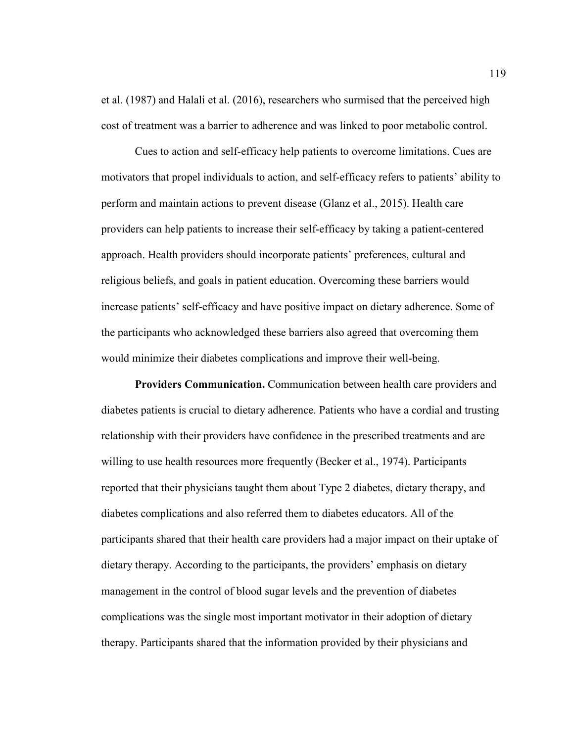et al. (1987) and Halali et al. (2016), researchers who surmised that the perceived high cost of treatment was a barrier to adherence and was linked to poor metabolic control.

Cues to action and self-efficacy help patients to overcome limitations. Cues are motivators that propel individuals to action, and self-efficacy refers to patients' ability to perform and maintain actions to prevent disease (Glanz et al., 2015). Health care providers can help patients to increase their self-efficacy by taking a patient-centered approach. Health providers should incorporate patients' preferences, cultural and religious beliefs, and goals in patient education. Overcoming these barriers would increase patients' self-efficacy and have positive impact on dietary adherence. Some of the participants who acknowledged these barriers also agreed that overcoming them would minimize their diabetes complications and improve their well-being.

 **Providers Communication.** Communication between health care providers and diabetes patients is crucial to dietary adherence. Patients who have a cordial and trusting relationship with their providers have confidence in the prescribed treatments and are willing to use health resources more frequently (Becker et al., 1974). Participants reported that their physicians taught them about Type 2 diabetes, dietary therapy, and diabetes complications and also referred them to diabetes educators. All of the participants shared that their health care providers had a major impact on their uptake of dietary therapy. According to the participants, the providers' emphasis on dietary management in the control of blood sugar levels and the prevention of diabetes complications was the single most important motivator in their adoption of dietary therapy. Participants shared that the information provided by their physicians and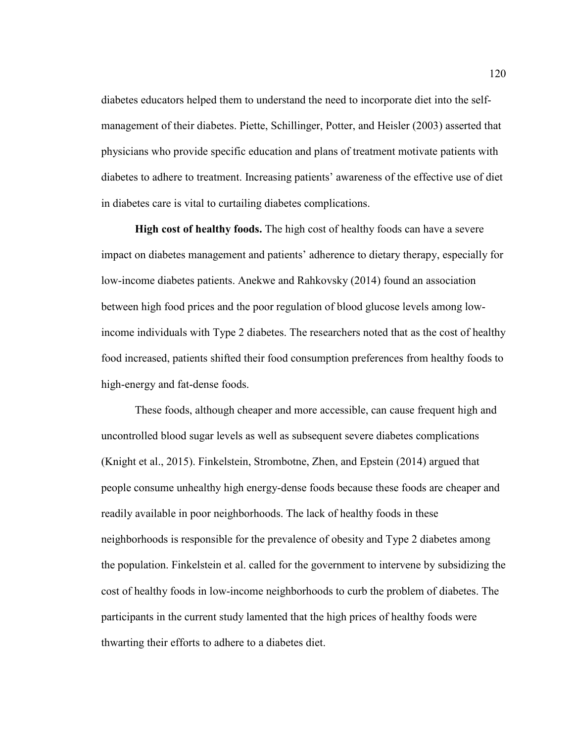diabetes educators helped them to understand the need to incorporate diet into the selfmanagement of their diabetes. Piette, Schillinger, Potter, and Heisler (2003) asserted that physicians who provide specific education and plans of treatment motivate patients with diabetes to adhere to treatment. Increasing patients' awareness of the effective use of diet in diabetes care is vital to curtailing diabetes complications.

 **High cost of healthy foods.** The high cost of healthy foods can have a severe impact on diabetes management and patients' adherence to dietary therapy, especially for low-income diabetes patients. Anekwe and Rahkovsky (2014) found an association between high food prices and the poor regulation of blood glucose levels among lowincome individuals with Type 2 diabetes. The researchers noted that as the cost of healthy food increased, patients shifted their food consumption preferences from healthy foods to high-energy and fat-dense foods.

These foods, although cheaper and more accessible, can cause frequent high and uncontrolled blood sugar levels as well as subsequent severe diabetes complications (Knight et al., 2015). Finkelstein, Strombotne, Zhen, and Epstein (2014) argued that people consume unhealthy high energy-dense foods because these foods are cheaper and readily available in poor neighborhoods. The lack of healthy foods in these neighborhoods is responsible for the prevalence of obesity and Type 2 diabetes among the population. Finkelstein et al. called for the government to intervene by subsidizing the cost of healthy foods in low-income neighborhoods to curb the problem of diabetes. The participants in the current study lamented that the high prices of healthy foods were thwarting their efforts to adhere to a diabetes diet.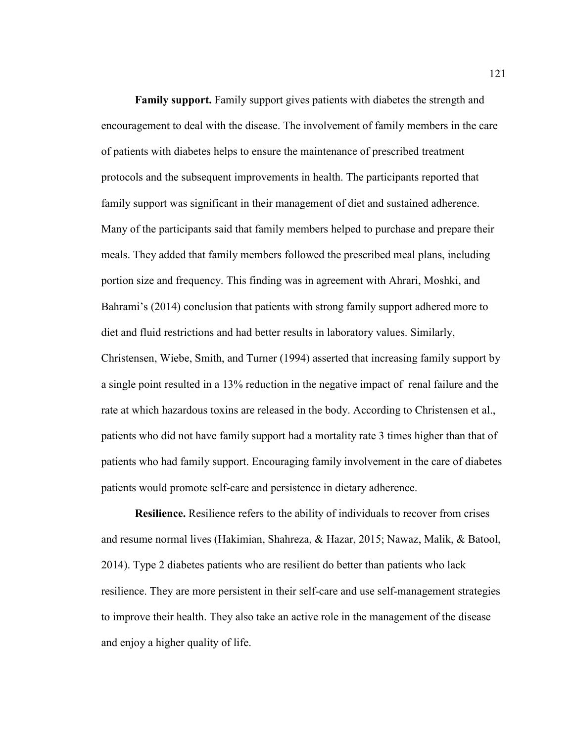**Family support.** Family support gives patients with diabetes the strength and encouragement to deal with the disease. The involvement of family members in the care of patients with diabetes helps to ensure the maintenance of prescribed treatment protocols and the subsequent improvements in health. The participants reported that family support was significant in their management of diet and sustained adherence. Many of the participants said that family members helped to purchase and prepare their meals. They added that family members followed the prescribed meal plans, including portion size and frequency. This finding was in agreement with Ahrari, Moshki, and Bahrami's (2014) conclusion that patients with strong family support adhered more to diet and fluid restrictions and had better results in laboratory values. Similarly, Christensen, Wiebe, Smith, and Turner (1994) asserted that increasing family support by a single point resulted in a 13% reduction in the negative impact of renal failure and the rate at which hazardous toxins are released in the body. According to Christensen et al., patients who did not have family support had a mortality rate 3 times higher than that of patients who had family support. Encouraging family involvement in the care of diabetes patients would promote self-care and persistence in dietary adherence.

**Resilience.** Resilience refers to the ability of individuals to recover from crises and resume normal lives (Hakimian, Shahreza, & Hazar, 2015; Nawaz, Malik, & Batool, 2014). Type 2 diabetes patients who are resilient do better than patients who lack resilience. They are more persistent in their self-care and use self-management strategies to improve their health. They also take an active role in the management of the disease and enjoy a higher quality of life.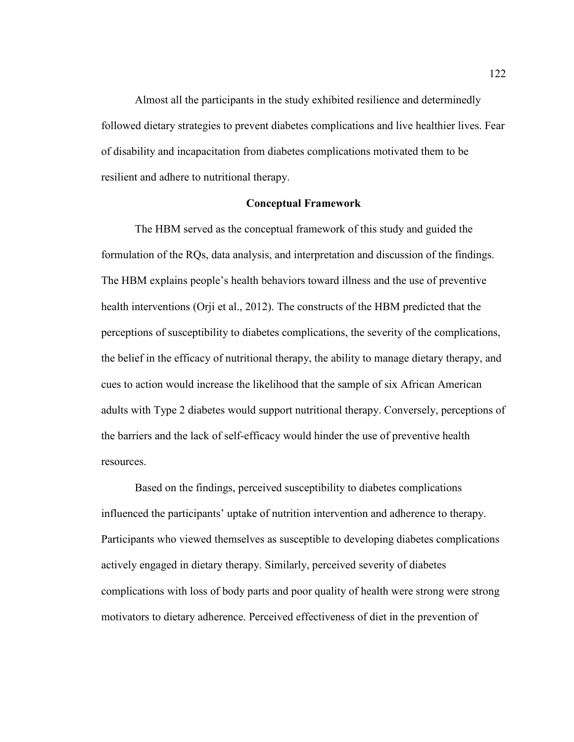Almost all the participants in the study exhibited resilience and determinedly followed dietary strategies to prevent diabetes complications and live healthier lives. Fear of disability and incapacitation from diabetes complications motivated them to be resilient and adhere to nutritional therapy.

## **Conceptual Framework**

The HBM served as the conceptual framework of this study and guided the formulation of the RQs, data analysis, and interpretation and discussion of the findings. The HBM explains people's health behaviors toward illness and the use of preventive health interventions (Orji et al., 2012). The constructs of the HBM predicted that the perceptions of susceptibility to diabetes complications, the severity of the complications, the belief in the efficacy of nutritional therapy, the ability to manage dietary therapy, and cues to action would increase the likelihood that the sample of six African American adults with Type 2 diabetes would support nutritional therapy. Conversely, perceptions of the barriers and the lack of self-efficacy would hinder the use of preventive health resources.

Based on the findings, perceived susceptibility to diabetes complications influenced the participants' uptake of nutrition intervention and adherence to therapy. Participants who viewed themselves as susceptible to developing diabetes complications actively engaged in dietary therapy. Similarly, perceived severity of diabetes complications with loss of body parts and poor quality of health were strong were strong motivators to dietary adherence. Perceived effectiveness of diet in the prevention of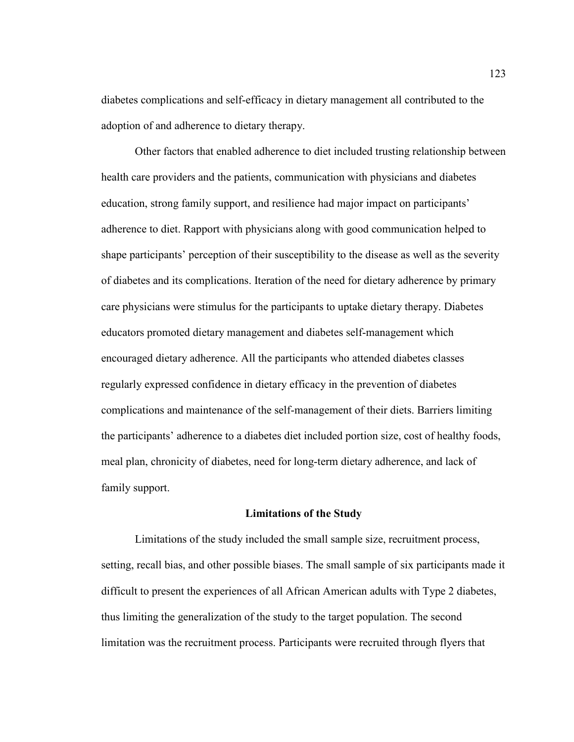diabetes complications and self-efficacy in dietary management all contributed to the adoption of and adherence to dietary therapy.

Other factors that enabled adherence to diet included trusting relationship between health care providers and the patients, communication with physicians and diabetes education, strong family support, and resilience had major impact on participants' adherence to diet. Rapport with physicians along with good communication helped to shape participants' perception of their susceptibility to the disease as well as the severity of diabetes and its complications. Iteration of the need for dietary adherence by primary care physicians were stimulus for the participants to uptake dietary therapy. Diabetes educators promoted dietary management and diabetes self-management which encouraged dietary adherence. All the participants who attended diabetes classes regularly expressed confidence in dietary efficacy in the prevention of diabetes complications and maintenance of the self-management of their diets. Barriers limiting the participants' adherence to a diabetes diet included portion size, cost of healthy foods, meal plan, chronicity of diabetes, need for long-term dietary adherence, and lack of family support.

#### **Limitations of the Study**

Limitations of the study included the small sample size, recruitment process, setting, recall bias, and other possible biases. The small sample of six participants made it difficult to present the experiences of all African American adults with Type 2 diabetes, thus limiting the generalization of the study to the target population. The second limitation was the recruitment process. Participants were recruited through flyers that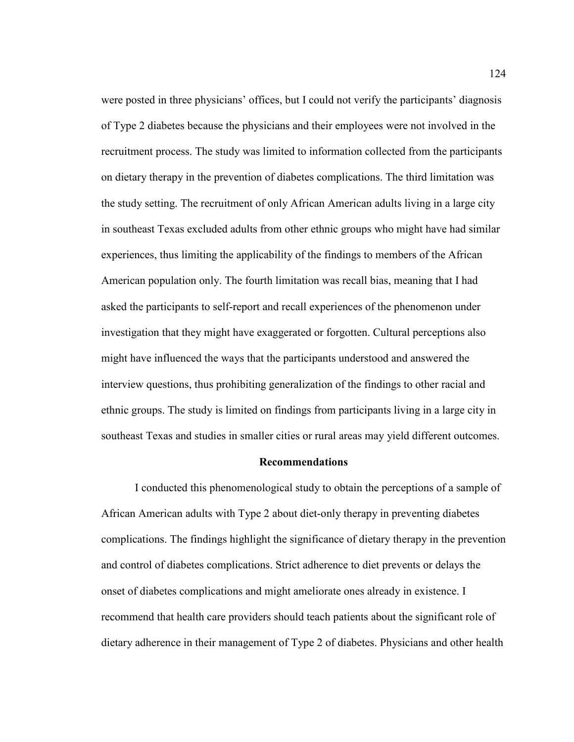were posted in three physicians' offices, but I could not verify the participants' diagnosis of Type 2 diabetes because the physicians and their employees were not involved in the recruitment process. The study was limited to information collected from the participants on dietary therapy in the prevention of diabetes complications. The third limitation was the study setting. The recruitment of only African American adults living in a large city in southeast Texas excluded adults from other ethnic groups who might have had similar experiences, thus limiting the applicability of the findings to members of the African American population only. The fourth limitation was recall bias, meaning that I had asked the participants to self-report and recall experiences of the phenomenon under investigation that they might have exaggerated or forgotten. Cultural perceptions also might have influenced the ways that the participants understood and answered the interview questions, thus prohibiting generalization of the findings to other racial and ethnic groups. The study is limited on findings from participants living in a large city in southeast Texas and studies in smaller cities or rural areas may yield different outcomes.

## **Recommendations**

I conducted this phenomenological study to obtain the perceptions of a sample of African American adults with Type 2 about diet-only therapy in preventing diabetes complications. The findings highlight the significance of dietary therapy in the prevention and control of diabetes complications. Strict adherence to diet prevents or delays the onset of diabetes complications and might ameliorate ones already in existence. I recommend that health care providers should teach patients about the significant role of dietary adherence in their management of Type 2 of diabetes. Physicians and other health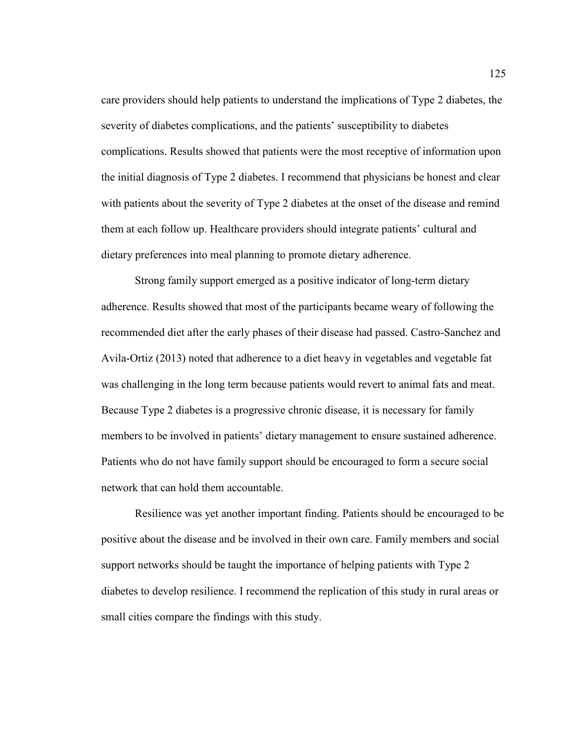care providers should help patients to understand the implications of Type 2 diabetes, the severity of diabetes complications, and the patients' susceptibility to diabetes complications. Results showed that patients were the most receptive of information upon the initial diagnosis of Type 2 diabetes. I recommend that physicians be honest and clear with patients about the severity of Type 2 diabetes at the onset of the disease and remind them at each follow up. Healthcare providers should integrate patients' cultural and dietary preferences into meal planning to promote dietary adherence.

Strong family support emerged as a positive indicator of long-term dietary adherence. Results showed that most of the participants became weary of following the recommended diet after the early phases of their disease had passed. Castro-Sanchez and Avila-Ortiz (2013) noted that adherence to a diet heavy in vegetables and vegetable fat was challenging in the long term because patients would revert to animal fats and meat. Because Type 2 diabetes is a progressive chronic disease, it is necessary for family members to be involved in patients' dietary management to ensure sustained adherence. Patients who do not have family support should be encouraged to form a secure social network that can hold them accountable.

Resilience was yet another important finding. Patients should be encouraged to be positive about the disease and be involved in their own care. Family members and social support networks should be taught the importance of helping patients with Type 2 diabetes to develop resilience. I recommend the replication of this study in rural areas or small cities compare the findings with this study.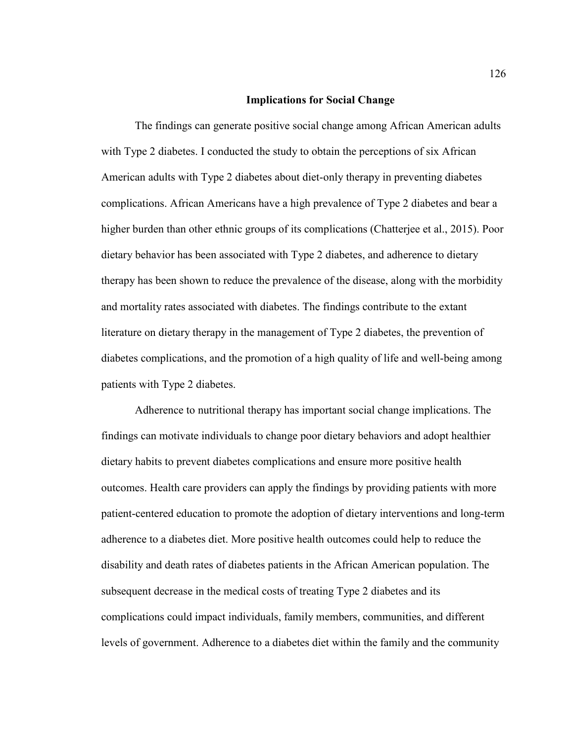## **Implications for Social Change**

The findings can generate positive social change among African American adults with Type 2 diabetes. I conducted the study to obtain the perceptions of six African American adults with Type 2 diabetes about diet-only therapy in preventing diabetes complications. African Americans have a high prevalence of Type 2 diabetes and bear a higher burden than other ethnic groups of its complications (Chatterjee et al., 2015). Poor dietary behavior has been associated with Type 2 diabetes, and adherence to dietary therapy has been shown to reduce the prevalence of the disease, along with the morbidity and mortality rates associated with diabetes. The findings contribute to the extant literature on dietary therapy in the management of Type 2 diabetes, the prevention of diabetes complications, and the promotion of a high quality of life and well-being among patients with Type 2 diabetes.

Adherence to nutritional therapy has important social change implications. The findings can motivate individuals to change poor dietary behaviors and adopt healthier dietary habits to prevent diabetes complications and ensure more positive health outcomes. Health care providers can apply the findings by providing patients with more patient-centered education to promote the adoption of dietary interventions and long-term adherence to a diabetes diet. More positive health outcomes could help to reduce the disability and death rates of diabetes patients in the African American population. The subsequent decrease in the medical costs of treating Type 2 diabetes and its complications could impact individuals, family members, communities, and different levels of government. Adherence to a diabetes diet within the family and the community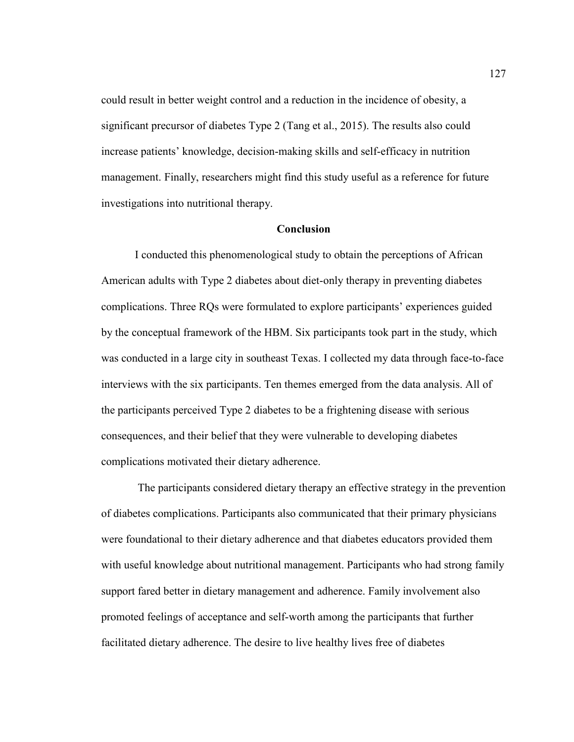could result in better weight control and a reduction in the incidence of obesity, a significant precursor of diabetes Type 2 (Tang et al., 2015). The results also could increase patients' knowledge, decision-making skills and self-efficacy in nutrition management. Finally, researchers might find this study useful as a reference for future investigations into nutritional therapy.

## **Conclusion**

I conducted this phenomenological study to obtain the perceptions of African American adults with Type 2 diabetes about diet-only therapy in preventing diabetes complications. Three RQs were formulated to explore participants' experiences guided by the conceptual framework of the HBM. Six participants took part in the study, which was conducted in a large city in southeast Texas. I collected my data through face-to-face interviews with the six participants. Ten themes emerged from the data analysis. All of the participants perceived Type 2 diabetes to be a frightening disease with serious consequences, and their belief that they were vulnerable to developing diabetes complications motivated their dietary adherence.

 The participants considered dietary therapy an effective strategy in the prevention of diabetes complications. Participants also communicated that their primary physicians were foundational to their dietary adherence and that diabetes educators provided them with useful knowledge about nutritional management. Participants who had strong family support fared better in dietary management and adherence. Family involvement also promoted feelings of acceptance and self-worth among the participants that further facilitated dietary adherence. The desire to live healthy lives free of diabetes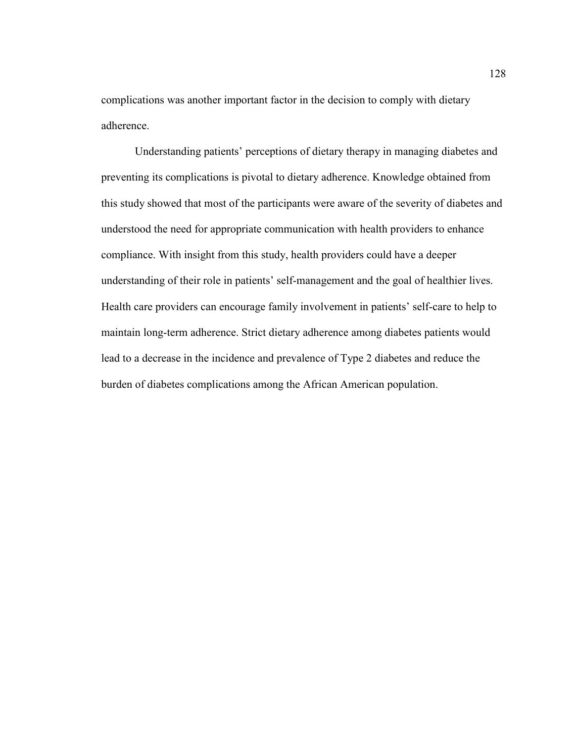complications was another important factor in the decision to comply with dietary adherence.

Understanding patients' perceptions of dietary therapy in managing diabetes and preventing its complications is pivotal to dietary adherence. Knowledge obtained from this study showed that most of the participants were aware of the severity of diabetes and understood the need for appropriate communication with health providers to enhance compliance. With insight from this study, health providers could have a deeper understanding of their role in patients' self-management and the goal of healthier lives. Health care providers can encourage family involvement in patients' self-care to help to maintain long-term adherence. Strict dietary adherence among diabetes patients would lead to a decrease in the incidence and prevalence of Type 2 diabetes and reduce the burden of diabetes complications among the African American population.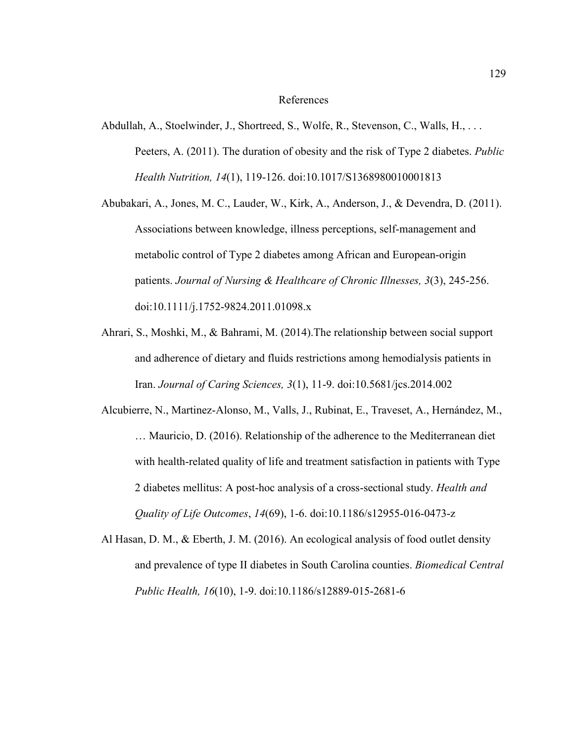#### References

- Abdullah, A., Stoelwinder, J., Shortreed, S., Wolfe, R., Stevenson, C., Walls, H., . . . Peeters, A. (2011). The duration of obesity and the risk of Type 2 diabetes. *Public Health Nutrition, 14*(1), 119-126. doi:10.1017/S1368980010001813
- Abubakari, A., Jones, M. C., Lauder, W., Kirk, A., Anderson, J., & Devendra, D. (2011). Associations between knowledge, illness perceptions, self-management and metabolic control of Type 2 diabetes among African and European-origin patients. *Journal of Nursing & Healthcare of Chronic Illnesses, 3*(3), 245-256. doi:10.1111/j.1752-9824.2011.01098.x
- Ahrari, S., Moshki, M., & Bahrami, M. (2014).The relationship between social support and adherence of dietary and fluids restrictions among hemodialysis patients in Iran. *Journal of Caring Sciences, 3*(1), 11-9. doi:10.5681/jcs.2014.002
- Alcubierre, N., Martinez-Alonso, M., Valls, J., Rubinat, E., Traveset, A., Hernández, M., … Mauricio, D. (2016). Relationship of the adherence to the Mediterranean diet with health-related quality of life and treatment satisfaction in patients with Type 2 diabetes mellitus: A post-hoc analysis of a cross-sectional study. *Health and Quality of Life Outcomes*, *14*(69), 1-6. doi:10.1186/s12955-016-0473-z
- Al Hasan, D. M., & Eberth, J. M. (2016). An ecological analysis of food outlet density and prevalence of type II diabetes in South Carolina counties. *Biomedical Central Public Health, 16*(10), 1-9. doi:10.1186/s12889-015-2681-6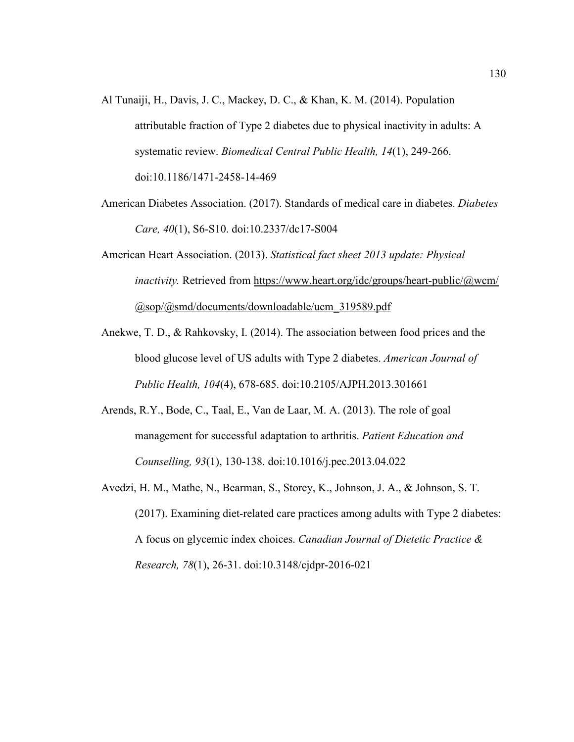- Al Tunaiji, H., Davis, J. C., Mackey, D. C., & Khan, K. M. (2014). Population attributable fraction of Type 2 diabetes due to physical inactivity in adults: A systematic review. *Biomedical Central Public Health, 14*(1), 249-266. doi:10.1186/1471-2458-14-469
- American Diabetes Association. (2017). Standards of medical care in diabetes. *Diabetes Care, 40*(1), S6-S10. doi:10.2337/dc17-S004
- American Heart Association. (2013). *Statistical fact sheet 2013 update: Physical inactivity.* Retrieved from https://www.heart.org/idc/groups/heart-public/@wcm/ @sop/@smd/documents/downloadable/ucm\_319589.pdf
- Anekwe, T. D., & Rahkovsky, I. (2014). The association between food prices and the blood glucose level of US adults with Type 2 diabetes. *American Journal of Public Health, 104*(4), 678-685. doi:10.2105/AJPH.2013.301661
- Arends, R.Y., Bode, C., Taal, E., Van de Laar, M. A. (2013). The role of goal management for successful adaptation to arthritis. *Patient Education and Counselling, 93*(1), 130-138. doi:10.1016/j.pec.2013.04.022
- Avedzi, H. M., Mathe, N., Bearman, S., Storey, K., Johnson, J. A., & Johnson, S. T. (2017). Examining diet-related care practices among adults with Type 2 diabetes: A focus on glycemic index choices. *Canadian Journal of Dietetic Practice & Research, 78*(1), 26-31. doi:10.3148/cjdpr-2016-021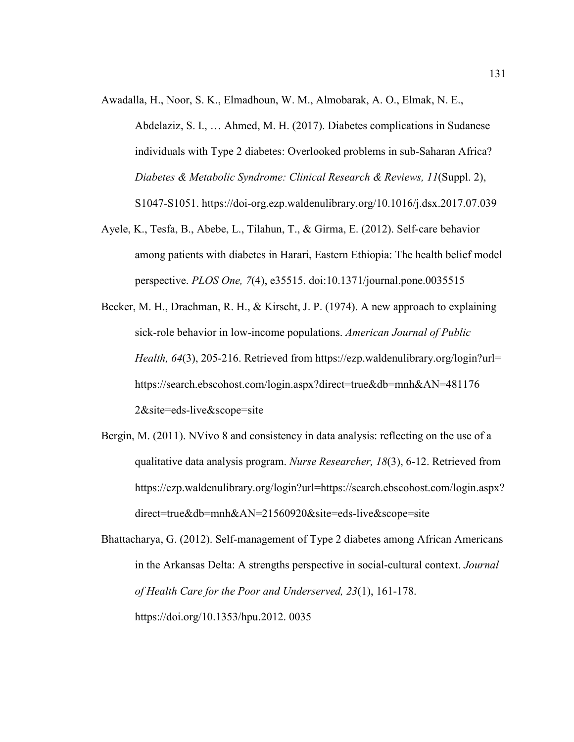Awadalla, H., Noor, S. K., Elmadhoun, W. M., Almobarak, A. O., Elmak, N. E.,

Abdelaziz, S. I., … Ahmed, M. H. (2017). Diabetes complications in Sudanese individuals with Type 2 diabetes: Overlooked problems in sub-Saharan Africa? *Diabetes & Metabolic Syndrome: Clinical Research & Reviews, 11*(Suppl. 2), S1047-S1051. https://doi-org.ezp.waldenulibrary.org/10.1016/j.dsx.2017.07.039

- Ayele, K., Tesfa, B., Abebe, L., Tilahun, T., & Girma, E. (2012). Self-care behavior among patients with diabetes in Harari, Eastern Ethiopia: The health belief model perspective. *PLOS One, 7*(4), e35515. doi:10.1371/journal.pone.0035515
- Becker, M. H., Drachman, R. H., & Kirscht, J. P. (1974). A new approach to explaining sick-role behavior in low-income populations. *American Journal of Public Health, 64*(3), 205-216. Retrieved from https://ezp.waldenulibrary.org/login?url= https://search.ebscohost.com/login.aspx?direct=true&db=mnh&AN=481176 2&site=eds-live&scope=site
- Bergin, M. (2011). NVivo 8 and consistency in data analysis: reflecting on the use of a qualitative data analysis program. *Nurse Researcher, 18*(3), 6-12. Retrieved from https://ezp.waldenulibrary.org/login?url=https://search.ebscohost.com/login.aspx? direct=true&db=mnh&AN=21560920&site=eds-live&scope=site

Bhattacharya, G. (2012). Self-management of Type 2 diabetes among African Americans in the Arkansas Delta: A strengths perspective in social-cultural context. *Journal of Health Care for the Poor and Underserved, 23*(1), 161-178. https://doi.org/10.1353/hpu.2012. 0035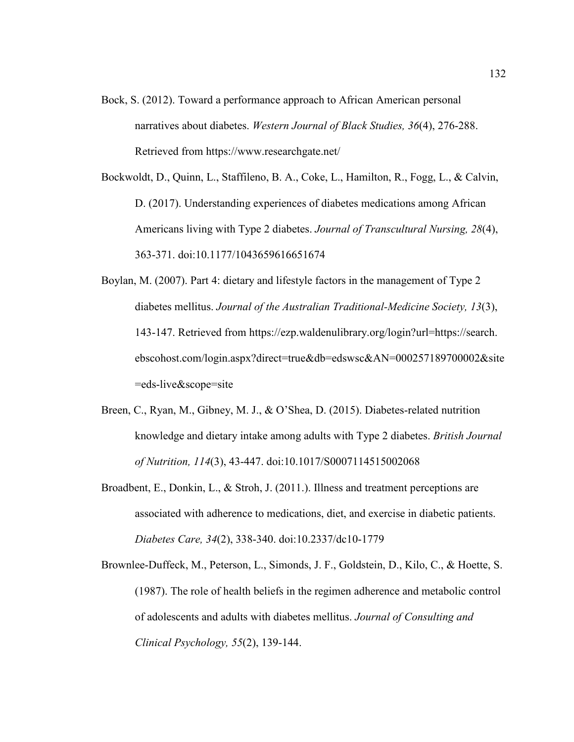Bock, S. (2012). Toward a performance approach to African American personal narratives about diabetes. *Western Journal of Black Studies, 36*(4), 276-288. Retrieved from https://www.researchgate.net/

Bockwoldt, D., Quinn, L., Staffileno, B. A., Coke, L., Hamilton, R., Fogg, L., & Calvin, D. (2017). Understanding experiences of diabetes medications among African Americans living with Type 2 diabetes. *Journal of Transcultural Nursing, 28*(4), 363-371. doi:10.1177/1043659616651674

- Boylan, M. (2007). Part 4: dietary and lifestyle factors in the management of Type 2 diabetes mellitus. *Journal of the Australian Traditional-Medicine Society, 13*(3), 143-147. Retrieved from https://ezp.waldenulibrary.org/login?url=https://search. ebscohost.com/login.aspx?direct=true&db=edswsc&AN=000257189700002&site =eds-live&scope=site
- Breen, C., Ryan, M., Gibney, M. J., & O'Shea, D. (2015). Diabetes-related nutrition knowledge and dietary intake among adults with Type 2 diabetes. *British Journal of Nutrition, 114*(3), 43-447. doi:10.1017/S0007114515002068
- Broadbent, E., Donkin, L., & Stroh, J. (2011.). Illness and treatment perceptions are associated with adherence to medications, diet, and exercise in diabetic patients. *Diabetes Care, 34*(2), 338-340. doi:10.2337/dc10-1779
- Brownlee-Duffeck, M., Peterson, L., Simonds, J. F., Goldstein, D., Kilo, C., & Hoette, S. (1987). The role of health beliefs in the regimen adherence and metabolic control of adolescents and adults with diabetes mellitus. *Journal of Consulting and Clinical Psychology, 55*(2), 139-144.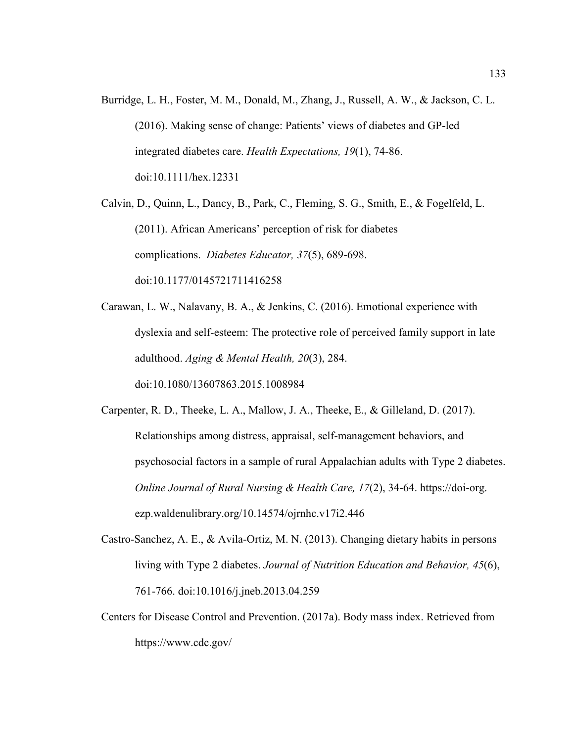Burridge, L. H., Foster, M. M., Donald, M., Zhang, J., Russell, A. W., & Jackson, C. L. (2016). Making sense of change: Patients' views of diabetes and GP-led integrated diabetes care. *Health Expectations, 19*(1), 74-86. doi:10.1111/hex.12331

Calvin, D., Quinn, L., Dancy, B., Park, C., Fleming, S. G., Smith, E., & Fogelfeld, L. (2011). African Americans' perception of risk for diabetes complications. *Diabetes Educator, 37*(5), 689-698. doi:10.1177/0145721711416258

Carawan, L. W., Nalavany, B. A., & Jenkins, C. (2016). Emotional experience with dyslexia and self-esteem: The protective role of perceived family support in late adulthood. *Aging & Mental Health, 20*(3), 284. doi:10.1080/13607863.2015.1008984

Carpenter, R. D., Theeke, L. A., Mallow, J. A., Theeke, E., & Gilleland, D. (2017). Relationships among distress, appraisal, self-management behaviors, and psychosocial factors in a sample of rural Appalachian adults with Type 2 diabetes. *Online Journal of Rural Nursing & Health Care, 17*(2), 34-64. https://doi-org. ezp.waldenulibrary.org/10.14574/ojrnhc.v17i2.446

- Castro-Sanchez, A. E., & Avila-Ortiz, M. N. (2013). Changing dietary habits in persons living with Type 2 diabetes. *Journal of Nutrition Education and Behavior, 45*(6), 761-766. doi:10.1016/j.jneb.2013.04.259
- Centers for Disease Control and Prevention. (2017a). Body mass index. Retrieved from https://www.cdc.gov/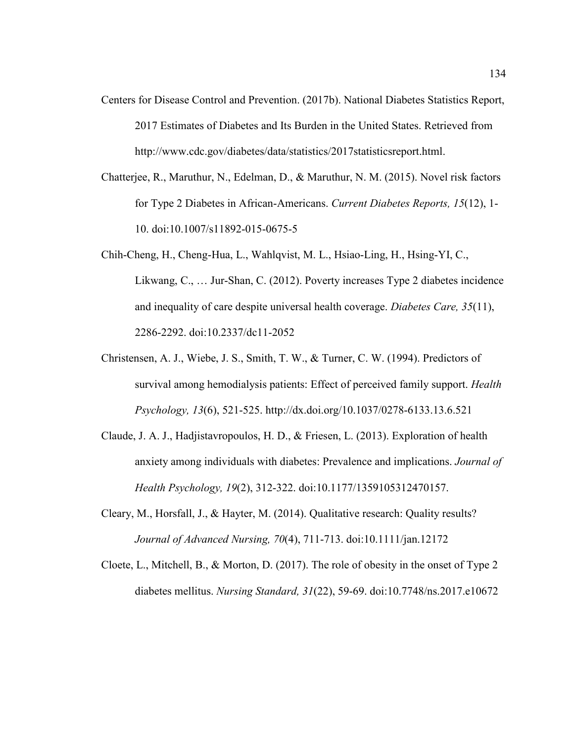- Centers for Disease Control and Prevention. (2017b). National Diabetes Statistics Report, 2017 Estimates of Diabetes and Its Burden in the United States. Retrieved from http://www.cdc.gov/diabetes/data/statistics/2017statisticsreport.html.
- Chatterjee, R., Maruthur, N., Edelman, D., & Maruthur, N. M. (2015). Novel risk factors for Type 2 Diabetes in African-Americans. *Current Diabetes Reports, 15*(12), 1- 10. doi:10.1007/s11892-015-0675-5
- Chih-Cheng, H., Cheng-Hua, L., Wahlqvist, M. L., Hsiao-Ling, H., Hsing-YI, C., Likwang, C., … Jur-Shan, C. (2012). Poverty increases Type 2 diabetes incidence and inequality of care despite universal health coverage. *Diabetes Care, 35*(11), 2286-2292. doi:10.2337/dc11-2052
- Christensen, A. J., Wiebe, J. S., Smith, T. W., & Turner, C. W. (1994). Predictors of survival among hemodialysis patients: Effect of perceived family support. *Health Psychology, 13*(6), 521-525. http://dx.doi.org/10.1037/0278-6133.13.6.521
- Claude, J. A. J., Hadjistavropoulos, H. D., & Friesen, L. (2013). Exploration of health anxiety among individuals with diabetes: Prevalence and implications. *Journal of Health Psychology, 19*(2), 312-322. doi:10.1177/1359105312470157.
- Cleary, M., Horsfall, J., & Hayter, M. (2014). Qualitative research: Quality results? *Journal of Advanced Nursing, 70*(4), 711-713. doi:10.1111/jan.12172
- Cloete, L., Mitchell, B., & Morton, D. (2017). The role of obesity in the onset of Type 2 diabetes mellitus. *Nursing Standard, 31*(22), 59-69. doi:10.7748/ns.2017.e10672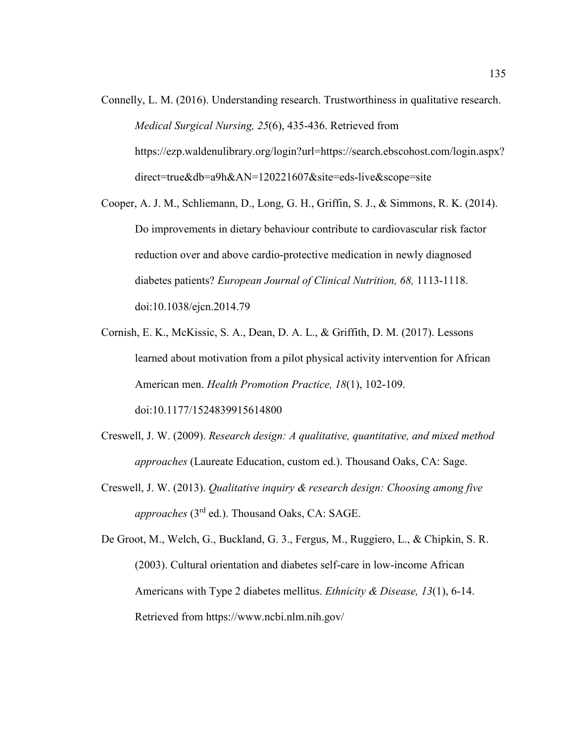- Connelly, L. M. (2016). Understanding research. Trustworthiness in qualitative research. *Medical Surgical Nursing, 25*(6), 435-436. Retrieved from https://ezp.waldenulibrary.org/login?url=https://search.ebscohost.com/login.aspx? direct=true&db=a9h&AN=120221607&site=eds-live&scope=site
- Cooper, A. J. M., Schliemann, D., Long, G. H., Griffin, S. J., & Simmons, R. K. (2014). Do improvements in dietary behaviour contribute to cardiovascular risk factor reduction over and above cardio-protective medication in newly diagnosed diabetes patients? *European Journal of Clinical Nutrition, 68,* 1113-1118. doi:10.1038/ejcn.2014.79
- Cornish, E. K., McKissic, S. A., Dean, D. A. L., & Griffith, D. M. (2017). Lessons learned about motivation from a pilot physical activity intervention for African American men. *Health Promotion Practice, 18*(1), 102-109. doi:10.1177/1524839915614800
- Creswell, J. W. (2009). *Research design: A qualitative, quantitative, and mixed method approaches* (Laureate Education, custom ed.). Thousand Oaks, CA: Sage.
- Creswell, J. W. (2013). *Qualitative inquiry & research design: Choosing among five approaches* (3rd ed.). Thousand Oaks, CA: SAGE.

De Groot, M., Welch, G., Buckland, G. 3., Fergus, M., Ruggiero, L., & Chipkin, S. R. (2003). Cultural orientation and diabetes self-care in low-income African Americans with Type 2 diabetes mellitus. *Ethnicity & Disease, 13*(1), 6-14. Retrieved from https://www.ncbi.nlm.nih.gov/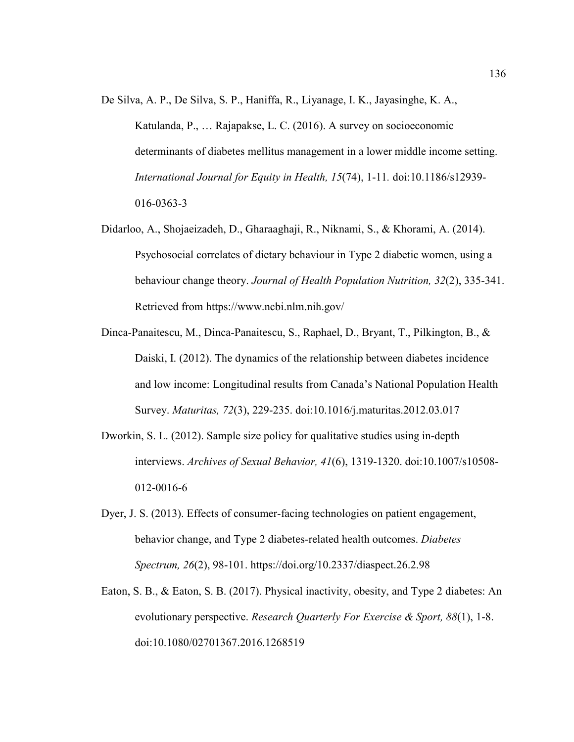- De Silva, A. P., De Silva, S. P., Haniffa, R., Liyanage, I. K., Jayasinghe, K. A., Katulanda, P., … Rajapakse, L. C. (2016). A survey on socioeconomic determinants of diabetes mellitus management in a lower middle income setting. *International Journal for Equity in Health, 15*(74), 1-11*.* doi:10.1186/s12939- 016-0363-3
- Didarloo, A., Shojaeizadeh, D., Gharaaghaji, R., Niknami, S., & Khorami, A. (2014). Psychosocial correlates of dietary behaviour in Type 2 diabetic women, using a behaviour change theory. *Journal of Health Population Nutrition, 32*(2), 335-341. Retrieved from https://www.ncbi.nlm.nih.gov/
- Dinca-Panaitescu, M., Dinca-Panaitescu, S., Raphael, D., Bryant, T., Pilkington, B., & Daiski, I. (2012). The dynamics of the relationship between diabetes incidence and low income: Longitudinal results from Canada's National Population Health Survey. *Maturitas, 72*(3), 229-235. doi:10.1016/j.maturitas.2012.03.017
- Dworkin, S. L. (2012). Sample size policy for qualitative studies using in-depth interviews. *Archives of Sexual Behavior, 41*(6), 1319-1320. doi:10.1007/s10508- 012-0016-6
- Dyer, J. S. (2013). Effects of consumer-facing technologies on patient engagement, behavior change, and Type 2 diabetes-related health outcomes. *Diabetes Spectrum, 26*(2), 98-101. https://doi.org/10.2337/diaspect.26.2.98
- Eaton, S. B., & Eaton, S. B. (2017). Physical inactivity, obesity, and Type 2 diabetes: An evolutionary perspective. *Research Quarterly For Exercise & Sport, 88*(1), 1-8. doi:10.1080/02701367.2016.1268519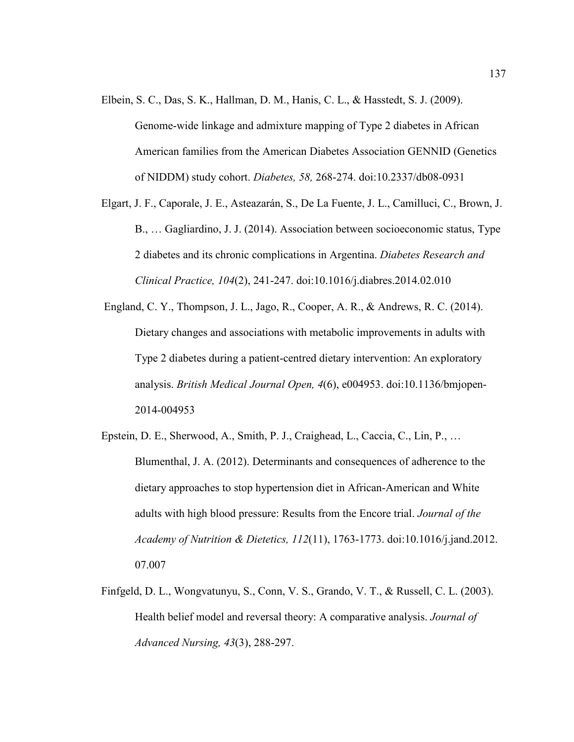- Elbein, S. C., Das, S. K., Hallman, D. M., Hanis, C. L., & Hasstedt, S. J. (2009). Genome-wide linkage and admixture mapping of Type 2 diabetes in African American families from the American Diabetes Association GENNID (Genetics of NIDDM) study cohort. *Diabetes, 58,* 268-274. doi:10.2337/db08-0931
- Elgart, J. F., Caporale, J. E., Asteazarán, S., De La Fuente, J. L., Camilluci, C., Brown, J. B., … Gagliardino, J. J. (2014). Association between socioeconomic status, Type 2 diabetes and its chronic complications in Argentina. *Diabetes Research and Clinical Practice, 104*(2), 241-247. doi:10.1016/j.diabres.2014.02.010
- England, C. Y., Thompson, J. L., Jago, R., Cooper, A. R., & Andrews, R. C. (2014). Dietary changes and associations with metabolic improvements in adults with Type 2 diabetes during a patient-centred dietary intervention: An exploratory analysis. *British Medical Journal Open, 4*(6), e004953. doi:10.1136/bmjopen-2014-004953
- Epstein, D. E., Sherwood, A., Smith, P. J., Craighead, L., Caccia, C., Lin, P., … Blumenthal, J. A. (2012). Determinants and consequences of adherence to the dietary approaches to stop hypertension diet in African-American and White adults with high blood pressure: Results from the Encore trial. *Journal of the Academy of Nutrition & Dietetics, 112*(11), 1763-1773. doi:10.1016/j.jand.2012. 07.007
- Finfgeld, D. L., Wongvatunyu, S., Conn, V. S., Grando, V. T., & Russell, C. L. (2003). Health belief model and reversal theory: A comparative analysis. *Journal of Advanced Nursing, 43*(3), 288-297.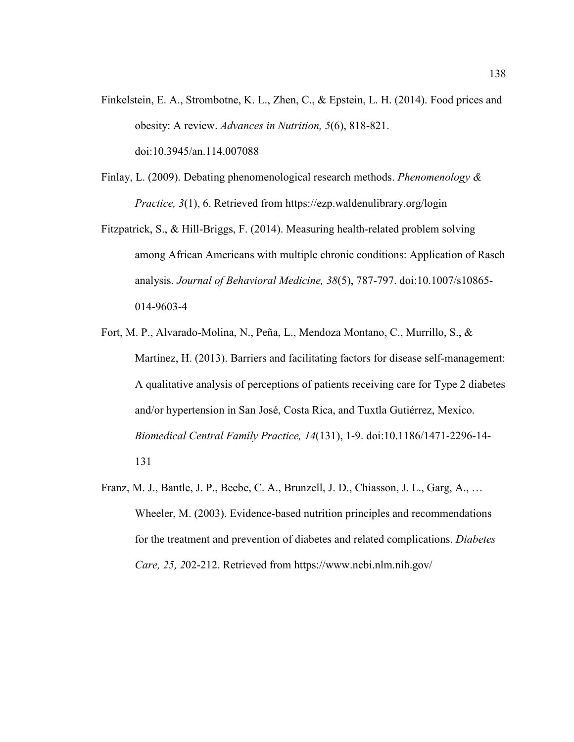- Finkelstein, E. A., Strombotne, K. L., Zhen, C., & Epstein, L. H. (2014). Food prices and obesity: A review. *Advances in Nutrition, 5*(6), 818-821. doi:10.3945/an.114.007088
- Finlay, L. (2009). Debating phenomenological research methods. *Phenomenology & Practice, 3*(1), 6. Retrieved from https://ezp.waldenulibrary.org/login
- Fitzpatrick, S., & Hill-Briggs, F. (2014). Measuring health-related problem solving among African Americans with multiple chronic conditions: Application of Rasch analysis. *Journal of Behavioral Medicine, 38*(5), 787-797. doi:10.1007/s10865- 014-9603-4
- Fort, M. P., Alvarado-Molina, N., Peña, L., Mendoza Montano, C., Murrillo, S., & Martínez, H. (2013). Barriers and facilitating factors for disease self-management: A qualitative analysis of perceptions of patients receiving care for Type 2 diabetes and/or hypertension in San José, Costa Rica, and Tuxtla Gutiérrez, Mexico. *Biomedical Central Family Practice, 14*(131), 1-9. doi:10.1186/1471-2296-14- 131
- Franz, M. J., Bantle, J. P., Beebe, C. A., Brunzell, J. D., Chiasson, J. L., Garg, A., … Wheeler, M. (2003). Evidence-based nutrition principles and recommendations for the treatment and prevention of diabetes and related complications. *Diabetes Care, 25, 2*02-212. Retrieved from https://www.ncbi.nlm.nih.gov/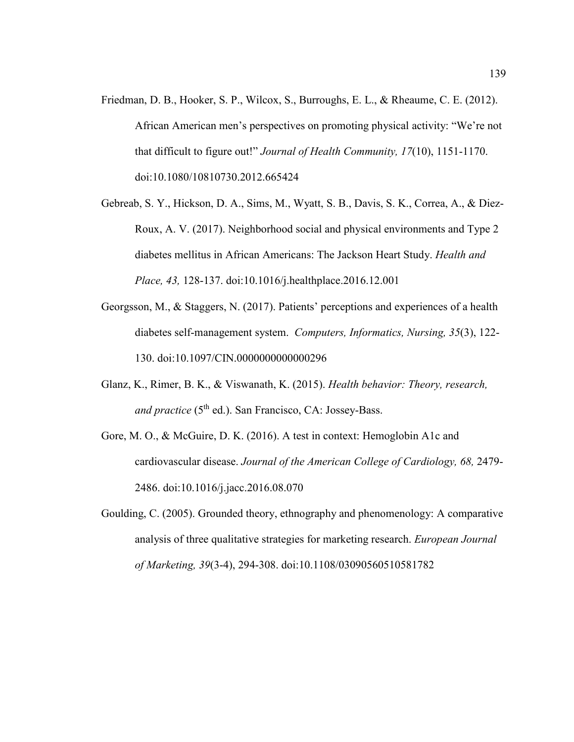- Friedman, D. B., Hooker, S. P., Wilcox, S., Burroughs, E. L., & Rheaume, C. E. (2012). African American men's perspectives on promoting physical activity: "We're not that difficult to figure out!" *Journal of Health Community, 17*(10), 1151-1170. doi:10.1080/10810730.2012.665424
- Gebreab, S. Y., Hickson, D. A., Sims, M., Wyatt, S. B., Davis, S. K., Correa, A., & Diez-Roux, A. V. (2017). Neighborhood social and physical environments and Type 2 diabetes mellitus in African Americans: The Jackson Heart Study. *Health and Place, 43,* 128-137. doi:10.1016/j.healthplace.2016.12.001
- Georgsson, M., & Staggers, N. (2017). Patients' perceptions and experiences of a health diabetes self-management system. *Computers, Informatics, Nursing, 35*(3), 122- 130. doi:10.1097/CIN.0000000000000296
- Glanz, K., Rimer, B. K., & Viswanath, K. (2015). *Health behavior: Theory, research, and practice* (5<sup>th</sup> ed.). San Francisco, CA: Jossey-Bass.
- Gore, M. O., & McGuire, D. K. (2016). A test in context: Hemoglobin A1c and cardiovascular disease. *Journal of the American College of Cardiology, 68,* 2479- 2486. doi:10.1016/j.jacc.2016.08.070
- Goulding, C. (2005). Grounded theory, ethnography and phenomenology: A comparative analysis of three qualitative strategies for marketing research. *European Journal of Marketing, 39*(3-4), 294-308. doi:10.1108/03090560510581782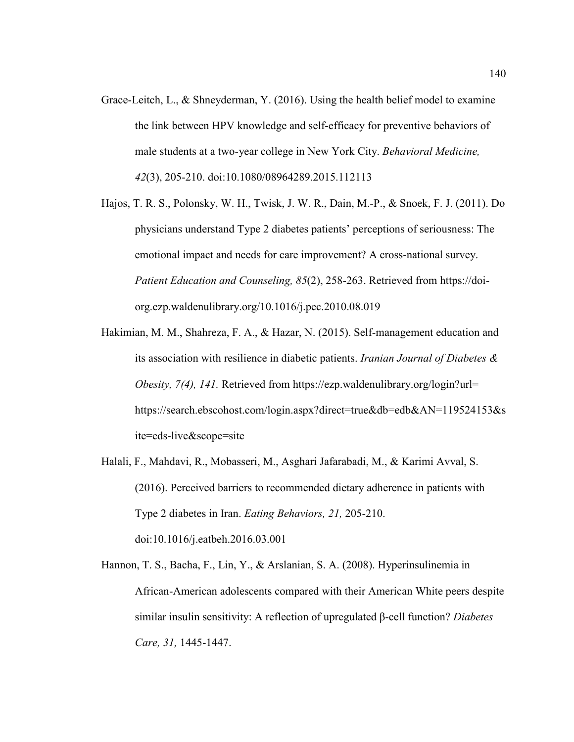- Grace-Leitch, L., & Shneyderman, Y. (2016). Using the health belief model to examine the link between HPV knowledge and self-efficacy for preventive behaviors of male students at a two-year college in New York City. *Behavioral Medicine, 42*(3), 205-210. doi:10.1080/08964289.2015.112113
- Hajos, T. R. S., Polonsky, W. H., Twisk, J. W. R., Dain, M.-P., & Snoek, F. J. (2011). Do physicians understand Type 2 diabetes patients' perceptions of seriousness: The emotional impact and needs for care improvement? A cross-national survey. *Patient Education and Counseling, 85*(2), 258-263. Retrieved from https://doiorg.ezp.waldenulibrary.org/10.1016/j.pec.2010.08.019
- Hakimian, M. M., Shahreza, F. A., & Hazar, N. (2015). Self-management education and its association with resilience in diabetic patients. *Iranian Journal of Diabetes & Obesity, 7(4), 141.* Retrieved from https://ezp.waldenulibrary.org/login?url= https://search.ebscohost.com/login.aspx?direct=true&db=edb&AN=119524153&s ite=eds-live&scope=site
- Halali, F., Mahdavi, R., Mobasseri, M., Asghari Jafarabadi, M., & Karimi Avval, S. (2016). Perceived barriers to recommended dietary adherence in patients with Type 2 diabetes in Iran. *Eating Behaviors, 21,* 205-210. doi:10.1016/j.eatbeh.2016.03.001
- Hannon, T. S., Bacha, F., Lin, Y., & Arslanian, S. A. (2008). Hyperinsulinemia in African-American adolescents compared with their American White peers despite similar insulin sensitivity: A reflection of upregulated β-cell function? *Diabetes Care, 31,* 1445-1447.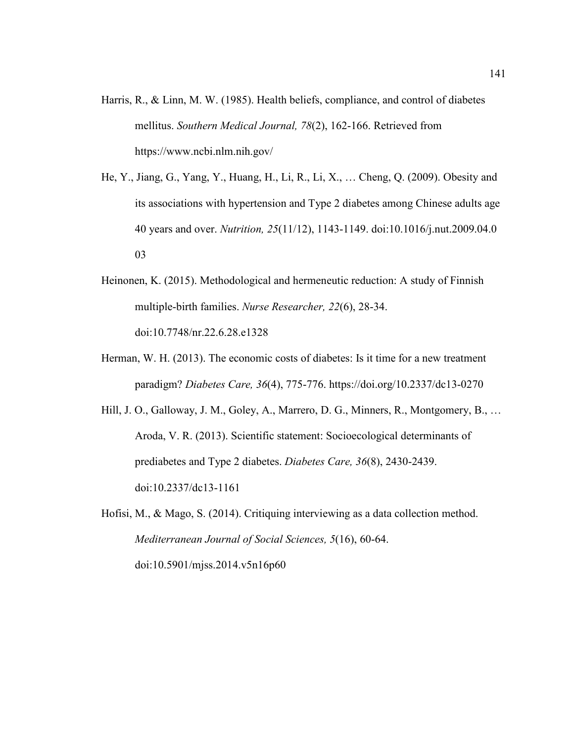- Harris, R., & Linn, M. W. (1985). Health beliefs, compliance, and control of diabetes mellitus. *Southern Medical Journal, 78*(2), 162-166. Retrieved from https://www.ncbi.nlm.nih.gov/
- He, Y., Jiang, G., Yang, Y., Huang, H., Li, R., Li, X., … Cheng, Q. (2009). Obesity and its associations with hypertension and Type 2 diabetes among Chinese adults age 40 years and over. *Nutrition, 25*(11/12), 1143-1149. doi:10.1016/j.nut.2009.04.0 03
- Heinonen, K. (2015). Methodological and hermeneutic reduction: A study of Finnish multiple-birth families. *Nurse Researcher, 22*(6), 28-34. doi:10.7748/nr.22.6.28.e1328
- Herman, W. H. (2013). The economic costs of diabetes: Is it time for a new treatment paradigm? *Diabetes Care, 36*(4), 775-776. https://doi.org/10.2337/dc13-0270
- Hill, J. O., Galloway, J. M., Goley, A., Marrero, D. G., Minners, R., Montgomery, B., … Aroda, V. R. (2013). Scientific statement: Socioecological determinants of prediabetes and Type 2 diabetes. *Diabetes Care, 36*(8), 2430-2439. doi:10.2337/dc13-1161

Hofisi, M., & Mago, S. (2014). Critiquing interviewing as a data collection method. *Mediterranean Journal of Social Sciences, 5*(16), 60-64. doi:10.5901/mjss.2014.v5n16p60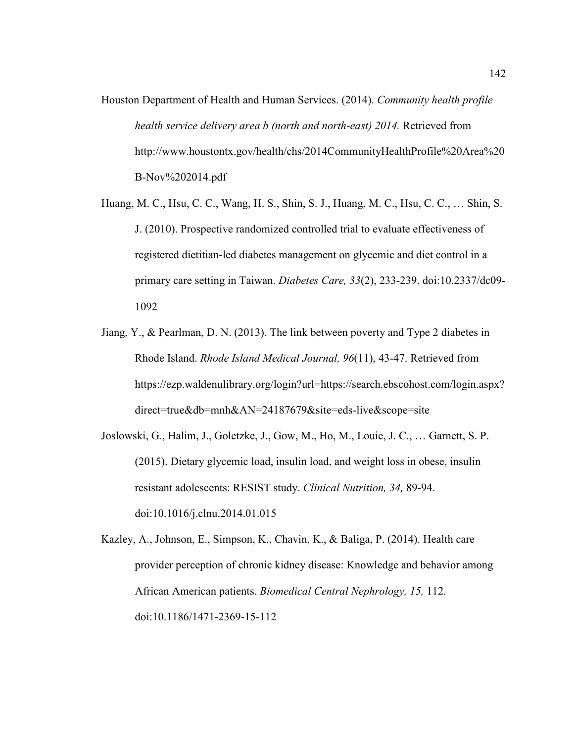- Houston Department of Health and Human Services. (2014). *Community health profile health service delivery area b (north and north-east) 2014.* Retrieved from http://www.houstontx.gov/health/chs/2014CommunityHealthProfile%20Area%20 B-Nov%202014.pdf
- Huang, M. C., Hsu, C. C., Wang, H. S., Shin, S. J., Huang, M. C., Hsu, C. C., … Shin, S. J. (2010). Prospective randomized controlled trial to evaluate effectiveness of registered dietitian-led diabetes management on glycemic and diet control in a primary care setting in Taiwan. *Diabetes Care, 33*(2), 233-239. doi:10.2337/dc09- 1092
- Jiang, Y., & Pearlman, D. N. (2013). The link between poverty and Type 2 diabetes in Rhode Island. *Rhode Island Medical Journal, 96*(11), 43-47. Retrieved from https://ezp.waldenulibrary.org/login?url=https://search.ebscohost.com/login.aspx? direct=true&db=mnh&AN=24187679&site=eds-live&scope=site
- Joslowski, G., Halim, J., Goletzke, J., Gow, M., Ho, M., Louie, J. C., … Garnett, S. P. (2015). Dietary glycemic load, insulin load, and weight loss in obese, insulin resistant adolescents: RESIST study. *Clinical Nutrition, 34,* 89-94. doi:10.1016/j.clnu.2014.01.015
- Kazley, A., Johnson, E., Simpson, K., Chavin, K., & Baliga, P. (2014). Health care provider perception of chronic kidney disease: Knowledge and behavior among African American patients. *Biomedical Central Nephrology, 15,* 112. doi:10.1186/1471-2369-15-112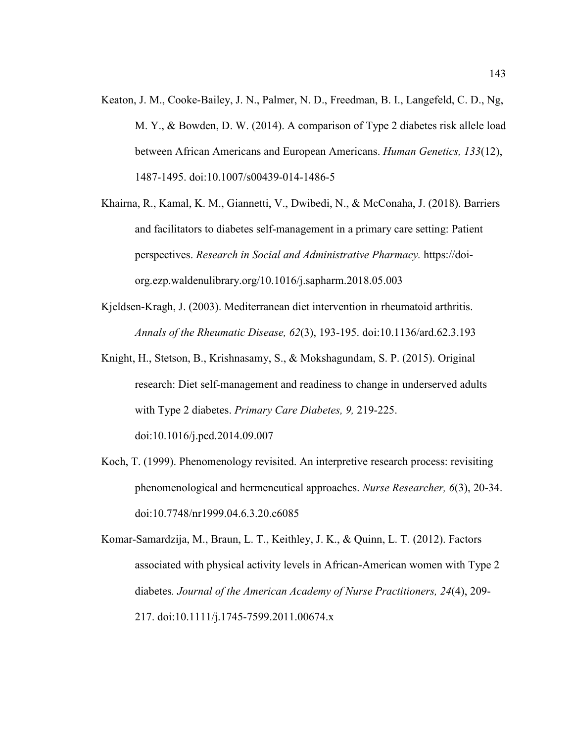- Keaton, J. M., Cooke-Bailey, J. N., Palmer, N. D., Freedman, B. I., Langefeld, C. D., Ng, M. Y., & Bowden, D. W. (2014). A comparison of Type 2 diabetes risk allele load between African Americans and European Americans. *Human Genetics, 133*(12), 1487-1495. doi:10.1007/s00439-014-1486-5
- Khairna, R., Kamal, K. M., Giannetti, V., Dwibedi, N., & McConaha, J. (2018). Barriers and facilitators to diabetes self-management in a primary care setting: Patient perspectives. *Research in Social and Administrative Pharmacy.* https://doiorg.ezp.waldenulibrary.org/10.1016/j.sapharm.2018.05.003
- Kjeldsen-Kragh, J. (2003). Mediterranean diet intervention in rheumatoid arthritis. *Annals of the Rheumatic Disease, 62*(3), 193-195. doi:10.1136/ard.62.3.193
- Knight, H., Stetson, B., Krishnasamy, S., & Mokshagundam, S. P. (2015). Original research: Diet self-management and readiness to change in underserved adults with Type 2 diabetes. *Primary Care Diabetes, 9,* 219-225. doi:10.1016/j.pcd.2014.09.007
- Koch, T. (1999). Phenomenology revisited. An interpretive research process: revisiting phenomenological and hermeneutical approaches. *Nurse Researcher, 6*(3), 20-34. doi:10.7748/nr1999.04.6.3.20.c6085
- Komar-Samardzija, M., Braun, L. T., Keithley, J. K., & Quinn, L. T. (2012). Factors associated with physical activity levels in African-American women with Type 2 diabetes*. Journal of the American Academy of Nurse Practitioners, 24*(4), 209- 217. doi:10.1111/j.1745-7599.2011.00674.x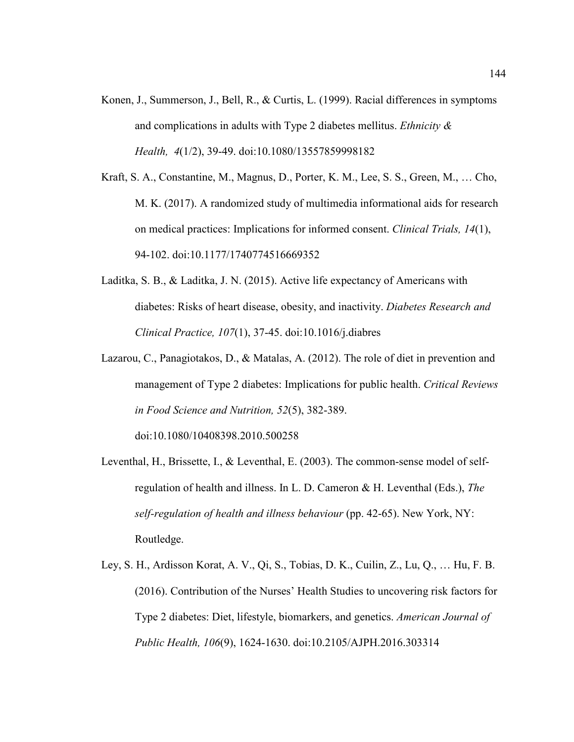- Konen, J., Summerson, J., Bell, R., & Curtis, L. (1999). Racial differences in symptoms and complications in adults with Type 2 diabetes mellitus. *Ethnicity & Health, 4*(1/2), 39-49. doi:10.1080/13557859998182
- Kraft, S. A., Constantine, M., Magnus, D., Porter, K. M., Lee, S. S., Green, M., … Cho, M. K. (2017). A randomized study of multimedia informational aids for research on medical practices: Implications for informed consent. *Clinical Trials, 14*(1), 94-102. doi:10.1177/1740774516669352
- Laditka, S. B., & Laditka, J. N. (2015). Active life expectancy of Americans with diabetes: Risks of heart disease, obesity, and inactivity. *Diabetes Research and Clinical Practice, 107*(1), 37-45. doi:10.1016/j.diabres
- Lazarou, C., Panagiotakos, D., & Matalas, A. (2012). The role of diet in prevention and management of Type 2 diabetes: Implications for public health. *Critical Reviews in Food Science and Nutrition, 52*(5), 382-389.

doi:10.1080/10408398.2010.500258

- Leventhal, H., Brissette, I., & Leventhal, E. (2003). The common-sense model of selfregulation of health and illness. In L. D. Cameron & H. Leventhal (Eds.), *The self-regulation of health and illness behaviour* (pp. 42-65). New York, NY: Routledge.
- Ley, S. H., Ardisson Korat, A. V., Qi, S., Tobias, D. K., Cuilin, Z., Lu, Q., … Hu, F. B. (2016). Contribution of the Nurses' Health Studies to uncovering risk factors for Type 2 diabetes: Diet, lifestyle, biomarkers, and genetics. *American Journal of Public Health, 106*(9), 1624-1630. doi:10.2105/AJPH.2016.303314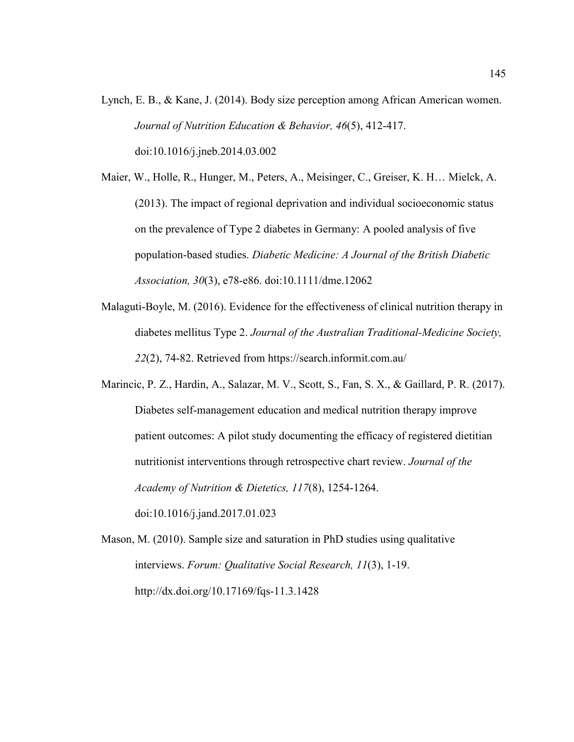- Lynch, E. B., & Kane, J. (2014). Body size perception among African American women. *Journal of Nutrition Education & Behavior, 46*(5), 412-417. doi:10.1016/j.jneb.2014.03.002
- Maier, W., Holle, R., Hunger, M., Peters, A., Meisinger, C., Greiser, K. H… Mielck, A. (2013). The impact of regional deprivation and individual socioeconomic status on the prevalence of Type 2 diabetes in Germany: A pooled analysis of five population-based studies. *Diabetic Medicine: A Journal of the British Diabetic Association, 30*(3), e78-e86. doi:10.1111/dme.12062
- Malaguti-Boyle, M. (2016). Evidence for the effectiveness of clinical nutrition therapy in diabetes mellitus Type 2. *Journal of the Australian Traditional-Medicine Society, 22*(2), 74-82. Retrieved from https://search.informit.com.au/
- Marincic, P. Z., Hardin, A., Salazar, M. V., Scott, S., Fan, S. X., & Gaillard, P. R. (2017). Diabetes self-management education and medical nutrition therapy improve patient outcomes: A pilot study documenting the efficacy of registered dietitian nutritionist interventions through retrospective chart review. *Journal of the Academy of Nutrition & Dietetics, 117*(8), 1254-1264. doi:10.1016/j.jand.2017.01.023
- Mason, M. (2010). Sample size and saturation in PhD studies using qualitative interviews. *Forum: Qualitative Social Research, 11*(3), 1-19. http://dx.doi.org/10.17169/fqs-11.3.1428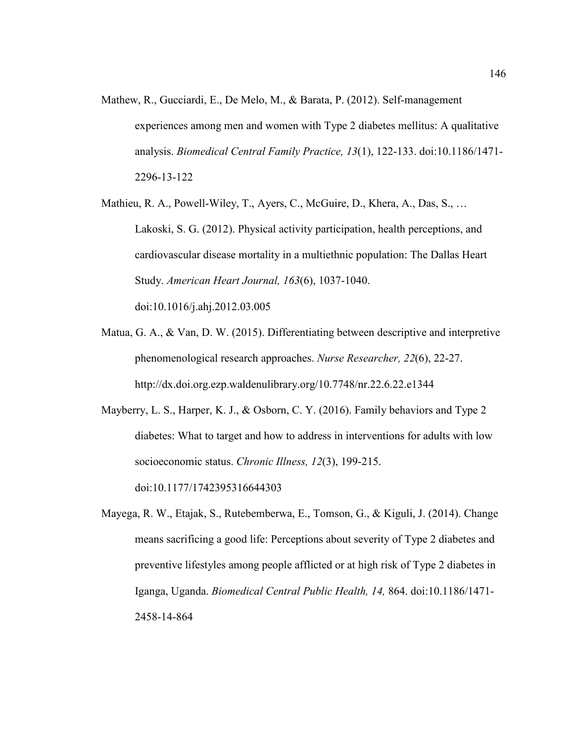Mathew, R., Gucciardi, E., De Melo, M., & Barata, P. (2012). Self-management experiences among men and women with Type 2 diabetes mellitus: A qualitative analysis. *Biomedical Central Family Practice, 13*(1), 122-133. doi:10.1186/1471- 2296-13-122

Mathieu, R. A., Powell-Wiley, T., Ayers, C., McGuire, D., Khera, A., Das, S., … Lakoski, S. G. (2012). Physical activity participation, health perceptions, and cardiovascular disease mortality in a multiethnic population: The Dallas Heart Study. *American Heart Journal, 163*(6), 1037-1040. doi:10.1016/j.ahj.2012.03.005

Matua, G. A., & Van, D. W. (2015). Differentiating between descriptive and interpretive phenomenological research approaches. *Nurse Researcher, 22*(6), 22-27. http://dx.doi.org.ezp.waldenulibrary.org/10.7748/nr.22.6.22.e1344

Mayberry, L. S., Harper, K. J., & Osborn, C. Y. (2016). Family behaviors and Type 2 diabetes: What to target and how to address in interventions for adults with low socioeconomic status. *Chronic Illness, 12*(3), 199-215. doi:10.1177/1742395316644303

Mayega, R. W., Etajak, S., Rutebemberwa, E., Tomson, G., & Kiguli, J. (2014). Change means sacrificing a good life: Perceptions about severity of Type 2 diabetes and preventive lifestyles among people afflicted or at high risk of Type 2 diabetes in Iganga, Uganda. *Biomedical Central Public Health, 14,* 864. doi:10.1186/1471- 2458-14-864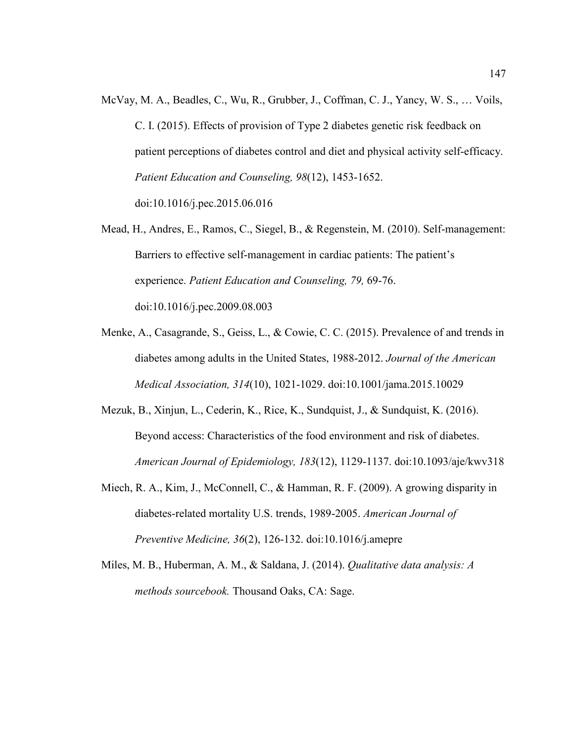- McVay, M. A., Beadles, C., Wu, R., Grubber, J., Coffman, C. J., Yancy, W. S., … Voils, C. I. (2015). Effects of provision of Type 2 diabetes genetic risk feedback on patient perceptions of diabetes control and diet and physical activity self-efficacy. *Patient Education and Counseling, 98*(12), 1453-1652. doi:10.1016/j.pec.2015.06.016
- Mead, H., Andres, E., Ramos, C., Siegel, B., & Regenstein, M. (2010). Self-management: Barriers to effective self-management in cardiac patients: The patient's experience. *Patient Education and Counseling, 79,* 69-76. doi:10.1016/j.pec.2009.08.003
- Menke, A., Casagrande, S., Geiss, L., & Cowie, C. C. (2015). Prevalence of and trends in diabetes among adults in the United States, 1988-2012. *Journal of the American Medical Association, 314*(10), 1021-1029. doi:10.1001/jama.2015.10029
- Mezuk, B., Xinjun, L., Cederin, K., Rice, K., Sundquist, J., & Sundquist, K. (2016). Beyond access: Characteristics of the food environment and risk of diabetes. *American Journal of Epidemiology, 183*(12), 1129-1137. doi:10.1093/aje/kwv318
- Miech, R. A., Kim, J., McConnell, C., & Hamman, R. F. (2009). A growing disparity in diabetes-related mortality U.S. trends, 1989-2005. *American Journal of Preventive Medicine, 36*(2), 126-132. doi:10.1016/j.amepre
- Miles, M. B., Huberman, A. M., & Saldana, J. (2014). *Qualitative data analysis: A methods sourcebook.* Thousand Oaks, CA: Sage.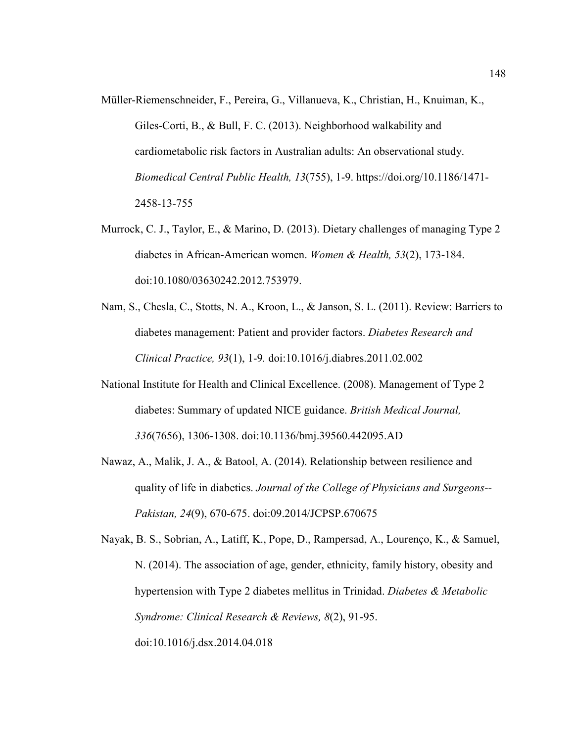- Müller-Riemenschneider, F., Pereira, G., Villanueva, K., Christian, H., Knuiman, K., Giles-Corti, B., & Bull, F. C. (2013). Neighborhood walkability and cardiometabolic risk factors in Australian adults: An observational study. *Biomedical Central Public Health, 13*(755), 1-9. https://doi.org/10.1186/1471- 2458-13-755
- Murrock, C. J., Taylor, E., & Marino, D. (2013). Dietary challenges of managing Type 2 diabetes in African-American women. *Women & Health, 53*(2), 173-184. doi:10.1080/03630242.2012.753979.
- Nam, S., Chesla, C., Stotts, N. A., Kroon, L., & Janson, S. L. (2011). Review: Barriers to diabetes management: Patient and provider factors. *Diabetes Research and Clinical Practice, 93*(1), 1-9*.* doi:10.1016/j.diabres.2011.02.002
- National Institute for Health and Clinical Excellence. (2008). Management of Type 2 diabetes: Summary of updated NICE guidance. *British Medical Journal, 336*(7656), 1306-1308. doi:10.1136/bmj.39560.442095.AD
- Nawaz, A., Malik, J. A., & Batool, A. (2014). Relationship between resilience and quality of life in diabetics. *Journal of the College of Physicians and Surgeons-- Pakistan, 24*(9), 670-675. doi:09.2014/JCPSP.670675

Nayak, B. S., Sobrian, A., Latiff, K., Pope, D., Rampersad, A., Lourenço, K., & Samuel, N. (2014). The association of age, gender, ethnicity, family history, obesity and hypertension with Type 2 diabetes mellitus in Trinidad. *Diabetes & Metabolic Syndrome: Clinical Research & Reviews, 8*(2), 91-95. doi:10.1016/j.dsx.2014.04.018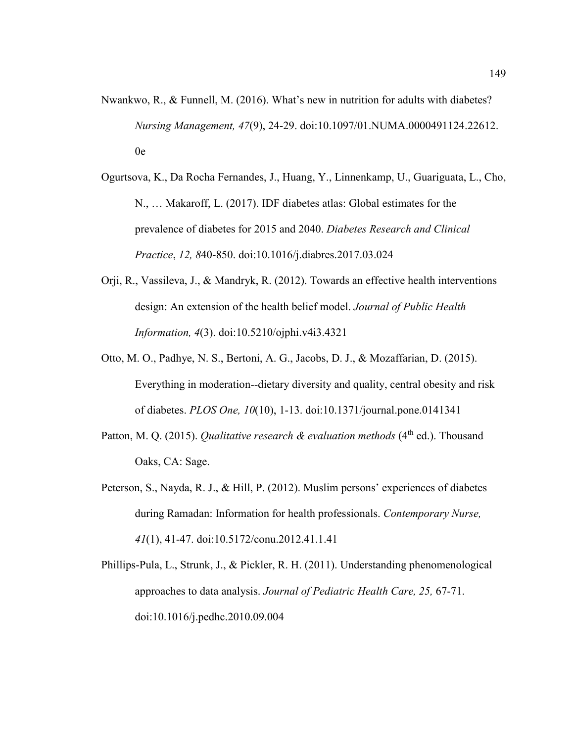- Nwankwo, R., & Funnell, M. (2016). What's new in nutrition for adults with diabetes? *Nursing Management, 47*(9), 24-29. doi:10.1097/01.NUMA.0000491124.22612. 0e
- Ogurtsova, K., Da Rocha Fernandes, J., Huang, Y., Linnenkamp, U., Guariguata, L., Cho, N., … Makaroff, L. (2017). IDF diabetes atlas: Global estimates for the prevalence of diabetes for 2015 and 2040. *Diabetes Research and Clinical Practice*, *12, 8*40-850. doi:10.1016/j.diabres.2017.03.024
- Orji, R., Vassileva, J., & Mandryk, R. (2012). Towards an effective health interventions design: An extension of the health belief model. *Journal of Public Health Information, 4*(3). doi:10.5210/ojphi.v4i3.4321
- Otto, M. O., Padhye, N. S., Bertoni, A. G., Jacobs, D. J., & Mozaffarian, D. (2015). Everything in moderation--dietary diversity and quality, central obesity and risk of diabetes. *PLOS One, 10*(10), 1-13. doi:10.1371/journal.pone.0141341
- Patton, M. Q. (2015). *Qualitative research & evaluation methods* (4<sup>th</sup> ed.). Thousand Oaks, CA: Sage.
- Peterson, S., Nayda, R. J., & Hill, P. (2012). Muslim persons' experiences of diabetes during Ramadan: Information for health professionals. *Contemporary Nurse, 41*(1), 41-47. doi:10.5172/conu.2012.41.1.41
- Phillips-Pula, L., Strunk, J., & Pickler, R. H. (2011). Understanding phenomenological approaches to data analysis. *Journal of Pediatric Health Care, 25,* 67-71. doi:10.1016/j.pedhc.2010.09.004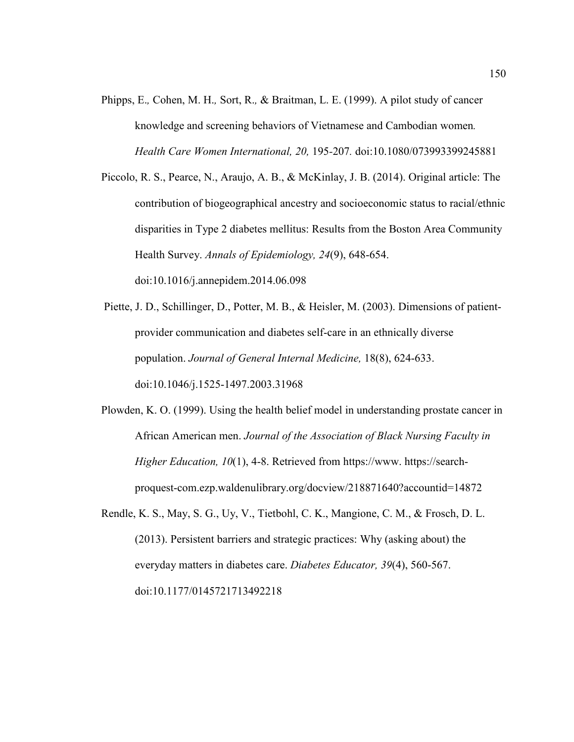- Phipps, E.*,* Cohen, M. H.*,* Sort, R.*,* & Braitman, L. E. (1999). A pilot study of cancer knowledge and screening behaviors of Vietnamese and Cambodian women*. Health Care Women International, 20,* 195*-*207*.* doi:10.1080/073993399245881
- Piccolo, R. S., Pearce, N., Araujo, A. B., & McKinlay, J. B. (2014). Original article: The contribution of biogeographical ancestry and socioeconomic status to racial/ethnic disparities in Type 2 diabetes mellitus: Results from the Boston Area Community Health Survey. *Annals of Epidemiology, 24*(9), 648-654. doi:10.1016/j.annepidem.2014.06.098
- Piette, J. D., Schillinger, D., Potter, M. B., & Heisler, M. (2003). Dimensions of patientprovider communication and diabetes self-care in an ethnically diverse population. *Journal of General Internal Medicine,* 18(8), 624-633. doi:10.1046/j.1525-1497.2003.31968
- Plowden, K. O. (1999). Using the health belief model in understanding prostate cancer in African American men. *Journal of the Association of Black Nursing Faculty in Higher Education, 10*(1), 4-8. Retrieved from https://www. https://searchproquest-com.ezp.waldenulibrary.org/docview/218871640?accountid=14872
- Rendle, K. S., May, S. G., Uy, V., Tietbohl, C. K., Mangione, C. M., & Frosch, D. L. (2013). Persistent barriers and strategic practices: Why (asking about) the everyday matters in diabetes care. *Diabetes Educator, 39*(4), 560-567. doi:10.1177/0145721713492218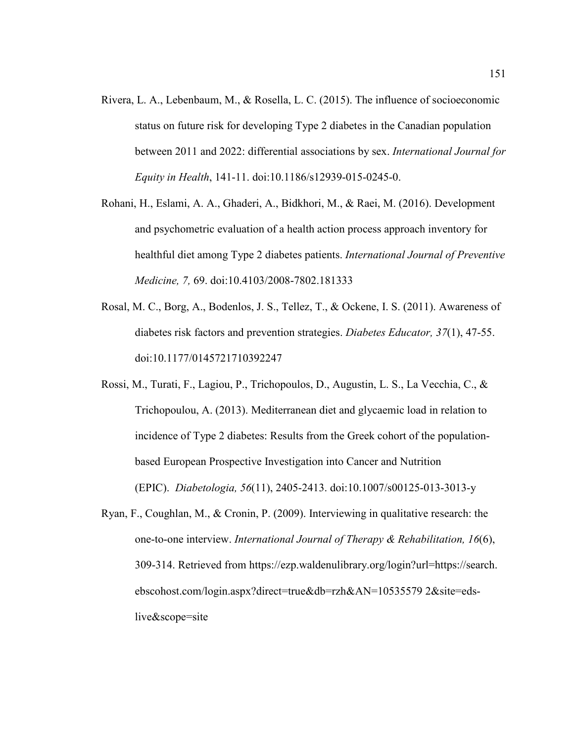- Rivera, L. A., Lebenbaum, M., & Rosella, L. C. (2015). The influence of socioeconomic status on future risk for developing Type 2 diabetes in the Canadian population between 2011 and 2022: differential associations by sex. *International Journal for Equity in Health*, 141-11. doi:10.1186/s12939-015-0245-0.
- Rohani, H., Eslami, A. A., Ghaderi, A., Bidkhori, M., & Raei, M. (2016). Development and psychometric evaluation of a health action process approach inventory for healthful diet among Type 2 diabetes patients. *International Journal of Preventive Medicine, 7,* 69. doi:10.4103/2008-7802.181333
- Rosal, M. C., Borg, A., Bodenlos, J. S., Tellez, T., & Ockene, I. S. (2011). Awareness of diabetes risk factors and prevention strategies. *Diabetes Educator, 37*(1), 47-55. doi:10.1177/0145721710392247
- Rossi, M., Turati, F., Lagiou, P., Trichopoulos, D., Augustin, L. S., La Vecchia, C., & Trichopoulou, A. (2013). Mediterranean diet and glycaemic load in relation to incidence of Type 2 diabetes: Results from the Greek cohort of the populationbased European Prospective Investigation into Cancer and Nutrition (EPIC). *Diabetologia, 56*(11), 2405-2413. doi:10.1007/s00125-013-3013-y
- Ryan, F., Coughlan, M., & Cronin, P. (2009). Interviewing in qualitative research: the one-to-one interview. *International Journal of Therapy & Rehabilitation, 16*(6), 309-314. Retrieved from https://ezp.waldenulibrary.org/login?url=https://search. ebscohost.com/login.aspx?direct=true&db=rzh&AN=10535579 2&site=edslive&scope=site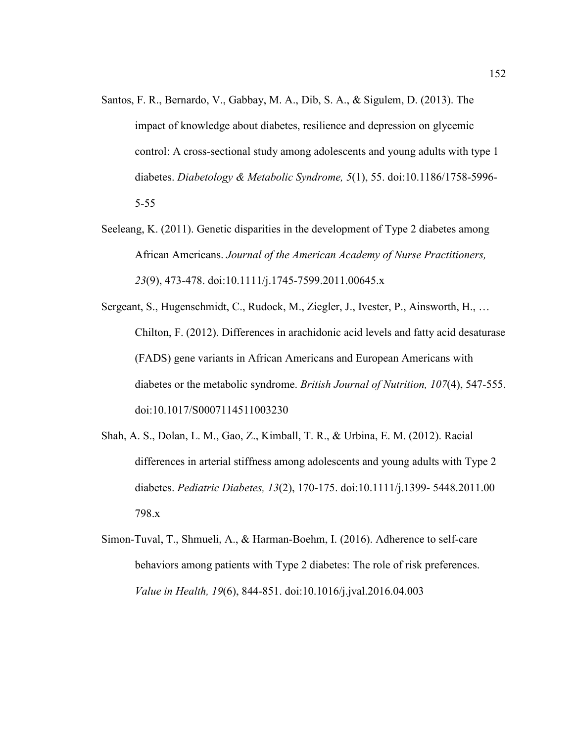- Santos, F. R., Bernardo, V., Gabbay, M. A., Dib, S. A., & Sigulem, D. (2013). The impact of knowledge about diabetes, resilience and depression on glycemic control: A cross-sectional study among adolescents and young adults with type 1 diabetes. *Diabetology & Metabolic Syndrome, 5*(1), 55. doi:10.1186/1758-5996- 5-55
- Seeleang, K. (2011). Genetic disparities in the development of Type 2 diabetes among African Americans. *Journal of the American Academy of Nurse Practitioners, 23*(9), 473-478. doi:10.1111/j.1745-7599.2011.00645.x
- Sergeant, S., Hugenschmidt, C., Rudock, M., Ziegler, J., Ivester, P., Ainsworth, H., … Chilton, F. (2012). Differences in arachidonic acid levels and fatty acid desaturase (FADS) gene variants in African Americans and European Americans with diabetes or the metabolic syndrome. *British Journal of Nutrition, 107*(4), 547-555. doi:10.1017/S0007114511003230
- Shah, A. S., Dolan, L. M., Gao, Z., Kimball, T. R., & Urbina, E. M. (2012). Racial differences in arterial stiffness among adolescents and young adults with Type 2 diabetes. *Pediatric Diabetes, 13*(2), 170-175. doi:10.1111/j.1399- 5448.2011.00 798.x
- Simon-Tuval, T., Shmueli, A., & Harman-Boehm, I. (2016). Adherence to self-care behaviors among patients with Type 2 diabetes: The role of risk preferences. *Value in Health, 19*(6), 844-851. doi:10.1016/j.jval.2016.04.003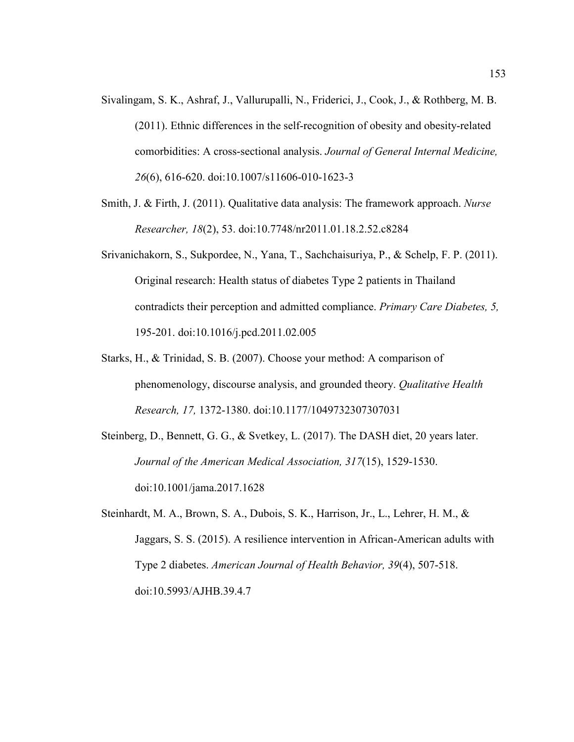- Sivalingam, S. K., Ashraf, J., Vallurupalli, N., Friderici, J., Cook, J., & Rothberg, M. B. (2011). Ethnic differences in the self-recognition of obesity and obesity-related comorbidities: A cross-sectional analysis. *Journal of General Internal Medicine, 26*(6), 616-620. doi:10.1007/s11606-010-1623-3
- Smith, J. & Firth, J. (2011). Qualitative data analysis: The framework approach. *Nurse Researcher, 18*(2), 53. doi:10.7748/nr2011.01.18.2.52.c8284
- Srivanichakorn, S., Sukpordee, N., Yana, T., Sachchaisuriya, P., & Schelp, F. P. (2011). Original research: Health status of diabetes Type 2 patients in Thailand contradicts their perception and admitted compliance. *Primary Care Diabetes, 5,* 195-201. doi:10.1016/j.pcd.2011.02.005
- Starks, H., & Trinidad, S. B. (2007). Choose your method: A comparison of phenomenology, discourse analysis, and grounded theory. *Qualitative Health Research, 17,* 1372-1380. doi:10.1177/1049732307307031
- Steinberg, D., Bennett, G. G., & Svetkey, L. (2017). The DASH diet, 20 years later. *Journal of the American Medical Association, 317*(15), 1529-1530. doi:10.1001/jama.2017.1628
- Steinhardt, M. A., Brown, S. A., Dubois, S. K., Harrison, Jr., L., Lehrer, H. M., & Jaggars, S. S. (2015). A resilience intervention in African-American adults with Type 2 diabetes. *American Journal of Health Behavior, 39*(4), 507-518. doi:10.5993/AJHB.39.4.7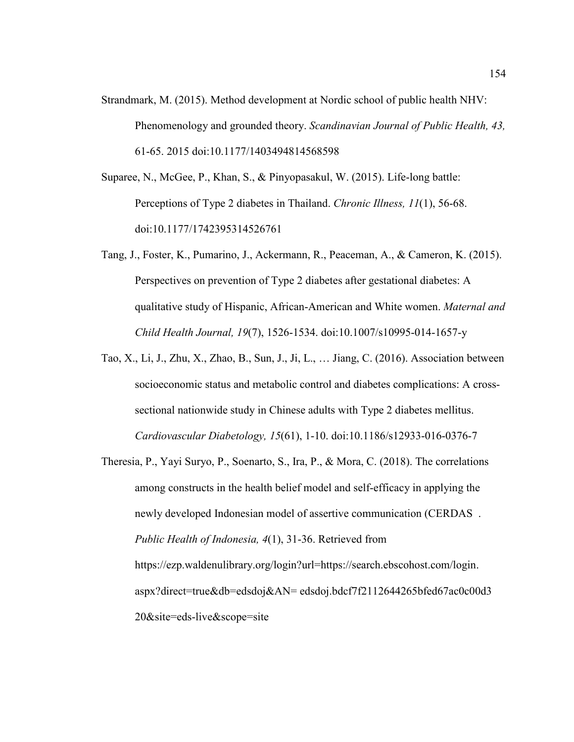- Strandmark, M. (2015). Method development at Nordic school of public health NHV: Phenomenology and grounded theory. *Scandinavian Journal of Public Health, 43,* 61-65. 2015 doi:10.1177/1403494814568598
- Suparee, N., McGee, P., Khan, S., & Pinyopasakul, W. (2015). Life-long battle: Perceptions of Type 2 diabetes in Thailand. *Chronic Illness, 11*(1), 56-68. doi:10.1177/1742395314526761
- Tang, J., Foster, K., Pumarino, J., Ackermann, R., Peaceman, A., & Cameron, K. (2015). Perspectives on prevention of Type 2 diabetes after gestational diabetes: A qualitative study of Hispanic, African-American and White women. *Maternal and Child Health Journal, 19*(7), 1526-1534. doi:10.1007/s10995-014-1657-y
- Tao, X., Li, J., Zhu, X., Zhao, B., Sun, J., Ji, L., … Jiang, C. (2016). Association between socioeconomic status and metabolic control and diabetes complications: A crosssectional nationwide study in Chinese adults with Type 2 diabetes mellitus. *Cardiovascular Diabetology, 15*(61), 1-10. doi:10.1186/s12933-016-0376-7
- Theresia, P., Yayi Suryo, P., Soenarto, S., Ira, P., & Mora, C. (2018). The correlations among constructs in the health belief model and self-efficacy in applying the newly developed Indonesian model of assertive communication (CERDAS . *Public Health of Indonesia, 4*(1), 31-36. Retrieved from https://ezp.waldenulibrary.org/login?url=https://search.ebscohost.com/login. aspx?direct=true&db=edsdoj&AN= edsdoj.bdcf7f2112644265bfed67ac0c00d3 20&site=eds-live&scope=site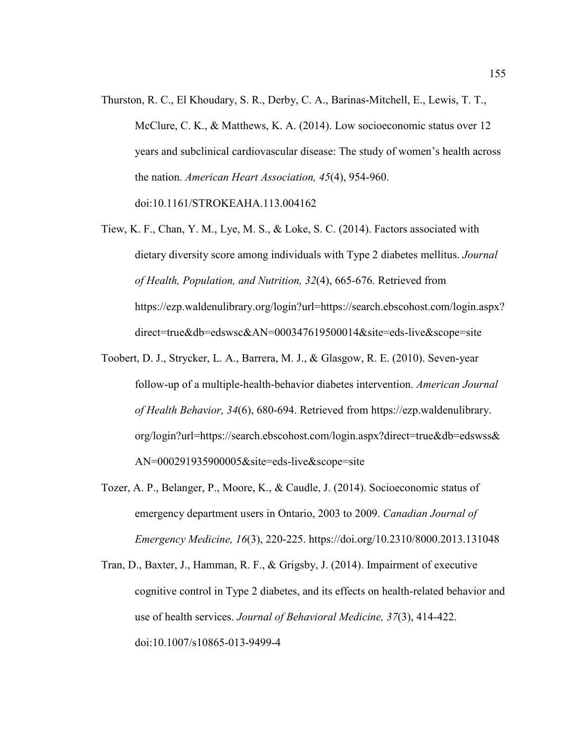- Thurston, R. C., El Khoudary, S. R., Derby, C. A., Barinas-Mitchell, E., Lewis, T. T., McClure, C. K., & Matthews, K. A. (2014). Low socioeconomic status over 12 years and subclinical cardiovascular disease: The study of women's health across the nation. *American Heart Association, 45*(4), 954-960. doi:10.1161/STROKEAHA.113.004162
- Tiew, K. F., Chan, Y. M., Lye, M. S., & Loke, S. C. (2014). Factors associated with dietary diversity score among individuals with Type 2 diabetes mellitus. *Journal of Health, Population, and Nutrition, 32*(4), 665-676. Retrieved from https://ezp.waldenulibrary.org/login?url=https://search.ebscohost.com/login.aspx? direct=true&db=edswsc&AN=000347619500014&site=eds-live&scope=site
- Toobert, D. J., Strycker, L. A., Barrera, M. J., & Glasgow, R. E. (2010). Seven-year follow-up of a multiple-health-behavior diabetes intervention. *American Journal of Health Behavior, 34*(6), 680-694. Retrieved from https://ezp.waldenulibrary. org/login?url=https://search.ebscohost.com/login.aspx?direct=true&db=edswss& AN=000291935900005&site=eds-live&scope=site
- Tozer, A. P., Belanger, P., Moore, K., & Caudle, J. (2014). Socioeconomic status of emergency department users in Ontario, 2003 to 2009. *Canadian Journal of Emergency Medicine, 16*(3), 220-225. https://doi.org/10.2310/8000.2013.131048
- Tran, D., Baxter, J., Hamman, R. F., & Grigsby, J. (2014). Impairment of executive cognitive control in Type 2 diabetes, and its effects on health-related behavior and use of health services. *Journal of Behavioral Medicine, 37*(3), 414-422. doi:10.1007/s10865-013-9499-4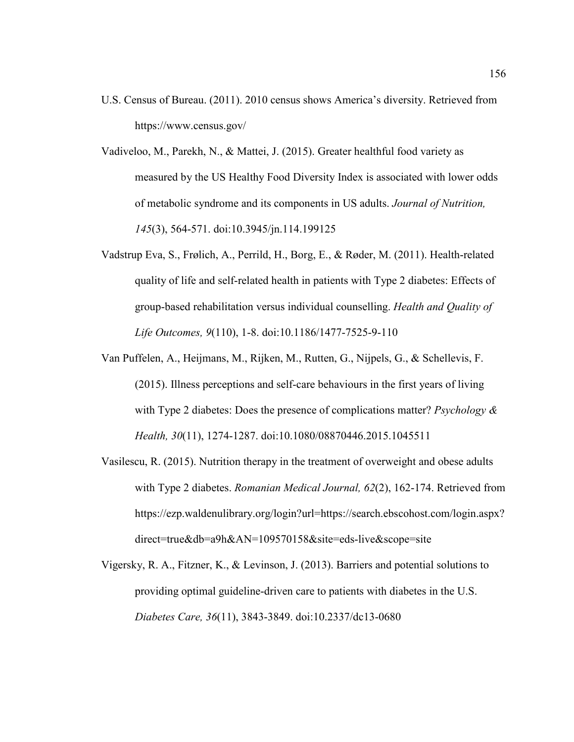- U.S. Census of Bureau. (2011). 2010 census shows America's diversity. Retrieved from https://www.census.gov/
- Vadiveloo, M., Parekh, N., & Mattei, J. (2015). Greater healthful food variety as measured by the US Healthy Food Diversity Index is associated with lower odds of metabolic syndrome and its components in US adults. *Journal of Nutrition, 145*(3), 564-571. doi:10.3945/jn.114.199125
- Vadstrup Eva, S., Frølich, A., Perrild, H., Borg, E., & Røder, M. (2011). Health-related quality of life and self-related health in patients with Type 2 diabetes: Effects of group-based rehabilitation versus individual counselling. *Health and Quality of Life Outcomes, 9*(110), 1-8. doi:10.1186/1477-7525-9-110
- Van Puffelen, A., Heijmans, M., Rijken, M., Rutten, G., Nijpels, G., & Schellevis, F. (2015). Illness perceptions and self-care behaviours in the first years of living with Type 2 diabetes: Does the presence of complications matter? *Psychology & Health, 30*(11), 1274-1287. doi:10.1080/08870446.2015.1045511
- Vasilescu, R. (2015). Nutrition therapy in the treatment of overweight and obese adults with Type 2 diabetes. *Romanian Medical Journal, 62*(2), 162-174. Retrieved from https://ezp.waldenulibrary.org/login?url=https://search.ebscohost.com/login.aspx? direct=true&db=a9h&AN=109570158&site=eds-live&scope=site
- Vigersky, R. A., Fitzner, K., & Levinson, J. (2013). Barriers and potential solutions to providing optimal guideline-driven care to patients with diabetes in the U.S. *Diabetes Care, 36*(11), 3843-3849. doi:10.2337/dc13-0680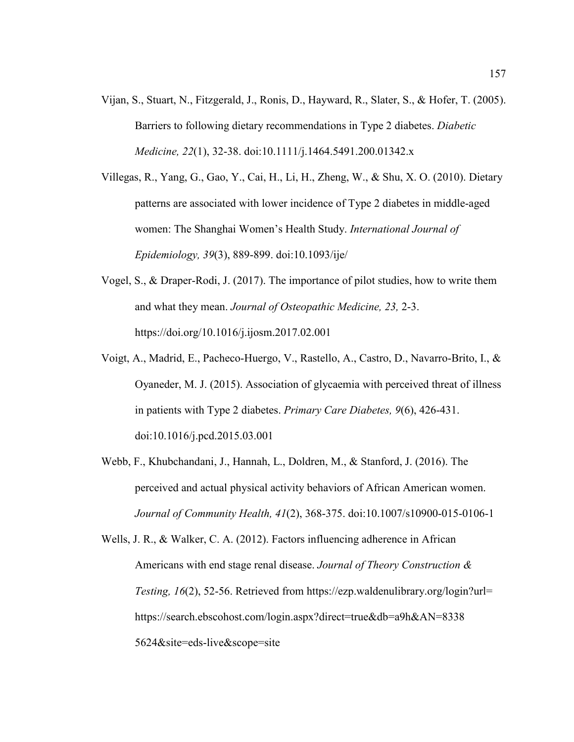- Vijan, S., Stuart, N., Fitzgerald, J., Ronis, D., Hayward, R., Slater, S., & Hofer, T. (2005). Barriers to following dietary recommendations in Type 2 diabetes. *Diabetic Medicine, 22*(1), 32-38. doi:10.1111/j.1464.5491.200.01342.x
- Villegas, R., Yang, G., Gao, Y., Cai, H., Li, H., Zheng, W., & Shu, X. O. (2010). Dietary patterns are associated with lower incidence of Type 2 diabetes in middle-aged women: The Shanghai Women's Health Study. *International Journal of Epidemiology, 39*(3), 889-899. doi:10.1093/ije/
- Vogel, S., & Draper-Rodi, J. (2017). The importance of pilot studies, how to write them and what they mean. *Journal of Osteopathic Medicine, 23,* 2-3. https://doi.org/10.1016/j.ijosm.2017.02.001
- Voigt, A., Madrid, E., Pacheco-Huergo, V., Rastello, A., Castro, D., Navarro-Brito, I., & Oyaneder, M. J. (2015). Association of glycaemia with perceived threat of illness in patients with Type 2 diabetes. *Primary Care Diabetes, 9*(6), 426-431. doi:10.1016/j.pcd.2015.03.001
- Webb, F., Khubchandani, J., Hannah, L., Doldren, M., & Stanford, J. (2016). The perceived and actual physical activity behaviors of African American women. *Journal of Community Health, 41*(2), 368-375. doi:10.1007/s10900-015-0106-1
- Wells, J. R., & Walker, C. A. (2012). Factors influencing adherence in African Americans with end stage renal disease. *Journal of Theory Construction & Testing, 16*(2), 52-56. Retrieved from https://ezp.waldenulibrary.org/login?url= https://search.ebscohost.com/login.aspx?direct=true&db=a9h&AN=8338 5624&site=eds-live&scope=site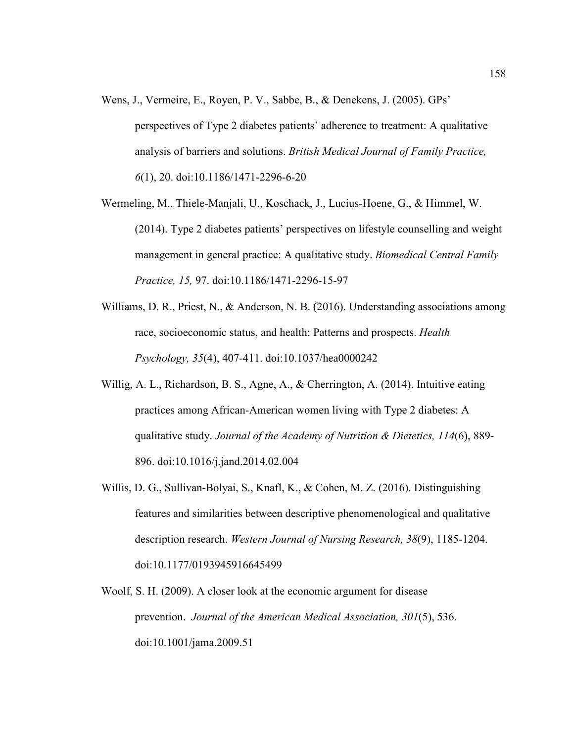- Wens, J., Vermeire, E., Royen, P. V., Sabbe, B., & Denekens, J. (2005). GPs' perspectives of Type 2 diabetes patients' adherence to treatment: A qualitative analysis of barriers and solutions. *British Medical Journal of Family Practice, 6*(1), 20. doi:10.1186/1471-2296-6-20
- Wermeling, M., Thiele-Manjali, U., Koschack, J., Lucius-Hoene, G., & Himmel, W. (2014). Type 2 diabetes patients' perspectives on lifestyle counselling and weight management in general practice: A qualitative study. *Biomedical Central Family Practice, 15,* 97. doi:10.1186/1471-2296-15-97
- Williams, D. R., Priest, N., & Anderson, N. B. (2016). Understanding associations among race, socioeconomic status, and health: Patterns and prospects. *Health Psychology, 35*(4), 407-411. doi:10.1037/hea0000242
- Willig, A. L., Richardson, B. S., Agne, A., & Cherrington, A. (2014). Intuitive eating practices among African-American women living with Type 2 diabetes: A qualitative study. *Journal of the Academy of Nutrition & Dietetics, 114*(6), 889- 896. doi:10.1016/j.jand.2014.02.004
- Willis, D. G., Sullivan-Bolyai, S., Knafl, K., & Cohen, M. Z. (2016). Distinguishing features and similarities between descriptive phenomenological and qualitative description research. *Western Journal of Nursing Research, 38*(9), 1185-1204. doi:10.1177/0193945916645499
- Woolf, S. H. (2009). A closer look at the economic argument for disease prevention. *Journal of the American Medical Association, 301*(5), 536. doi:10.1001/jama.2009.51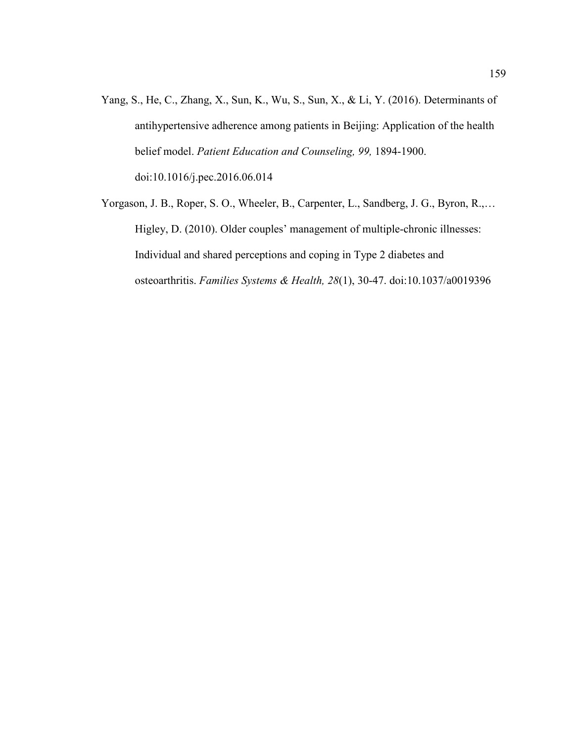- Yang, S., He, C., Zhang, X., Sun, K., Wu, S., Sun, X., & Li, Y. (2016). Determinants of antihypertensive adherence among patients in Beijing: Application of the health belief model. *Patient Education and Counseling, 99,* 1894-1900. doi:10.1016/j.pec.2016.06.014
- Yorgason, J. B., Roper, S. O., Wheeler, B., Carpenter, L., Sandberg, J. G., Byron, R.,… Higley, D. (2010). Older couples' management of multiple-chronic illnesses: Individual and shared perceptions and coping in Type 2 diabetes and osteoarthritis. *Families Systems & Health, 28*(1), 30-47. doi:10.1037/a0019396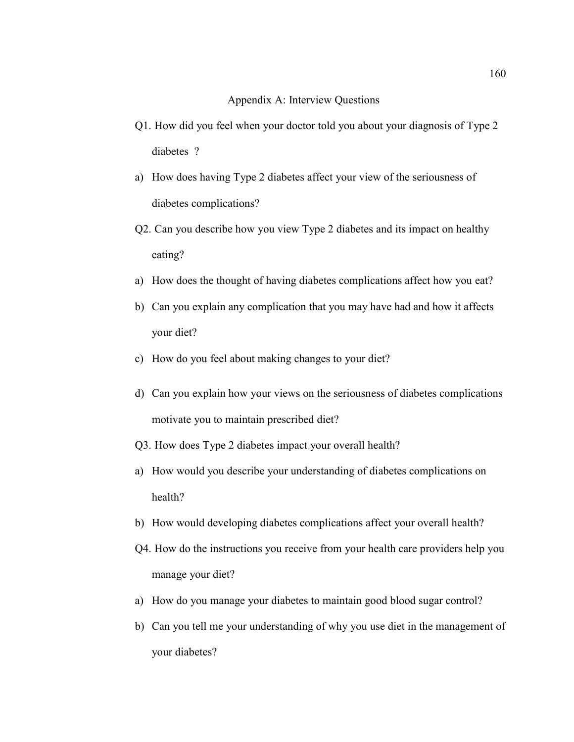## Appendix A: Interview Questions

- Q1. How did you feel when your doctor told you about your diagnosis of Type 2 diabetes ?
- a) How does having Type 2 diabetes affect your view of the seriousness of diabetes complications?
- Q2. Can you describe how you view Type 2 diabetes and its impact on healthy eating?
- a) How does the thought of having diabetes complications affect how you eat?
- b) Can you explain any complication that you may have had and how it affects your diet?
- c) How do you feel about making changes to your diet?
- d) Can you explain how your views on the seriousness of diabetes complications motivate you to maintain prescribed diet?
- Q3. How does Type 2 diabetes impact your overall health?
- a) How would you describe your understanding of diabetes complications on health?
- b) How would developing diabetes complications affect your overall health?
- Q4. How do the instructions you receive from your health care providers help you manage your diet?
- a) How do you manage your diabetes to maintain good blood sugar control?
- b) Can you tell me your understanding of why you use diet in the management of your diabetes?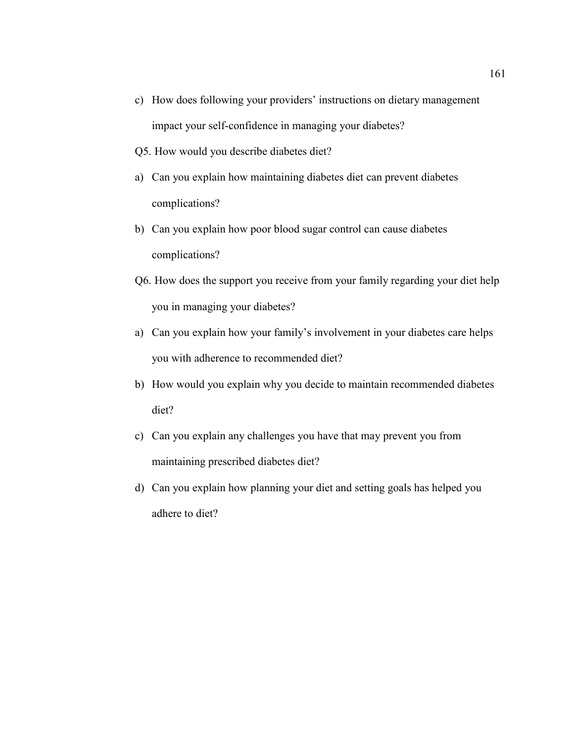- c) How does following your providers' instructions on dietary management impact your self-confidence in managing your diabetes?
- Q5. How would you describe diabetes diet?
- a) Can you explain how maintaining diabetes diet can prevent diabetes complications?
- b) Can you explain how poor blood sugar control can cause diabetes complications?
- Q6. How does the support you receive from your family regarding your diet help you in managing your diabetes?
- a) Can you explain how your family's involvement in your diabetes care helps you with adherence to recommended diet?
- b) How would you explain why you decide to maintain recommended diabetes diet?
- c) Can you explain any challenges you have that may prevent you from maintaining prescribed diabetes diet?
- d) Can you explain how planning your diet and setting goals has helped you adhere to diet?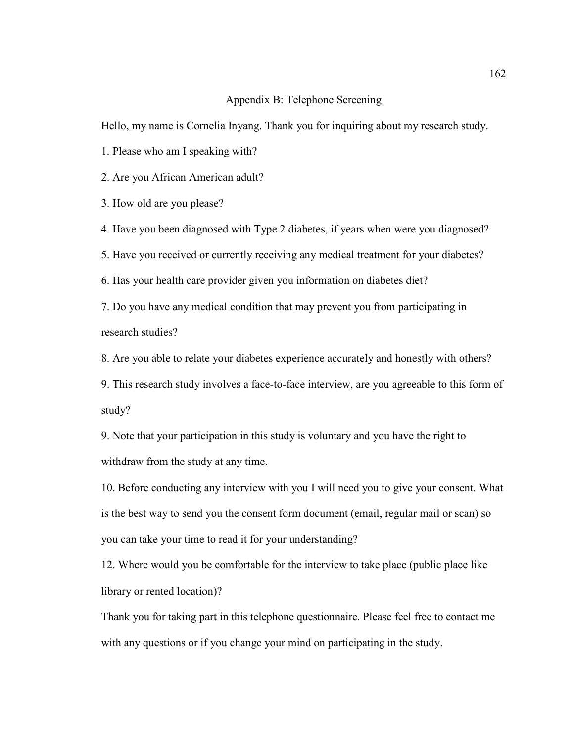## Appendix B: Telephone Screening

Hello, my name is Cornelia Inyang. Thank you for inquiring about my research study.

1. Please who am I speaking with?

2. Are you African American adult?

3. How old are you please?

4. Have you been diagnosed with Type 2 diabetes, if years when were you diagnosed?

5. Have you received or currently receiving any medical treatment for your diabetes?

6. Has your health care provider given you information on diabetes diet?

7. Do you have any medical condition that may prevent you from participating in research studies?

8. Are you able to relate your diabetes experience accurately and honestly with others?

9. This research study involves a face-to-face interview, are you agreeable to this form of study?

9. Note that your participation in this study is voluntary and you have the right to withdraw from the study at any time.

10. Before conducting any interview with you I will need you to give your consent. What is the best way to send you the consent form document (email, regular mail or scan) so you can take your time to read it for your understanding?

12. Where would you be comfortable for the interview to take place (public place like library or rented location)?

Thank you for taking part in this telephone questionnaire. Please feel free to contact me with any questions or if you change your mind on participating in the study.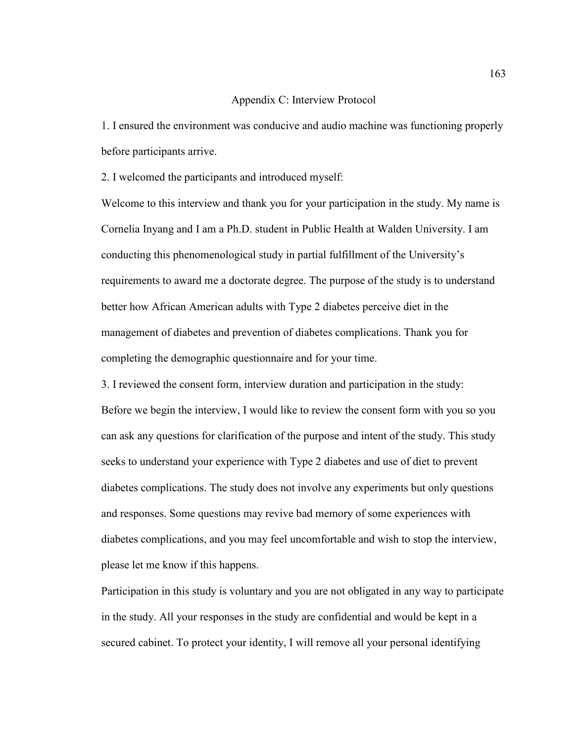## Appendix C: Interview Protocol

1. I ensured the environment was conducive and audio machine was functioning properly before participants arrive.

2. I welcomed the participants and introduced myself:

Welcome to this interview and thank you for your participation in the study. My name is Cornelia Inyang and I am a Ph.D. student in Public Health at Walden University. I am conducting this phenomenological study in partial fulfillment of the University's requirements to award me a doctorate degree. The purpose of the study is to understand better how African American adults with Type 2 diabetes perceive diet in the management of diabetes and prevention of diabetes complications. Thank you for completing the demographic questionnaire and for your time.

3. I reviewed the consent form, interview duration and participation in the study: Before we begin the interview, I would like to review the consent form with you so you can ask any questions for clarification of the purpose and intent of the study. This study seeks to understand your experience with Type 2 diabetes and use of diet to prevent diabetes complications. The study does not involve any experiments but only questions and responses. Some questions may revive bad memory of some experiences with diabetes complications, and you may feel uncomfortable and wish to stop the interview, please let me know if this happens.

Participation in this study is voluntary and you are not obligated in any way to participate in the study. All your responses in the study are confidential and would be kept in a secured cabinet. To protect your identity, I will remove all your personal identifying